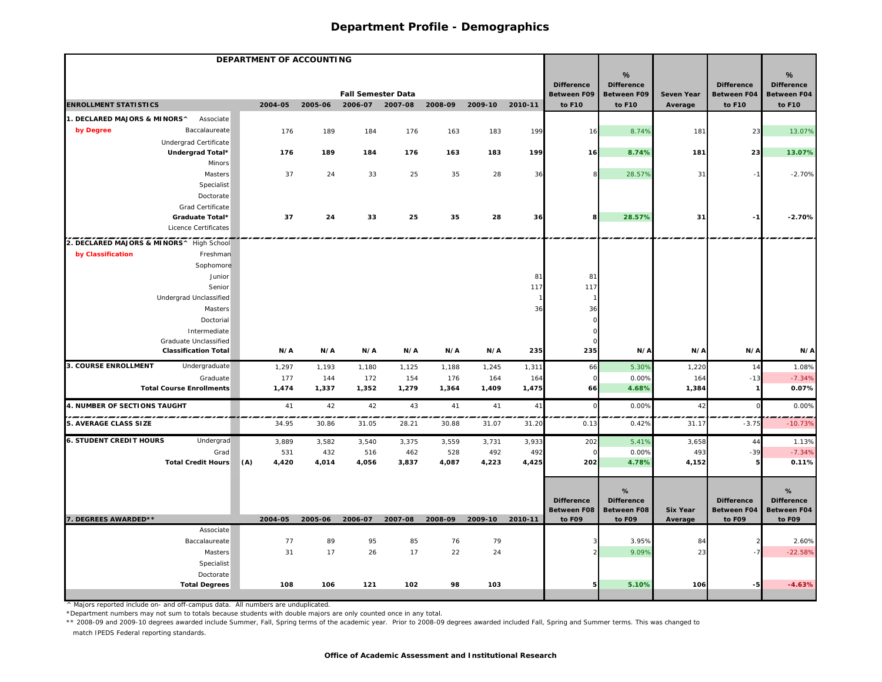|                                              | DEPARTMENT OF ACCOUNTING |         |         |                           |         |         |           |                                         |                                         |                   |                                  |                                         |
|----------------------------------------------|--------------------------|---------|---------|---------------------------|---------|---------|-----------|-----------------------------------------|-----------------------------------------|-------------------|----------------------------------|-----------------------------------------|
|                                              |                          |         |         |                           |         |         |           | <b>Difference</b>                       | %<br><b>Difference</b>                  |                   | <b>Difference</b>                | %<br><b>Difference</b>                  |
|                                              |                          |         |         | <b>Fall Semester Data</b> |         |         |           | <b>Between F09</b>                      | <b>Between F09</b>                      | <b>Seven Year</b> | <b>Between F04</b>               | Between F04                             |
| <b>ENROLLMENT STATISTICS</b>                 | 2004-05                  | 2005-06 |         | 2006-07 2007-08           | 2008-09 | 2009-10 | 2010-11   | to F10                                  | to F10                                  | Average           | to F10                           | to F10                                  |
| 1. DECLARED MAJORS & MINORS^<br>Associate    |                          |         |         |                           |         |         |           |                                         |                                         |                   |                                  |                                         |
| by Degree<br>Baccalaureate                   | 176                      | 189     | 184     | 176                       | 163     | 183     | 199       | 16                                      | 8.74%                                   | 181               | 23                               | 13.07%                                  |
| Undergrad Certificate                        |                          |         |         |                           |         |         |           |                                         |                                         |                   |                                  |                                         |
| Undergrad Total*                             | 176                      | 189     | 184     | 176                       | 163     | 183     | 199       | 16                                      | 8.74%                                   | 181               | 23                               | 13.07%                                  |
| <b>Minors</b>                                |                          |         |         |                           |         |         |           |                                         |                                         |                   |                                  |                                         |
| Masters                                      | 37                       | 24      | 33      | 25                        | 35      | 28      | 36        | 8                                       | 28.57%                                  | 31                | $-1$                             | $-2.70%$                                |
| Specialist                                   |                          |         |         |                           |         |         |           |                                         |                                         |                   |                                  |                                         |
| Doctorate                                    |                          |         |         |                           |         |         |           |                                         |                                         |                   |                                  |                                         |
| Grad Certificate                             |                          |         |         |                           |         |         |           |                                         |                                         |                   |                                  |                                         |
| Graduate Total*<br>Licence Certificates      | 37                       | 24      | 33      | 25                        | 35      | 28      | 36        | 8                                       | 28.57%                                  | 31                | - 1                              | $-2.70%$                                |
|                                              |                          |         |         |                           |         |         |           |                                         |                                         |                   |                                  |                                         |
| 2. DECLARED MAJORS & MINORS^ High School     |                          |         |         |                           |         |         |           |                                         |                                         |                   |                                  |                                         |
| by Classification<br>Freshman                |                          |         |         |                           |         |         |           |                                         |                                         |                   |                                  |                                         |
| Sophomore                                    |                          |         |         |                           |         |         |           |                                         |                                         |                   |                                  |                                         |
| Junior<br>Senior                             |                          |         |         |                           |         |         | 81<br>117 | 81                                      |                                         |                   |                                  |                                         |
| Undergrad Unclassified                       |                          |         |         |                           |         |         |           | 117                                     |                                         |                   |                                  |                                         |
| Masters                                      |                          |         |         |                           |         |         | 36        | 36                                      |                                         |                   |                                  |                                         |
| Doctorial                                    |                          |         |         |                           |         |         |           |                                         |                                         |                   |                                  |                                         |
| Intermediate                                 |                          |         |         |                           |         |         |           |                                         |                                         |                   |                                  |                                         |
| Graduate Unclassified                        |                          |         |         |                           |         |         |           |                                         |                                         |                   |                                  |                                         |
| <b>Classification Total</b>                  | N/A                      | N/A     | N/A     | N/A                       | N/A     | N/A     | 235       | 235                                     | N/A                                     | N/A               | N/A                              | N/A                                     |
| <b>3. COURSE ENROLLMENT</b><br>Undergraduate | 1,297                    | 1,193   | 1,180   | 1,125                     | 1,188   | 1,245   | 1,311     | 66                                      | 5.30%                                   | 1,220             | 14                               | 1.08%                                   |
| Graduate                                     | 177                      | 144     | 172     | 154                       | 176     | 164     | 164       |                                         | 0.00%                                   | 164               | $-13$                            | $-7.34%$                                |
| <b>Total Course Enrollments</b>              | 1,474                    | 1,337   | 1,352   | 1,279                     | 1,364   | 1,409   | 1,475     | 66                                      | 4.68%                                   | 1,384             |                                  | 0.07%                                   |
| 4. NUMBER OF SECTIONS TAUGHT                 | 41                       | 42      | 42      | 43                        | 41      | 41      | 41        | $\mathsf{C}$                            | 0.00%                                   | 42                |                                  | 0.00%                                   |
| 5. AVERAGE CLASS SIZE                        | 34.95                    | 30.86   | 31.05   | 28.21                     | 30.88   | 31.07   | 31.20     | 0.13                                    | 0.42%                                   | 31.17             | $-3.75$                          | $-10.73%$                               |
| <b>6. STUDENT CREDIT HOURS</b><br>Undergrad  | 3,889                    | 3,582   | 3,540   | 3,375                     | 3,559   | 3,731   | 3,933     | 202                                     | 5.41%                                   | 3,658             | 44                               | 1.13%                                   |
| Grad                                         | 531                      | 432     | 516     | 462                       | 528     | 492     | 492       |                                         | 0.00%                                   | 493               | $-39$                            | $-7.34%$                                |
| <b>Total Credit Hours</b>                    | (A)<br>4,420             | 4,014   | 4,056   | 3,837                     | 4,087   | 4,223   | 4,425     | 202                                     | 4.78%                                   | 4,152             | 5                                | 0.11%                                   |
|                                              |                          |         |         |                           |         |         |           |                                         |                                         |                   |                                  |                                         |
|                                              |                          |         |         |                           |         |         |           |                                         | %                                       |                   |                                  | %                                       |
|                                              |                          |         |         |                           |         |         |           | <b>Difference</b><br><b>Between F08</b> | <b>Difference</b><br><b>Between F08</b> | <b>Six Year</b>   | <b>Difference</b><br>Between F04 | <b>Difference</b><br><b>Between F04</b> |
| 7. DEGREES AWARDED**                         | 2004-05                  | 2005-06 | 2006-07 | 2007-08                   | 2008-09 | 2009-10 | 2010-11   | to F09                                  | to F09                                  | Average           | to F09                           | to F09                                  |
| Associate                                    |                          |         |         |                           |         |         |           |                                         |                                         |                   |                                  |                                         |
| Baccalaureate                                | 77                       | 89      | 95      | 85                        | 76      | 79      |           |                                         | 3.95%                                   | 84                |                                  | 2.60%                                   |
| <b>Masters</b>                               | 31                       | 17      | 26      | 17                        | 22      | 24      |           |                                         | 9.09%                                   | 23                |                                  | $-22.58%$                               |
| Specialist                                   |                          |         |         |                           |         |         |           |                                         |                                         |                   |                                  |                                         |
| Doctorate                                    |                          |         |         |                           |         |         |           |                                         |                                         |                   |                                  |                                         |
| <b>Total Degrees</b>                         | 108                      | 106     | 121     | 102                       | 98      | 103     |           |                                         | 5.10%                                   | 106               | -5                               | $-4.63%$                                |

^ Majors reported include on- and off-campus data. All numbers are unduplicated.

\*Department numbers may not sum to totals because students with double majors are only counted once in any total.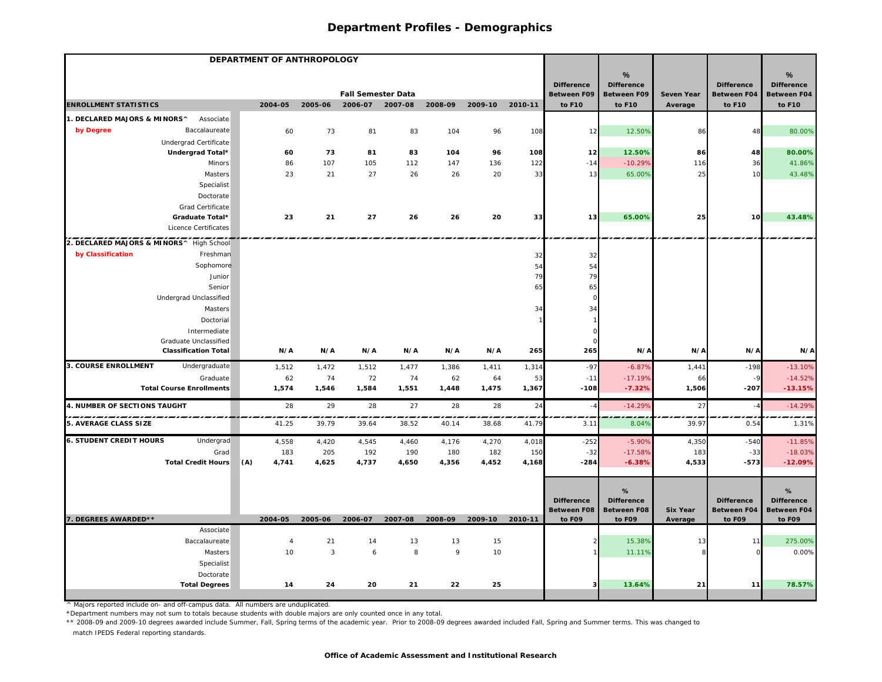|                                              | DEPARTMENT OF ANTHROPOLOGY |                |                           |         |         |                 |         |                                         |                                         |                 |                                         |                                  |
|----------------------------------------------|----------------------------|----------------|---------------------------|---------|---------|-----------------|---------|-----------------------------------------|-----------------------------------------|-----------------|-----------------------------------------|----------------------------------|
|                                              |                            |                |                           |         |         |                 |         |                                         | %                                       |                 |                                         | %                                |
|                                              |                            |                | <b>Fall Semester Data</b> |         |         |                 |         | <b>Difference</b><br><b>Between F09</b> | <b>Difference</b><br><b>Between F09</b> | Seven Year      | <b>Difference</b><br><b>Between F04</b> | <b>Difference</b><br>Between F04 |
| <b>ENROLLMENT STATISTICS</b>                 | 2004-05                    | 2005-06        | 2006-07 2007-08           |         | 2008-09 | 2009-10 2010-11 |         | to F10                                  | to F10                                  | Average         | to F10                                  | to F10                           |
| 1. DECLARED MAJORS & MINORS^<br>Associate    |                            |                |                           |         |         |                 |         |                                         |                                         |                 |                                         |                                  |
| by Degree<br>Baccalaureate                   | 60                         | 73             | 81                        | 83      | 104     | 96              | 108     | 12                                      | 12.50%                                  | 86              | 48                                      | 80.00%                           |
| Undergrad Certificate                        |                            |                |                           |         |         |                 |         |                                         |                                         |                 |                                         |                                  |
| Undergrad Total*                             | 60                         | 73             | 81                        | 83      | 104     | 96              | 108     | 12                                      | 12.50%                                  | 86              | 48                                      | 80.00%                           |
| Minors                                       | 86                         | 107            | 105                       | 112     | 147     | 136             | 122     | $-14$                                   | $-10.29%$                               | 116             | 36                                      | 41.86%                           |
| Masters                                      | 23                         | 21             | 27                        | 26      | 26      | 20              | 33      | 13                                      | 65.00%                                  | 25              | 10                                      | 43.48%                           |
| Specialist                                   |                            |                |                           |         |         |                 |         |                                         |                                         |                 |                                         |                                  |
| Doctorate                                    |                            |                |                           |         |         |                 |         |                                         |                                         |                 |                                         |                                  |
| Grad Certificate                             |                            |                |                           |         |         |                 |         |                                         |                                         |                 |                                         |                                  |
| Graduate Total*                              | 23                         | 21             | 27                        | 26      | 26      | 20              | 33      | 13                                      | 65.00%                                  | 25              | 10                                      | 43.48%                           |
| Licence Certificates                         |                            |                |                           |         |         |                 |         |                                         |                                         |                 |                                         |                                  |
| 2. DECLARED MAJORS & MINORS^ High School     |                            |                |                           |         |         |                 |         |                                         |                                         |                 |                                         |                                  |
| by Classification<br>Freshman                |                            |                |                           |         |         |                 | 32      | 32                                      |                                         |                 |                                         |                                  |
| Sophomore                                    |                            |                |                           |         |         |                 | 54      | 54                                      |                                         |                 |                                         |                                  |
| Junior                                       |                            |                |                           |         |         |                 | 79      | 79                                      |                                         |                 |                                         |                                  |
| Senior                                       |                            |                |                           |         |         |                 | 65      | 65                                      |                                         |                 |                                         |                                  |
| Undergrad Unclassified                       |                            |                |                           |         |         |                 |         | $\Omega$                                |                                         |                 |                                         |                                  |
| Masters                                      |                            |                |                           |         |         |                 | 34      | 34                                      |                                         |                 |                                         |                                  |
| Doctorial                                    |                            |                |                           |         |         |                 |         |                                         |                                         |                 |                                         |                                  |
| Intermediate                                 |                            |                |                           |         |         |                 |         |                                         |                                         |                 |                                         |                                  |
| Graduate Unclassified                        |                            |                |                           |         |         |                 |         |                                         |                                         |                 |                                         |                                  |
| <b>Classification Total</b>                  | N/A                        | N/A            | N/A                       | N/A     | N/A     | N/A             | 265     | 265                                     | N/A                                     | N/A             | N/A                                     | N/A                              |
| <b>3. COURSE ENROLLMENT</b><br>Undergraduate | 1,512                      | 1,472          | 1,512                     | 1,477   | 1,386   | 1,411           | 1,314   | $-97$                                   | $-6.87%$                                | 1,441           | $-198$                                  | $-13.10%$                        |
| Graduate                                     | 62                         | 74             | 72                        | 74      | 62      | 64              | 53      | $-11$                                   | $-17.19%$                               | 66              |                                         | $-14.52%$                        |
| <b>Total Course Enrollments</b>              | 1,574                      | 1,546          | 1,584                     | 1,551   | 1,448   | 1,475           | 1,367   | $-108$                                  | $-7.32%$                                | 1,506           | $-207$                                  | $-13.15%$                        |
| 4. NUMBER OF SECTIONS TAUGHT                 | 28                         | 29             | 28                        | 27      | 28      | 28              | 24      | $-4$                                    | $-14.29%$                               | 27              |                                         | $-14.29%$                        |
| <b>5. AVERAGE CLASS SIZE</b>                 | 41.25                      | 39.79          | 39.64                     | 38.52   | 40.14   | 38.68           | 41.79   | 3.11                                    | 8.04%                                   | 39.97           | 0.54                                    | 1.31%                            |
| <b>6. STUDENT CREDIT HOURS</b><br>Undergrad  | 4,558                      | 4,420          | 4,545                     | 4,460   | 4,176   | 4,270           | 4,018   | $-252$                                  | $-5.90%$                                | 4,350           | $-540$                                  | $-11.85%$                        |
| Grad                                         | 183                        | 205            | 192                       | 190     | 180     | 182             | 150     | $-32$                                   | $-17.58%$                               | 183             | $-33$                                   | $-18.03%$                        |
| <b>Total Credit Hours</b>                    | (A)<br>4,741               | 4,625          | 4,737                     | 4,650   | 4,356   | 4,452           | 4,168   | $-284$                                  | $-6.38%$                                | 4,533           | $-573$                                  | $-12.09%$                        |
|                                              |                            |                |                           |         |         |                 |         |                                         |                                         |                 |                                         |                                  |
|                                              |                            |                |                           |         |         |                 |         |                                         | %                                       |                 |                                         | %                                |
|                                              |                            |                |                           |         |         |                 |         | <b>Difference</b>                       | <b>Difference</b>                       |                 | <b>Difference</b>                       | <b>Difference</b>                |
| 7. DEGREES AWARDED**                         | 2004-05                    | 2005-06        | 2006-07                   | 2007-08 | 2008-09 | 2009-10         | 2010-11 | <b>Between F08</b><br>to F09            | <b>Between F08</b><br>to F09            | <b>Six Year</b> | Between F04<br>to F09                   | Between F04<br>to F09            |
| Associate                                    |                            |                |                           |         |         |                 |         |                                         |                                         | Average         |                                         |                                  |
| Baccalaureate                                | $\overline{4}$             | 21             | 14                        | 13      | 13      | 15              |         |                                         | 15.38%                                  | 13              | 11                                      | 275.00%                          |
| <b>Masters</b>                               | 10                         | $\overline{3}$ | $\epsilon$                | 8       | 9       | 10              |         |                                         | 11.11%                                  |                 | $\Omega$                                | 0.00%                            |
| Specialist                                   |                            |                |                           |         |         |                 |         |                                         |                                         |                 |                                         |                                  |
| Doctorate                                    |                            |                |                           |         |         |                 |         |                                         |                                         |                 |                                         |                                  |
| <b>Total Degrees</b>                         | 14                         | 24             | 20                        | 21      | 22      | 25              |         |                                         | 13.64%                                  | 21              | 11                                      | 78.57%                           |
|                                              |                            |                |                           |         |         |                 |         |                                         |                                         |                 |                                         |                                  |

^ Majors reported include on- and off-campus data. All numbers are unduplicated.

\*Department numbers may not sum to totals because students with double majors are only counted once in any total.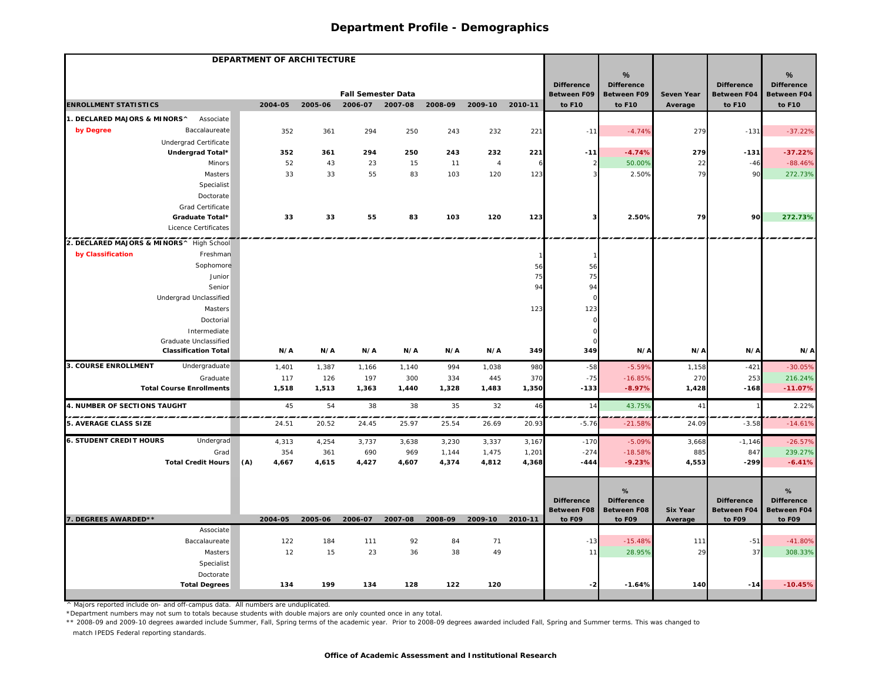|                                                      | DEPARTMENT OF ARCHITECTURE |         |                           |                 |         |                |         |                                         |                                         |                            |                                         |                                  |
|------------------------------------------------------|----------------------------|---------|---------------------------|-----------------|---------|----------------|---------|-----------------------------------------|-----------------------------------------|----------------------------|-----------------------------------------|----------------------------------|
|                                                      |                            |         |                           |                 |         |                |         |                                         | %                                       |                            |                                         | %                                |
|                                                      |                            |         | <b>Fall Semester Data</b> |                 |         |                |         | <b>Difference</b><br><b>Between F09</b> | <b>Difference</b><br><b>Between F09</b> | Seven Year                 | <b>Difference</b><br><b>Between F04</b> | <b>Difference</b><br>Between F04 |
| <b>ENROLLMENT STATISTICS</b>                         | 2004-05                    | 2005-06 |                           | 2006-07 2007-08 | 2008-09 | 2009-10        | 2010-11 | to F10                                  | to F10                                  | Average                    | to F10                                  | to F10                           |
| 1. DECLARED MAJORS & MINORS^<br>Associate            |                            |         |                           |                 |         |                |         |                                         |                                         |                            |                                         |                                  |
| by Degree<br>Baccalaureate                           | 352                        | 361     | 294                       | 250             | 243     | 232            | 221     | $-11$                                   | $-4.74%$                                | 279                        | $-131$                                  | $-37.22%$                        |
| Undergrad Certificate                                |                            |         |                           |                 |         |                |         |                                         |                                         |                            |                                         |                                  |
| Undergrad Total*                                     | 352                        | 361     | 294                       | 250             | 243     | 232            | 221     | $-11$                                   | $-4.74%$                                | 279                        | $-131$                                  | $-37.22%$                        |
| Minors                                               | 52                         | 43      | 23                        | 15              | 11      | $\overline{4}$ |         |                                         | 50.00%                                  | 22                         | $-46$                                   | $-88.46%$                        |
| Masters                                              | 33                         | 33      | 55                        | 83              | 103     | 120            | 123     |                                         | 2.50%                                   | 79                         | 90                                      | 272.73%                          |
| Specialist                                           |                            |         |                           |                 |         |                |         |                                         |                                         |                            |                                         |                                  |
| Doctorate                                            |                            |         |                           |                 |         |                |         |                                         |                                         |                            |                                         |                                  |
| Grad Certificate                                     |                            |         |                           |                 |         |                |         |                                         |                                         |                            |                                         |                                  |
| Graduate Total*                                      | 33                         | 33      | 55                        | 83              | 103     | 120            | 123     |                                         | 2.50%                                   | 79                         | 90                                      | 272.73%                          |
| Licence Certificates                                 |                            |         |                           |                 |         |                |         |                                         |                                         |                            |                                         |                                  |
| 2. DECLARED MAJORS & MINORS^ High School             |                            |         |                           |                 |         |                |         |                                         |                                         |                            |                                         |                                  |
| by Classification<br>Freshman                        |                            |         |                           |                 |         |                |         |                                         |                                         |                            |                                         |                                  |
| Sophomore                                            |                            |         |                           |                 |         |                | 56      | 56                                      |                                         |                            |                                         |                                  |
| Junior                                               |                            |         |                           |                 |         |                | 75      | 75                                      |                                         |                            |                                         |                                  |
| Senior                                               |                            |         |                           |                 |         |                | 94      | 94                                      |                                         |                            |                                         |                                  |
| Undergrad Unclassified                               |                            |         |                           |                 |         |                |         | $\Omega$                                |                                         |                            |                                         |                                  |
| Masters                                              |                            |         |                           |                 |         |                | 123     | 123                                     |                                         |                            |                                         |                                  |
| Doctorial                                            |                            |         |                           |                 |         |                |         | $\Omega$                                |                                         |                            |                                         |                                  |
| Intermediate                                         |                            |         |                           |                 |         |                |         |                                         |                                         |                            |                                         |                                  |
| Graduate Unclassified<br><b>Classification Total</b> | N/A                        | N/A     | N/A                       | N/A             | N/A     | N/A            | 349     | 349                                     | N/A                                     | N/A                        | N/A                                     | N/A                              |
|                                                      |                            |         |                           |                 |         |                |         |                                         |                                         |                            |                                         |                                  |
| <b>3. COURSE ENROLLMENT</b><br>Undergraduate         | 1,401                      | 1,387   | 1,166                     | 1,140           | 994     | 1,038          | 980     | $-58$                                   | $-5.59%$                                | 1,158                      | $-421$                                  | $-30.05%$                        |
| Graduate                                             | 117                        | 126     | 197                       | 300             | 334     | 445            | 370     | $-75$                                   | $-16.85%$                               | 270                        | 253                                     | 216.24%                          |
| <b>Total Course Enrollments</b>                      | 1,518                      | 1,513   | 1,363                     | 1,440           | 1,328   | 1,483          | 1,350   | $-133$                                  | $-8.97%$                                | 1,428                      | $-168$                                  | $-11.07%$                        |
| 4. NUMBER OF SECTIONS TAUGHT                         | 45                         | 54      | 38                        | 38              | 35      | 32             | 46      | 14                                      | 43.75%                                  | 41                         |                                         | 2.22%                            |
| 5. AVERAGE CLASS SIZE                                | 24.51                      | 20.52   | 24.45                     | 25.97           | 25.54   | 26.69          | 20.93   | $-5.76$                                 | $-21.58%$                               | 24.09                      | $-3.58$                                 | $-14.61%$                        |
| <b>6. STUDENT CREDIT HOURS</b><br>Undergrad          | 4,313                      | 4,254   | 3,737                     | 3,638           | 3,230   | 3,337          | 3,167   | $-17C$                                  | $-5.09%$                                | 3,668                      | $-1,146$                                | $-26.57%$                        |
| Grad                                                 | 354                        | 361     | 690                       | 969             | 1,144   | 1,475          | 1,201   | $-274$                                  | $-18.58%$                               | 885                        | 847                                     | 239.27%                          |
| <b>Total Credit Hours</b>                            | (A)<br>4,667               | 4,615   | 4,427                     | 4,607           | 4,374   | 4,812          | 4,368   | $-444$                                  | $-9.23%$                                | 4,553                      | $-299$                                  | $-6.41%$                         |
|                                                      |                            |         |                           |                 |         |                |         |                                         |                                         |                            |                                         |                                  |
|                                                      |                            |         |                           |                 |         |                |         |                                         | %                                       |                            |                                         | %                                |
|                                                      |                            |         |                           |                 |         |                |         | <b>Difference</b>                       | <b>Difference</b>                       |                            | <b>Difference</b>                       | <b>Difference</b>                |
| 7. DEGREES AWARDED**                                 | 2004-05                    | 2005-06 | 2006-07                   | 2007-08         | 2008-09 | 2009-10        | 2010-11 | <b>Between F08</b><br>to F09            | <b>Between F08</b><br>to F09            | <b>Six Year</b><br>Average | Between F04<br>to F09                   | <b>Between F04</b><br>to F09     |
| Associate                                            |                            |         |                           |                 |         |                |         |                                         |                                         |                            |                                         |                                  |
| Baccalaureate                                        | 122                        | 184     | 111                       | 92              | 84      | 71             |         | $-13$                                   | $-15.48%$                               | 111                        | $-51$                                   | $-41.80%$                        |
| Masters                                              | 12                         | 15      | 23                        | 36              | 38      | 49             |         | 11                                      | 28.95%                                  | 29                         | 37                                      | 308.33%                          |
| Specialist                                           |                            |         |                           |                 |         |                |         |                                         |                                         |                            |                                         |                                  |
| Doctorate                                            |                            |         |                           |                 |         |                |         |                                         |                                         |                            |                                         |                                  |
| <b>Total Degrees</b>                                 | 134                        | 199     | 134                       | 128             | 122     | 120            |         |                                         | $-1.64%$                                | 140                        | $-14$                                   | $-10.45%$                        |
|                                                      |                            |         |                           |                 |         |                |         |                                         |                                         |                            |                                         |                                  |

^ Majors reported include on- and off-campus data. All numbers are unduplicated.

\*Department numbers may not sum to totals because students with double majors are only counted once in any total.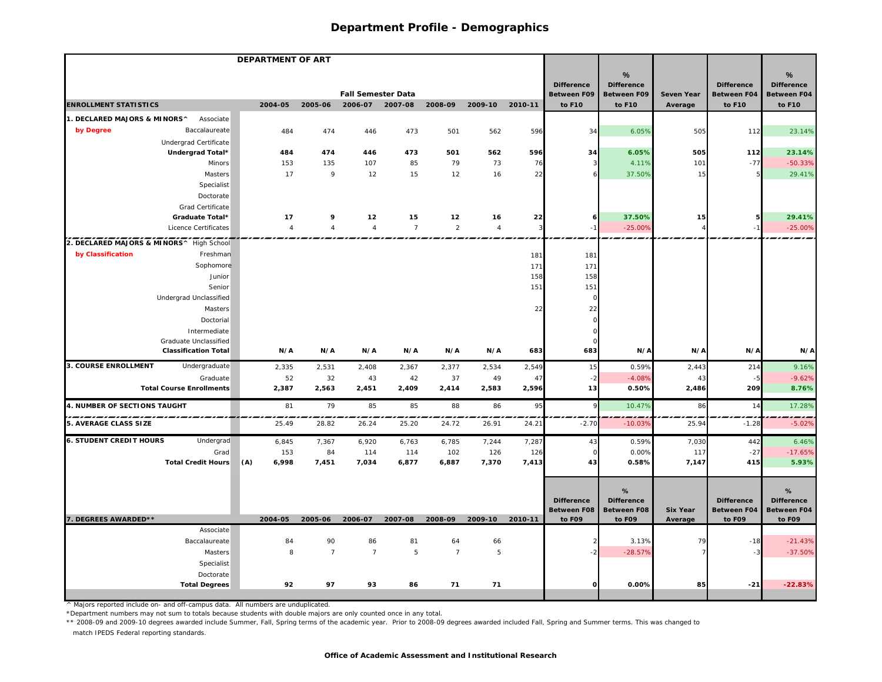|                                             | <b>DEPARTMENT OF ART</b> |                                  |                |                           |                |                |         |                                         |                                         |                 |                                         |                                         |
|---------------------------------------------|--------------------------|----------------------------------|----------------|---------------------------|----------------|----------------|---------|-----------------------------------------|-----------------------------------------|-----------------|-----------------------------------------|-----------------------------------------|
|                                             |                          |                                  |                |                           |                |                |         |                                         | %                                       |                 |                                         | %                                       |
|                                             |                          |                                  |                | <b>Fall Semester Data</b> |                |                |         | <b>Difference</b><br><b>Between F09</b> | <b>Difference</b><br><b>Between F09</b> | Seven Year      | <b>Difference</b><br><b>Between F04</b> | <b>Difference</b><br><b>Between F04</b> |
| <b>ENROLLMENT STATISTICS</b>                | 2004-05                  | 2005-06                          |                | 2006-07 2007-08           | 2008-09        | 2009-10        | 2010-11 | to F10                                  | to F10                                  | Average         | to F10                                  | to F10                                  |
| . DECLARED MAJORS & MINORS^<br>Associate    |                          |                                  |                |                           |                |                |         |                                         |                                         |                 |                                         |                                         |
| by Degree<br>Baccalaureate                  |                          | 474<br>484                       | 446            | 473                       | 501            | 562            | 596     | 34                                      | 6.05%                                   | 505             | 112                                     | 23.14%                                  |
| Undergrad Certificate                       |                          |                                  |                |                           |                |                |         |                                         |                                         |                 |                                         |                                         |
| Undergrad Total*                            |                          | 484<br>474                       | 446            | 473                       | 501            | 562            | 596     | 34                                      | 6.05%                                   | 505             | 112                                     | 23.14%                                  |
| Minors                                      |                          | 153<br>135                       | 107            | 85                        | 79             | 73             | 76      |                                         | 4.11%                                   | 101             | $-77$                                   | $-50.33%$                               |
| Masters                                     |                          | 17<br>9                          | 12             | 15                        | 12             | 16             | 22      |                                         | 37.50%                                  | 15              |                                         | 29.41%                                  |
| Specialist                                  |                          |                                  |                |                           |                |                |         |                                         |                                         |                 |                                         |                                         |
| Doctorate                                   |                          |                                  |                |                           |                |                |         |                                         |                                         |                 |                                         |                                         |
| Grad Certificate                            |                          |                                  |                |                           |                |                |         |                                         |                                         |                 |                                         |                                         |
| Graduate Total*                             |                          | 17<br>9                          | 12             | 15                        | 12             | 16             | 22      | 6                                       | 37.50%                                  | 15              | 5                                       | 29.41%                                  |
| Licence Certificates                        |                          | $\overline{4}$<br>$\overline{4}$ | $\overline{4}$ | $\overline{7}$            | 2              | $\overline{4}$ | 3       | $-1$                                    | $-25.00%$                               | $\overline{4}$  |                                         | $-25.00%$                               |
| 2. DECLARED MAJORS & MINORS^ High School    |                          |                                  |                |                           |                |                |         |                                         |                                         |                 |                                         |                                         |
| by Classification<br>Freshman               |                          |                                  |                |                           |                |                | 181     | 181                                     |                                         |                 |                                         |                                         |
| Sophomore                                   |                          |                                  |                |                           |                |                | 171     | 171                                     |                                         |                 |                                         |                                         |
| Junior                                      |                          |                                  |                |                           |                |                | 158     | 158                                     |                                         |                 |                                         |                                         |
| Senior                                      |                          |                                  |                |                           |                |                | 151     | 151                                     |                                         |                 |                                         |                                         |
| Undergrad Unclassified                      |                          |                                  |                |                           |                |                |         | $\Omega$                                |                                         |                 |                                         |                                         |
| Masters                                     |                          |                                  |                |                           |                |                | 22      | 22                                      |                                         |                 |                                         |                                         |
| Doctorial                                   |                          |                                  |                |                           |                |                |         |                                         |                                         |                 |                                         |                                         |
| Intermediate                                |                          |                                  |                |                           |                |                |         |                                         |                                         |                 |                                         |                                         |
| Graduate Unclassified                       |                          |                                  |                |                           |                |                |         |                                         |                                         |                 |                                         |                                         |
| <b>Classification Total</b>                 |                          | N/A<br>N/A                       | N/A            | N/A                       | N/A            | N/A            | 683     | 683                                     | N/A                                     | N/A             | N/A                                     | N/A                                     |
| 3. COURSE ENROLLMENT<br>Undergraduate       | 2,335                    | 2,531                            | 2,408          | 2,367                     | 2,377          | 2,534          | 2,549   | 15                                      | 0.59%                                   | 2,443           | 214                                     | 9.16%                                   |
| Graduate                                    |                          | 52<br>32                         | 43             | 42                        | 37             | 49             | 47      | $-2$                                    | $-4.08%$                                | 43              |                                         | $-9.62%$                                |
| <b>Total Course Enrollments</b>             | 2,387                    | 2,563                            | 2,451          | 2,409                     | 2,414          | 2,583          | 2,596   | 13                                      | 0.50%                                   | 2,486           | 209                                     | 8.76%                                   |
| 4. NUMBER OF SECTIONS TAUGHT                |                          | 81<br>79                         | 85             | 85                        | 88             | 86             | 95      |                                         | 10.47%                                  | 86              | 14                                      | 17.28%                                  |
| <b>5. AVERAGE CLASS SIZE</b>                | 25.49                    | 28.82                            | 26.24          | 25.20                     | 24.72          | 26.91          | 24.2'   | $-2.70$                                 | $-10.03%$                               | 25.94           | $-1.28$                                 | $-5.02%$                                |
| <b>6. STUDENT CREDIT HOURS</b><br>Undergrad | 6,845                    | 7,367                            | 6,920          | 6,763                     | 6,785          | 7,244          | 7,287   | 43                                      | 0.59%                                   | 7,030           | 442                                     | 6.46%                                   |
| Grad                                        |                          | 153<br>84                        | 114            | 114                       | 102            | 126            | 126     |                                         | 0.00%                                   | 117             | $-27$                                   | $-17.65%$                               |
| <b>Total Credit Hours</b>                   | (A)<br>6,998             | 7,451                            | 7,034          | 6,877                     | 6,887          | 7,370          | 7,413   | 43                                      | 0.58%                                   | 7,147           | 415                                     | 5.93%                                   |
|                                             |                          |                                  |                |                           |                |                |         |                                         |                                         |                 |                                         |                                         |
|                                             |                          |                                  |                |                           |                |                |         |                                         | %                                       |                 |                                         | %                                       |
|                                             |                          |                                  |                |                           |                |                |         | <b>Difference</b><br><b>Between F08</b> | <b>Difference</b><br><b>Between F08</b> | <b>Six Year</b> | <b>Difference</b><br>Between F04        | <b>Difference</b><br>Between F04        |
| 7. DEGREES AWARDED**                        | 2004-05                  | 2005-06                          | 2006-07        | 2007-08                   | 2008-09        | 2009-10        | 2010-11 | to F09                                  | to F09                                  | Average         | to F09                                  | to F09                                  |
| Associate                                   |                          |                                  |                |                           |                |                |         |                                         |                                         |                 |                                         |                                         |
| Baccalaureate                               |                          | 84<br>90                         | 86             | 81                        | 64             | 66             |         |                                         | 3.13%                                   | 79              | $-18$                                   | $-21.43%$                               |
| Masters                                     |                          | 8<br>$\overline{7}$              | $\overline{7}$ | 5                         | $\overline{7}$ | 5              |         |                                         | $-28.57%$                               |                 | -3                                      | $-37.50%$                               |
| Specialist                                  |                          |                                  |                |                           |                |                |         |                                         |                                         |                 |                                         |                                         |
| Doctorate                                   |                          |                                  |                |                           |                |                |         |                                         |                                         |                 |                                         |                                         |
| <b>Total Degrees</b>                        |                          | 97<br>92                         | 93             | 86                        | 71             | 71             |         |                                         | 0.00%                                   | 85              | $-21$                                   | $-22.83%$                               |
|                                             |                          |                                  |                |                           |                |                |         |                                         |                                         |                 |                                         |                                         |

^ Majors reported include on- and off-campus data. All numbers are unduplicated.

\*Department numbers may not sum to totals because students with double majors are only counted once in any total.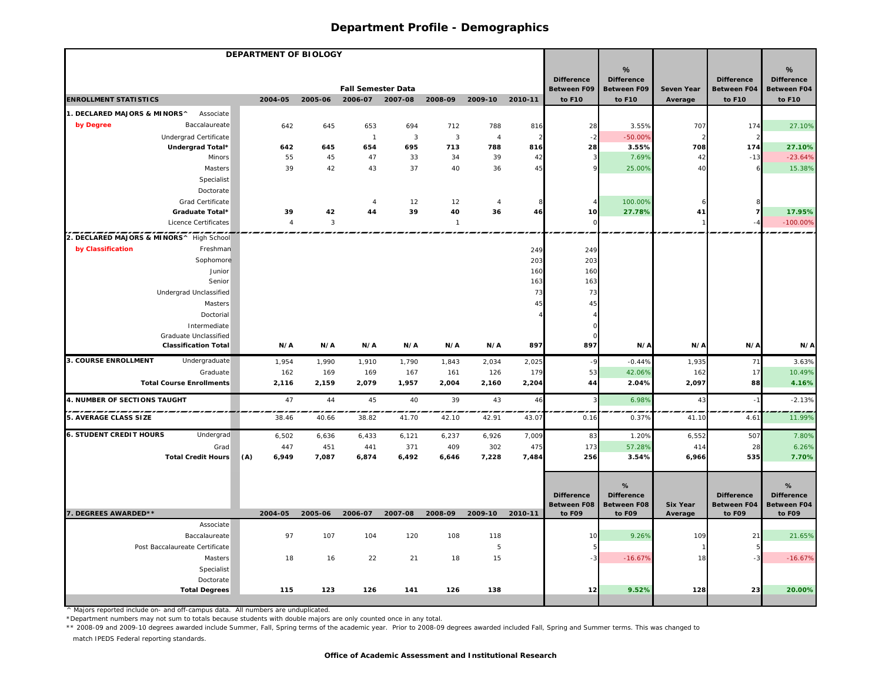|                                                    |            | DEPARTMENT OF BIOLOGY |              |                           |                |                |                |         |                                         |                                         |                            |                                         |                                         |
|----------------------------------------------------|------------|-----------------------|--------------|---------------------------|----------------|----------------|----------------|---------|-----------------------------------------|-----------------------------------------|----------------------------|-----------------------------------------|-----------------------------------------|
|                                                    |            |                       |              |                           |                |                |                |         |                                         | %                                       |                            |                                         | %                                       |
|                                                    |            |                       |              | <b>Fall Semester Data</b> |                |                |                |         | <b>Difference</b><br><b>Between F09</b> | <b>Difference</b><br><b>Between F09</b> | <b>Seven Year</b>          | <b>Difference</b><br><b>Between F04</b> | <b>Difference</b><br>Between F04        |
| <b>ENROLLMENT STATISTICS</b>                       |            | 2004-05               | 2005-06      | 2006-07                   | 2007-08        | 2008-09        | 2009-10        | 2010-11 | to F10                                  | to F10                                  | Average                    | to F10                                  | to F10                                  |
| . DECLARED MAJORS & MINORS^                        | Associate  |                       |              |                           |                |                |                |         |                                         |                                         |                            |                                         |                                         |
| by Degree<br>Baccalaureate                         |            | 642                   | 645          | 653                       | 694            | 712            | 788            | 816     | 28                                      | 3.55%                                   | 707                        | 174                                     | 27.10%                                  |
| Undergrad Certificate                              |            |                       |              | $\overline{1}$            | $\overline{3}$ | $\mathbf{3}$   | $\overline{4}$ |         |                                         | $-50.00%$                               |                            |                                         |                                         |
| Undergrad Total*                                   |            | 642                   | 645          | 654                       | 695            | 713            | 788            | 816     | 28                                      | 3.55%                                   | 708                        | 174                                     | 27.10%                                  |
|                                                    | Minors     | 55                    | 45           | 47                        | 33             | 34             | 39             | 42      |                                         | 7.69%                                   | 42                         | $-13$                                   | $-23.64%$                               |
|                                                    | Masters    | 39                    | 42           | 43                        | 37             | 40             | 36             | 45      |                                         | 25.00%                                  | 40                         |                                         | 15.38%                                  |
|                                                    | Specialist |                       |              |                           |                |                |                |         |                                         |                                         |                            |                                         |                                         |
|                                                    | Doctorate  |                       |              |                           |                |                |                |         |                                         |                                         |                            |                                         |                                         |
| Grad Certificate                                   |            |                       |              | $\overline{4}$            | 12             | 12             | $\overline{4}$ |         |                                         | 100.00%                                 |                            |                                         |                                         |
| Graduate Total*                                    |            | 39                    | 42           | 44                        | 39             | 40             | 36             | 46      | 10                                      | 27.78%                                  | 41                         |                                         | 17.95%                                  |
| Licence Certificates                               |            | $\overline{4}$        | $\mathbf{3}$ |                           |                | $\overline{1}$ |                |         |                                         |                                         |                            |                                         | $-100.00%$                              |
| 2. DECLARED MAJORS & MINORS^ High School           |            |                       |              |                           |                |                |                |         |                                         |                                         |                            |                                         |                                         |
| by Classification                                  | Freshman   |                       |              |                           |                |                |                | 249     | 249                                     |                                         |                            |                                         |                                         |
|                                                    | Sophomore  |                       |              |                           |                |                |                | 203     | 203                                     |                                         |                            |                                         |                                         |
|                                                    | Junior     |                       |              |                           |                |                |                | 160     | 160                                     |                                         |                            |                                         |                                         |
|                                                    | Senior     |                       |              |                           |                |                |                | 163     | 163                                     |                                         |                            |                                         |                                         |
| Undergrad Unclassified                             |            |                       |              |                           |                |                |                | 73      | 73                                      |                                         |                            |                                         |                                         |
|                                                    | Masters    |                       |              |                           |                |                |                | 45      | 45                                      |                                         |                            |                                         |                                         |
|                                                    | Doctorial  |                       |              |                           |                |                |                |         |                                         |                                         |                            |                                         |                                         |
| Intermediate<br>Graduate Unclassified              |            |                       |              |                           |                |                |                |         |                                         |                                         |                            |                                         |                                         |
| <b>Classification Total</b>                        |            | N/A                   | N/A          | N/A                       | N/A            | N/A            | N/A            | 897     | 897                                     | N/A                                     | N/A                        | N/A                                     | N/A                                     |
| 3. COURSE ENROLLMENT<br>Undergraduate              |            | 1,954                 | 1,990        | 1,910                     | 1,790          | 1,843          | 2,034          | 2,025   | $-9$                                    | $-0.44%$                                | 1,935                      | 71                                      | 3.63%                                   |
|                                                    | Graduate   | 162                   | 169          | 169                       | 167            | 161            | 126            | 179     | 53                                      | 42.06%                                  | 162                        | 17                                      | 10.49%                                  |
| <b>Total Course Enrollments</b>                    |            | 2,116                 | 2,159        | 2,079                     | 1,957          | 2,004          | 2,160          | 2,204   | 44                                      | 2.04%                                   | 2,097                      | 88                                      | 4.16%                                   |
| 4. NUMBER OF SECTIONS TAUGHT                       |            | 47                    | 44           | 45                        | 40             | 39             | 43             | 46      |                                         | 6.98%                                   | 43                         | $-1$                                    | $-2.13%$                                |
| ,,,,,,,,,,,,,,,,,,<br><b>5. AVERAGE CLASS SIZE</b> |            | 38.46                 | 40.66        | 38.82                     | 41.70          | 42.10          | 42.91          | 43.07   | 0.16                                    | ---<br>0.37%                            | 41.10                      | 4.61                                    | 11.99%                                  |
| <b>6. STUDENT CREDIT HOURS</b>                     | Undergrad  | 6,502                 | 6,636        | 6,433                     | 6,121          | 6,237          | 6,926          | 7,009   | 83                                      | 1.20%                                   | 6,552                      | 507                                     | 7.80%                                   |
|                                                    | Grad       | 447                   | 451          | 441                       | 371            | 409            | 302            | 475     | 173                                     | 57.28%                                  | 414                        | 28                                      | 6.26%                                   |
| <b>Total Credit Hours</b>                          |            | (A)<br>6,949          | 7,087        | 6,874                     | 6,492          | 6,646          | 7,228          | 7,484   | 256                                     | 3.54%                                   | 6,966                      | 535                                     | 7.70%                                   |
|                                                    |            |                       |              |                           |                |                |                |         |                                         |                                         |                            |                                         |                                         |
|                                                    |            |                       |              |                           |                |                |                |         |                                         | %                                       |                            |                                         | %                                       |
|                                                    |            |                       |              |                           |                |                |                |         | <b>Difference</b><br><b>Between F08</b> | <b>Difference</b><br><b>Between F08</b> |                            | <b>Difference</b><br><b>Between F04</b> | <b>Difference</b><br><b>Between F04</b> |
| 7. DEGREES AWARDED**                               |            | 2004-05               | 2005-06      | 2006-07                   | 2007-08        | 2008-09        | 2009-10        | 2010-11 | to F09                                  | to F09                                  | <b>Six Year</b><br>Average | to F09                                  | to F09                                  |
|                                                    | Associate  |                       |              |                           |                |                |                |         |                                         |                                         |                            |                                         |                                         |
| Baccalaureate                                      |            | 97                    | 107          | 104                       | 120            | 108            | 118            |         | 10                                      | 9.26%                                   | 109                        | 21                                      | 21.65%                                  |
| Post Baccalaureate Certificate                     |            |                       |              |                           |                |                | 5              |         |                                         |                                         |                            |                                         |                                         |
|                                                    | Masters    | 18                    | 16           | 22                        | 21             | 18             | 15             |         | -3                                      | $-16.67%$                               | 18                         |                                         | $-16.67%$                               |
|                                                    | Specialist |                       |              |                           |                |                |                |         |                                         |                                         |                            |                                         |                                         |
|                                                    | Doctorate  |                       |              |                           |                |                |                |         |                                         |                                         |                            |                                         |                                         |
| <b>Total Degrees</b>                               |            | 115                   | 123          | 126                       | 141            | 126            | 138            |         | 12                                      | 9.52%                                   | 128                        | 23                                      | 20.00%                                  |

^ Majors reported include on- and off-campus data. All numbers are unduplicated.

\*Department numbers may not sum to totals because students with double majors are only counted once in any total.

\*\* 2008-09 and 2009-10 degrees awarded include Summer, Fall, Spring terms of the academic year. Prior to 2008-09 degrees awarded included Fall, Spring and Summer terms. This was changed to

match IPEDS Federal reporting standards.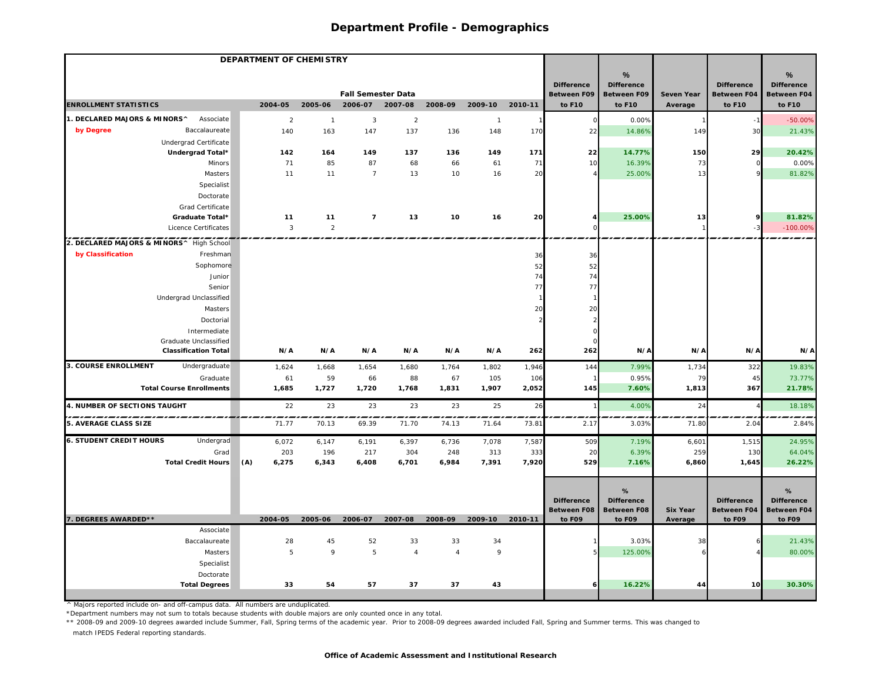|                                             | DEPARTMENT OF CHEMISTRY |                |                           |                 |                |              |         |                                         |                                         |                   |                                  |                                         |
|---------------------------------------------|-------------------------|----------------|---------------------------|-----------------|----------------|--------------|---------|-----------------------------------------|-----------------------------------------|-------------------|----------------------------------|-----------------------------------------|
|                                             |                         |                |                           |                 |                |              |         |                                         | %                                       |                   |                                  | %                                       |
|                                             |                         |                | <b>Fall Semester Data</b> |                 |                |              |         | <b>Difference</b><br><b>Between F09</b> | <b>Difference</b><br><b>Between F09</b> | <b>Seven Year</b> | <b>Difference</b><br>Between F04 | <b>Difference</b><br><b>Between F04</b> |
| <b>ENROLLMENT STATISTICS</b>                | 2004-05                 | 2005-06        |                           | 2006-07 2007-08 | 2008-09        | 2009-10      | 2010-11 | to F10                                  | to F10                                  | Average           | to F10                           | to F10                                  |
| 1. DECLARED MAJORS & MINORS^<br>Associate   | $\overline{2}$          | $\overline{1}$ | $\mathbf{3}$              | $\sqrt{2}$      |                | $\mathbf{1}$ |         |                                         | 0.00%                                   |                   |                                  | $-50.00%$                               |
| by Degree<br>Baccalaureate                  | 140                     | 163            | 147                       | 137             | 136            | 148          | 170     | 22                                      | 14.86%                                  | 149               | 30                               | 21.43%                                  |
| Undergrad Certificate                       |                         |                |                           |                 |                |              |         |                                         |                                         |                   |                                  |                                         |
| Undergrad Total*                            | 142                     | 164            | 149                       | 137             | 136            | 149          | 171     | 22                                      | 14.77%                                  | 150               | 29                               | 20.42%                                  |
| Minors                                      | 71                      | 85             | 87                        | 68              | 66             | 61           | 71      | 10                                      | 16.39%                                  | 73                | $\Omega$                         | 0.00%                                   |
| Masters                                     | 11                      | 11             | $\overline{7}$            | 13              | 10             | 16           | 20      |                                         | 25.00%                                  | 13                |                                  | 81.82%                                  |
| Specialist                                  |                         |                |                           |                 |                |              |         |                                         |                                         |                   |                                  |                                         |
| Doctorate                                   |                         |                |                           |                 |                |              |         |                                         |                                         |                   |                                  |                                         |
| Grad Certificate                            |                         |                |                           |                 |                |              |         |                                         |                                         |                   |                                  |                                         |
| Graduate Total*                             | 11                      | 11             | $\overline{7}$            | 13              | 10             | 16           | 20      |                                         | 25.00%                                  | 13                |                                  | 81.82%                                  |
| Licence Certificates                        | $\overline{3}$          | $\overline{2}$ |                           |                 |                |              |         |                                         |                                         | $\mathbf{1}$      |                                  | $-100.00\%$                             |
| 2. DECLARED MAJORS & MINORS^ High School    |                         |                |                           |                 |                |              |         |                                         |                                         |                   |                                  |                                         |
| by Classification<br>Freshman               |                         |                |                           |                 |                |              | 36      | 36                                      |                                         |                   |                                  |                                         |
| Sophomore                                   |                         |                |                           |                 |                |              | 52      | 52                                      |                                         |                   |                                  |                                         |
| Junior                                      |                         |                |                           |                 |                |              | 74      | 74                                      |                                         |                   |                                  |                                         |
| Senior                                      |                         |                |                           |                 |                |              | 77      | 77                                      |                                         |                   |                                  |                                         |
| Undergrad Unclassified                      |                         |                |                           |                 |                |              |         |                                         |                                         |                   |                                  |                                         |
| Masters                                     |                         |                |                           |                 |                |              | 20      | 20                                      |                                         |                   |                                  |                                         |
| Doctorial                                   |                         |                |                           |                 |                |              |         |                                         |                                         |                   |                                  |                                         |
| Intermediate                                |                         |                |                           |                 |                |              |         |                                         |                                         |                   |                                  |                                         |
| Graduate Unclassified                       |                         |                |                           |                 |                |              |         |                                         |                                         |                   |                                  |                                         |
| <b>Classification Total</b>                 | N/A                     | N/A            | N/A                       | N/A             | N/A            | N/A          | 262     | 262                                     | N/A                                     | N/A               | N/A                              | N/A                                     |
| 3. COURSE ENROLLMENT<br>Undergraduate       | 1,624                   | 1,668          | 1,654                     | 1,680           | 1,764          | 1,802        | 1,946   | 144                                     | 7.99%                                   | 1,734             | 322                              | 19.83%                                  |
| Graduate                                    | 61                      | 59             | 66                        | 88              | 67             | 105          | 106     |                                         | 0.95%                                   | 79                | 45                               | 73.77%                                  |
| <b>Total Course Enrollments</b>             | 1,685                   | 1,727          | 1,720                     | 1,768           | 1,831          | 1,907        | 2,052   | 145                                     | 7.60%                                   | 1,813             | 367                              | 21.78%                                  |
| 4. NUMBER OF SECTIONS TAUGHT                | 22                      | 23             | 23                        | 23              | 23             | 25           | 26      |                                         | 4.00%                                   | 24                |                                  | 18.18%                                  |
| <b>5. AVERAGE CLASS SIZE</b>                | 71.77                   | 70.13          | 69.39                     | 71.70           | 74.13          | 71.64        | 73.8'   | 2.17                                    | 3.03%                                   | 71.80             | 2.04                             | 2.84%                                   |
| <b>6. STUDENT CREDIT HOURS</b><br>Undergrad | 6,072                   | 6,147          | 6,191                     | 6,397           | 6,736          | 7,078        | 7,587   | 509                                     | 7.19%                                   | 6,601             | 1,515                            | 24.95%                                  |
| Grad                                        | 203                     | 196            | 217                       | 304             | 248            | 313          | 333     | 20                                      | 6.39%                                   | 259               | 130                              | 64.04%                                  |
| <b>Total Credit Hours</b>                   | (A)<br>6,275            | 6,343          | 6,408                     | 6,701           | 6,984          | 7,391        | 7,920   | 529                                     | 7.16%                                   | 6,860             | 1,645                            | 26.22%                                  |
|                                             |                         |                |                           |                 |                |              |         |                                         |                                         |                   |                                  |                                         |
|                                             |                         |                |                           |                 |                |              |         |                                         | %                                       |                   |                                  | %                                       |
|                                             |                         |                |                           |                 |                |              |         | <b>Difference</b>                       | <b>Difference</b>                       |                   | <b>Difference</b>                | <b>Difference</b>                       |
| 7. DEGREES AWARDED**                        | 2004-05                 | 2005-06        | 2006-07                   | 2007-08         | 2008-09        | 2009-10      | 2010-11 | <b>Between F08</b><br>to F09            | <b>Between F08</b><br>to F09            | <b>Six Year</b>   | Between F04<br>to F09            | Between F04                             |
| Associate                                   |                         |                |                           |                 |                |              |         |                                         |                                         | Average           |                                  | to F09                                  |
| Baccalaureate                               | 28                      | 45             | 52                        | 33              | 33             | 34           |         |                                         | 3.03%                                   | 38                |                                  | 21.43%                                  |
| Masters                                     | 5                       | 9              | 5                         | $\overline{4}$  | $\overline{4}$ | 9            |         |                                         | 125.00%                                 |                   |                                  | 80.00%                                  |
| Specialist                                  |                         |                |                           |                 |                |              |         |                                         |                                         |                   |                                  |                                         |
| Doctorate                                   |                         |                |                           |                 |                |              |         |                                         |                                         |                   |                                  |                                         |
| <b>Total Degrees</b>                        | 33                      | 54             | 57                        | 37              | 37             | 43           |         |                                         | 16.22%                                  | 44                | 10                               | 30.30%                                  |
|                                             |                         |                |                           |                 |                |              |         |                                         |                                         |                   |                                  |                                         |

^ Majors reported include on- and off-campus data. All numbers are unduplicated.

\*Department numbers may not sum to totals because students with double majors are only counted once in any total.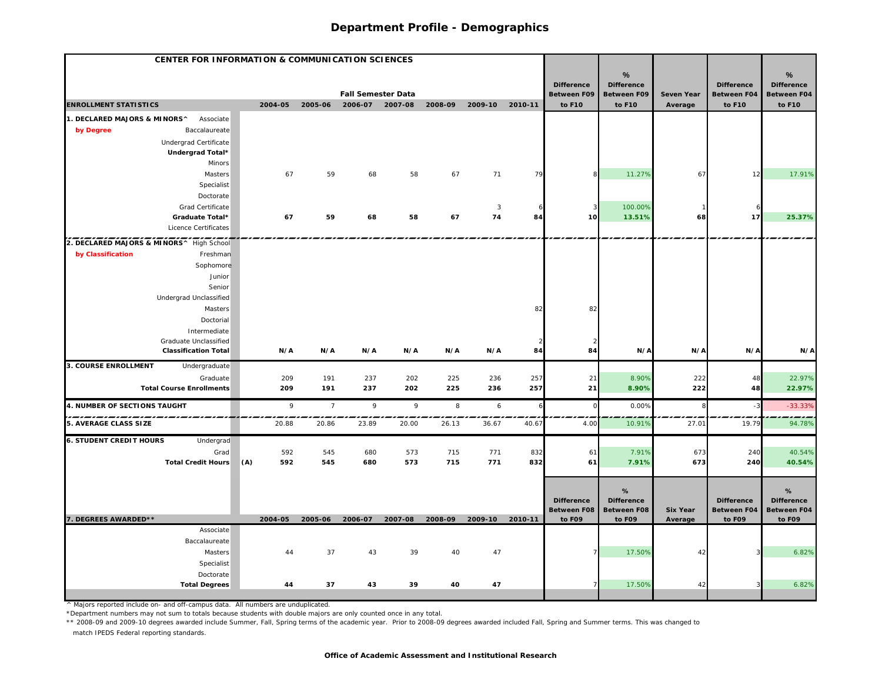| CENTER FOR INFORMATION & COMMUNICATION SCIENCES |            |                |                           |         |         |         |         |                                         |                                         |                   |                                         |                                         |
|-------------------------------------------------|------------|----------------|---------------------------|---------|---------|---------|---------|-----------------------------------------|-----------------------------------------|-------------------|-----------------------------------------|-----------------------------------------|
|                                                 |            |                |                           |         |         |         |         | <b>Difference</b>                       | %<br><b>Difference</b>                  |                   | <b>Difference</b>                       | %<br><b>Difference</b>                  |
|                                                 |            |                | <b>Fall Semester Data</b> |         |         |         |         | Between F09                             | <b>Between F09</b>                      | <b>Seven Year</b> | <b>Between F04</b>                      | <b>Between F04</b>                      |
| <b>ENROLLMENT STATISTICS</b>                    | 2004-05    | 2005-06        | 2006-07                   | 2007-08 | 2008-09 | 2009-10 | 2010-11 | to F10                                  | to F10                                  | Average           | to F10                                  | to F10                                  |
| 1. DECLARED MAJORS & MINORS^<br>Associate       |            |                |                           |         |         |         |         |                                         |                                         |                   |                                         |                                         |
| by Degree<br>Baccalaureate                      |            |                |                           |         |         |         |         |                                         |                                         |                   |                                         |                                         |
| Undergrad Certificate                           |            |                |                           |         |         |         |         |                                         |                                         |                   |                                         |                                         |
| Undergrad Total*                                |            |                |                           |         |         |         |         |                                         |                                         |                   |                                         |                                         |
| Minors                                          |            | 59             |                           |         | 67      |         |         |                                         |                                         |                   |                                         | 17.91%                                  |
| <b>Masters</b><br>Specialist                    | 67         |                | 68                        | 58      |         | 71      | 79      |                                         | 11.27%                                  | 67                | 12                                      |                                         |
| Doctorate                                       |            |                |                           |         |         |         |         |                                         |                                         |                   |                                         |                                         |
| Grad Certificate                                |            |                |                           |         |         | 3       |         |                                         | 100.00%                                 |                   |                                         |                                         |
| Graduate Total*                                 | 67         | 59             | 68                        | 58      | 67      | 74      | 84      | 10                                      | 13.51%                                  | 68                | 17                                      | 25.37%                                  |
| Licence Certificates                            |            |                |                           |         |         |         |         |                                         |                                         |                   |                                         |                                         |
| 2. DECLARED MAJORS & MINORS^ High School        |            |                |                           |         |         |         |         |                                         |                                         |                   |                                         |                                         |
| by Classification<br>Freshman                   |            |                |                           |         |         |         |         |                                         |                                         |                   |                                         |                                         |
| Sophomore                                       |            |                |                           |         |         |         |         |                                         |                                         |                   |                                         |                                         |
| Junior                                          |            |                |                           |         |         |         |         |                                         |                                         |                   |                                         |                                         |
| Senior                                          |            |                |                           |         |         |         |         |                                         |                                         |                   |                                         |                                         |
| Undergrad Unclassified                          |            |                |                           |         |         |         |         |                                         |                                         |                   |                                         |                                         |
| <b>Masters</b>                                  |            |                |                           |         |         |         | 82      | 82                                      |                                         |                   |                                         |                                         |
| Doctorial                                       |            |                |                           |         |         |         |         |                                         |                                         |                   |                                         |                                         |
| Intermediate<br>Graduate Unclassified           |            |                |                           |         |         |         |         |                                         |                                         |                   |                                         |                                         |
| <b>Classification Total</b>                     | N/A        | N/A            | N/A                       | N/A     | N/A     | N/A     | 84      | 84                                      | N/A                                     | N/A               | N/A                                     | N/A                                     |
| 3. COURSE ENROLLMENT<br>Undergraduate           |            |                |                           |         |         |         |         |                                         |                                         |                   |                                         |                                         |
| Graduate                                        | 209        | 191            | 237                       | 202     | 225     | 236     | 257     | 21                                      | 8.90%                                   | 222               | 48                                      | 22.97%                                  |
| <b>Total Course Enrollments</b>                 | 209        | 191            | 237                       | 202     | 225     | 236     | 257     | 21                                      | 8.90%                                   | 222               | 48                                      | 22.97%                                  |
| 4. NUMBER OF SECTIONS TAUGHT                    | 9          | $\overline{7}$ | 9                         | 9       | 8       | 6       |         | $\mathcal{C}$                           | 0.00%                                   | 8                 | $-3$                                    | $-33.33%$                               |
| <b>5. AVERAGE CLASS SIZE</b>                    | 20.88      | 20.86          | 23.89                     | 20.00   | 26.13   | 36.67   | 40.67   | 4.00                                    | 10.91%                                  | 27.0              | 19.79                                   | 94.78%                                  |
| <b>6. STUDENT CREDIT HOURS</b><br>Undergrad     |            |                |                           |         |         |         |         |                                         |                                         |                   |                                         |                                         |
| Grad                                            | 592        | 545            | 680                       | 573     | 715     | 771     | 832     | 61                                      | 7.91%                                   | 673               | 240                                     | 40.54%                                  |
| <b>Total Credit Hours</b>                       | (A)<br>592 | 545            | 680                       | 573     | 715     | 771     | 832     | 61                                      | 7.91%                                   | 673               | 240                                     | 40.54%                                  |
|                                                 |            |                |                           |         |         |         |         |                                         |                                         |                   |                                         |                                         |
|                                                 |            |                |                           |         |         |         |         |                                         | %                                       |                   |                                         | %                                       |
|                                                 |            |                |                           |         |         |         |         | <b>Difference</b><br><b>Between F08</b> | <b>Difference</b><br><b>Between F08</b> | <b>Six Year</b>   | <b>Difference</b><br><b>Between F04</b> | <b>Difference</b><br><b>Between F04</b> |
| 7. DEGREES AWARDED**                            | 2004-05    | 2005-06        | 2006-07                   | 2007-08 | 2008-09 | 2009-10 | 2010-11 | to F09                                  | to F09                                  | Average           | to F09                                  | to F09                                  |
| Associate                                       |            |                |                           |         |         |         |         |                                         |                                         |                   |                                         |                                         |
| Baccalaureate                                   |            |                |                           |         |         |         |         |                                         |                                         |                   |                                         |                                         |
| <b>Masters</b>                                  | 44         | 37             | 43                        | 39      | 40      | 47      |         |                                         | 17.50%                                  | 4 <sup>2</sup>    |                                         | 6.82%                                   |
| Specialist                                      |            |                |                           |         |         |         |         |                                         |                                         |                   |                                         |                                         |
| Doctorate                                       |            |                |                           |         |         |         |         |                                         |                                         |                   |                                         |                                         |
| <b>Total Degrees</b>                            | 44         | 37             | 43                        | 39      | 40      | 47      |         |                                         | 17.50%                                  | 42                |                                         | 6.82%                                   |

^ Majors reported include on- and off-campus data. All numbers are unduplicated.

\*Department numbers may not sum to totals because students with double majors are only counted once in any total.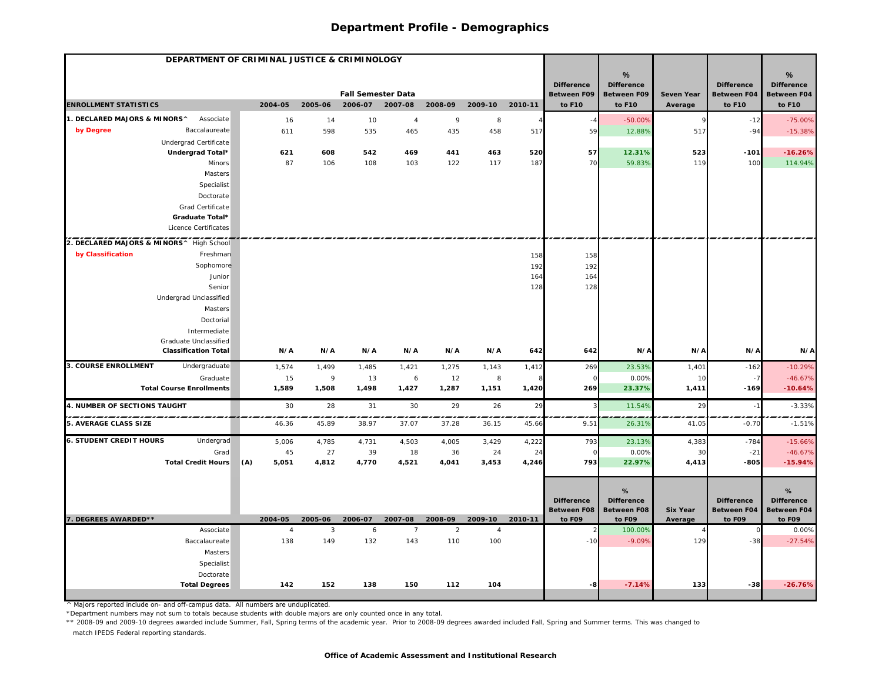| DEPARTMENT OF CRIMINAL JUSTICE & CRIMINOLOGY |                |                |                           |                |                |                |            |                       |                              |                            |                              |                        |
|----------------------------------------------|----------------|----------------|---------------------------|----------------|----------------|----------------|------------|-----------------------|------------------------------|----------------------------|------------------------------|------------------------|
|                                              |                |                |                           |                |                |                |            | <b>Difference</b>     | %<br><b>Difference</b>       |                            | <b>Difference</b>            | %<br><b>Difference</b> |
|                                              |                |                | <b>Fall Semester Data</b> |                |                |                |            | <b>Between F09</b>    | <b>Between F09</b>           | Seven Year                 | <b>Between F04</b>           | Between F04            |
| <b>ENROLLMENT STATISTICS</b>                 | 2004-05        | 2005-06        | 2006-07 2007-08           |                | 2008-09        | 2009-10        | 2010-11    | to F10                | to F10                       | Average                    | to F10                       | to F10                 |
| 1. DECLARED MAJORS & MINORS^<br>Associate    | 16             | 14             | 10                        | $\overline{4}$ | $\,9\,$        | 8              |            |                       | $-50.00%$                    | $\circ$                    | $-12$                        | $-75.00%$              |
| by Degree<br>Baccalaureate                   | 611            | 598            | 535                       | 465            | 435            | 458            | 517        | 59                    | 12.88%                       | 517                        | $-94$                        | $-15.38%$              |
| Undergrad Certificate                        |                |                |                           |                |                |                |            |                       |                              |                            |                              |                        |
| Undergrad Total*                             | 621<br>87      | 608            | 542                       | 469            | 441            | 463<br>117     | 520<br>187 | 57<br>70              | 12.31%<br>59.83%             | 523<br>119                 | $-101$                       | $-16.26%$              |
| Minors<br>Masters                            |                | 106            | 108                       | 103            | 122            |                |            |                       |                              |                            | 100                          | 114.94%                |
| Specialist                                   |                |                |                           |                |                |                |            |                       |                              |                            |                              |                        |
| Doctorate                                    |                |                |                           |                |                |                |            |                       |                              |                            |                              |                        |
| Grad Certificate                             |                |                |                           |                |                |                |            |                       |                              |                            |                              |                        |
| Graduate Total*                              |                |                |                           |                |                |                |            |                       |                              |                            |                              |                        |
| Licence Certificates                         |                |                |                           |                |                |                |            |                       |                              |                            |                              |                        |
| 2. DECLARED MAJORS & MINORS^ High School     |                |                |                           |                |                |                |            |                       |                              |                            |                              |                        |
| by Classification<br>Freshman                |                |                |                           |                |                |                | 158        | 158                   |                              |                            |                              |                        |
| Sophomore                                    |                |                |                           |                |                |                | 192        | 192                   |                              |                            |                              |                        |
| Junior                                       |                |                |                           |                |                |                | 164        | 164                   |                              |                            |                              |                        |
| Senior                                       |                |                |                           |                |                |                | 128        | 128                   |                              |                            |                              |                        |
| Undergrad Unclassified                       |                |                |                           |                |                |                |            |                       |                              |                            |                              |                        |
| Masters                                      |                |                |                           |                |                |                |            |                       |                              |                            |                              |                        |
| Doctorial                                    |                |                |                           |                |                |                |            |                       |                              |                            |                              |                        |
| Intermediate                                 |                |                |                           |                |                |                |            |                       |                              |                            |                              |                        |
| Graduate Unclassified                        |                |                |                           |                |                |                |            |                       |                              |                            |                              |                        |
| <b>Classification Total</b>                  | N/A            | N/A            | N/A                       | N/A            | N/A            | N/A            | 642        | 642                   | N/A                          | N/A                        | N/A                          | N/A                    |
| 3. COURSE ENROLLMENT<br>Undergraduate        | 1,574          | 1,499          | 1,485                     | 1,421          | 1,275          | 1,143          | 1,412      | 269                   | 23.53%                       | 1,401                      | $-162$                       | $-10.29%$              |
| Graduate                                     | 15             | 9              | 13                        | 6              | 12             | 8              |            |                       | 0.00%                        | 10                         | $-7$                         | $-46.67%$              |
| <b>Total Course Enrollments</b>              | 1,589          | 1,508          | 1,498                     | 1,427          | 1,287          | 1,151          | 1,420      | 269                   | 23.37%                       | 1,411                      | $-169$                       | $-10.64%$              |
| 4. NUMBER OF SECTIONS TAUGHT                 | 30             | 28             | 31                        | 30             | 29             | 26             | 29         |                       | 11.54%                       | 29                         | $-1$                         | $-3.33%$               |
| 5. AVERAGE CLASS SIZE                        | 46.36          | 45.89          | 38.97                     | 37.07          | 37.28          | 36.15          | 45.66      | 9.51                  | 26.31%                       | 41.05                      | $-0.70$                      | ---<br>$-1.51%$        |
| <b>6. STUDENT CREDIT HOURS</b><br>Undergrad  | 5,006          | 4,785          | 4,731                     | 4,503          | 4,005          | 3,429          | 4,222      | 793                   | 23.13%                       | 4,383                      | $-784$                       | $-15.66%$              |
| Grad                                         | 45             | 27             | 39                        | 18             | 36             | 24             | 24         |                       | 0.00%                        | 30                         | $-21$                        | $-46.67%$              |
| <b>Total Credit Hours</b>                    | (A)<br>5,051   | 4,812          | 4,770                     | 4,521          | 4,041          | 3,453          | 4,246      | 793                   | 22.97%                       | 4,413                      | $-805$                       | $-15.94%$              |
|                                              |                |                |                           |                |                |                |            |                       |                              |                            |                              |                        |
|                                              |                |                |                           |                |                |                |            |                       | %                            |                            |                              | %                      |
|                                              |                |                |                           |                |                |                |            | <b>Difference</b>     | <b>Difference</b>            |                            | <b>Difference</b>            | <b>Difference</b>      |
| 7. DEGREES AWARDED**                         | 2004-05        | 2005-06        | 2006-07                   | 2007-08        | 2008-09        | 2009-10        | 2010-11    | Between F08<br>to F09 | <b>Between F08</b><br>to F09 | <b>Six Year</b><br>Average | <b>Between F04</b><br>to F09 | Between F04<br>to F09  |
| Associate                                    | $\overline{4}$ | $\overline{3}$ | 6                         | $\overline{7}$ | $\overline{2}$ | $\overline{4}$ |            |                       | 100.00%                      |                            | $\Omega$                     | 0.00%                  |
| Baccalaureate                                | 138            | 149            | 132                       | 143            | 110            | 100            |            | $-10$                 | $-9.09%$                     | 129                        | $-38$                        | $-27.54%$              |
| Masters                                      |                |                |                           |                |                |                |            |                       |                              |                            |                              |                        |
| Specialist                                   |                |                |                           |                |                |                |            |                       |                              |                            |                              |                        |
|                                              |                |                |                           |                |                |                |            |                       |                              |                            |                              |                        |
| Doctorate<br><b>Total Degrees</b>            |                |                |                           |                |                |                |            |                       |                              |                            |                              | $-26.76%$              |

 $^\wedge$  Majors reported include on- and off-campus data. All numbers are unduplicated.

\*Department numbers may not sum to totals because students with double majors are only counted once in any total.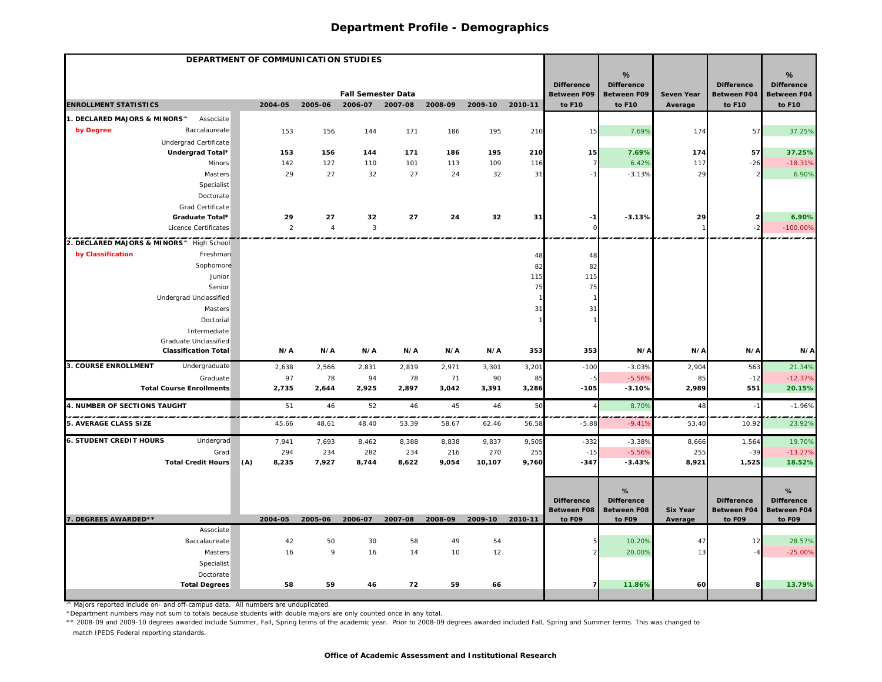|                                             | DEPARTMENT OF COMMUNICATION STUDIES |                |                           |         |         |                 |         |                                         |                                         |                            |                                         |                                  |
|---------------------------------------------|-------------------------------------|----------------|---------------------------|---------|---------|-----------------|---------|-----------------------------------------|-----------------------------------------|----------------------------|-----------------------------------------|----------------------------------|
|                                             |                                     |                |                           |         |         |                 |         |                                         | %                                       |                            |                                         | %                                |
|                                             |                                     |                | <b>Fall Semester Data</b> |         |         |                 |         | <b>Difference</b><br><b>Between F09</b> | <b>Difference</b><br><b>Between F09</b> | Seven Year                 | <b>Difference</b><br><b>Between F04</b> | <b>Difference</b><br>Between F04 |
| <b>ENROLLMENT STATISTICS</b>                | 2004-05                             | 2005-06        | 2006-07 2007-08           |         | 2008-09 | 2009-10 2010-11 |         | to F10                                  | to F10                                  | Average                    | to F10                                  | to F10                           |
| 1. DECLARED MAJORS & MINORS^<br>Associate   |                                     |                |                           |         |         |                 |         |                                         |                                         |                            |                                         |                                  |
| by Degree<br>Baccalaureate                  | 153                                 | 156            | 144                       | 171     | 186     | 195             | 210     | 15                                      | 7.69%                                   | 174                        | 57                                      | 37.25%                           |
| Undergrad Certificate                       |                                     |                |                           |         |         |                 |         |                                         |                                         |                            |                                         |                                  |
| Undergrad Total*                            | 153                                 | 156            | 144                       | 171     | 186     | 195             | 210     | 15                                      | 7.69%                                   | 174                        | 57                                      | 37.25%                           |
| Minors                                      | 142                                 | 127            | 110                       | 101     | 113     | 109             | 116     |                                         | 6.42%                                   | 117                        | $-26$                                   | $-18.31%$                        |
| Masters                                     | 29                                  | 27             | 32                        | 27      | 24      | 32              | 31      | $-1$                                    | $-3.13%$                                | 29                         |                                         | 6.90%                            |
| Specialist                                  |                                     |                |                           |         |         |                 |         |                                         |                                         |                            |                                         |                                  |
| Doctorate                                   |                                     |                |                           |         |         |                 |         |                                         |                                         |                            |                                         |                                  |
| Grad Certificate                            |                                     |                |                           |         |         |                 |         |                                         |                                         |                            |                                         |                                  |
| Graduate Total*                             | 29                                  | 27             | 32                        | 27      | 24      | 32              | 31      | $-1$                                    | $-3.13%$                                | 29                         |                                         | 6.90%                            |
| Licence Certificates                        | $\overline{2}$                      | $\overline{4}$ | $\mathbf{3}$              |         |         |                 |         |                                         |                                         | $\mathbf{1}$               | $-2$                                    | $-100.00\%$                      |
| 2. DECLARED MAJORS & MINORS^ High School    |                                     |                |                           |         |         |                 |         |                                         |                                         |                            |                                         |                                  |
| by Classification<br>Freshman               |                                     |                |                           |         |         |                 | 48      | 48                                      |                                         |                            |                                         |                                  |
| Sophomore                                   |                                     |                |                           |         |         |                 | 82      | 82                                      |                                         |                            |                                         |                                  |
| Junior                                      |                                     |                |                           |         |         |                 | 115     | 115                                     |                                         |                            |                                         |                                  |
| Senior                                      |                                     |                |                           |         |         |                 | 75      | 75                                      |                                         |                            |                                         |                                  |
| Undergrad Unclassified                      |                                     |                |                           |         |         |                 |         |                                         |                                         |                            |                                         |                                  |
| Masters                                     |                                     |                |                           |         |         |                 | 31      | 31                                      |                                         |                            |                                         |                                  |
| Doctorial                                   |                                     |                |                           |         |         |                 |         |                                         |                                         |                            |                                         |                                  |
| Intermediate                                |                                     |                |                           |         |         |                 |         |                                         |                                         |                            |                                         |                                  |
| Graduate Unclassified                       |                                     |                |                           |         |         |                 |         |                                         |                                         |                            |                                         |                                  |
| <b>Classification Total</b>                 | N/A                                 | N/A            | N/A                       | N/A     | N/A     | N/A             | 353     | 353                                     | N/A                                     | N/A                        | N/A                                     | N/A                              |
| 3. COURSE ENROLLMENT<br>Undergraduate       | 2,638                               | 2,566          | 2,831                     | 2,819   | 2,971   | 3,301           | 3,201   | $-100$                                  | $-3.03%$                                | 2,904                      | 563                                     | 21.34%                           |
| Graduate                                    | 97                                  | 78             | 94                        | 78      | 71      | 90              | 85      | $-5$                                    | $-5.56%$                                | 85                         | $-12$                                   | $-12.37%$                        |
| <b>Total Course Enrollments</b>             | 2,735                               | 2,644          | 2,925                     | 2,897   | 3,042   | 3,391           | 3,286   | $-105$                                  | $-3.10%$                                | 2,989                      | 551                                     | 20.15%                           |
| 4. NUMBER OF SECTIONS TAUGHT                | 51                                  | 46             | 52                        | 46      | 45      | 46              | 50      |                                         | 8.70%                                   | 48                         | ÷,                                      | $-1.96%$                         |
| <b>5. AVERAGE CLASS SIZE</b>                | 45.66                               | 48.61          | 48.40                     | 53.39   | 58.67   | 62.46           | 56.58   | $-5.88$                                 | $-9.41%$                                | 53.40                      | 10.9                                    | 23.92%                           |
| <b>6. STUDENT CREDIT HOURS</b><br>Undergrad | 7,941                               | 7,693          | 8,462                     | 8,388   | 8,838   | 9,837           | 9,505   | $-332$                                  | $-3.38%$                                | 8,666                      | 1,564                                   | 19.70%                           |
| Grad                                        | 294                                 | 234            | 282                       | 234     | 216     | 270             | 255     | $-15$                                   | $-5.56%$                                | 255                        | $-39$                                   | $-13.27%$                        |
| <b>Total Credit Hours</b>                   | (A)<br>8,235                        | 7,927          | 8,744                     | 8,622   | 9,054   | 10,107          | 9,760   | $-347$                                  | $-3.43%$                                | 8,921                      | 1,525                                   | 18.52%                           |
|                                             |                                     |                |                           |         |         |                 |         |                                         |                                         |                            |                                         |                                  |
|                                             |                                     |                |                           |         |         |                 |         |                                         | %                                       |                            |                                         | %                                |
|                                             |                                     |                |                           |         |         |                 |         | <b>Difference</b>                       | <b>Difference</b>                       |                            | <b>Difference</b>                       | <b>Difference</b>                |
| 7. DEGREES AWARDED**                        | 2004-05                             | 2005-06        | 2006-07                   | 2007-08 | 2008-09 | 2009-10         | 2010-11 | <b>Between F08</b><br>to F09            | <b>Between F08</b><br>to F09            | <b>Six Year</b><br>Average | Between F04<br>to F09                   | Between F04<br>to F09            |
| Associate                                   |                                     |                |                           |         |         |                 |         |                                         |                                         |                            |                                         |                                  |
| Baccalaureate                               | 42                                  | 50             | 30                        | 58      | 49      | 54              |         |                                         | 10.20%                                  | 47                         | 12                                      | 28.57%                           |
| Masters                                     | 16                                  | 9              | 16                        | 14      | 10      | 12              |         |                                         | 20.00%                                  | 13                         |                                         | $-25.00%$                        |
| Specialist                                  |                                     |                |                           |         |         |                 |         |                                         |                                         |                            |                                         |                                  |
| Doctorate                                   |                                     |                |                           |         |         |                 |         |                                         |                                         |                            |                                         |                                  |
| <b>Total Degrees</b>                        | 58                                  | 59             | 46                        | 72      | 59      | 66              |         |                                         | 11.86%                                  | 60                         |                                         | 13.79%                           |
|                                             |                                     |                |                           |         |         |                 |         |                                         |                                         |                            |                                         |                                  |

^ Majors reported include on- and off-campus data. All numbers are unduplicated.

\*Department numbers may not sum to totals because students with double majors are only counted once in any total.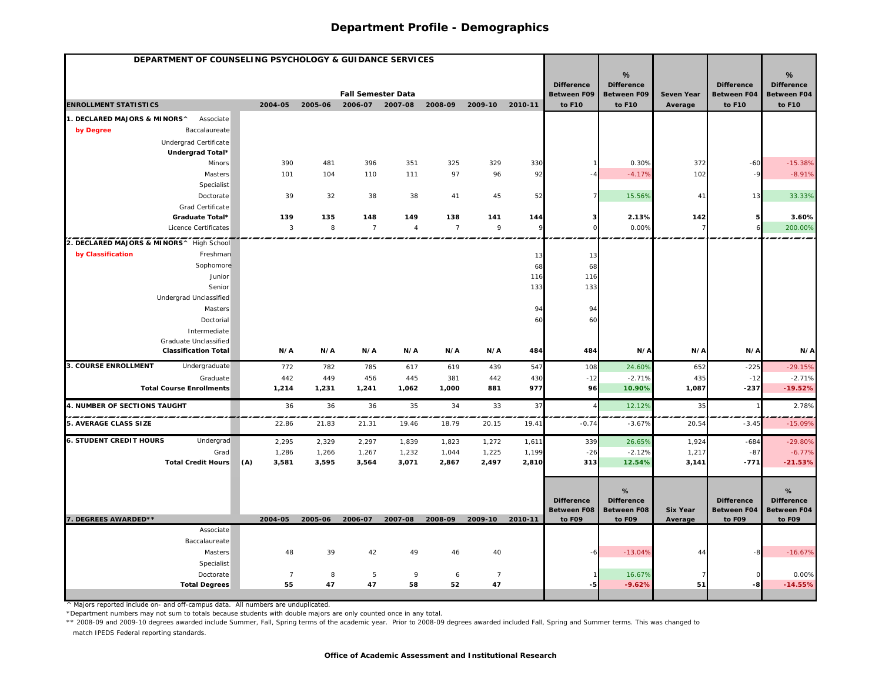|                                              | DEPARTMENT OF COUNSELING PSYCHOLOGY & GUIDANCE SERVICES |         |                           |                |                |                |                |                                         |                                         |                            |                                         |                                  |
|----------------------------------------------|---------------------------------------------------------|---------|---------------------------|----------------|----------------|----------------|----------------|-----------------------------------------|-----------------------------------------|----------------------------|-----------------------------------------|----------------------------------|
|                                              |                                                         |         |                           |                |                |                |                |                                         | %                                       |                            |                                         | %                                |
|                                              |                                                         |         | <b>Fall Semester Data</b> |                |                |                |                | <b>Difference</b><br><b>Between F09</b> | <b>Difference</b><br><b>Between F09</b> | <b>Seven Year</b>          | <b>Difference</b><br><b>Between F04</b> | <b>Difference</b><br>Between F04 |
| <b>ENROLLMENT STATISTICS</b>                 | 2004-05                                                 | 2005-06 | 2006-07                   | 2007-08        | 2008-09        | 2009-10        | 2010-11        | to F10                                  | to F10                                  | Average                    | to F10                                  | to F10                           |
| 1. DECLARED MAJORS & MINORS^<br>Associate    |                                                         |         |                           |                |                |                |                |                                         |                                         |                            |                                         |                                  |
| by Degree<br>Baccalaureate                   |                                                         |         |                           |                |                |                |                |                                         |                                         |                            |                                         |                                  |
| Undergrad Certificate                        |                                                         |         |                           |                |                |                |                |                                         |                                         |                            |                                         |                                  |
| Undergrad Total*                             |                                                         |         |                           |                |                |                |                |                                         |                                         |                            |                                         |                                  |
| Minors                                       | 390                                                     | 481     | 396                       | 351            | 325            | 329            | 330            |                                         | 0.30%                                   | 372                        | $-60$                                   | $-15.38%$                        |
| Masters<br>Specialist                        | 101                                                     | 104     | 110                       | 111            | 97             | 96             | 92             |                                         | $-4.17%$                                | 102                        |                                         | $-8.91%$                         |
| Doctorate                                    | 39                                                      | 32      | 38                        | 38             | 41             | 45             | 52             |                                         | 15.56%                                  | 41                         | 13                                      | 33.33%                           |
| Grad Certificate                             |                                                         |         |                           |                |                |                |                |                                         |                                         |                            |                                         |                                  |
| Graduate Total*                              | 139                                                     | 135     | 148                       | 149            | 138            | 141            | 144            |                                         | 2.13%                                   | 142                        |                                         | 3.60%                            |
| Licence Certificates                         | 3                                                       | 8       | $\overline{7}$            | $\overline{4}$ | $\overline{7}$ | 9              | $\circ$        |                                         | 0.00%                                   | $\overline{7}$             |                                         | 200.00%                          |
| 2. DECLARED MAJORS & MINORS^ High School     |                                                         |         |                           |                |                |                |                |                                         |                                         |                            |                                         |                                  |
| by Classification<br>Freshman                |                                                         |         |                           |                |                |                | 13             | 13                                      |                                         |                            |                                         |                                  |
| Sophomore                                    |                                                         |         |                           |                |                |                | 68             | 68                                      |                                         |                            |                                         |                                  |
| Junior                                       |                                                         |         |                           |                |                |                | 116            | 116                                     |                                         |                            |                                         |                                  |
| Senior                                       |                                                         |         |                           |                |                |                | 133            | 133                                     |                                         |                            |                                         |                                  |
| Undergrad Unclassified                       |                                                         |         |                           |                |                |                |                |                                         |                                         |                            |                                         |                                  |
| Masters                                      |                                                         |         |                           |                |                |                | 94             | 94                                      |                                         |                            |                                         |                                  |
| Doctorial                                    |                                                         |         |                           |                |                |                | 60             | 60                                      |                                         |                            |                                         |                                  |
| Intermediate<br>Graduate Unclassified        |                                                         |         |                           |                |                |                |                |                                         |                                         |                            |                                         |                                  |
| <b>Classification Total</b>                  | N/A                                                     | N/A     | N/A                       | N/A            | N/A            | N/A            | 484            | 484                                     | N/A                                     | N/A                        | N/A                                     | N/A                              |
| <b>3. COURSE ENROLLMENT</b><br>Undergraduate | 772                                                     | 782     | 785                       | 617            | 619            | 439            | 547            | 108                                     | 24.60%                                  | 652                        | $-225$                                  | $-29.15%$                        |
| Graduate                                     | 442                                                     | 449     | 456                       | 445            | 381            | 442            | 430            | $-12$                                   | $-2.71%$                                | 435                        | $-12$                                   | $-2.71%$                         |
| <b>Total Course Enrollments</b>              | 1,214                                                   | 1,231   | 1,241                     | 1,062          | 1,000          | 881            | 977            | 96                                      | 10.90%                                  | 1,087                      | $-237$                                  | $-19.52%$                        |
| 4. NUMBER OF SECTIONS TAUGHT                 | 36                                                      | 36      | 36                        | 35             | 34             | 33             | 37             |                                         | 12.12%                                  | 35                         |                                         | 2.78%                            |
| <b>5. AVERAGE CLASS SIZE</b>                 | 22.86                                                   | 21.83   | 21.31                     | 19.46          | 18.79          | 20.15          | 19.4'          | $-0.74$                                 | $-3.67%$                                | 20.54                      | $-3.45$                                 | $-15.099$                        |
| <b>6. STUDENT CREDIT HOURS</b><br>Undergrad  | 2,295                                                   | 2,329   | 2,297                     |                |                |                |                | 339                                     | 26.65%                                  | 1,924                      |                                         | $-29.80%$                        |
| Grad                                         | 1,286                                                   | 1,266   | 1,267                     | 1,839<br>1,232 | 1,823<br>1,044 | 1,272<br>1,225 | 1,611<br>1,199 | $-26$                                   | $-2.12%$                                | 1,217                      | $-684$<br>$-87$                         | $-6.77%$                         |
| <b>Total Credit Hours</b>                    | (A)<br>3,581                                            | 3,595   | 3,564                     | 3,071          | 2,867          | 2,497          | 2,810          | 313                                     | 12.54%                                  | 3,141                      | $-771$                                  | $-21.53%$                        |
|                                              |                                                         |         |                           |                |                |                |                |                                         |                                         |                            |                                         |                                  |
|                                              |                                                         |         |                           |                |                |                |                |                                         | %                                       |                            |                                         | %                                |
|                                              |                                                         |         |                           |                |                |                |                | <b>Difference</b>                       | <b>Difference</b>                       |                            | <b>Difference</b>                       | <b>Difference</b>                |
| 7. DEGREES AWARDED**                         | 2004-05                                                 | 2005-06 | 2006-07                   | 2007-08        | 2008-09        | 2009-10        | 2010-11        | <b>Between F08</b><br>to F09            | <b>Between F08</b><br>to F09            | <b>Six Year</b><br>Average | <b>Between F04</b><br>to F09            | <b>Between F04</b><br>to F09     |
| Associate                                    |                                                         |         |                           |                |                |                |                |                                         |                                         |                            |                                         |                                  |
| Baccalaureate                                |                                                         |         |                           |                |                |                |                |                                         |                                         |                            |                                         |                                  |
| <b>Masters</b>                               | 48                                                      | 39      | 42                        | 49             | 46             | 40             |                |                                         | $-13.04%$                               | 44                         |                                         | $-16.67%$                        |
| Specialist                                   |                                                         |         |                           |                |                |                |                |                                         |                                         |                            |                                         |                                  |
| Doctorate                                    | $\overline{7}$                                          | 8       | 5                         | 9              | 6              | $\overline{7}$ |                |                                         | 16.67%                                  |                            |                                         | 0.00%                            |
| <b>Total Degrees</b>                         | 55                                                      | 47      | 47                        | 58             | 52             | 47             |                |                                         | $-9.62%$                                | 51                         | -8                                      | $-14.55%$                        |

^ Majors reported include on- and off-campus data. All numbers are unduplicated.

\*Department numbers may not sum to totals because students with double majors are only counted once in any total.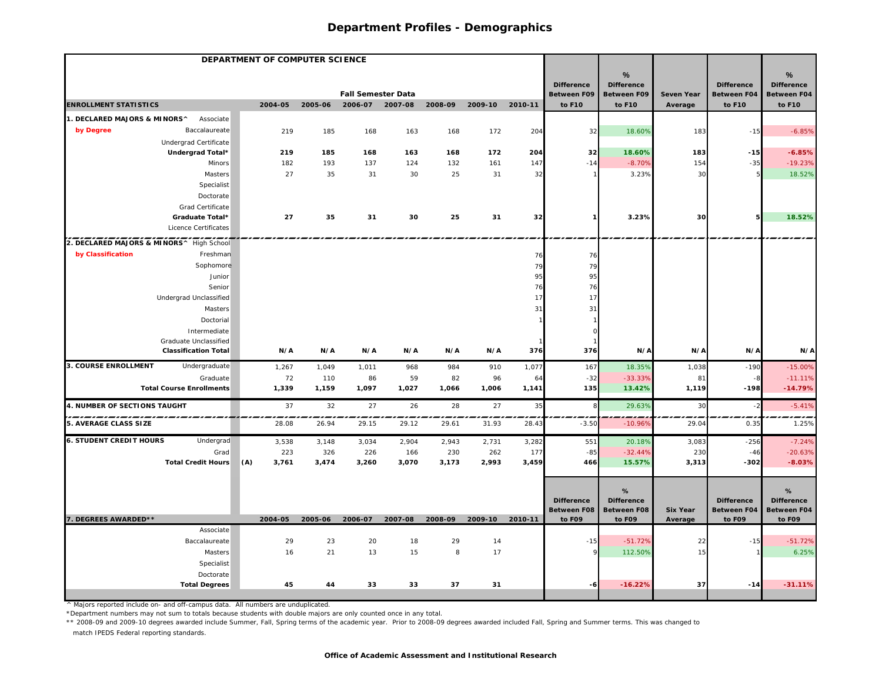|                                                      | DEPARTMENT OF COMPUTER SCIENCE |              |                           |             |             |             |             |                                         |                                         |                            |                                         |                                  |
|------------------------------------------------------|--------------------------------|--------------|---------------------------|-------------|-------------|-------------|-------------|-----------------------------------------|-----------------------------------------|----------------------------|-----------------------------------------|----------------------------------|
|                                                      |                                |              |                           |             |             |             |             |                                         | %                                       |                            |                                         | %                                |
|                                                      |                                |              | <b>Fall Semester Data</b> |             |             |             |             | <b>Difference</b><br><b>Between F09</b> | <b>Difference</b><br><b>Between F09</b> | Seven Year                 | <b>Difference</b><br><b>Between F04</b> | <b>Difference</b><br>Between F04 |
| <b>ENROLLMENT STATISTICS</b>                         | 2004-05                        | 2005-06      | 2006-07                   | 2007-08     | 2008-09     | 2009-10     | 2010-11     | to F10                                  | to F10                                  | Average                    | to F10                                  | to F10                           |
| 1. DECLARED MAJORS & MINORS^<br>Associate            |                                |              |                           |             |             |             |             |                                         |                                         |                            |                                         |                                  |
| by Degree<br>Baccalaureate                           | 219                            | 185          | 168                       | 163         | 168         | 172         | 204         | 32                                      | 18.60%                                  | 183                        | $-15$                                   | $-6.85%$                         |
| Undergrad Certificate                                |                                |              |                           |             |             |             |             |                                         |                                         |                            |                                         |                                  |
| Undergrad Total*                                     | 219                            | 185          | 168                       | 163         | 168         | 172         | 204         | 32                                      | 18.60%                                  | 183                        | $-15$                                   | $-6.85%$                         |
| Minors                                               | 182                            | 193          | 137                       | 124         | 132         | 161         | 147         | $-14$                                   | $-8.70%$                                | 154                        | $-35$                                   | $-19.23%$                        |
| Masters                                              | 27                             | 35           | 31                        | 30          | 25          | 31          | 32          |                                         | 3.23%                                   | 30                         |                                         | 18.52%                           |
| Specialist                                           |                                |              |                           |             |             |             |             |                                         |                                         |                            |                                         |                                  |
| Doctorate                                            |                                |              |                           |             |             |             |             |                                         |                                         |                            |                                         |                                  |
| Grad Certificate                                     |                                |              |                           |             |             |             |             |                                         |                                         |                            |                                         |                                  |
| Graduate Total*                                      | 27                             | 35           | 31                        | 30          | 25          | 31          | 32          |                                         | 3.23%                                   | 30                         |                                         | 18.52%                           |
| Licence Certificates                                 |                                |              |                           |             |             |             |             |                                         |                                         |                            |                                         |                                  |
| 2. DECLARED MAJORS & MINORS^ High School             |                                |              |                           |             |             |             |             |                                         |                                         |                            |                                         |                                  |
| by Classification<br>Freshman                        |                                |              |                           |             |             |             | 76          | 76                                      |                                         |                            |                                         |                                  |
| Sophomore                                            |                                |              |                           |             |             |             | 79          | 79                                      |                                         |                            |                                         |                                  |
| Junior                                               |                                |              |                           |             |             |             | 95          | 95                                      |                                         |                            |                                         |                                  |
| Senior                                               |                                |              |                           |             |             |             | 76          | 76                                      |                                         |                            |                                         |                                  |
| Undergrad Unclassified                               |                                |              |                           |             |             |             | 17          | 17                                      |                                         |                            |                                         |                                  |
| Masters                                              |                                |              |                           |             |             |             | 31          | 31                                      |                                         |                            |                                         |                                  |
| Doctorial                                            |                                |              |                           |             |             |             |             |                                         |                                         |                            |                                         |                                  |
| Intermediate                                         |                                |              |                           |             |             |             |             |                                         |                                         |                            |                                         |                                  |
| Graduate Unclassified<br><b>Classification Total</b> | N/A                            | N/A          | N/A                       | N/A         | N/A         | N/A         | 376         | 376                                     | N/A                                     | N/A                        | N/A                                     | N/A                              |
|                                                      |                                |              |                           |             |             |             |             |                                         |                                         |                            |                                         |                                  |
| 3. COURSE ENROLLMENT<br>Undergraduate                | 1,267                          | 1,049        | 1,011                     | 968         | 984         | 910         | 1,077       | 167                                     | 18.35%                                  | 1,038                      | $-190$                                  | $-15.00%$                        |
| Graduate<br><b>Total Course Enrollments</b>          | 72<br>1,339                    | 110<br>1,159 | 86<br>1,097               | 59<br>1,027 | 82<br>1,066 | 96<br>1,006 | 64<br>1,141 | $-32$<br>135                            | $-33.33%$<br>13.42%                     | 81<br>1,119                | $-198$                                  | $-11.11%$<br>$-14.79%$           |
|                                                      |                                |              |                           |             |             |             |             |                                         |                                         |                            |                                         |                                  |
| 4. NUMBER OF SECTIONS TAUGHT                         | 37                             | 32           | 27                        | 26          | 28          | 27          | 35          |                                         | 29.63%                                  | 30                         | $-2$                                    | $-5.41%$                         |
| <b>5. AVERAGE CLASS SIZE</b>                         | 28.08                          | 26.94        | 29.15                     | 29.12       | 29.61       | 31.93       | 28.43       | $-3.50$                                 | $-10.969$                               | 29.04                      | 0.35                                    | 1.25%                            |
| <b>6. STUDENT CREDIT HOURS</b><br>Undergrad          | 3,538                          | 3,148        | 3,034                     | 2,904       | 2,943       | 2,731       | 3,282       | 551                                     | 20.18%                                  | 3,083                      | $-256$                                  | $-7.24%$                         |
| Grad                                                 | 223                            | 326          | 226                       | 166         | 230         | 262         | 177         | $-85$                                   | $-32.44%$                               | 230                        | $-46$                                   | $-20.63%$                        |
| <b>Total Credit Hours</b>                            | (A)<br>3,761                   | 3,474        | 3,260                     | 3,070       | 3,173       | 2,993       | 3,459       | 466                                     | 15.57%                                  | 3,313                      | $-302$                                  | $-8.03%$                         |
|                                                      |                                |              |                           |             |             |             |             |                                         |                                         |                            |                                         |                                  |
|                                                      |                                |              |                           |             |             |             |             |                                         | %                                       |                            |                                         | %                                |
|                                                      |                                |              |                           |             |             |             |             | <b>Difference</b>                       | <b>Difference</b>                       |                            | <b>Difference</b>                       | <b>Difference</b>                |
| 7. DEGREES AWARDED**                                 | 2004-05                        | 2005-06      | 2006-07                   | 2007-08     | 2008-09     | 2009-10     | 2010-11     | <b>Between F08</b><br>to F09            | <b>Between F08</b><br>to F09            | <b>Six Year</b><br>Average | <b>Between F04</b><br>to F09            | Between F04<br>to F09            |
| Associate                                            |                                |              |                           |             |             |             |             |                                         |                                         |                            |                                         |                                  |
| Baccalaureate                                        | 29                             | 23           | 20                        | 18          | 29          | 14          |             | $-15$                                   | $-51.72%$                               | 22                         | $-15$                                   | $-51.72%$                        |
| Masters                                              | 16                             | 21           | 13                        | 15          | 8           | 17          |             |                                         | 112.50%                                 | 15                         |                                         | 6.25%                            |
| Specialist                                           |                                |              |                           |             |             |             |             |                                         |                                         |                            |                                         |                                  |
| Doctorate                                            |                                |              |                           |             |             |             |             |                                         |                                         |                            |                                         |                                  |
| <b>Total Degrees</b>                                 | 45                             | 44           | 33                        | 33          | 37          | 31          |             | -6                                      | $-16.22%$                               | 37                         | $-14$                                   | $-31.11%$                        |
|                                                      |                                |              |                           |             |             |             |             |                                         |                                         |                            |                                         |                                  |

^ Majors reported include on- and off-campus data. All numbers are unduplicated.

\*Department numbers may not sum to totals because students with double majors are only counted once in any total.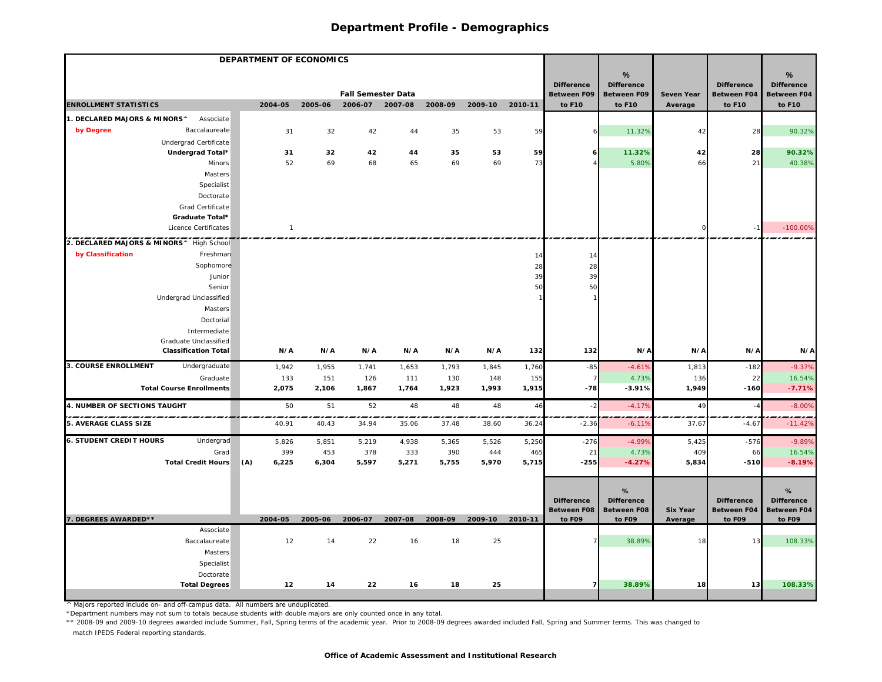|                                                      | DEPARTMENT OF ECONOMICS |         |                           |         |         |         |         |                                         |                                         |                 |                                         |                                         |
|------------------------------------------------------|-------------------------|---------|---------------------------|---------|---------|---------|---------|-----------------------------------------|-----------------------------------------|-----------------|-----------------------------------------|-----------------------------------------|
|                                                      |                         |         |                           |         |         |         |         | <b>Difference</b>                       | %<br><b>Difference</b>                  |                 | <b>Difference</b>                       | %<br><b>Difference</b>                  |
|                                                      |                         |         | <b>Fall Semester Data</b> |         |         |         |         | <b>Between F09</b>                      | <b>Between F09</b>                      | Seven Year      | <b>Between F04</b>                      | <b>Between F04</b>                      |
| <b>ENROLLMENT STATISTICS</b>                         | 2004-05                 | 2005-06 | 2006-07 2007-08           |         | 2008-09 | 2009-10 | 2010-11 | to F10                                  | to F10                                  | Average         | to F10                                  | to F10                                  |
| 1. DECLARED MAJORS & MINORS^<br>Associate            |                         |         |                           |         |         |         |         |                                         |                                         |                 |                                         |                                         |
| by Degree<br>Baccalaureate                           | 31                      | 32      | 42                        | 44      | 35      | 53      | 59      |                                         | 11.32%                                  | 42              | 28                                      | 90.32%                                  |
| Undergrad Certificate                                |                         |         |                           |         |         |         |         |                                         |                                         |                 |                                         |                                         |
| Undergrad Total*                                     | 31                      | 32      | 42                        | 44      | 35      | 53      | 59      |                                         | 11.32%                                  | 42              | 28                                      | 90.32%                                  |
| Minors                                               | 52                      | 69      | 68                        | 65      | 69      | 69      | 73      |                                         | 5.80%                                   | 66              | 21                                      | 40.38%                                  |
| Masters                                              |                         |         |                           |         |         |         |         |                                         |                                         |                 |                                         |                                         |
| Specialist                                           |                         |         |                           |         |         |         |         |                                         |                                         |                 |                                         |                                         |
| Doctorate                                            |                         |         |                           |         |         |         |         |                                         |                                         |                 |                                         |                                         |
| Grad Certificate                                     |                         |         |                           |         |         |         |         |                                         |                                         |                 |                                         |                                         |
| Graduate Total*                                      |                         |         |                           |         |         |         |         |                                         |                                         |                 |                                         |                                         |
| Licence Certificates                                 | $\overline{1}$          |         |                           |         |         |         |         |                                         |                                         |                 |                                         | $-100.00%$                              |
| 2. DECLARED MAJORS & MINORS^ High School             |                         |         |                           |         |         |         |         |                                         |                                         |                 |                                         |                                         |
| by Classification<br>Freshman                        |                         |         |                           |         |         |         | 14      | 14                                      |                                         |                 |                                         |                                         |
| Sophomore                                            |                         |         |                           |         |         |         | 28      | 28                                      |                                         |                 |                                         |                                         |
| Junior                                               |                         |         |                           |         |         |         | 39      | 39                                      |                                         |                 |                                         |                                         |
| Senior                                               |                         |         |                           |         |         |         | 50      | 50                                      |                                         |                 |                                         |                                         |
| Undergrad Unclassified                               |                         |         |                           |         |         |         |         |                                         |                                         |                 |                                         |                                         |
| Masters                                              |                         |         |                           |         |         |         |         |                                         |                                         |                 |                                         |                                         |
| Doctorial                                            |                         |         |                           |         |         |         |         |                                         |                                         |                 |                                         |                                         |
| Intermediate                                         |                         |         |                           |         |         |         |         |                                         |                                         |                 |                                         |                                         |
| Graduate Unclassified<br><b>Classification Total</b> | N/A                     | N/A     | N/A                       | N/A     | N/A     | N/A     | 132     | 132                                     | N/A                                     | N/A             | N/A                                     | N/A                                     |
| <b>3. COURSE ENROLLMENT</b>                          |                         |         |                           |         |         |         |         |                                         |                                         |                 |                                         |                                         |
| Undergraduate                                        | 1,942                   | 1,955   | 1,741                     | 1,653   | 1,793   | 1,845   | 1,760   | $-85$                                   | $-4.61%$                                | 1,813           | $-182$                                  | $-9.37%$                                |
| Graduate<br><b>Total Course Enrollments</b>          | 133                     | 151     | 126                       | 111     | 130     | 148     | 155     | $-78$                                   | 4.73%<br>$-3.91%$                       | 136             | 22                                      | 16.54%                                  |
|                                                      | 2,075                   | 2,106   | 1,867                     | 1,764   | 1,923   | 1,993   | 1,915   |                                         |                                         | 1,949           | $-160$                                  | $-7.71%$                                |
| 4. NUMBER OF SECTIONS TAUGHT                         | 50                      | 51      | 52                        | 48      | 48      | 48      | 46      | $-2$                                    | $-4.17%$                                | 49              |                                         | $-8.00%$<br>----                        |
| 5. AVERAGE CLASS SIZE                                | 40.91                   | 40.43   | 34.94                     | 35.06   | 37.48   | 38.60   | 36.24   | $-2.36$                                 | $-6.119$                                | 37.67           | $-4.67$                                 | $-11.42%$                               |
| <b>6. STUDENT CREDIT HOURS</b><br>Undergrad          | 5,826                   | 5,851   | 5,219                     | 4,938   | 5,365   | 5,526   | 5,250   | $-276$                                  | $-4.99%$                                | 5,425           | $-576$                                  | $-9.89%$                                |
| Grad                                                 | 399                     | 453     | 378                       | 333     | 390     | 444     | 465     | 21                                      | 4.73%                                   | 409             | 66                                      | 16.54%                                  |
| <b>Total Credit Hours</b>                            | (A)<br>6,225            | 6,304   | 5,597                     | 5,271   | 5,755   | 5,970   | 5,715   | $-255$                                  | $-4.27%$                                | 5,834           | $-510$                                  | $-8.19%$                                |
|                                                      |                         |         |                           |         |         |         |         |                                         |                                         |                 |                                         |                                         |
|                                                      |                         |         |                           |         |         |         |         |                                         | %                                       |                 |                                         | %                                       |
|                                                      |                         |         |                           |         |         |         |         | <b>Difference</b><br><b>Between F08</b> | <b>Difference</b><br><b>Between F08</b> | <b>Six Year</b> | <b>Difference</b><br><b>Between F04</b> | <b>Difference</b><br><b>Between F04</b> |
| 7. DEGREES AWARDED**                                 | 2004-05                 | 2005-06 | 2006-07                   | 2007-08 | 2008-09 | 2009-10 | 2010-11 | to F09                                  | to F09                                  | Average         | to F09                                  | to F09                                  |
| Associate                                            |                         |         |                           |         |         |         |         |                                         |                                         |                 |                                         |                                         |
| Baccalaureate                                        | 12                      | 14      | 22                        | 16      | 18      | 25      |         |                                         | 38.89%                                  | 18              | 13                                      | 108.33%                                 |
| Masters                                              |                         |         |                           |         |         |         |         |                                         |                                         |                 |                                         |                                         |
| Specialist                                           |                         |         |                           |         |         |         |         |                                         |                                         |                 |                                         |                                         |
| Doctorate                                            |                         |         |                           |         |         |         |         |                                         |                                         |                 |                                         |                                         |
| <b>Total Degrees</b>                                 | 12                      | 14      | 22                        | 16      | 18      | 25      |         |                                         | 38.89%                                  | 18              | 13                                      | 108.33%                                 |

^ Majors reported include on- and off-campus data. All numbers are unduplicated.

\*Department numbers may not sum to totals because students with double majors are only counted once in any total.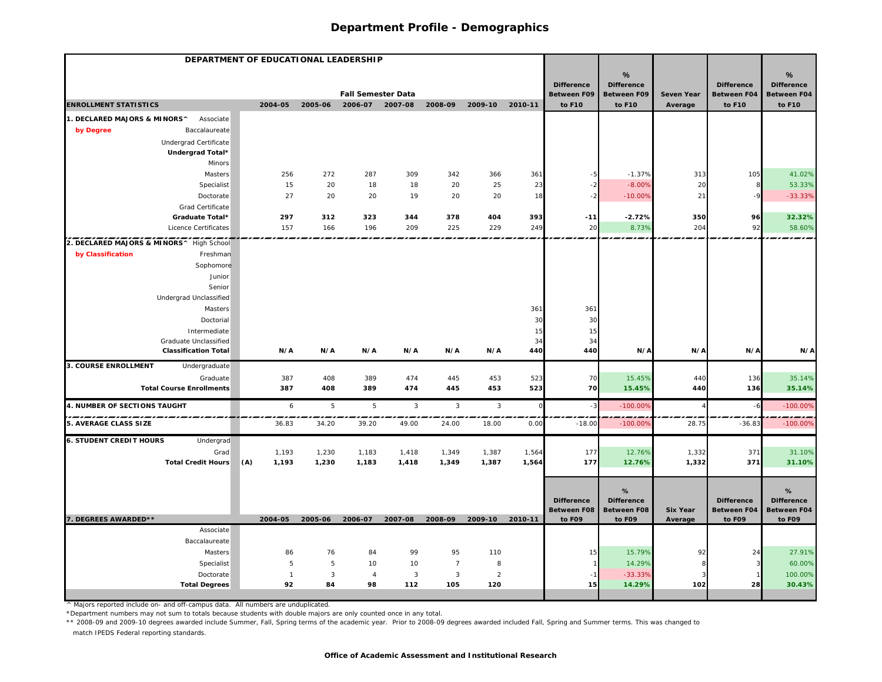|                                           | DEPARTMENT OF EDUCATIONAL LEADERSHIP |                |                           |                |                |                |            |                                         |                                         |                   |                                         |                                         |
|-------------------------------------------|--------------------------------------|----------------|---------------------------|----------------|----------------|----------------|------------|-----------------------------------------|-----------------------------------------|-------------------|-----------------------------------------|-----------------------------------------|
|                                           |                                      |                |                           |                |                |                |            |                                         | %                                       |                   |                                         | %                                       |
|                                           |                                      |                | <b>Fall Semester Data</b> |                |                |                |            | <b>Difference</b><br><b>Between F09</b> | <b>Difference</b><br><b>Between F09</b> | <b>Seven Year</b> | <b>Difference</b><br><b>Between F04</b> | <b>Difference</b><br><b>Between F04</b> |
| <b>ENROLLMENT STATISTICS</b>              | 2004-05                              | 2005-06        | 2006-07                   | 2007-08        | 2008-09        | 2009-10        | 2010-11    | to F10                                  | to F10                                  | Average           | to F10                                  | to F10                                  |
| 1. DECLARED MAJORS & MINORS^<br>Associate |                                      |                |                           |                |                |                |            |                                         |                                         |                   |                                         |                                         |
| by Degree<br>Baccalaureate                |                                      |                |                           |                |                |                |            |                                         |                                         |                   |                                         |                                         |
| Undergrad Certificate                     |                                      |                |                           |                |                |                |            |                                         |                                         |                   |                                         |                                         |
| Undergrad Total*                          |                                      |                |                           |                |                |                |            |                                         |                                         |                   |                                         |                                         |
| Minors                                    |                                      |                |                           |                |                |                |            |                                         |                                         |                   |                                         |                                         |
| Masters                                   | 256                                  | 272            | 287                       | 309            | 342            | 366            | 361        | $-5$                                    | $-1.37%$                                | 313               | 105                                     | 41.02%                                  |
| Specialist                                | 15                                   | 20             | 18                        | 18             | 20             | 25             | 23         | $-2$                                    | $-8.00%$                                | 20                |                                         | 53.33%                                  |
| Doctorate                                 | 27                                   | 20             | 20                        | 19             | 20             | 20             | 18         | $-2$                                    | $-10.00%$                               | 21                | -9                                      | $-33.33%$                               |
| Grad Certificate                          |                                      |                |                           |                |                |                |            |                                         |                                         |                   |                                         |                                         |
| Graduate Total*<br>Licence Certificates   | 297                                  | 312            | 323<br>196                | 344<br>209     | 378<br>225     | 404<br>229     | 393<br>249 | $-11$<br>20                             | $-2.72%$<br>8.73%                       | 350<br>204        | 96<br>92                                | 32.32%<br>58.60%                        |
|                                           | 157                                  | 166            |                           |                |                |                |            |                                         |                                         |                   |                                         |                                         |
| 2. DECLARED MAJORS & MINORS^ High School  |                                      |                |                           |                |                |                |            |                                         |                                         |                   |                                         |                                         |
| by Classification<br>Freshman             |                                      |                |                           |                |                |                |            |                                         |                                         |                   |                                         |                                         |
| Sophomore                                 |                                      |                |                           |                |                |                |            |                                         |                                         |                   |                                         |                                         |
| Junior                                    |                                      |                |                           |                |                |                |            |                                         |                                         |                   |                                         |                                         |
| Senior                                    |                                      |                |                           |                |                |                |            |                                         |                                         |                   |                                         |                                         |
| Undergrad Unclassified                    |                                      |                |                           |                |                |                |            |                                         |                                         |                   |                                         |                                         |
| Masters                                   |                                      |                |                           |                |                |                | 361        | 361                                     |                                         |                   |                                         |                                         |
| Doctorial                                 |                                      |                |                           |                |                |                | 30         | 30                                      |                                         |                   |                                         |                                         |
| Intermediate<br>Graduate Unclassified     |                                      |                |                           |                |                |                | 15<br>34   | 15                                      |                                         |                   |                                         |                                         |
| <b>Classification Total</b>               | N/A                                  | N/A            | N/A                       | N/A            | N/A            | N/A            | 440        | 34<br>440                               | N/A                                     | N/A               | N/A                                     | N/A                                     |
| 3. COURSE ENROLLMENT<br>Undergraduate     |                                      |                |                           |                |                |                |            |                                         |                                         |                   |                                         |                                         |
| Graduate                                  | 387                                  | 408            | 389                       | 474            | 445            | 453            | 523        | 70                                      | 15.45%                                  | 440               | 136                                     | 35.14%                                  |
| <b>Total Course Enrollments</b>           | 387                                  | 408            | 389                       | 474            | 445            | 453            | 523        | 70                                      | 15.45%                                  | 440               | 136                                     | 35.14%                                  |
| 4. NUMBER OF SECTIONS TAUGHT              | 6                                    | 5              | 5                         | $\overline{3}$ | $\mathbf{3}$   | $\mathbf{3}$   |            | $-3$                                    | $-100.00%$                              |                   | -6                                      | $-100.00%$                              |
| <b>5. AVERAGE CLASS SIZE</b>              | 36.83                                | 34.20          | 39.20                     | 49.00          | 24.00          | 18.00          | 0.00       | $-18.00$                                | $-100.009$                              | 28.75             | $-36.83$                                | $-100.00%$                              |
| <b>6. STUDENT CREDIT HOURS</b>            |                                      |                |                           |                |                |                |            |                                         |                                         |                   |                                         |                                         |
| Undergrad                                 |                                      |                |                           |                |                |                |            |                                         |                                         |                   |                                         |                                         |
| Grad                                      | 1,193                                | 1,230          | 1,183                     | 1,418          | 1,349          | 1,387          | 1,564      | 177                                     | 12.76%                                  | 1,332             | 371                                     | 31.10%                                  |
| <b>Total Credit Hours</b>                 | (A)<br>1,193                         | 1,230          | 1,183                     | 1,418          | 1,349          | 1,387          | 1,564      | 177                                     | 12.76%                                  | 1,332             | 371                                     | 31.10%                                  |
|                                           |                                      |                |                           |                |                |                |            |                                         |                                         |                   |                                         |                                         |
|                                           |                                      |                |                           |                |                |                |            | <b>Difference</b>                       | %<br><b>Difference</b>                  |                   | <b>Difference</b>                       | %<br><b>Difference</b>                  |
|                                           |                                      |                |                           |                |                |                |            | <b>Between F08</b>                      | <b>Between F08</b>                      | <b>Six Year</b>   | <b>Between F04</b>                      | <b>Between F04</b>                      |
| 7. DEGREES AWARDED**                      | 2004-05                              | 2005-06        | 2006-07                   | 2007-08        | 2008-09        | 2009-10        | 2010-11    | to F09                                  | to F09                                  | Average           | to F09                                  | to F09                                  |
| Associate                                 |                                      |                |                           |                |                |                |            |                                         |                                         |                   |                                         |                                         |
| Baccalaureate                             |                                      |                |                           |                |                |                |            |                                         |                                         |                   |                                         |                                         |
| Masters                                   | 86                                   | 76             | 84                        | 99             | 95             | 110            |            | 15                                      | 15.79%                                  | 92                | 24                                      | 27.91%                                  |
| Specialist                                | 5                                    | 5              | 10                        | 10             | $\overline{7}$ | 8              |            |                                         | 14.29%                                  |                   |                                         | 60.00%                                  |
| Doctorate                                 | $\overline{1}$                       | $\overline{3}$ | $\overline{4}$            | $\mathbf{3}$   | $\mathbf{3}$   | $\overline{2}$ |            | $-1$                                    | $-33.33%$                               |                   |                                         | 100.00%                                 |
| <b>Total Degrees</b>                      | 92                                   | 84             | 98                        | 112            | 105            | 120            |            | 15                                      | 14.29%                                  | 102               | 28                                      | 30.43%                                  |

^ Majors reported include on- and off-campus data. All numbers are unduplicated.

\*Department numbers may not sum to totals because students with double majors are only counted once in any total.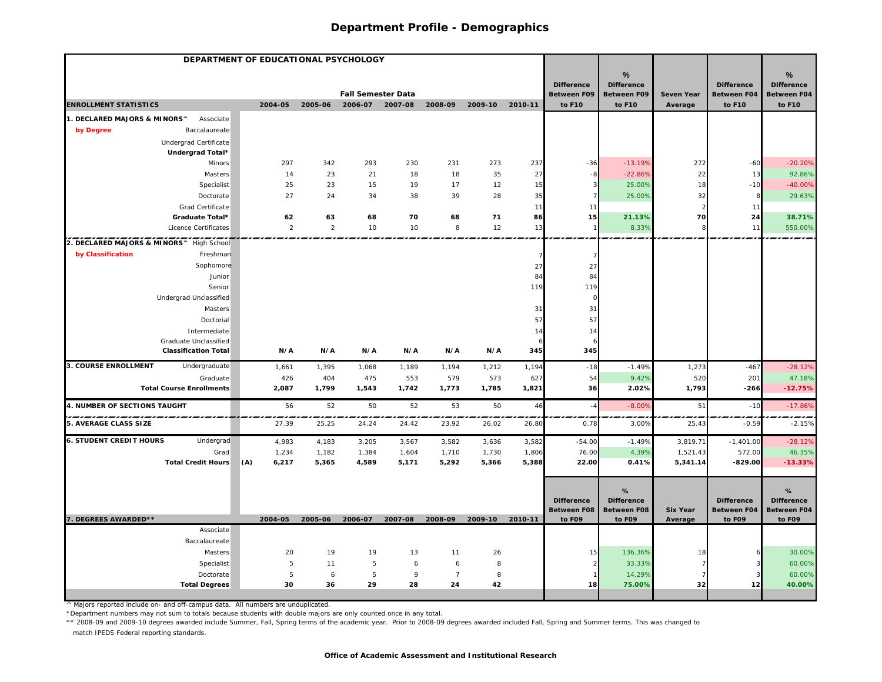|                                             | DEPARTMENT OF EDUCATIONAL PSYCHOLOGY |                |                           |         |                |         |         |                                         |                                         |                            |                                         |                                         |
|---------------------------------------------|--------------------------------------|----------------|---------------------------|---------|----------------|---------|---------|-----------------------------------------|-----------------------------------------|----------------------------|-----------------------------------------|-----------------------------------------|
|                                             |                                      |                |                           |         |                |         |         |                                         | %                                       |                            |                                         | %                                       |
|                                             |                                      |                | <b>Fall Semester Data</b> |         |                |         |         | <b>Difference</b><br><b>Between F09</b> | <b>Difference</b><br><b>Between F09</b> | <b>Seven Year</b>          | <b>Difference</b><br><b>Between F04</b> | <b>Difference</b><br><b>Between F04</b> |
| <b>ENROLLMENT STATISTICS</b>                | 2004-05                              | 2005-06        | 2006-07 2007-08           |         | 2008-09        | 2009-10 | 2010-11 | to F10                                  | to F10                                  | Average                    | to F10                                  | to F10                                  |
| 1. DECLARED MAJORS & MINORS^<br>Associate   |                                      |                |                           |         |                |         |         |                                         |                                         |                            |                                         |                                         |
| by Degree<br>Baccalaureate                  |                                      |                |                           |         |                |         |         |                                         |                                         |                            |                                         |                                         |
| Undergrad Certificate                       |                                      |                |                           |         |                |         |         |                                         |                                         |                            |                                         |                                         |
| Undergrad Total*                            |                                      |                |                           |         |                |         |         |                                         |                                         |                            |                                         |                                         |
| <b>Minors</b>                               | 297                                  | 342            | 293                       | 230     | 231            | 273     | 237     | -36                                     | $-13.19%$                               | 272                        | $-60$                                   | $-20.20%$                               |
| Masters                                     | 14                                   | 23             | 21                        | 18      | 18             | 35      | 27      | -8                                      | $-22.86%$                               | 22                         | 13                                      | 92.86%                                  |
| Specialist                                  | 25                                   | 23             | 15                        | 19      | 17             | 12      | 15      |                                         | 25.00%                                  | 18                         | $-10$                                   | $-40.00%$                               |
| Doctorate                                   | 27                                   | 24             | 34                        | 38      | 39             | 28      | 35      |                                         | 25.00%                                  | 32                         | 8                                       | 29.63%                                  |
| Grad Certificate                            |                                      |                |                           |         |                |         | 11      | 11                                      |                                         | $\overline{2}$             | 11                                      |                                         |
| Graduate Total*                             | 62                                   | 63             | 68                        | 70      | 68             | 71      | 86      | 15                                      | 21.13%                                  | 70                         | 24                                      | 38.71%                                  |
| Licence Certificates                        | $\overline{2}$                       | $\overline{2}$ | 10                        | 10      | 8              | 12      | 13      |                                         | 8.33%                                   | 8                          | 11                                      | 550.00%                                 |
| 2. DECLARED MAJORS & MINORS^ High School    |                                      |                |                           |         |                |         |         |                                         |                                         |                            |                                         |                                         |
| by Classification<br>Freshman               |                                      |                |                           |         |                |         |         |                                         |                                         |                            |                                         |                                         |
| Sophomore                                   |                                      |                |                           |         |                |         | 27      | 27                                      |                                         |                            |                                         |                                         |
| Junior                                      |                                      |                |                           |         |                |         | 84      | 84                                      |                                         |                            |                                         |                                         |
| Senior                                      |                                      |                |                           |         |                |         | 119     | 119                                     |                                         |                            |                                         |                                         |
| Undergrad Unclassified                      |                                      |                |                           |         |                |         |         | $\Omega$                                |                                         |                            |                                         |                                         |
| Masters                                     |                                      |                |                           |         |                |         | 31      | 31                                      |                                         |                            |                                         |                                         |
| Doctorial                                   |                                      |                |                           |         |                |         | 57      | 57                                      |                                         |                            |                                         |                                         |
| Intermediate                                |                                      |                |                           |         |                |         | 14      | 14                                      |                                         |                            |                                         |                                         |
| Graduate Unclassified                       |                                      |                |                           |         |                |         |         |                                         |                                         |                            |                                         |                                         |
| <b>Classification Total</b>                 | N/A                                  | N/A            | N/A                       | N/A     | N/A            | N/A     | 345     | 345                                     |                                         |                            |                                         |                                         |
| 3. COURSE ENROLLMENT<br>Undergraduate       | 1,661                                | 1,395          | 1,068                     | 1,189   | 1,194          | 1,212   | 1,194   | $-18$                                   | $-1.49%$                                | 1,273                      | $-467$                                  | $-28.12%$                               |
| Graduate                                    | 426                                  | 404            | 475                       | 553     | 579            | 573     | 627     | 54                                      | 9.42%                                   | 520                        | 201                                     | 47.18%                                  |
| <b>Total Course Enrollments</b>             | 2,087                                | 1,799          | 1,543                     | 1,742   | 1,773          | 1,785   | 1,821   | 36                                      | 2.02%                                   | 1,793                      | $-266$                                  | $-12.75%$                               |
| 4. NUMBER OF SECTIONS TAUGHT                | 56                                   | 52             | 50                        | 52      | 53             | 50      | 46      | $-4$                                    | $-8.00%$                                | 51                         | $-10$                                   | $-17.86%$                               |
| <b>5. AVERAGE CLASS SIZE</b>                | 27.39                                | 25.25          | 24.24                     | 24.42   | 23.92          | 26.02   | 26.80   | 0.78                                    | 3.00%                                   | 25.43                      | $-0.59$                                 | $-2.15%$                                |
| <b>6. STUDENT CREDIT HOURS</b><br>Undergrad | 4,983                                | 4,183          | 3,205                     | 3,567   | 3,582          | 3,636   | 3,582   | $-54.00$                                | $-1.49%$                                | 3,819.71                   | $-1,401.00$                             | $-28.12%$                               |
| Grad                                        | 1,234                                | 1,182          | 1,384                     | 1,604   | 1,710          | 1,730   | 1,806   | 76.00                                   | 4.39%                                   | 1,521.43                   | 572.00                                  | 46.35%                                  |
| <b>Total Credit Hours</b>                   | (A)<br>6,217                         | 5,365          | 4,589                     | 5,171   | 5,292          | 5,366   | 5,388   | 22.00                                   | 0.41%                                   | 5,341.14                   | $-829.00$                               | $-13.33%$                               |
|                                             |                                      |                |                           |         |                |         |         |                                         |                                         |                            |                                         |                                         |
|                                             |                                      |                |                           |         |                |         |         |                                         | %                                       |                            |                                         | %                                       |
|                                             |                                      |                |                           |         |                |         |         | <b>Difference</b>                       | <b>Difference</b>                       |                            | <b>Difference</b>                       | <b>Difference</b>                       |
| 7. DEGREES AWARDED**                        | 2004-05                              | 2005-06        | 2006-07                   | 2007-08 | 2008-09        | 2009-10 | 2010-11 | <b>Between F08</b><br>to F09            | <b>Between F08</b><br>to F09            | <b>Six Year</b><br>Average | <b>Between F04</b><br>to F09            | Between F04<br>to F09                   |
| Associate                                   |                                      |                |                           |         |                |         |         |                                         |                                         |                            |                                         |                                         |
| Baccalaureate                               |                                      |                |                           |         |                |         |         |                                         |                                         |                            |                                         |                                         |
| <b>Masters</b>                              | 20                                   | 19             | 19                        | 13      | 11             | 26      |         | 15                                      | 136.36%                                 | 18                         |                                         | 30.00%                                  |
| Specialist                                  | 5                                    | 11             | 5                         | 6       | 6              | 8       |         |                                         | 33.33%                                  |                            |                                         | 60.00%                                  |
| Doctorate                                   | 5                                    | 6              | 5                         | 9       | $\overline{7}$ | 8       |         |                                         | 14.29%                                  |                            |                                         | 60.00%                                  |
| <b>Total Degrees</b>                        | 30                                   | 36             | 29                        | 28      | 24             | 42      |         | 18                                      | 75.00%                                  | 32                         | 12                                      | 40.00%                                  |
|                                             |                                      |                |                           |         |                |         |         |                                         |                                         |                            |                                         |                                         |

^ Majors reported include on- and off-campus data. All numbers are unduplicated.

\*Department numbers may not sum to totals because students with double majors are only counted once in any total.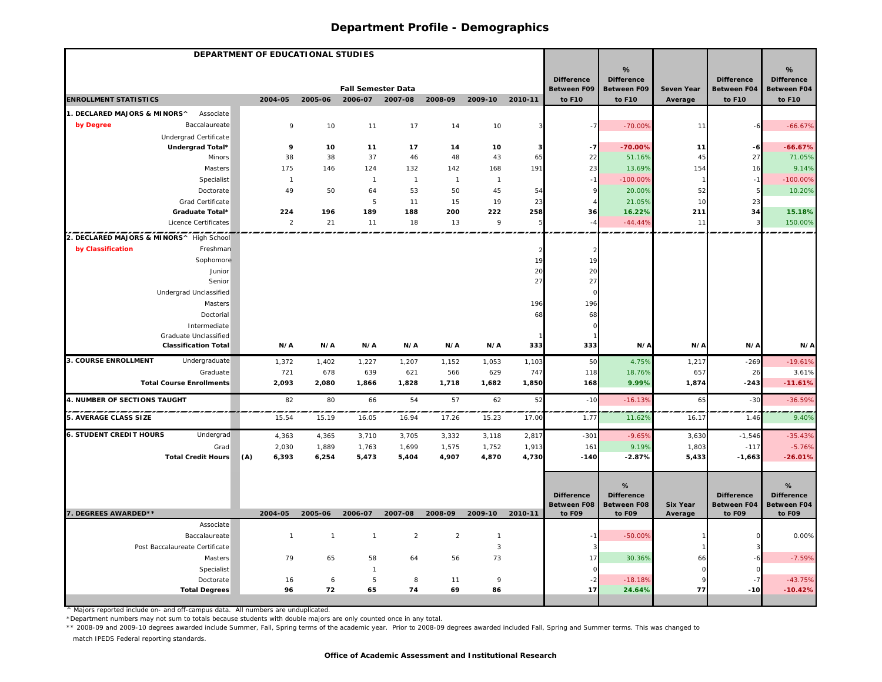| DEPARTMENT OF EDUCATIONAL STUDIES           |                       |                |                           |                         |                |                |          |                                         |                                         |                   |                                         |                                         |
|---------------------------------------------|-----------------------|----------------|---------------------------|-------------------------|----------------|----------------|----------|-----------------------------------------|-----------------------------------------|-------------------|-----------------------------------------|-----------------------------------------|
|                                             |                       |                |                           |                         |                |                |          |                                         | %                                       |                   |                                         | %                                       |
|                                             |                       |                | <b>Fall Semester Data</b> |                         |                |                |          | <b>Difference</b><br><b>Between F09</b> | <b>Difference</b><br><b>Between F09</b> | <b>Seven Year</b> | <b>Difference</b><br><b>Between F04</b> | <b>Difference</b><br><b>Between F04</b> |
| <b>ENROLLMENT STATISTICS</b>                | 2004-05               | 2005-06        | 2006-07                   | 2007-08                 | 2008-09        | 2009-10        | 2010-11  | to F10                                  | to F10                                  | Average           | to F10                                  | to F10                                  |
| 1. DECLARED MAJORS & MINORS^<br>Associate   |                       |                |                           |                         |                |                |          |                                         |                                         |                   |                                         |                                         |
| Baccalaureate<br>by Degree                  | 9                     | 10             | 11                        | 17                      | 14             | 10             |          |                                         | $-70.00%$                               | 11                |                                         | $-66.679$                               |
| Undergrad Certificate                       |                       |                |                           |                         |                |                |          |                                         |                                         |                   |                                         |                                         |
| Undergrad Total*                            | 9                     | 10             | 11                        | 17                      | 14             | 10             | 3        | -7                                      | $-70.00%$                               | 11                | -6                                      | $-66.67%$                               |
| Minors                                      | 38                    | 38             | 37                        | 46                      | 48             | 43             | 65       | 22                                      | 51.16%                                  | 45                | 27                                      | 71.05%                                  |
| Masters                                     | 175                   | 146            | 124                       | 132                     | 142            | 168            | 191      | 23                                      | 13.69%                                  | 154               | 16                                      | 9.14%                                   |
| Specialist                                  | $\overline{1}$        |                | $\overline{1}$            | $\mathbf{1}$            | $\overline{1}$ | $\overline{1}$ |          |                                         | $-100.00%$                              |                   | $-1$                                    | $-100.00%$                              |
| Doctorate                                   | 49                    | 50             | 64                        | 53                      | 50             | 45             | 54       |                                         | 20.00%                                  | 52                |                                         | 10.20%                                  |
| Grad Certificate                            |                       |                | 5                         | 11                      | 15             | 19             | 23       |                                         | 21.05%                                  | 10                | 23                                      |                                         |
| Graduate Total*                             | 224<br>$\overline{2}$ | 196            | 189                       | 188                     | 200            | 222<br>9       | 258<br>5 | 36                                      | 16.22%                                  | 211<br>11         | 34                                      | 15.18%                                  |
| Licence Certificates                        |                       | 21             | 11                        | 18                      | 13             |                |          | $-4$                                    | $-44.44%$                               |                   |                                         | 150.00%                                 |
| 2. DECLARED MAJORS & MINORS^ High School    |                       |                |                           |                         |                |                |          |                                         |                                         |                   |                                         |                                         |
| by Classification<br>Freshman               |                       |                |                           |                         |                |                |          |                                         |                                         |                   |                                         |                                         |
| Sophomore                                   |                       |                |                           |                         |                |                | 19       | 19                                      |                                         |                   |                                         |                                         |
| Junior                                      |                       |                |                           |                         |                |                | 20       | 20                                      |                                         |                   |                                         |                                         |
| Senior                                      |                       |                |                           |                         |                |                | 27       | 27                                      |                                         |                   |                                         |                                         |
| Undergrad Unclassified                      |                       |                |                           |                         |                |                |          | $\epsilon$                              |                                         |                   |                                         |                                         |
| Masters                                     |                       |                |                           |                         |                |                | 196      | 196                                     |                                         |                   |                                         |                                         |
| Doctorial                                   |                       |                |                           |                         |                |                | 68       | 68                                      |                                         |                   |                                         |                                         |
| Intermediate<br>Graduate Unclassified       |                       |                |                           |                         |                |                |          |                                         |                                         |                   |                                         |                                         |
| <b>Classification Total</b>                 | N/A                   | N/A            | N/A                       | N/A                     | N/A            | N/A            | 333      | 333                                     | N/A                                     | N/A               | N/A                                     | N/A                                     |
| 3. COURSE ENROLLMENT<br>Undergraduate       | 1,372                 | 1,402          | 1,227                     | 1,207                   | 1,152          | 1,053          | 1,103    | 50                                      | 4.75%                                   | 1,217             | $-269$                                  | $-19.61%$                               |
| Graduate                                    | 721                   | 678            | 639                       | 621                     | 566            | 629            | 747      | 118                                     | 18.76%                                  | 657               | 26                                      | 3.61%                                   |
| <b>Total Course Enrollments</b>             | 2,093                 | 2,080          | 1,866                     | 1,828                   | 1,718          | 1,682          | 1,850    | 168                                     | 9.99%                                   | 1,874             | $-243$                                  | $-11.61%$                               |
| 4. NUMBER OF SECTIONS TAUGHT                | 82                    | 80             | 66                        | 54                      | 57             | 62             | 52       | $-10$                                   | $-16.13%$                               | 65                | $-30$                                   | $-36.59%$                               |
| .<br>5. AVERAGE CLASS SIZE                  | ----<br>15.54         | 15.19          | 16.05                     | 16.94                   | 17.26          | 15.23          | 17.00    | 1.77                                    | ---<br>11.629                           | 16.17             | 1.46                                    | 9.40%                                   |
| <b>6. STUDENT CREDIT HOURS</b><br>Undergrad | 4,363                 | 4,365          | 3,710                     | 3,705                   | 3,332          | 3,118          | 2,817    | $-301$                                  | $-9.65%$                                | 3,630             | $-1,546$                                | $-35.43%$                               |
| Grad                                        | 2,030                 | 1,889          | 1,763                     | 1,699                   | 1,575          | 1,752          | 1,913    | 161                                     | 9.19%                                   | 1,803             | $-117$                                  | $-5.76%$                                |
| <b>Total Credit Hours</b><br>(A)            | 6,393                 | 6,254          | 5,473                     | 5,404                   |                | 4,870          | 4,730    | $-140$                                  | $-2.87%$                                | 5,433             | $-1,663$                                | $-26.01%$                               |
|                                             |                       |                |                           |                         | 4,907          |                |          |                                         |                                         |                   |                                         |                                         |
|                                             |                       |                |                           |                         |                |                |          |                                         |                                         |                   |                                         |                                         |
|                                             |                       |                |                           |                         |                |                |          |                                         | %                                       |                   |                                         | %                                       |
|                                             |                       |                |                           |                         |                |                |          | <b>Difference</b>                       | <b>Difference</b>                       |                   | <b>Difference</b>                       | <b>Difference</b>                       |
|                                             |                       |                |                           |                         |                |                |          | <b>Between F08</b>                      | <b>Between F08</b>                      | <b>Six Year</b>   | Between F04                             | <b>Between F04</b>                      |
| 7. DEGREES AWARDED**                        | 2004-05               | 2005-06        | 2006-07                   | 2007-08                 | 2008-09        | 2009-10        | 2010-11  | to F09                                  | to F09                                  | Average           | to F09                                  | to F09                                  |
| Associate                                   | $\overline{1}$        | $\overline{1}$ |                           |                         |                | $\overline{1}$ |          |                                         |                                         |                   |                                         |                                         |
| Baccalaureate                               |                       |                | $\mathbf{1}$              | $\overline{\mathbf{c}}$ | $\overline{2}$ |                |          |                                         | $-50.00%$                               |                   |                                         | 0.00%                                   |
| Post Baccalaureate Certificate<br>Masters   | 79                    | 65             | 58                        | 64                      | 56             | 3<br>73        |          | 17                                      | 30.36%                                  |                   |                                         | $-7.59%$                                |
|                                             |                       |                | $\overline{1}$            |                         |                |                |          |                                         |                                         |                   |                                         |                                         |
| Specialist<br>Doctorate                     | 16                    | 6              | 5                         | 8                       | 11             | 9              |          |                                         | $-18.18%$                               |                   |                                         | $-43.75%$                               |

^ Majors reported include on- and off-campus data. All numbers are unduplicated.

\*Department numbers may not sum to totals because students with double majors are only counted once in any total.

\*\* 2008-09 and 2009-10 degrees awarded include Summer, Fall, Spring terms of the academic year. Prior to 2008-09 degrees awarded included Fall, Spring and Summer terms. This was changed to

match IPEDS Federal reporting standards.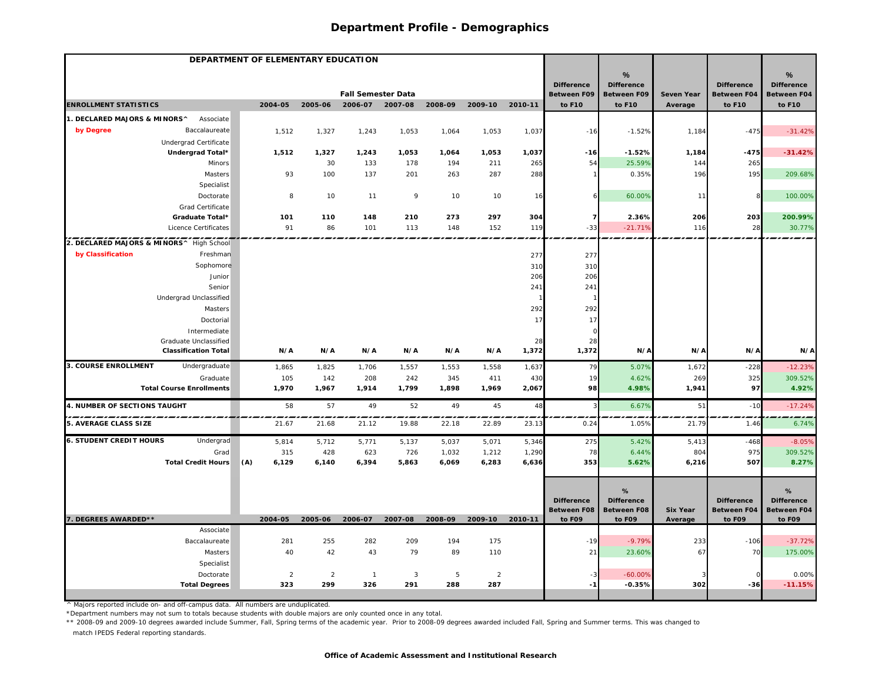|                                             | DEPARTMENT OF ELEMENTARY EDUCATION |                |                           |              |         |                 |             |                                         |                                         |                            |                                         |                                  |
|---------------------------------------------|------------------------------------|----------------|---------------------------|--------------|---------|-----------------|-------------|-----------------------------------------|-----------------------------------------|----------------------------|-----------------------------------------|----------------------------------|
|                                             |                                    |                |                           |              |         |                 |             |                                         | %                                       |                            |                                         | %                                |
|                                             |                                    |                | <b>Fall Semester Data</b> |              |         |                 |             | <b>Difference</b><br><b>Between F09</b> | <b>Difference</b><br><b>Between F09</b> | <b>Seven Year</b>          | <b>Difference</b><br><b>Between F04</b> | <b>Difference</b><br>Between F04 |
| <b>ENROLLMENT STATISTICS</b>                | 2004-05                            | 2005-06        | 2006-07 2007-08           |              | 2008-09 | 2009-10 2010-11 |             | to F10                                  | to F10                                  | Average                    | to F10                                  | to F10                           |
| 1. DECLARED MAJORS & MINORS^<br>Associate   |                                    |                |                           |              |         |                 |             |                                         |                                         |                            |                                         |                                  |
| by Degree<br>Baccalaureate                  | 1,512                              | 1,327          | 1,243                     | 1,053        | 1,064   | 1,053           | 1,037       | $-16$                                   | $-1.52%$                                | 1,184                      | $-475$                                  | $-31.42%$                        |
| Undergrad Certificate                       |                                    |                |                           |              |         |                 |             |                                         |                                         |                            |                                         |                                  |
| Undergrad Total*                            | 1,512                              | 1,327          | 1,243                     | 1,053        | 1,064   | 1,053           | 1,037       | $-16$                                   | $-1.52%$                                | 1,184                      | $-475$                                  | $-31.42%$                        |
| Minors                                      |                                    | 30             | 133                       | 178          | 194     | 211             | 265         | 54                                      | 25.59%                                  | 144                        | 265                                     |                                  |
| Masters                                     | 93                                 | 100            | 137                       | 201          | 263     | 287             | 288         |                                         | 0.35%                                   | 196                        | 195                                     | 209.68%                          |
| Specialist                                  |                                    |                |                           |              |         |                 |             |                                         |                                         |                            |                                         |                                  |
| Doctorate                                   | 8                                  | 10             | 11                        | 9            | 10      | 10              | 16          |                                         | 60.00%                                  | 11                         | 8                                       | 100.00%                          |
| Grad Certificate                            |                                    |                |                           |              |         |                 |             |                                         |                                         |                            |                                         |                                  |
| Graduate Total*                             | 101                                | 110            | 148                       | 210          | 273     | 297             | 304         | $\overline{7}$                          | 2.36%                                   | 206                        | 203                                     | 200.99%                          |
| Licence Certificates                        | 91                                 | 86             | 101                       | 113          | 148     | 152             | 119         | $-33$                                   | $-21.71%$                               | 116                        | 28                                      | 30.77%                           |
| 2. DECLARED MAJORS & MINORS^ High School    |                                    |                |                           |              |         |                 |             |                                         |                                         |                            |                                         |                                  |
| by Classification<br>Freshman               |                                    |                |                           |              |         |                 | 277         | 277                                     |                                         |                            |                                         |                                  |
| Sophomore                                   |                                    |                |                           |              |         |                 | 310         | 310                                     |                                         |                            |                                         |                                  |
| Junior                                      |                                    |                |                           |              |         |                 | 206         | 206                                     |                                         |                            |                                         |                                  |
| Senior                                      |                                    |                |                           |              |         |                 | 241         | 241                                     |                                         |                            |                                         |                                  |
| Undergrad Unclassified                      |                                    |                |                           |              |         |                 |             |                                         |                                         |                            |                                         |                                  |
| Masters                                     |                                    |                |                           |              |         |                 | 292         | 292                                     |                                         |                            |                                         |                                  |
| Doctorial                                   |                                    |                |                           |              |         |                 | 17          | 17                                      |                                         |                            |                                         |                                  |
| Intermediate                                |                                    |                |                           |              |         |                 |             | $\Omega$                                |                                         |                            |                                         |                                  |
| Graduate Unclassified                       |                                    |                |                           |              |         |                 | 28<br>1,372 | 28<br>1,372                             |                                         |                            |                                         |                                  |
| <b>Classification Total</b>                 | N/A                                | N/A            | N/A                       | N/A          | N/A     | N/A             |             |                                         | N/A                                     | N/A                        | N/A                                     | N/A                              |
| 3. COURSE ENROLLMENT<br>Undergraduate       | 1,865                              | 1,825          | 1,706                     | 1,557        | 1,553   | 1,558           | 1,637       | 79                                      | 5.07%                                   | 1,672                      | $-228$                                  | $-12.23%$                        |
| Graduate                                    | 105                                | 142            | 208                       | 242          | 345     | 411             | 430         | 19                                      | 4.62%                                   | 269                        | 325                                     | 309.52%                          |
| <b>Total Course Enrollments</b>             | 1,970                              | 1,967          | 1,914                     | 1,799        | 1,898   | 1,969           | 2,067       | 98                                      | 4.98%                                   | 1,941                      | 97                                      | 4.92%                            |
| 4. NUMBER OF SECTIONS TAUGHT                | 58                                 | 57             | 49                        | 52           | 49      | 45              | 48          |                                         | 6.67%                                   | 51                         | $-10$                                   | $-17.24%$                        |
| 5. AVERAGE CLASS SIZE                       | 21.67                              | 21.68          | 21.12                     | 19.88        | 22.18   | 22.89           | 23.13       | 0.24                                    | 1.05%                                   | 21.79                      | 1.46                                    | 6.74%                            |
| <b>6. STUDENT CREDIT HOURS</b><br>Undergrad | 5,814                              | 5,712          | 5,771                     | 5,137        | 5,037   | 5,071           | 5,346       | 275                                     | 5.42%                                   | 5,413                      | $-468$                                  | $-8.05%$                         |
| Grad                                        | 315                                | 428            | 623                       | 726          | 1,032   | 1,212           | 1,290       | 78                                      | 6.44%                                   | 804                        | 975                                     | 309.52%                          |
| <b>Total Credit Hours</b>                   | (A)<br>6,129                       | 6,140          | 6,394                     | 5,863        | 6,069   | 6,283           | 6,636       | 353                                     | 5.62%                                   | 6,216                      | 507                                     | 8.27%                            |
|                                             |                                    |                |                           |              |         |                 |             |                                         |                                         |                            |                                         |                                  |
|                                             |                                    |                |                           |              |         |                 |             |                                         | %                                       |                            |                                         | %                                |
|                                             |                                    |                |                           |              |         |                 |             | <b>Difference</b>                       | <b>Difference</b>                       |                            | <b>Difference</b>                       | <b>Difference</b>                |
| 7. DEGREES AWARDED**                        | 2004-05                            | 2005-06        | 2006-07                   | 2007-08      | 2008-09 | 2009-10         | 2010-11     | <b>Between F08</b><br>to F09            | <b>Between F08</b><br>to F09            | <b>Six Year</b><br>Average | Between F04<br>to F09                   | Between F04<br>to F09            |
| Associate                                   |                                    |                |                           |              |         |                 |             |                                         |                                         |                            |                                         |                                  |
| Baccalaureate                               | 281                                | 255            | 282                       | 209          | 194     | 175             |             | $-19$                                   | $-9.79%$                                | 233                        | $-106$                                  | $-37.72%$                        |
| Masters                                     | 40                                 | 42             | 43                        | 79           | 89      | 110             |             | 21                                      | 23.60%                                  | 67                         | 70                                      | 175.00%                          |
| Specialist                                  |                                    |                |                           |              |         |                 |             |                                         |                                         |                            |                                         |                                  |
| Doctorate                                   | $\overline{2}$                     | $\overline{2}$ | $\overline{1}$            | $\mathbf{3}$ | 5       | $\overline{2}$  |             |                                         | $-60.00%$                               | 3                          |                                         | 0.00%                            |
| <b>Total Degrees</b>                        | 323                                | 299            | 326                       | 291          | 288     | 287             |             | $-1$                                    | $-0.35%$                                | 302                        | -36                                     | $-11.15%$                        |
|                                             |                                    |                |                           |              |         |                 |             |                                         |                                         |                            |                                         |                                  |

^ Majors reported include on- and off-campus data. All numbers are unduplicated.

\*Department numbers may not sum to totals because students with double majors are only counted once in any total.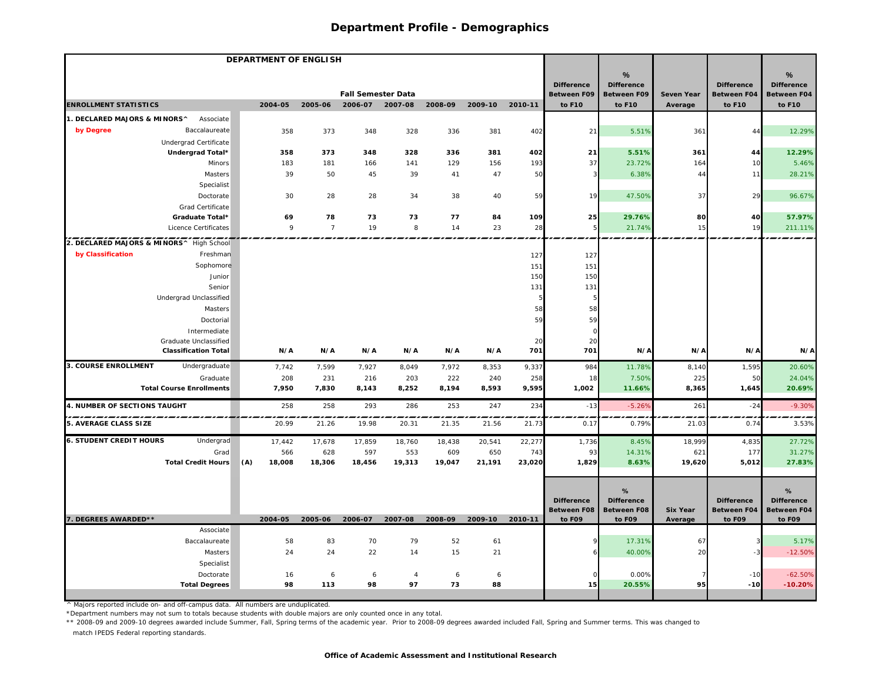|                                             | DEPARTMENT OF ENGLISH |                |                           |                |         |         |         |                                         |                                         |                            |                                         |                                  |
|---------------------------------------------|-----------------------|----------------|---------------------------|----------------|---------|---------|---------|-----------------------------------------|-----------------------------------------|----------------------------|-----------------------------------------|----------------------------------|
|                                             |                       |                |                           |                |         |         |         |                                         | %                                       |                            |                                         | %                                |
|                                             |                       |                | <b>Fall Semester Data</b> |                |         |         |         | <b>Difference</b><br><b>Between F09</b> | <b>Difference</b><br><b>Between F09</b> | Seven Year                 | <b>Difference</b><br><b>Between F04</b> | <b>Difference</b><br>Between F04 |
| <b>ENROLLMENT STATISTICS</b>                | 2004-05               | 2005-06        | 2006-07 2007-08           |                | 2008-09 | 2009-10 | 2010-11 | to F10                                  | to F10                                  | Average                    | to F10                                  | to F10                           |
| 1. DECLARED MAJORS & MINORS^<br>Associate   |                       |                |                           |                |         |         |         |                                         |                                         |                            |                                         |                                  |
| by Degree<br>Baccalaureate                  | 358                   | 373            | 348                       | 328            | 336     | 381     | 402     | 21                                      | 5.51%                                   | 361                        | 44                                      | 12.29%                           |
| Undergrad Certificate                       |                       |                |                           |                |         |         |         |                                         |                                         |                            |                                         |                                  |
| Undergrad Total*                            | 358                   | 373            | 348                       | 328            | 336     | 381     | 402     | ${\bf 21}$                              | 5.51%                                   | 361                        | 44                                      | 12.29%                           |
| <b>Minors</b>                               | 183                   | 181            | 166                       | 141            | 129     | 156     | 193     | 37                                      | 23.72%                                  | 164                        | 10                                      | 5.46%                            |
| Masters                                     | 39                    | 50             | 45                        | 39             | 41      | 47      | 50      |                                         | 6.38%                                   | 44                         | 11                                      | 28.21%                           |
| Specialist                                  |                       |                |                           |                |         |         |         |                                         |                                         |                            |                                         |                                  |
| Doctorate                                   | 30                    | 28             | 28                        | 34             | 38      | 40      | 59      | 19                                      | 47.50%                                  | 37                         | 29                                      | 96.67%                           |
| Grad Certificate                            |                       |                |                           |                |         |         |         |                                         |                                         |                            |                                         |                                  |
| Graduate Total*                             | 69                    | 78             | 73                        | 73             | 77      | 84      | 109     | 25                                      | 29.76%                                  | 80                         | 40                                      | 57.97%                           |
| Licence Certificates                        | 9                     | $\overline{7}$ | 19                        | 8              | 14      | 23      | 28      |                                         | 21.74%                                  | 15                         | 19                                      | 211.11%                          |
| 2. DECLARED MAJORS & MINORS^ High School    |                       |                |                           |                |         |         |         |                                         |                                         |                            |                                         |                                  |
| by Classification<br>Freshman               |                       |                |                           |                |         |         | 127     | 127                                     |                                         |                            |                                         |                                  |
| Sophomore                                   |                       |                |                           |                |         |         | 151     | 151                                     |                                         |                            |                                         |                                  |
| Junior                                      |                       |                |                           |                |         |         | 150     | 150                                     |                                         |                            |                                         |                                  |
| Senior                                      |                       |                |                           |                |         |         | 131     | 131                                     |                                         |                            |                                         |                                  |
| Undergrad Unclassified                      |                       |                |                           |                |         |         |         |                                         |                                         |                            |                                         |                                  |
| Masters                                     |                       |                |                           |                |         |         | 58      | 58                                      |                                         |                            |                                         |                                  |
| Doctorial                                   |                       |                |                           |                |         |         | 59      | 59                                      |                                         |                            |                                         |                                  |
| Intermediate                                |                       |                |                           |                |         |         |         | $\Omega$                                |                                         |                            |                                         |                                  |
| Graduate Unclassified                       |                       |                |                           |                |         |         | 20      | 20                                      |                                         |                            |                                         |                                  |
| <b>Classification Total</b>                 | N/A                   | N/A            | N/A                       | N/A            | N/A     | N/A     | 701     | 701                                     | N/A                                     | N/A                        | N/A                                     | N/A                              |
| 3. COURSE ENROLLMENT<br>Undergraduate       | 7,742                 | 7,599          | 7,927                     | 8,049          | 7,972   | 8,353   | 9,337   | 984                                     | 11.78%                                  | 8,140                      | 1,595                                   | 20.60%                           |
| Graduate                                    | 208                   | 231            | 216                       | 203            | 222     | 240     | 258     | 18                                      | 7.50%                                   | 225                        | 50                                      | 24.04%                           |
| <b>Total Course Enrollments</b>             | 7,950                 | 7,830          | 8,143                     | 8,252          | 8,194   | 8,593   | 9,595   | 1,002                                   | 11.66%                                  | 8,365                      | 1,645                                   | 20.69%                           |
| 4. NUMBER OF SECTIONS TAUGHT                | 258                   | 258            | 293                       | 286            | 253     | 247     | 234     | $-13$                                   | $-5.26%$                                | 261                        | $-24$                                   | $-9.30%$                         |
| <b>5. AVERAGE CLASS SIZE</b>                | 20.99                 | 21.26          | 19.98                     | 20.31          | 21.35   | 21.56   | 21.73   | 0.17                                    | 0.79%                                   | 21.03                      | 0.74                                    | 3.53%                            |
| <b>6. STUDENT CREDIT HOURS</b><br>Undergrad | 17,442                | 17,678         | 17,859                    | 18,760         | 18,438  | 20,541  | 22,277  | 1,736                                   | 8.45%                                   | 18,999                     | 4,835                                   | 27.72%                           |
| Grad                                        | 566                   | 628            | 597                       | 553            | 609     | 650     | 743     | 93                                      | 14.31%                                  | 621                        | 177                                     | 31.27%                           |
| <b>Total Credit Hours</b>                   | (A)<br>18,008         | 18,306         | 18,456                    | 19,313         | 19,047  | 21,191  | 23,020  | 1,829                                   | 8.63%                                   | 19,620                     | 5,012                                   | 27.83%                           |
|                                             |                       |                |                           |                |         |         |         |                                         |                                         |                            |                                         |                                  |
|                                             |                       |                |                           |                |         |         |         |                                         | %                                       |                            |                                         | %                                |
|                                             |                       |                |                           |                |         |         |         | <b>Difference</b>                       | <b>Difference</b>                       |                            | <b>Difference</b>                       | <b>Difference</b>                |
| 7. DEGREES AWARDED**                        | 2004-05               | 2005-06        | 2006-07                   | 2007-08        | 2008-09 | 2009-10 | 2010-11 | <b>Between F08</b><br>to F09            | <b>Between F08</b><br>to F09            | <b>Six Year</b><br>Average | Between F04<br>to F09                   | Between F04<br>to F09            |
| Associate                                   |                       |                |                           |                |         |         |         |                                         |                                         |                            |                                         |                                  |
| Baccalaureate                               | 58                    | 83             | 70                        | 79             | 52      | 61      |         |                                         | 17.31%                                  | 67                         |                                         | 5.17%                            |
| Masters                                     | 24                    | 24             | 22                        | 14             | 15      | 21      |         |                                         | 40.00%                                  | 20                         |                                         | $-12.50%$                        |
| Specialist                                  |                       |                |                           |                |         |         |         |                                         |                                         |                            |                                         |                                  |
| Doctorate                                   | 16                    | 6              | 6                         | $\overline{4}$ | 6       | 6       |         |                                         | 0.00%                                   |                            | $-10$                                   | $-62.50%$                        |
| <b>Total Degrees</b>                        | 98                    | 113            | 98                        | 97             | 73      | 88      |         | 15                                      | 20.55%                                  | 95                         | $-10$                                   | $-10.20%$                        |
|                                             |                       |                |                           |                |         |         |         |                                         |                                         |                            |                                         |                                  |

^ Majors reported include on- and off-campus data. All numbers are unduplicated.

\*Department numbers may not sum to totals because students with double majors are only counted once in any total.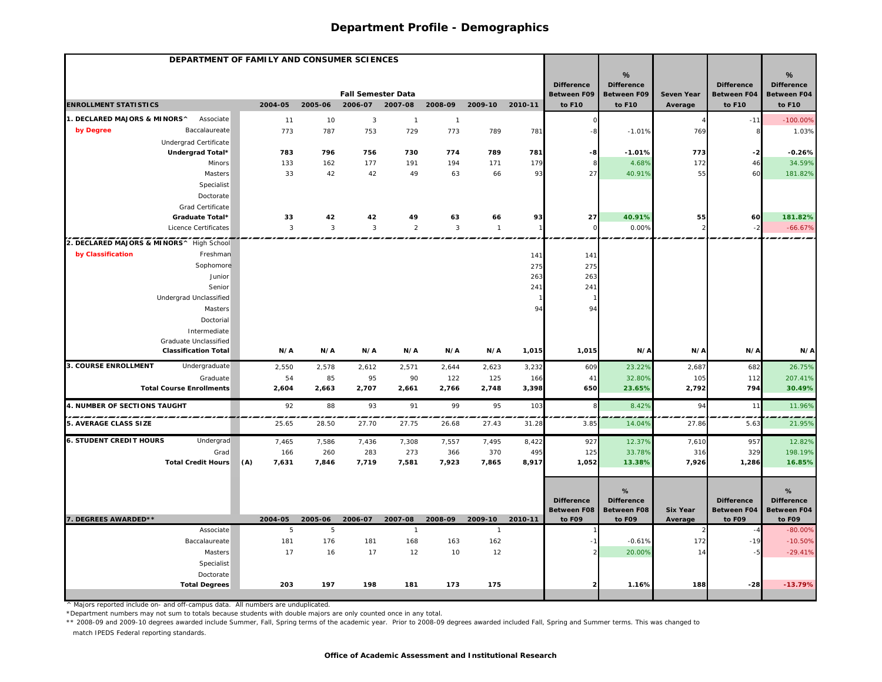| DEPARTMENT OF FAMILY AND CONSUMER SCIENCES   |              |              |                           |                 |                |                 |         |                              |                              |                            |                              |                        |
|----------------------------------------------|--------------|--------------|---------------------------|-----------------|----------------|-----------------|---------|------------------------------|------------------------------|----------------------------|------------------------------|------------------------|
|                                              |              |              |                           |                 |                |                 |         | <b>Difference</b>            | %<br><b>Difference</b>       |                            | <b>Difference</b>            | %<br><b>Difference</b> |
|                                              |              |              | <b>Fall Semester Data</b> |                 |                |                 |         | <b>Between F09</b>           | <b>Between F09</b>           | Seven Year                 | <b>Between F04</b>           | Between F04            |
| <b>ENROLLMENT STATISTICS</b>                 | 2004-05      | 2005-06      |                           | 2006-07 2007-08 | 2008-09        | 2009-10 2010-11 |         | to F10                       | to F10                       | Average                    | to F10                       | to F10                 |
| 1. DECLARED MAJORS & MINORS^<br>Associate    | 11           | 10           | 3                         | $\mathbf{1}$    | $\overline{1}$ |                 |         |                              |                              |                            | $-11$                        | $-100.00%$             |
| by Degree<br>Baccalaureate                   | 773          | 787          | 753                       | 729             | 773            | 789             | 781     |                              | $-1.01%$                     | 769                        |                              | 1.03%                  |
| Undergrad Certificate                        |              |              |                           |                 |                |                 |         |                              |                              |                            |                              |                        |
| Undergrad Total*                             | 783          | 796          | 756                       | 730             | 774            | 789             | 781     | -8                           | $-1.01%$                     | 773                        | $-2$                         | $-0.26%$               |
| Minors                                       | 133          | 162          | 177                       | 191             | 194            | 171             | 179     |                              | 4.68%                        | 172                        | 46                           | 34.59%                 |
| Masters                                      | 33           | 42           | 42                        | 49              | 63             | 66              | 93      | 27                           | 40.91%                       | 55                         | 60                           | 181.82%                |
| Specialist                                   |              |              |                           |                 |                |                 |         |                              |                              |                            |                              |                        |
| Doctorate                                    |              |              |                           |                 |                |                 |         |                              |                              |                            |                              |                        |
| Grad Certificate                             |              |              |                           |                 |                |                 |         |                              |                              |                            |                              |                        |
| Graduate Total*                              | 33           | 42           | 42                        | 49              | 63             | 66              | 93      | 27                           | 40.91%                       | 55                         | 60                           | 181.82%                |
| Licence Certificates                         | $\mathbf{3}$ | $\mathbf{3}$ | $\mathbf{3}$              | $\overline{2}$  | $\mathbf{3}$   | $\overline{1}$  |         |                              | 0.00%                        | $\overline{2}$             | $-2$                         | $-66.67%$              |
| 2. DECLARED MAJORS & MINORS^ High School     |              |              |                           |                 |                |                 |         |                              |                              |                            |                              |                        |
| by Classification<br>Freshman                |              |              |                           |                 |                |                 | 141     | 141                          |                              |                            |                              |                        |
| Sophomore                                    |              |              |                           |                 |                |                 | 275     | 275                          |                              |                            |                              |                        |
| Junior                                       |              |              |                           |                 |                |                 | 263     | 263                          |                              |                            |                              |                        |
| Senior                                       |              |              |                           |                 |                |                 | 241     | 241                          |                              |                            |                              |                        |
| Undergrad Unclassified                       |              |              |                           |                 |                |                 |         |                              |                              |                            |                              |                        |
| Masters                                      |              |              |                           |                 |                |                 | 94      | 94                           |                              |                            |                              |                        |
| Doctorial                                    |              |              |                           |                 |                |                 |         |                              |                              |                            |                              |                        |
| Intermediate                                 |              |              |                           |                 |                |                 |         |                              |                              |                            |                              |                        |
| Graduate Unclassified                        |              |              |                           |                 |                |                 |         |                              |                              |                            |                              |                        |
| <b>Classification Total</b>                  | N/A          | N/A          | N/A                       | N/A             | N/A            | N/A             | 1,015   | 1,015                        | N/A                          | N/A                        | N/A                          | N/A                    |
| <b>3. COURSE ENROLLMENT</b><br>Undergraduate | 2,550        | 2,578        | 2,612                     | 2,571           | 2,644          | 2,623           | 3,232   | 609                          | 23.22%                       | 2,687                      | 682                          | 26.75%                 |
| Graduate                                     | 54           | 85           | 95                        | 90              | 122            | 125             | 166     | 41                           | 32.80%                       | 105                        | 112                          | 207.41%                |
| <b>Total Course Enrollments</b>              | 2,604        | 2,663        | 2,707                     | 2,661           | 2,766          | 2,748           | 3,398   | 650                          | 23.65%                       | 2,792                      | 794                          | 30.49%                 |
| 4. NUMBER OF SECTIONS TAUGHT                 | 92           | 88           | 93                        | 91              | 99             | 95              | 103     |                              | 8.42%                        | 94                         | 11                           | 11.96%                 |
| 5. AVERAGE CLASS SIZE                        | 25.65        | 28.50        | 27.70                     | 27.75           | 26.68          | 27.43           | 31.28   | 3.85                         | 14.04%                       | 27.86                      | 5.63                         | ---<br>21.95%          |
| <b>6. STUDENT CREDIT HOURS</b><br>Undergrad  | 7,465        | 7,586        | 7,436                     | 7,308           | 7,557          | 7,495           | 8,422   | 927                          | 12.37%                       | 7,610                      | 957                          | 12.82%                 |
| Grad                                         | 166          | 260          | 283                       | 273             | 366            | 370             | 495     | 125                          | 33.78%                       | 316                        | 329                          | 198.19%                |
| <b>Total Credit Hours</b>                    | (A)<br>7,631 | 7,846        | 7,719                     | 7,581           | 7,923          | 7,865           | 8,917   | 1,052                        | 13.38%                       | 7,926                      | 1,286                        | 16.85%                 |
|                                              |              |              |                           |                 |                |                 |         |                              |                              |                            |                              |                        |
|                                              |              |              |                           |                 |                |                 |         |                              | %                            |                            |                              | %                      |
|                                              |              |              |                           |                 |                |                 |         | <b>Difference</b>            | <b>Difference</b>            |                            | <b>Difference</b>            | <b>Difference</b>      |
| 7. DEGREES AWARDED**                         | 2004-05      | 2005-06      | 2006-07                   | 2007-08         | 2008-09        | 2009-10         | 2010-11 | <b>Between F08</b><br>to F09 | <b>Between F08</b><br>to F09 | <b>Six Year</b><br>Average | <b>Between F04</b><br>to F09 | Between F04<br>to F09  |
| Associate                                    | 5            | 5            |                           | $\mathbf{1}$    |                | $\overline{1}$  |         |                              |                              |                            |                              | $-80.00%$              |
| Baccalaureate                                | 181          | 176          | 181                       | 168             | 163            | 162             |         |                              | $-0.61%$                     | 172                        | $-19$                        | $-10.50%$              |
| Masters                                      | 17           | 16           | 17                        | 12              | 10             | 12              |         |                              | 20.00%                       | 14                         | $-5$                         | $-29.41%$              |
| Specialist                                   |              |              |                           |                 |                |                 |         |                              |                              |                            |                              |                        |
| Doctorate                                    |              |              |                           |                 |                |                 |         |                              |                              |                            |                              |                        |
| <b>Total Degrees</b>                         | 203          | 197          | 198                       | 181             | 173            | 175             |         |                              | 1.16%                        | 188                        | $-28$                        | $-13.79%$              |
|                                              |              |              |                           |                 |                |                 |         |                              |                              |                            |                              |                        |

^ Majors reported include on- and off-campus data. All numbers are unduplicated.

\*Department numbers may not sum to totals because students with double majors are only counted once in any total.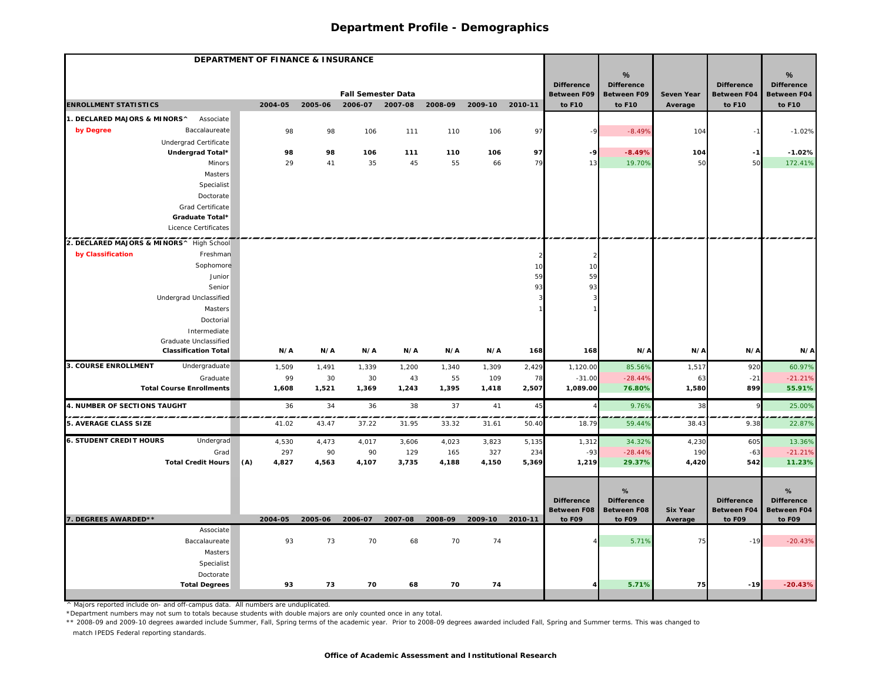| DEPARTMENT OF FINANCE & INSURANCE           |     |         |         |                           |         |         |                 |         |                                         |                                         |                            |                                  |                                  |
|---------------------------------------------|-----|---------|---------|---------------------------|---------|---------|-----------------|---------|-----------------------------------------|-----------------------------------------|----------------------------|----------------------------------|----------------------------------|
|                                             |     |         |         |                           |         |         |                 |         |                                         | %                                       |                            |                                  | %                                |
|                                             |     |         |         | <b>Fall Semester Data</b> |         |         |                 |         | <b>Difference</b><br><b>Between F09</b> | <b>Difference</b><br><b>Between F09</b> | <b>Seven Year</b>          | <b>Difference</b><br>Between F04 | <b>Difference</b><br>Between F04 |
| <b>ENROLLMENT STATISTICS</b>                |     | 2004-05 | 2005-06 | 2006-07 2007-08           |         | 2008-09 | 2009-10 2010-11 |         | to F10                                  | to F10                                  | Average                    | to F10                           | to F10                           |
| 1. DECLARED MAJORS & MINORS^<br>Associate   |     |         |         |                           |         |         |                 |         |                                         |                                         |                            |                                  |                                  |
| by Degree<br>Baccalaureate                  |     | 98      | 98      | 106                       | 111     | 110     | 106             | 97      |                                         | $-8.49%$                                | 104                        |                                  | $-1.02%$                         |
| Undergrad Certificate                       |     |         |         |                           |         |         |                 |         |                                         |                                         |                            |                                  |                                  |
| Undergrad Total*                            |     | 98      | 98      | 106                       | 111     | 110     | 106             | 97      | -9                                      | $-8.49%$                                | 104                        | $-1$                             | $-1.02%$                         |
| Minors                                      |     | 29      | 41      | 35                        | 45      | 55      | 66              | 79      | 13                                      | 19.70%                                  | 50                         | 50                               | 172.41%                          |
| Masters                                     |     |         |         |                           |         |         |                 |         |                                         |                                         |                            |                                  |                                  |
| Specialist                                  |     |         |         |                           |         |         |                 |         |                                         |                                         |                            |                                  |                                  |
| Doctorate                                   |     |         |         |                           |         |         |                 |         |                                         |                                         |                            |                                  |                                  |
| Grad Certificate                            |     |         |         |                           |         |         |                 |         |                                         |                                         |                            |                                  |                                  |
| Graduate Total*                             |     |         |         |                           |         |         |                 |         |                                         |                                         |                            |                                  |                                  |
| Licence Certificates                        |     |         |         |                           |         |         |                 |         |                                         |                                         |                            |                                  |                                  |
| 2. DECLARED MAJORS & MINORS^ High School    |     |         |         |                           |         |         |                 |         |                                         |                                         |                            |                                  |                                  |
| by Classification<br>Freshman               |     |         |         |                           |         |         |                 |         |                                         |                                         |                            |                                  |                                  |
| Sophomore                                   |     |         |         |                           |         |         |                 | 10      | 10                                      |                                         |                            |                                  |                                  |
| Junior                                      |     |         |         |                           |         |         |                 | 59      | 59                                      |                                         |                            |                                  |                                  |
| Senior                                      |     |         |         |                           |         |         |                 | 93      | 93                                      |                                         |                            |                                  |                                  |
| Undergrad Unclassified                      |     |         |         |                           |         |         |                 |         |                                         |                                         |                            |                                  |                                  |
| Masters                                     |     |         |         |                           |         |         |                 |         |                                         |                                         |                            |                                  |                                  |
| Doctorial                                   |     |         |         |                           |         |         |                 |         |                                         |                                         |                            |                                  |                                  |
| Intermediate                                |     |         |         |                           |         |         |                 |         |                                         |                                         |                            |                                  |                                  |
| Graduate Unclassified                       |     |         |         |                           |         |         |                 |         |                                         |                                         |                            |                                  |                                  |
| <b>Classification Total</b>                 |     | N/A     | N/A     | N/A                       | N/A     | N/A     | N/A             | 168     | 168                                     | N/A                                     | N/A                        | N/A                              | N/A                              |
| 3. COURSE ENROLLMENT<br>Undergraduate       |     | 1,509   | 1,491   | 1,339                     | 1,200   | 1,340   | 1,309           | 2,429   | 1,120.00                                | 85.56%                                  | 1,517                      | 920                              | 60.97%                           |
| Graduate                                    |     | 99      | 30      | 30                        | 43      | 55      | 109             | 78      | $-31.00$                                | $-28.44%$                               | 63                         | $-21$                            | $-21.21%$                        |
| <b>Total Course Enrollments</b>             |     | 1,608   | 1,521   | 1,369                     | 1,243   | 1,395   | 1,418           | 2,507   | 1,089.00                                | 76.80%                                  | 1,580                      | 899                              | 55.91%                           |
| 4. NUMBER OF SECTIONS TAUGHT                |     | 36      | 34      | 36                        | 38      | 37      | 41              | 45      |                                         | 9.76%                                   | 38                         |                                  | 25.00%                           |
| 5. AVERAGE CLASS SIZE                       |     | 41.02   | 43.47   | 37.22                     | 31.95   | 33.32   | 31.61           | 50.40   | 18.79                                   | 59.44%                                  | 38.43                      | 9.38                             | 22.87%                           |
| <b>6. STUDENT CREDIT HOURS</b><br>Undergrad |     | 4,530   | 4,473   | 4,017                     | 3,606   | 4,023   | 3,823           | 5,135   | 1,312                                   | 34.32%                                  | 4,230                      | 605                              | 13.36%                           |
| Grad                                        |     | 297     | 90      | 90                        | 129     | 165     | 327             | 234     | $-93$                                   | $-28.44%$                               | 190                        | $-63$                            | $-21.21%$                        |
| <b>Total Credit Hours</b>                   | (A) | 4,827   | 4,563   | 4,107                     | 3,735   | 4,188   | 4,150           | 5,369   | 1,219                                   | 29.37%                                  | 4,420                      | 542                              | 11.23%                           |
|                                             |     |         |         |                           |         |         |                 |         |                                         |                                         |                            |                                  |                                  |
|                                             |     |         |         |                           |         |         |                 |         |                                         | %                                       |                            |                                  | %                                |
|                                             |     |         |         |                           |         |         |                 |         | <b>Difference</b>                       | <b>Difference</b>                       |                            | <b>Difference</b>                | <b>Difference</b>                |
| 7. DEGREES AWARDED**                        |     | 2004-05 | 2005-06 | 2006-07                   | 2007-08 | 2008-09 | 2009-10         | 2010-11 | <b>Between F08</b><br>to F09            | <b>Between F08</b><br>to F09            | <b>Six Year</b><br>Average | Between F04<br>to F09            | Between F04<br>to F09            |
| Associate                                   |     |         |         |                           |         |         |                 |         |                                         |                                         |                            |                                  |                                  |
| Baccalaureate                               |     | 93      | 73      | 70                        | 68      | 70      | 74              |         |                                         | 5.71%                                   | 75                         | $-19$                            | $-20.43%$                        |
| Masters                                     |     |         |         |                           |         |         |                 |         |                                         |                                         |                            |                                  |                                  |
| Specialist                                  |     |         |         |                           |         |         |                 |         |                                         |                                         |                            |                                  |                                  |
| Doctorate                                   |     |         |         |                           |         |         |                 |         |                                         |                                         |                            |                                  |                                  |
| <b>Total Degrees</b>                        |     | 93      | 73      | 70                        | 68      | 70      | 74              |         |                                         | 5.71%                                   | 75                         | $-19$                            | $-20.43%$                        |
|                                             |     |         |         |                           |         |         |                 |         |                                         |                                         |                            |                                  |                                  |

^ Majors reported include on- and off-campus data. All numbers are unduplicated.

\*Department numbers may not sum to totals because students with double majors are only counted once in any total.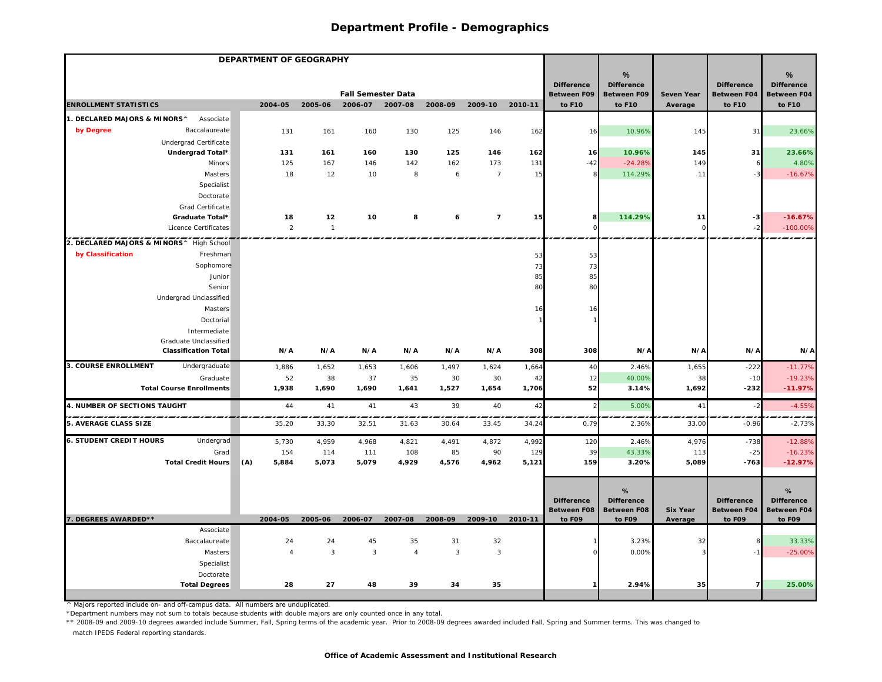|                                              | DEPARTMENT OF GEOGRAPHY |                                  |                           |                 |              |                          |         |                                         |                                         |                 |                                         |                                  |
|----------------------------------------------|-------------------------|----------------------------------|---------------------------|-----------------|--------------|--------------------------|---------|-----------------------------------------|-----------------------------------------|-----------------|-----------------------------------------|----------------------------------|
|                                              |                         |                                  |                           |                 |              |                          |         |                                         | %                                       |                 |                                         | %                                |
|                                              |                         |                                  | <b>Fall Semester Data</b> |                 |              |                          |         | <b>Difference</b><br><b>Between F09</b> | <b>Difference</b><br><b>Between F09</b> | Seven Year      | <b>Difference</b><br><b>Between F04</b> | <b>Difference</b><br>Between F04 |
| <b>ENROLLMENT STATISTICS</b>                 | 2004-05                 | 2005-06                          |                           | 2006-07 2007-08 | 2008-09      | 2009-10                  | 2010-11 | to F10                                  | to F10                                  | Average         | to F10                                  | to F10                           |
| 1. DECLARED MAJORS & MINORS^<br>Associate    |                         |                                  |                           |                 |              |                          |         |                                         |                                         |                 |                                         |                                  |
| by Degree<br>Baccalaureate                   | 131                     | 161                              | 160                       | 130             | 125          | 146                      | 162     | 16                                      | 10.96%                                  | 145             | 31                                      | 23.66%                           |
| Undergrad Certificate                        |                         |                                  |                           |                 |              |                          |         |                                         |                                         |                 |                                         |                                  |
| Undergrad Total*                             | 131                     | 161                              | 160                       | 130             | 125          | 146                      | 162     | 16                                      | 10.96%                                  | 145             | 31                                      | 23.66%                           |
| Minors                                       | 125                     | 167                              | 146                       | 142             | 162          | 173                      | 131     | $-42$                                   | $-24.28%$                               | 149             |                                         | 4.80%                            |
| Masters                                      | 18                      | 12                               | 10                        | 8               | 6            | $\overline{7}$           | 15      |                                         | 114.29%                                 | 11              | -3                                      | $-16.67%$                        |
| Specialist                                   |                         |                                  |                           |                 |              |                          |         |                                         |                                         |                 |                                         |                                  |
| Doctorate                                    |                         |                                  |                           |                 |              |                          |         |                                         |                                         |                 |                                         |                                  |
| Grad Certificate                             |                         |                                  |                           |                 |              |                          |         |                                         |                                         |                 |                                         |                                  |
| Graduate Total*                              | 18                      | 12                               | 10                        | 8               | 6            | $\overline{\phantom{a}}$ | 15      | 8                                       | 114.29%                                 | 11              | -3                                      | $-16.67%$                        |
| Licence Certificates                         |                         | $\overline{2}$<br>$\overline{1}$ |                           |                 |              |                          |         |                                         |                                         | $\circ$         | -2                                      | $-100.00\%$                      |
| 2. DECLARED MAJORS & MINORS^ High School     |                         |                                  |                           |                 |              |                          |         |                                         |                                         |                 |                                         |                                  |
| by Classification<br>Freshman                |                         |                                  |                           |                 |              |                          | 53      | 53                                      |                                         |                 |                                         |                                  |
| Sophomore                                    |                         |                                  |                           |                 |              |                          | 73      | 73                                      |                                         |                 |                                         |                                  |
| Junior                                       |                         |                                  |                           |                 |              |                          | 85      | 85                                      |                                         |                 |                                         |                                  |
| Senior                                       |                         |                                  |                           |                 |              |                          | 80      | 80                                      |                                         |                 |                                         |                                  |
| Undergrad Unclassified                       |                         |                                  |                           |                 |              |                          |         |                                         |                                         |                 |                                         |                                  |
| Masters                                      |                         |                                  |                           |                 |              |                          | 16      | 16                                      |                                         |                 |                                         |                                  |
| Doctorial                                    |                         |                                  |                           |                 |              |                          |         |                                         |                                         |                 |                                         |                                  |
| Intermediate                                 |                         |                                  |                           |                 |              |                          |         |                                         |                                         |                 |                                         |                                  |
| Graduate Unclassified                        |                         |                                  |                           |                 |              |                          |         |                                         |                                         |                 |                                         |                                  |
| <b>Classification Total</b>                  | N/A                     | N/A                              | N/A                       | N/A             | N/A          | N/A                      | 308     | 308                                     | N/A                                     | N/A             | N/A                                     | N/A                              |
| <b>3. COURSE ENROLLMENT</b><br>Undergraduate | 1,886                   | 1,652                            | 1,653                     | 1,606           | 1,497        | 1,624                    | 1,664   | 40                                      | 2.46%                                   | 1,655           | $-222$                                  | $-11.77%$                        |
| Graduate                                     | 52                      | 38                               | 37                        | 35              | 30           | 30                       | 42      | 12                                      | 40.00%                                  | 38              | $-10$                                   | $-19.23%$                        |
| <b>Total Course Enrollments</b>              | 1,938                   | 1,690                            | 1,690                     | 1,641           | 1,527        | 1,654                    | 1,706   | 52                                      | 3.14%                                   | 1,692           | $-232$                                  | $-11.97%$                        |
| <b>4. NUMBER OF SECTIONS TAUGHT</b>          | 44                      | 41                               | 41                        | 43              | 39           | 40                       | 42      |                                         | 5.00%                                   | 41              | $\overline{a}$                          | $-4.55%$                         |
| 5. AVERAGE CLASS SIZE                        | 35.20                   | 33.30                            | 32.51                     | 31.63           | 30.64        | 33.45                    | 34.24   | 0.79                                    | 2.36%                                   | 33.00           | $-0.96$                                 | $-2.73%$                         |
| <b>6. STUDENT CREDIT HOURS</b><br>Undergrad  | 5,730                   | 4,959                            | 4,968                     | 4,821           | 4,491        | 4,872                    | 4,992   | 12C                                     | 2.46%                                   | 4,976           | $-738$                                  | $-12.88%$                        |
| Grad                                         | 154                     | 114                              | 111                       | 108             | 85           | 90                       | 129     | 39                                      | 43.33%                                  | 113             | $-25$                                   | $-16.23%$                        |
| <b>Total Credit Hours</b>                    | (A)<br>5,884            | 5,073                            | 5,079                     | 4,929           | 4,576        | 4,962                    | 5,121   | 159                                     | 3.20%                                   | 5,089           | $-763$                                  | $-12.97%$                        |
|                                              |                         |                                  |                           |                 |              |                          |         |                                         |                                         |                 |                                         |                                  |
|                                              |                         |                                  |                           |                 |              |                          |         |                                         | %<br><b>Difference</b>                  |                 |                                         | %<br><b>Difference</b>           |
|                                              |                         |                                  |                           |                 |              |                          |         | <b>Difference</b><br><b>Between F08</b> | <b>Between F08</b>                      | <b>Six Year</b> | <b>Difference</b><br>Between F04        | <b>Between F04</b>               |
| 7. DEGREES AWARDED**                         | 2004-05                 | 2005-06                          | 2006-07                   | 2007-08         | 2008-09      | 2009-10                  | 2010-11 | to F09                                  | to F09                                  | Average         | to F09                                  | to F09                           |
| Associate                                    |                         |                                  |                           |                 |              |                          |         |                                         |                                         |                 |                                         |                                  |
| Baccalaureate                                | 24                      | 24                               | 45                        | 35              | 31           | 32                       |         |                                         | 3.23%                                   | 32              |                                         | 33.33%                           |
| Masters                                      |                         | $\mathbf{3}$<br>$\overline{4}$   | $\mathbf{3}$              | $\overline{4}$  | $\mathbf{3}$ | $\mathbf{3}$             |         |                                         | 0.00%                                   | 3               |                                         | $-25.00%$                        |
| Specialist                                   |                         |                                  |                           |                 |              |                          |         |                                         |                                         |                 |                                         |                                  |
| Doctorate                                    |                         |                                  |                           |                 |              |                          |         |                                         |                                         |                 |                                         |                                  |
| <b>Total Degrees</b>                         | 28                      | 27                               | 48                        | 39              | 34           | 35                       |         |                                         | 2.94%                                   | 35              |                                         | 25.00%                           |

^ Majors reported include on- and off-campus data. All numbers are unduplicated.

\*Department numbers may not sum to totals because students with double majors are only counted once in any total.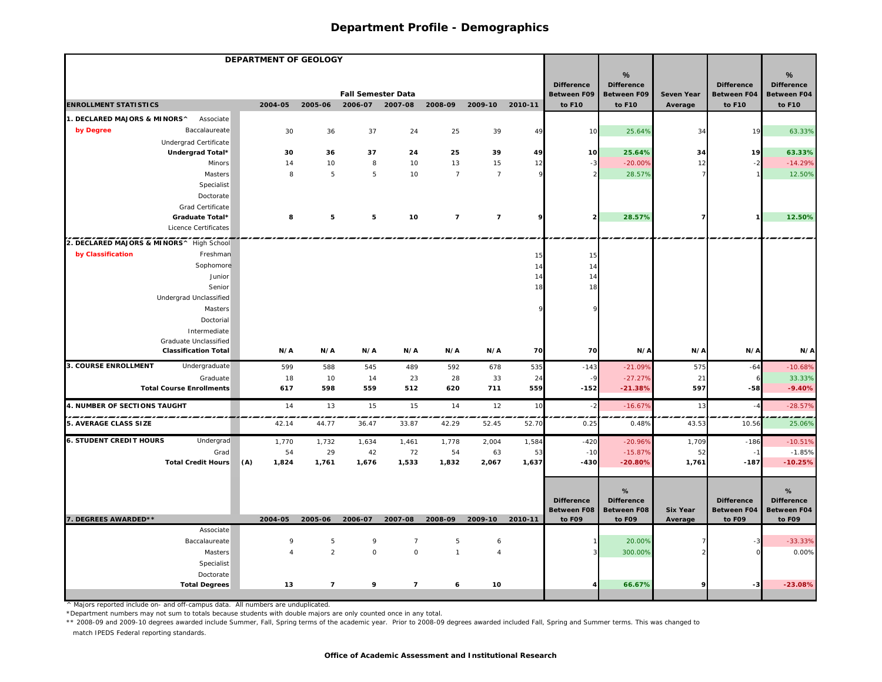|                                                      | DEPARTMENT OF GEOLOGY |                                  |         |                           |                |                      |          |                    |                        |                          |                    |                        |
|------------------------------------------------------|-----------------------|----------------------------------|---------|---------------------------|----------------|----------------------|----------|--------------------|------------------------|--------------------------|--------------------|------------------------|
|                                                      |                       |                                  |         |                           |                |                      |          | <b>Difference</b>  | %<br><b>Difference</b> |                          | <b>Difference</b>  | %<br><b>Difference</b> |
|                                                      |                       |                                  |         | <b>Fall Semester Data</b> |                |                      |          | <b>Between F09</b> | <b>Between F09</b>     | Seven Year               | <b>Between F04</b> | <b>Between F04</b>     |
| <b>ENROLLMENT STATISTICS</b>                         | 2004-05               | 2005-06                          |         | 2006-07 2007-08           | 2008-09        | 2009-10              | 2010-11  | to F10             | to F10                 | Average                  | to F10             | to F10                 |
| . DECLARED MAJORS & MINORS^<br>Associate             |                       |                                  |         |                           |                |                      |          |                    |                        |                          |                    |                        |
| by Degree<br>Baccalaureate                           |                       | 30<br>36                         | 37      | 24                        | 25             | 39                   | 49       | 10                 | 25.64%                 | 34                       | 19                 | 63.33%                 |
| Undergrad Certificate                                |                       |                                  |         |                           |                |                      |          |                    |                        |                          |                    |                        |
| Undergrad Total*                                     |                       | 30<br>36<br>10                   | 37<br>8 | 24<br>10                  | 25<br>13       | 39                   | 49<br>12 | 10                 | 25.64%<br>$-20.00%$    | 34<br>12                 | 19                 | 63.33%                 |
| Minors<br>Masters                                    |                       | 14<br>8<br>5                     | 5       | 10                        | $\overline{7}$ | 15<br>$\overline{7}$ |          | $-3$               | 28.57%                 |                          | $-2$               | $-14.29%$<br>12.50%    |
| Specialist                                           |                       |                                  |         |                           |                |                      |          |                    |                        |                          |                    |                        |
| Doctorate                                            |                       |                                  |         |                           |                |                      |          |                    |                        |                          |                    |                        |
| Grad Certificate                                     |                       |                                  |         |                           |                |                      |          |                    |                        |                          |                    |                        |
| Graduate Total*                                      |                       | 8<br>5                           | 5       | 10                        | $\overline{7}$ | $\overline{7}$       | 91       |                    | 28.57%                 | $\overline{\phantom{a}}$ |                    | 12.50%                 |
| Licence Certificates                                 |                       |                                  |         |                           |                |                      |          |                    |                        |                          |                    |                        |
| 2. DECLARED MAJORS & MINORS^ High School             |                       |                                  |         |                           |                |                      |          |                    |                        |                          |                    |                        |
| by Classification<br>Freshman                        |                       |                                  |         |                           |                |                      | 15       | 15                 |                        |                          |                    |                        |
| Sophomore                                            |                       |                                  |         |                           |                |                      | 14       | 14                 |                        |                          |                    |                        |
| Junior                                               |                       |                                  |         |                           |                |                      | 14       | 14                 |                        |                          |                    |                        |
| Senior                                               |                       |                                  |         |                           |                |                      | 18       | 18                 |                        |                          |                    |                        |
| Undergrad Unclassified                               |                       |                                  |         |                           |                |                      |          |                    |                        |                          |                    |                        |
| Masters                                              |                       |                                  |         |                           |                |                      |          |                    |                        |                          |                    |                        |
| Doctorial                                            |                       |                                  |         |                           |                |                      |          |                    |                        |                          |                    |                        |
| Intermediate                                         |                       |                                  |         |                           |                |                      |          |                    |                        |                          |                    |                        |
| Graduate Unclassified<br><b>Classification Total</b> | N/A                   | N/A                              | N/A     | N/A                       | N/A            | N/A                  | 70       | 70                 | N/A                    | N/A                      | N/A                | N/A                    |
| 3. COURSE ENROLLMENT<br>Undergraduate                |                       | 599<br>588                       | 545     | 489                       | 592            | 678                  | 535      | $-143$             | $-21.09%$              | 575                      | $-64$              | $-10.68%$              |
| Graduate                                             |                       | 18<br>10                         | 14      | 23                        | 28             | 33                   | 24       | $-9$               | $-27.27%$              | 21                       |                    | 33.33%                 |
| <b>Total Course Enrollments</b>                      |                       | 617<br>598                       | 559     | 512                       | 620            | 711                  | 559      | $-152$             | $-21.38%$              | 597                      | $-58$              | $-9.40%$               |
| 4. NUMBER OF SECTIONS TAUGHT                         |                       | 14<br>13                         | 15      | 15                        | 14             | 12                   | 10       | $-2$               | $-16.67%$              | 13                       |                    | $-28.57%$              |
|                                                      |                       |                                  |         |                           |                |                      |          |                    |                        |                          |                    |                        |
| 5. AVERAGE CLASS SIZE                                | 42.14                 | 44.77                            | 36.47   | 33.87                     | 42.29          | 52.45                | 52.70    | 0.25               | 0.48%                  | 43.53                    | 10.56              | 25.06%                 |
| <b>6. STUDENT CREDIT HOURS</b><br>Undergrad          | 1,770                 | 1,732                            | 1,634   | 1,461                     | 1,778          | 2,004                | 1,584    | $-420$             | $-20.96%$              | 1,709                    | $-186$             | $-10.51%$              |
| Grad                                                 |                       | 29<br>54                         | 42      | 72                        | 54             | 63                   | 53       | $-10$              | $-15.87%$              | 52                       |                    | $-1.85%$               |
| <b>Total Credit Hours</b>                            | (A)<br>1,824          | 1,761                            | 1,676   | 1,533                     | 1,832          | 2,067                | 1,637    | $-430$             | $-20.80%$              | 1,761                    | $-187$             | $-10.25%$              |
|                                                      |                       |                                  |         |                           |                |                      |          |                    | %                      |                          |                    | %                      |
|                                                      |                       |                                  |         |                           |                |                      |          | <b>Difference</b>  | <b>Difference</b>      |                          | <b>Difference</b>  | <b>Difference</b>      |
|                                                      |                       |                                  |         |                           |                |                      |          | <b>Between F08</b> | <b>Between F08</b>     | <b>Six Year</b>          | Between F04        | Between F04            |
| 7. DEGREES AWARDED**                                 | 2004-05               | 2005-06                          | 2006-07 | 2007-08                   | 2008-09        | 2009-10              | 2010-11  | to F09             | to F09                 | Average                  | to F09             | to F09                 |
| Associate                                            |                       |                                  |         |                           |                |                      |          |                    |                        |                          |                    |                        |
| Baccalaureate                                        |                       | 9<br>5                           | 9       | $\overline{7}$            | 5              | 6                    |          |                    | 20.00%                 |                          |                    | $-33.33%$              |
| Masters                                              |                       | $\overline{2}$<br>$\overline{4}$ | $\circ$ | $\circ$                   | $\mathbf{1}$   | $\overline{4}$       |          |                    | 300.00%                |                          |                    | 0.00%                  |
| Specialist                                           |                       |                                  |         |                           |                |                      |          |                    |                        |                          |                    |                        |
| Doctorate<br><b>Total Degrees</b>                    |                       | $\overline{7}$<br>13             | 9       | $\overline{7}$            | 6              | 10                   |          |                    | 66.67%                 |                          | $-3$               | $-23.08%$              |
|                                                      |                       |                                  |         |                           |                |                      |          |                    |                        |                          |                    |                        |

^ Majors reported include on- and off-campus data. All numbers are unduplicated.

\*Department numbers may not sum to totals because students with double majors are only counted once in any total.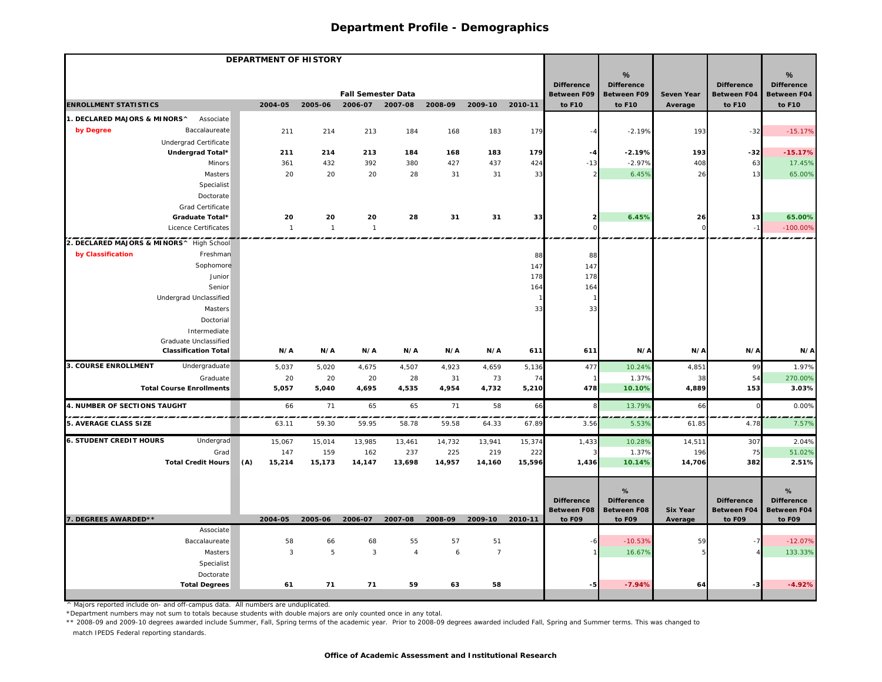|                                             | DEPARTMENT OF HISTORY |                |                           |                |         |                |         |                                         |                                         |                 |                                  |                                  |
|---------------------------------------------|-----------------------|----------------|---------------------------|----------------|---------|----------------|---------|-----------------------------------------|-----------------------------------------|-----------------|----------------------------------|----------------------------------|
|                                             |                       |                |                           |                |         |                |         | <b>Difference</b>                       | %<br><b>Difference</b>                  |                 | <b>Difference</b>                | %<br><b>Difference</b>           |
|                                             |                       |                | <b>Fall Semester Data</b> |                |         |                |         | <b>Between F09</b>                      | <b>Between F09</b>                      | Seven Year      | <b>Between F04</b>               | Between F04                      |
| <b>ENROLLMENT STATISTICS</b>                | 2004-05               | 2005-06        | 2006-07 2007-08           |                | 2008-09 | 2009-10        | 2010-11 | to F10                                  | to F10                                  | Average         | to F10                           | to F10                           |
| 1. DECLARED MAJORS & MINORS^<br>Associate   |                       |                |                           |                |         |                |         |                                         |                                         |                 |                                  |                                  |
| by Degree<br>Baccalaureate                  | 211                   | 214            | 213                       | 184            | 168     | 183            | 179     |                                         | $-2.19%$                                | 193             | $-32$                            | $-15.17%$                        |
| Undergrad Certificate                       |                       |                |                           |                |         |                |         |                                         |                                         |                 |                                  |                                  |
| Undergrad Total*                            | 211                   | 214            | 213                       | 184            | 168     | 183            | 179     | -4                                      | $-2.19%$                                | 193             | $-32$                            | $-15.17%$                        |
| Minors                                      | 361                   | 432            | 392                       | 380            | 427     | 437            | 424     | $-13$                                   | $-2.97%$                                | 408             | 63                               | 17.45%                           |
| Masters                                     | 20                    | 20             | 20                        | 28             | 31      | 31             | 33      |                                         | 6.45%                                   | 26              | 13                               | 65.00%                           |
| Specialist                                  |                       |                |                           |                |         |                |         |                                         |                                         |                 |                                  |                                  |
| Doctorate                                   |                       |                |                           |                |         |                |         |                                         |                                         |                 |                                  |                                  |
| Grad Certificate                            |                       |                |                           |                |         |                |         |                                         |                                         |                 |                                  |                                  |
| Graduate Total*                             | 20                    | 20             | 20                        | 28             | 31      | 31             | 33      |                                         | 6.45%                                   | 26              | 13                               | 65.00%                           |
| Licence Certificates                        | $\overline{1}$        | $\overline{1}$ | $\overline{1}$            |                |         |                |         |                                         |                                         | $\circ$         | $-1$                             | $-100.00\%$                      |
| 2. DECLARED MAJORS & MINORS^ High School    |                       |                |                           |                |         |                |         |                                         |                                         |                 |                                  |                                  |
| by Classification<br>Freshman               |                       |                |                           |                |         |                | 88      | 88                                      |                                         |                 |                                  |                                  |
| Sophomore                                   |                       |                |                           |                |         |                | 147     | 147                                     |                                         |                 |                                  |                                  |
| Junior                                      |                       |                |                           |                |         |                | 178     | 178                                     |                                         |                 |                                  |                                  |
| Senior                                      |                       |                |                           |                |         |                | 164     | 164                                     |                                         |                 |                                  |                                  |
| Undergrad Unclassified                      |                       |                |                           |                |         |                |         |                                         |                                         |                 |                                  |                                  |
| Masters                                     |                       |                |                           |                |         |                | 33      | 33                                      |                                         |                 |                                  |                                  |
| Doctorial                                   |                       |                |                           |                |         |                |         |                                         |                                         |                 |                                  |                                  |
| Intermediate                                |                       |                |                           |                |         |                |         |                                         |                                         |                 |                                  |                                  |
| Graduate Unclassified                       |                       |                |                           |                |         |                |         |                                         |                                         |                 |                                  |                                  |
| <b>Classification Total</b>                 | N/A                   | N/A            | N/A                       | N/A            | N/A     | N/A            | 611     | 611                                     | N/A                                     | N/A             | N/A                              | N/A                              |
| 3. COURSE ENROLLMENT<br>Undergraduate       | 5,037                 | 5,020          | 4,675                     | 4,507          | 4,923   | 4,659          | 5,136   | 477                                     | 10.24%                                  | 4,851           | 99                               | 1.97%                            |
| Graduate                                    | 20                    | 20             | 20                        | 28             | 31      | 73             | 74      |                                         | 1.37%                                   | 38              | 54                               | 270.00%                          |
| <b>Total Course Enrollments</b>             | 5,057                 | 5,040          | 4,695                     | 4,535          | 4,954   | 4,732          | 5,210   | 478                                     | 10.10%                                  | 4,889           | 153                              | 3.03%                            |
| 4. NUMBER OF SECTIONS TAUGHT                | 66                    | 71             | 65                        | 65             | 71      | 58             | 66      |                                         | 13.79%                                  | 66              |                                  | 0.00%                            |
| <b>5. AVERAGE CLASS SIZE</b>                | 63.11                 | 59.30          | 59.95                     | 58.78          | 59.58   | 64.33          | 67.89   | 3.56                                    | 5.53%                                   | 61.85           | 4.78                             | 7.57%                            |
| <b>6. STUDENT CREDIT HOURS</b><br>Undergrad | 15,067                | 15,014         | 13,985                    | 13,461         | 14,732  | 13,941         | 15,374  | 1,433                                   | 10.28%                                  | 14,511          | 307                              | 2.04%                            |
| Grad                                        | 147                   | 159            | 162                       | 237            | 225     | 219            | 222     |                                         | 1.37%                                   | 196             | 75                               | 51.02%                           |
| <b>Total Credit Hours</b>                   | (A)<br>15,214         | 15,173         | 14,147                    | 13,698         | 14,957  | 14,160         | 15,596  | 1,436                                   | 10.14%                                  | 14,706          | 382                              | 2.51%                            |
|                                             |                       |                |                           |                |         |                |         |                                         |                                         |                 |                                  |                                  |
|                                             |                       |                |                           |                |         |                |         |                                         | %                                       |                 |                                  | %                                |
|                                             |                       |                |                           |                |         |                |         | <b>Difference</b><br><b>Between F08</b> | <b>Difference</b><br><b>Between F08</b> | <b>Six Year</b> | <b>Difference</b><br>Between F04 | <b>Difference</b><br>Between F04 |
| 7. DEGREES AWARDED**                        | 2004-05               | 2005-06        | 2006-07                   | 2007-08        | 2008-09 | 2009-10        | 2010-11 | to F09                                  | to F09                                  | Average         | to F09                           | to F09                           |
| Associate                                   |                       |                |                           |                |         |                |         |                                         |                                         |                 |                                  |                                  |
| Baccalaureate                               | 58                    | 66             | 68                        | 55             | 57      | 51             |         |                                         | $-10.53%$                               | 59              |                                  | $-12.07%$                        |
| Masters                                     | $\overline{3}$        | 5              | 3                         | $\overline{4}$ | 6       | $\overline{7}$ |         |                                         | 16.67%                                  |                 |                                  | 133.33%                          |
| Specialist                                  |                       |                |                           |                |         |                |         |                                         |                                         |                 |                                  |                                  |
| Doctorate                                   |                       |                |                           |                |         |                |         |                                         |                                         |                 |                                  |                                  |
| <b>Total Degrees</b>                        | 61                    | 71             | 71                        | 59             | 63      | 58             |         |                                         | $-7.94%$                                | 64              | -3                               | $-4.92%$                         |
|                                             |                       |                |                           |                |         |                |         |                                         |                                         |                 |                                  |                                  |

^ Majors reported include on- and off-campus data. All numbers are unduplicated.

\*Department numbers may not sum to totals because students with double majors are only counted once in any total.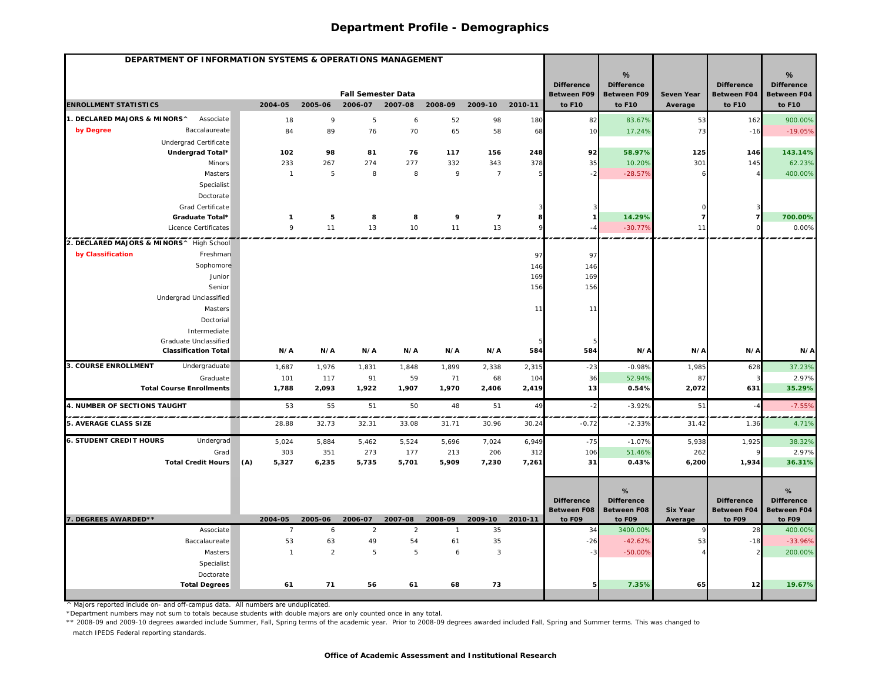| DEPARTMENT OF INFORMATION SYSTEMS & OPERATIONS MANAGEMENT |                           |                |                           |                           |                           |                |         |                                         |                                         |                   |                                         |                                         |
|-----------------------------------------------------------|---------------------------|----------------|---------------------------|---------------------------|---------------------------|----------------|---------|-----------------------------------------|-----------------------------------------|-------------------|-----------------------------------------|-----------------------------------------|
|                                                           |                           |                |                           |                           |                           |                |         |                                         | %                                       |                   |                                         | %                                       |
|                                                           |                           |                | <b>Fall Semester Data</b> |                           |                           |                |         | <b>Difference</b><br><b>Between F09</b> | <b>Difference</b><br><b>Between F09</b> | <b>Seven Year</b> | <b>Difference</b><br><b>Between F04</b> | <b>Difference</b><br><b>Between F04</b> |
| <b>ENROLLMENT STATISTICS</b>                              | 2004-05                   | 2005-06        |                           | 2006-07 2007-08           | 2008-09                   | 2009-10        | 2010-11 | to F10                                  | to F10                                  | Average           | to F10                                  | to F10                                  |
| . DECLARED MAJORS & MINORS^<br>Associate                  | 18                        | 9              | 5                         | 6                         | 52                        | 98             | 180     | 82                                      | 83.67%                                  | 53                | 162                                     | 900.00%                                 |
| by Degree<br>Baccalaureate                                | 84                        | 89             | 76                        | 70                        | 65                        | 58             | 68      | 10                                      | 17.24%                                  | 73                | $-16$                                   | $-19.05%$                               |
| Undergrad Certificate                                     |                           |                |                           |                           |                           |                |         |                                         |                                         |                   |                                         |                                         |
| Undergrad Total*                                          | 102                       | 98             | 81                        | 76                        | 117                       | 156            | 248     | 92                                      | 58.97%                                  | 125               | 146                                     | 143.14%                                 |
| Minors                                                    | 233                       | 267            | 274                       | 277                       | 332                       | 343            | 378     | 35                                      | 10.20%                                  | 301               | 145                                     | 62.23%                                  |
| Masters                                                   | $\overline{1}$            | 5              | 8                         | 8                         | 9                         | $\overline{7}$ | 5       | $-2$                                    | $-28.57%$                               |                   |                                         | 400.00%                                 |
| Specialist                                                |                           |                |                           |                           |                           |                |         |                                         |                                         |                   |                                         |                                         |
| Doctorate                                                 |                           |                |                           |                           |                           |                |         |                                         |                                         |                   |                                         |                                         |
| Grad Certificate                                          |                           |                |                           |                           |                           |                |         |                                         |                                         |                   |                                         |                                         |
| Graduate Total*                                           | $\mathbf{1}$              | 5              | 8                         | 8                         | 9                         | $\overline{7}$ | 8       |                                         | 14.29%                                  |                   |                                         | 700.00%                                 |
| Licence Certificates                                      | 9                         | 11             | 13                        | 10                        | 11                        | 13             |         |                                         | $-30.779$                               | 11                |                                         | 0.00%                                   |
| 2. DECLARED MAJORS & MINORS^ High School                  |                           |                |                           |                           |                           |                |         |                                         |                                         |                   |                                         |                                         |
| by Classification<br>Freshman                             |                           |                |                           |                           |                           |                | 97      | 97                                      |                                         |                   |                                         |                                         |
| Sophomore                                                 |                           |                |                           |                           |                           |                | 146     | 146                                     |                                         |                   |                                         |                                         |
| Junior                                                    |                           |                |                           |                           |                           |                | 169     | 169                                     |                                         |                   |                                         |                                         |
| Senior                                                    |                           |                |                           |                           |                           |                | 156     | 156                                     |                                         |                   |                                         |                                         |
| Undergrad Unclassified                                    |                           |                |                           |                           |                           |                |         |                                         |                                         |                   |                                         |                                         |
| Masters                                                   |                           |                |                           |                           |                           |                | 11      | 11                                      |                                         |                   |                                         |                                         |
| Doctorial                                                 |                           |                |                           |                           |                           |                |         |                                         |                                         |                   |                                         |                                         |
| Intermediate                                              |                           |                |                           |                           |                           |                |         |                                         |                                         |                   |                                         |                                         |
| Graduate Unclassified                                     |                           |                |                           |                           |                           |                |         |                                         |                                         |                   |                                         |                                         |
| <b>Classification Total</b>                               | N/A                       | N/A            | N/A                       | N/A                       | N/A                       | N/A            | 584     | 584                                     | N/A                                     | N/A               | N/A                                     | N/A                                     |
| 3. COURSE ENROLLMENT<br>Undergraduate                     | 1,687                     | 1,976          | 1,831                     | 1,848                     | 1,899                     | 2,338          | 2,315   | $-23$                                   | $-0.98%$                                | 1,985             | 628                                     | 37.23%                                  |
| Graduate                                                  | 101                       | 117            | 91                        | 59                        | 71                        | 68             | 104     | 36                                      | 52.94%                                  | 87                |                                         | 2.97%                                   |
| <b>Total Course Enrollments</b>                           | 1,788                     | 2,093          | 1,922                     | 1,907                     | 1,970                     | 2,406          | 2,419   | 13                                      | 0.54%                                   | 2,072             | 631                                     | 35.29%                                  |
| 4. NUMBER OF SECTIONS TAUGHT                              | 53                        | 55             | 51                        | 50                        | 48                        | 51             | 49      | $-2$                                    | $-3.92%$                                | 51                |                                         | $-7.55%$                                |
| 5. AVERAGE CLASS SIZE                                     | 28.88                     | 32.73          | 32.31                     | 33.08                     | 31.71                     | 30.96          | 30.24   | $-0.72$                                 | $-2.33%$                                | 31.42             | 1.36                                    | 4.71%                                   |
| <b>6. STUDENT CREDIT HOURS</b><br>Undergrad               | 5,024                     | 5,884          | 5,462                     | 5,524                     | 5,696                     | 7,024          | 6,949   | $-75$                                   | $-1.07%$                                | 5,938             | 1,925                                   | 38.32%                                  |
| Grad                                                      | 303                       | 351            | 273                       | 177                       | 213                       | 206            | 312     | 106                                     | 51.46%                                  | 262               |                                         | 2.97%                                   |
| <b>Total Credit Hours</b>                                 | (A)<br>5,327              | 6,235          | 5,735                     | 5,701                     | 5,909                     | 7,230          | 7,261   | 31                                      | 0.43%                                   | 6,200             | 1,934                                   | 36.31%                                  |
|                                                           |                           |                |                           |                           |                           |                |         |                                         |                                         |                   |                                         |                                         |
|                                                           |                           |                |                           |                           |                           |                |         |                                         | %                                       |                   |                                         | %                                       |
|                                                           |                           |                |                           |                           |                           |                |         | <b>Difference</b>                       | <b>Difference</b>                       |                   | <b>Difference</b>                       | <b>Difference</b>                       |
| 7. DEGREES AWARDED**                                      |                           |                |                           |                           |                           | 2009-10        |         | <b>Between F08</b>                      | <b>Between F08</b>                      | <b>Six Year</b>   | <b>Between F04</b>                      | Between F04                             |
| Associate                                                 | 2004-05<br>$\overline{7}$ | 2005-06<br>6   | 2006-07<br>$\overline{2}$ | 2007-08<br>$\overline{2}$ | 2008-09<br>$\overline{1}$ | 35             | 2010-11 | to F09<br>34                            | to F09<br>3400.00%                      | Average           | to F09<br>28                            | to F09<br>400.00%                       |
| Baccalaureate                                             | 53                        | 63             | 49                        | 54                        | 61                        | 35             |         | $-26$                                   | $-42.62%$                               | 53                | $-18$                                   | $-33.96%$                               |
| Masters                                                   | $\overline{1}$            | $\overline{2}$ | $\sqrt{5}$                | 5                         | 6                         | $\mathbf{3}$   |         | -3                                      | $-50.00%$                               |                   |                                         | 200.00%                                 |
| Specialist                                                |                           |                |                           |                           |                           |                |         |                                         |                                         |                   |                                         |                                         |
| Doctorate                                                 |                           |                |                           |                           |                           |                |         |                                         |                                         |                   |                                         |                                         |
| <b>Total Degrees</b>                                      | 61                        | 71             | 56                        | 61                        | 68                        | 73             |         |                                         | 7.35%                                   | 65                | 12                                      | 19.67%                                  |
|                                                           |                           |                |                           |                           |                           |                |         |                                         |                                         |                   |                                         |                                         |

^ Majors reported include on- and off-campus data. All numbers are unduplicated.

\*Department numbers may not sum to totals because students with double majors are only counted once in any total.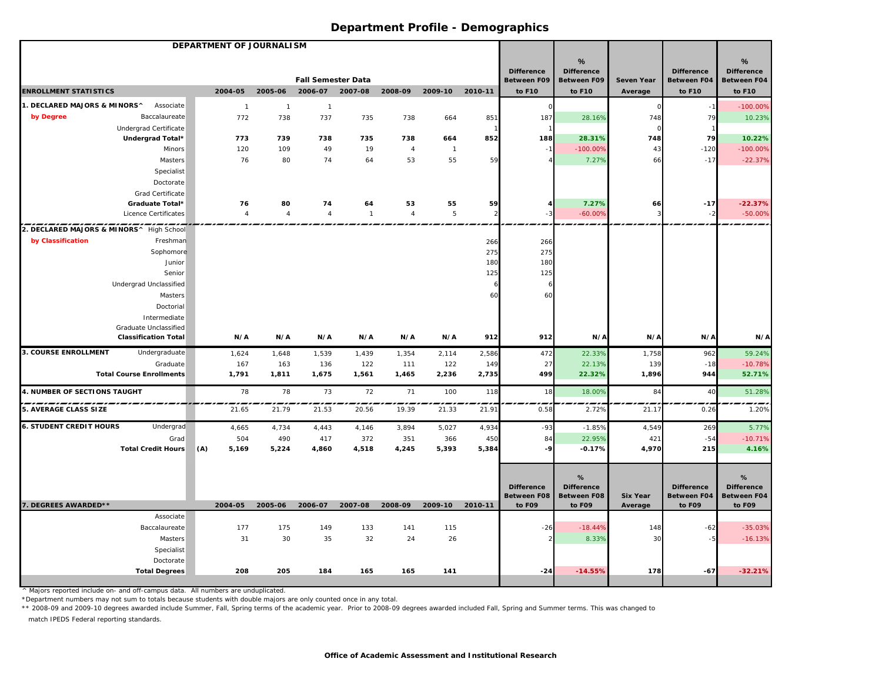| %<br>%<br><b>Difference</b><br><b>Difference</b><br><b>Difference</b><br><b>Difference</b><br><b>Fall Semester Data</b><br>Between F09<br><b>Between F09</b><br>Between F04<br><b>Between F04</b><br><b>Seven Year</b><br><b>ENROLLMENT STATISTICS</b><br>2004-05<br>2005-06<br>2006-07<br>2007-08<br>2008-09<br>2009-10<br>2010-11<br>to F10<br>to F10<br>to F10<br>to F10<br>Average<br>1. DECLARED MAJORS & MINORS^<br>Associate<br>$-100.00%$<br>$\overline{1}$<br>$\overline{1}$<br>$\overline{1}$<br>$\Omega$<br>by Degree<br><b>Baccalaureate</b><br>772<br>738<br>737<br>79<br>735<br>738<br>851<br>187<br>28.16%<br>748<br>10.23%<br>664<br>Undergrad Certificate<br>$\Omega$<br>79<br>10.22%<br>Undergrad Total*<br>773<br>739<br>738<br>735<br>738<br>852<br>188<br>28.31%<br>748<br>664<br>120<br>109<br>49<br>19<br>$-100.00%$<br>43<br>$-120$<br>$-100.00%$<br>Minors<br>$\overline{4}$<br>$\overline{1}$<br>$-1$<br>55<br>59<br>Masters<br>76<br>80<br>74<br>53<br>7.27%<br>$-17$<br>$-22.37%$<br>64<br>66<br>Specialist<br>Doctorate<br>Grad Certificate<br>Graduate Total*<br>76<br>80<br>74<br>64<br>53<br>55<br>59<br>7.27%<br>$-17$<br>$-22.37%$<br>66<br>5<br>$-50.00%$<br>Licence Certificates<br>$\overline{4}$<br>$\mathcal{P}$<br>$-60.00%$<br>$\overline{4}$<br>$\overline{4}$<br>$\overline{4}$<br>$\overline{1}$<br>$-2$<br>2. DECLARED MAJORS & MINORS^ High School<br>by Classification<br>Freshman<br>266<br>266<br>Sophomore<br>275<br>275<br>180<br>180<br>Junior<br>125<br>125<br>Senior<br>Undergrad Unclassified<br><b>Masters</b><br>60<br>60<br>Doctorial<br>Intermediate<br>Graduate Unclassified<br><b>Classification Total</b><br>N/A<br>N/A<br>N/A<br>N/A<br>N/A<br>N/A<br>912<br>912<br>N/A<br>N/A<br>N/A<br>N/A<br><b>3. COURSE ENROLLMENT</b><br>Undergraduate<br>59.24%<br>1,539<br>1,354<br>2,114<br>472<br>22.33%<br>1,758<br>962<br>1,624<br>1,648<br>1,439<br>2,586<br>$-10.78%$<br>Graduate<br>167<br>163<br>136<br>122<br>111<br>122<br>149<br>27<br>22.13%<br>139<br>$-18$<br><b>Total Course Enrollments</b><br>1,791<br>1,675<br>2,236<br>2,735<br>499<br>22.32%<br>1,896<br>52.71%<br>1,811<br>1,561<br>1,465<br>944<br>51.28%<br>78<br>78<br>73<br>72<br>18<br>18.00%<br>71<br>100<br>118<br>84<br>40<br>----<br>21.53<br>20.56<br>21.33<br>21.9<br>2.72%<br>21.17<br>1.20%<br>21.65<br>21.79<br>19.39<br>0.58<br>0.26<br>Undergrad<br>$-93$<br>269<br>5.77%<br>4,443<br>5,027<br>4,934<br>$-1.85%$<br>4,549<br>4,665<br>4,734<br>4,146<br>3,894<br>504<br>490<br>417<br>372<br>450<br>22.95%<br>421<br>$-10.71%$<br>Grad<br>351<br>366<br>84<br>$-54$<br><b>Total Credit Hours</b><br>(A)<br>5,393<br>5,384<br>$-9$<br>$-0.17%$<br>4,970<br>215<br>4.16%<br>5,169<br>5,224<br>4,860<br>4,518<br>4,245 |                                | DEPARTMENT OF JOURNALISM |  |  |  |   |  |   |
|-----------------------------------------------------------------------------------------------------------------------------------------------------------------------------------------------------------------------------------------------------------------------------------------------------------------------------------------------------------------------------------------------------------------------------------------------------------------------------------------------------------------------------------------------------------------------------------------------------------------------------------------------------------------------------------------------------------------------------------------------------------------------------------------------------------------------------------------------------------------------------------------------------------------------------------------------------------------------------------------------------------------------------------------------------------------------------------------------------------------------------------------------------------------------------------------------------------------------------------------------------------------------------------------------------------------------------------------------------------------------------------------------------------------------------------------------------------------------------------------------------------------------------------------------------------------------------------------------------------------------------------------------------------------------------------------------------------------------------------------------------------------------------------------------------------------------------------------------------------------------------------------------------------------------------------------------------------------------------------------------------------------------------------------------------------------------------------------------------------------------------------------------------------------------------------------------------------------------------------------------------------------------------------------------------------------------------------------------------------------------------------------------------------------------------------------------------------------------------------------------------------------------------------------------------------------------------------------------------------------------------------------------------------------------------------------------------------------------------------------------------------------|--------------------------------|--------------------------|--|--|--|---|--|---|
|                                                                                                                                                                                                                                                                                                                                                                                                                                                                                                                                                                                                                                                                                                                                                                                                                                                                                                                                                                                                                                                                                                                                                                                                                                                                                                                                                                                                                                                                                                                                                                                                                                                                                                                                                                                                                                                                                                                                                                                                                                                                                                                                                                                                                                                                                                                                                                                                                                                                                                                                                                                                                                                                                                                                                                 |                                |                          |  |  |  |   |  |   |
|                                                                                                                                                                                                                                                                                                                                                                                                                                                                                                                                                                                                                                                                                                                                                                                                                                                                                                                                                                                                                                                                                                                                                                                                                                                                                                                                                                                                                                                                                                                                                                                                                                                                                                                                                                                                                                                                                                                                                                                                                                                                                                                                                                                                                                                                                                                                                                                                                                                                                                                                                                                                                                                                                                                                                                 |                                |                          |  |  |  |   |  |   |
|                                                                                                                                                                                                                                                                                                                                                                                                                                                                                                                                                                                                                                                                                                                                                                                                                                                                                                                                                                                                                                                                                                                                                                                                                                                                                                                                                                                                                                                                                                                                                                                                                                                                                                                                                                                                                                                                                                                                                                                                                                                                                                                                                                                                                                                                                                                                                                                                                                                                                                                                                                                                                                                                                                                                                                 |                                |                          |  |  |  |   |  |   |
|                                                                                                                                                                                                                                                                                                                                                                                                                                                                                                                                                                                                                                                                                                                                                                                                                                                                                                                                                                                                                                                                                                                                                                                                                                                                                                                                                                                                                                                                                                                                                                                                                                                                                                                                                                                                                                                                                                                                                                                                                                                                                                                                                                                                                                                                                                                                                                                                                                                                                                                                                                                                                                                                                                                                                                 |                                |                          |  |  |  |   |  |   |
|                                                                                                                                                                                                                                                                                                                                                                                                                                                                                                                                                                                                                                                                                                                                                                                                                                                                                                                                                                                                                                                                                                                                                                                                                                                                                                                                                                                                                                                                                                                                                                                                                                                                                                                                                                                                                                                                                                                                                                                                                                                                                                                                                                                                                                                                                                                                                                                                                                                                                                                                                                                                                                                                                                                                                                 |                                |                          |  |  |  |   |  |   |
|                                                                                                                                                                                                                                                                                                                                                                                                                                                                                                                                                                                                                                                                                                                                                                                                                                                                                                                                                                                                                                                                                                                                                                                                                                                                                                                                                                                                                                                                                                                                                                                                                                                                                                                                                                                                                                                                                                                                                                                                                                                                                                                                                                                                                                                                                                                                                                                                                                                                                                                                                                                                                                                                                                                                                                 |                                |                          |  |  |  |   |  |   |
|                                                                                                                                                                                                                                                                                                                                                                                                                                                                                                                                                                                                                                                                                                                                                                                                                                                                                                                                                                                                                                                                                                                                                                                                                                                                                                                                                                                                                                                                                                                                                                                                                                                                                                                                                                                                                                                                                                                                                                                                                                                                                                                                                                                                                                                                                                                                                                                                                                                                                                                                                                                                                                                                                                                                                                 |                                |                          |  |  |  |   |  |   |
|                                                                                                                                                                                                                                                                                                                                                                                                                                                                                                                                                                                                                                                                                                                                                                                                                                                                                                                                                                                                                                                                                                                                                                                                                                                                                                                                                                                                                                                                                                                                                                                                                                                                                                                                                                                                                                                                                                                                                                                                                                                                                                                                                                                                                                                                                                                                                                                                                                                                                                                                                                                                                                                                                                                                                                 |                                |                          |  |  |  |   |  |   |
|                                                                                                                                                                                                                                                                                                                                                                                                                                                                                                                                                                                                                                                                                                                                                                                                                                                                                                                                                                                                                                                                                                                                                                                                                                                                                                                                                                                                                                                                                                                                                                                                                                                                                                                                                                                                                                                                                                                                                                                                                                                                                                                                                                                                                                                                                                                                                                                                                                                                                                                                                                                                                                                                                                                                                                 |                                |                          |  |  |  |   |  |   |
|                                                                                                                                                                                                                                                                                                                                                                                                                                                                                                                                                                                                                                                                                                                                                                                                                                                                                                                                                                                                                                                                                                                                                                                                                                                                                                                                                                                                                                                                                                                                                                                                                                                                                                                                                                                                                                                                                                                                                                                                                                                                                                                                                                                                                                                                                                                                                                                                                                                                                                                                                                                                                                                                                                                                                                 |                                |                          |  |  |  |   |  |   |
|                                                                                                                                                                                                                                                                                                                                                                                                                                                                                                                                                                                                                                                                                                                                                                                                                                                                                                                                                                                                                                                                                                                                                                                                                                                                                                                                                                                                                                                                                                                                                                                                                                                                                                                                                                                                                                                                                                                                                                                                                                                                                                                                                                                                                                                                                                                                                                                                                                                                                                                                                                                                                                                                                                                                                                 |                                |                          |  |  |  |   |  |   |
|                                                                                                                                                                                                                                                                                                                                                                                                                                                                                                                                                                                                                                                                                                                                                                                                                                                                                                                                                                                                                                                                                                                                                                                                                                                                                                                                                                                                                                                                                                                                                                                                                                                                                                                                                                                                                                                                                                                                                                                                                                                                                                                                                                                                                                                                                                                                                                                                                                                                                                                                                                                                                                                                                                                                                                 |                                |                          |  |  |  |   |  |   |
|                                                                                                                                                                                                                                                                                                                                                                                                                                                                                                                                                                                                                                                                                                                                                                                                                                                                                                                                                                                                                                                                                                                                                                                                                                                                                                                                                                                                                                                                                                                                                                                                                                                                                                                                                                                                                                                                                                                                                                                                                                                                                                                                                                                                                                                                                                                                                                                                                                                                                                                                                                                                                                                                                                                                                                 |                                |                          |  |  |  |   |  |   |
|                                                                                                                                                                                                                                                                                                                                                                                                                                                                                                                                                                                                                                                                                                                                                                                                                                                                                                                                                                                                                                                                                                                                                                                                                                                                                                                                                                                                                                                                                                                                                                                                                                                                                                                                                                                                                                                                                                                                                                                                                                                                                                                                                                                                                                                                                                                                                                                                                                                                                                                                                                                                                                                                                                                                                                 |                                |                          |  |  |  |   |  |   |
|                                                                                                                                                                                                                                                                                                                                                                                                                                                                                                                                                                                                                                                                                                                                                                                                                                                                                                                                                                                                                                                                                                                                                                                                                                                                                                                                                                                                                                                                                                                                                                                                                                                                                                                                                                                                                                                                                                                                                                                                                                                                                                                                                                                                                                                                                                                                                                                                                                                                                                                                                                                                                                                                                                                                                                 |                                |                          |  |  |  |   |  |   |
|                                                                                                                                                                                                                                                                                                                                                                                                                                                                                                                                                                                                                                                                                                                                                                                                                                                                                                                                                                                                                                                                                                                                                                                                                                                                                                                                                                                                                                                                                                                                                                                                                                                                                                                                                                                                                                                                                                                                                                                                                                                                                                                                                                                                                                                                                                                                                                                                                                                                                                                                                                                                                                                                                                                                                                 |                                |                          |  |  |  |   |  |   |
|                                                                                                                                                                                                                                                                                                                                                                                                                                                                                                                                                                                                                                                                                                                                                                                                                                                                                                                                                                                                                                                                                                                                                                                                                                                                                                                                                                                                                                                                                                                                                                                                                                                                                                                                                                                                                                                                                                                                                                                                                                                                                                                                                                                                                                                                                                                                                                                                                                                                                                                                                                                                                                                                                                                                                                 |                                |                          |  |  |  |   |  |   |
|                                                                                                                                                                                                                                                                                                                                                                                                                                                                                                                                                                                                                                                                                                                                                                                                                                                                                                                                                                                                                                                                                                                                                                                                                                                                                                                                                                                                                                                                                                                                                                                                                                                                                                                                                                                                                                                                                                                                                                                                                                                                                                                                                                                                                                                                                                                                                                                                                                                                                                                                                                                                                                                                                                                                                                 |                                |                          |  |  |  |   |  |   |
|                                                                                                                                                                                                                                                                                                                                                                                                                                                                                                                                                                                                                                                                                                                                                                                                                                                                                                                                                                                                                                                                                                                                                                                                                                                                                                                                                                                                                                                                                                                                                                                                                                                                                                                                                                                                                                                                                                                                                                                                                                                                                                                                                                                                                                                                                                                                                                                                                                                                                                                                                                                                                                                                                                                                                                 |                                |                          |  |  |  |   |  |   |
|                                                                                                                                                                                                                                                                                                                                                                                                                                                                                                                                                                                                                                                                                                                                                                                                                                                                                                                                                                                                                                                                                                                                                                                                                                                                                                                                                                                                                                                                                                                                                                                                                                                                                                                                                                                                                                                                                                                                                                                                                                                                                                                                                                                                                                                                                                                                                                                                                                                                                                                                                                                                                                                                                                                                                                 |                                |                          |  |  |  |   |  |   |
|                                                                                                                                                                                                                                                                                                                                                                                                                                                                                                                                                                                                                                                                                                                                                                                                                                                                                                                                                                                                                                                                                                                                                                                                                                                                                                                                                                                                                                                                                                                                                                                                                                                                                                                                                                                                                                                                                                                                                                                                                                                                                                                                                                                                                                                                                                                                                                                                                                                                                                                                                                                                                                                                                                                                                                 |                                |                          |  |  |  |   |  |   |
|                                                                                                                                                                                                                                                                                                                                                                                                                                                                                                                                                                                                                                                                                                                                                                                                                                                                                                                                                                                                                                                                                                                                                                                                                                                                                                                                                                                                                                                                                                                                                                                                                                                                                                                                                                                                                                                                                                                                                                                                                                                                                                                                                                                                                                                                                                                                                                                                                                                                                                                                                                                                                                                                                                                                                                 |                                |                          |  |  |  |   |  |   |
|                                                                                                                                                                                                                                                                                                                                                                                                                                                                                                                                                                                                                                                                                                                                                                                                                                                                                                                                                                                                                                                                                                                                                                                                                                                                                                                                                                                                                                                                                                                                                                                                                                                                                                                                                                                                                                                                                                                                                                                                                                                                                                                                                                                                                                                                                                                                                                                                                                                                                                                                                                                                                                                                                                                                                                 |                                |                          |  |  |  |   |  |   |
|                                                                                                                                                                                                                                                                                                                                                                                                                                                                                                                                                                                                                                                                                                                                                                                                                                                                                                                                                                                                                                                                                                                                                                                                                                                                                                                                                                                                                                                                                                                                                                                                                                                                                                                                                                                                                                                                                                                                                                                                                                                                                                                                                                                                                                                                                                                                                                                                                                                                                                                                                                                                                                                                                                                                                                 |                                |                          |  |  |  |   |  |   |
|                                                                                                                                                                                                                                                                                                                                                                                                                                                                                                                                                                                                                                                                                                                                                                                                                                                                                                                                                                                                                                                                                                                                                                                                                                                                                                                                                                                                                                                                                                                                                                                                                                                                                                                                                                                                                                                                                                                                                                                                                                                                                                                                                                                                                                                                                                                                                                                                                                                                                                                                                                                                                                                                                                                                                                 |                                |                          |  |  |  |   |  |   |
|                                                                                                                                                                                                                                                                                                                                                                                                                                                                                                                                                                                                                                                                                                                                                                                                                                                                                                                                                                                                                                                                                                                                                                                                                                                                                                                                                                                                                                                                                                                                                                                                                                                                                                                                                                                                                                                                                                                                                                                                                                                                                                                                                                                                                                                                                                                                                                                                                                                                                                                                                                                                                                                                                                                                                                 |                                |                          |  |  |  |   |  |   |
|                                                                                                                                                                                                                                                                                                                                                                                                                                                                                                                                                                                                                                                                                                                                                                                                                                                                                                                                                                                                                                                                                                                                                                                                                                                                                                                                                                                                                                                                                                                                                                                                                                                                                                                                                                                                                                                                                                                                                                                                                                                                                                                                                                                                                                                                                                                                                                                                                                                                                                                                                                                                                                                                                                                                                                 |                                |                          |  |  |  |   |  |   |
|                                                                                                                                                                                                                                                                                                                                                                                                                                                                                                                                                                                                                                                                                                                                                                                                                                                                                                                                                                                                                                                                                                                                                                                                                                                                                                                                                                                                                                                                                                                                                                                                                                                                                                                                                                                                                                                                                                                                                                                                                                                                                                                                                                                                                                                                                                                                                                                                                                                                                                                                                                                                                                                                                                                                                                 |                                |                          |  |  |  |   |  |   |
|                                                                                                                                                                                                                                                                                                                                                                                                                                                                                                                                                                                                                                                                                                                                                                                                                                                                                                                                                                                                                                                                                                                                                                                                                                                                                                                                                                                                                                                                                                                                                                                                                                                                                                                                                                                                                                                                                                                                                                                                                                                                                                                                                                                                                                                                                                                                                                                                                                                                                                                                                                                                                                                                                                                                                                 |                                |                          |  |  |  |   |  |   |
|                                                                                                                                                                                                                                                                                                                                                                                                                                                                                                                                                                                                                                                                                                                                                                                                                                                                                                                                                                                                                                                                                                                                                                                                                                                                                                                                                                                                                                                                                                                                                                                                                                                                                                                                                                                                                                                                                                                                                                                                                                                                                                                                                                                                                                                                                                                                                                                                                                                                                                                                                                                                                                                                                                                                                                 | 4. NUMBER OF SECTIONS TAUGHT   |                          |  |  |  |   |  |   |
|                                                                                                                                                                                                                                                                                                                                                                                                                                                                                                                                                                                                                                                                                                                                                                                                                                                                                                                                                                                                                                                                                                                                                                                                                                                                                                                                                                                                                                                                                                                                                                                                                                                                                                                                                                                                                                                                                                                                                                                                                                                                                                                                                                                                                                                                                                                                                                                                                                                                                                                                                                                                                                                                                                                                                                 | 5. AVERAGE CLASS SIZE          |                          |  |  |  |   |  |   |
|                                                                                                                                                                                                                                                                                                                                                                                                                                                                                                                                                                                                                                                                                                                                                                                                                                                                                                                                                                                                                                                                                                                                                                                                                                                                                                                                                                                                                                                                                                                                                                                                                                                                                                                                                                                                                                                                                                                                                                                                                                                                                                                                                                                                                                                                                                                                                                                                                                                                                                                                                                                                                                                                                                                                                                 | <b>6. STUDENT CREDIT HOURS</b> |                          |  |  |  |   |  |   |
|                                                                                                                                                                                                                                                                                                                                                                                                                                                                                                                                                                                                                                                                                                                                                                                                                                                                                                                                                                                                                                                                                                                                                                                                                                                                                                                                                                                                                                                                                                                                                                                                                                                                                                                                                                                                                                                                                                                                                                                                                                                                                                                                                                                                                                                                                                                                                                                                                                                                                                                                                                                                                                                                                                                                                                 |                                |                          |  |  |  |   |  |   |
|                                                                                                                                                                                                                                                                                                                                                                                                                                                                                                                                                                                                                                                                                                                                                                                                                                                                                                                                                                                                                                                                                                                                                                                                                                                                                                                                                                                                                                                                                                                                                                                                                                                                                                                                                                                                                                                                                                                                                                                                                                                                                                                                                                                                                                                                                                                                                                                                                                                                                                                                                                                                                                                                                                                                                                 |                                |                          |  |  |  |   |  |   |
|                                                                                                                                                                                                                                                                                                                                                                                                                                                                                                                                                                                                                                                                                                                                                                                                                                                                                                                                                                                                                                                                                                                                                                                                                                                                                                                                                                                                                                                                                                                                                                                                                                                                                                                                                                                                                                                                                                                                                                                                                                                                                                                                                                                                                                                                                                                                                                                                                                                                                                                                                                                                                                                                                                                                                                 |                                |                          |  |  |  |   |  |   |
| <b>Difference</b><br><b>Difference</b><br><b>Difference</b><br><b>Difference</b>                                                                                                                                                                                                                                                                                                                                                                                                                                                                                                                                                                                                                                                                                                                                                                                                                                                                                                                                                                                                                                                                                                                                                                                                                                                                                                                                                                                                                                                                                                                                                                                                                                                                                                                                                                                                                                                                                                                                                                                                                                                                                                                                                                                                                                                                                                                                                                                                                                                                                                                                                                                                                                                                                |                                |                          |  |  |  | % |  | % |
| <b>Between F08</b><br><b>Between F08</b><br><b>Between F04</b><br><b>Six Year</b><br><b>Between F04</b>                                                                                                                                                                                                                                                                                                                                                                                                                                                                                                                                                                                                                                                                                                                                                                                                                                                                                                                                                                                                                                                                                                                                                                                                                                                                                                                                                                                                                                                                                                                                                                                                                                                                                                                                                                                                                                                                                                                                                                                                                                                                                                                                                                                                                                                                                                                                                                                                                                                                                                                                                                                                                                                         |                                |                          |  |  |  |   |  |   |
| 2004-05<br>2005-06<br>2006-07<br>2007-08<br>2008-09<br>2009-10<br>2010-11<br>to F09<br>to F09<br>to F09<br>to F09<br>Average                                                                                                                                                                                                                                                                                                                                                                                                                                                                                                                                                                                                                                                                                                                                                                                                                                                                                                                                                                                                                                                                                                                                                                                                                                                                                                                                                                                                                                                                                                                                                                                                                                                                                                                                                                                                                                                                                                                                                                                                                                                                                                                                                                                                                                                                                                                                                                                                                                                                                                                                                                                                                                    | 7. DEGREES AWARDED**           |                          |  |  |  |   |  |   |
| Associate                                                                                                                                                                                                                                                                                                                                                                                                                                                                                                                                                                                                                                                                                                                                                                                                                                                                                                                                                                                                                                                                                                                                                                                                                                                                                                                                                                                                                                                                                                                                                                                                                                                                                                                                                                                                                                                                                                                                                                                                                                                                                                                                                                                                                                                                                                                                                                                                                                                                                                                                                                                                                                                                                                                                                       |                                |                          |  |  |  |   |  |   |
| 177<br>Baccalaureate<br>175<br>149<br>133<br>141<br>115<br>$-18.44%$<br>$-35.03%$<br>$-26$<br>148<br>$-62$                                                                                                                                                                                                                                                                                                                                                                                                                                                                                                                                                                                                                                                                                                                                                                                                                                                                                                                                                                                                                                                                                                                                                                                                                                                                                                                                                                                                                                                                                                                                                                                                                                                                                                                                                                                                                                                                                                                                                                                                                                                                                                                                                                                                                                                                                                                                                                                                                                                                                                                                                                                                                                                      |                                |                          |  |  |  |   |  |   |
| 35<br>$-16.13%$<br><b>Masters</b><br>31<br>30<br>32<br>24<br>26<br>8.33%<br>30<br>-5                                                                                                                                                                                                                                                                                                                                                                                                                                                                                                                                                                                                                                                                                                                                                                                                                                                                                                                                                                                                                                                                                                                                                                                                                                                                                                                                                                                                                                                                                                                                                                                                                                                                                                                                                                                                                                                                                                                                                                                                                                                                                                                                                                                                                                                                                                                                                                                                                                                                                                                                                                                                                                                                            |                                |                          |  |  |  |   |  |   |
| Specialist                                                                                                                                                                                                                                                                                                                                                                                                                                                                                                                                                                                                                                                                                                                                                                                                                                                                                                                                                                                                                                                                                                                                                                                                                                                                                                                                                                                                                                                                                                                                                                                                                                                                                                                                                                                                                                                                                                                                                                                                                                                                                                                                                                                                                                                                                                                                                                                                                                                                                                                                                                                                                                                                                                                                                      |                                |                          |  |  |  |   |  |   |
| Doctorate                                                                                                                                                                                                                                                                                                                                                                                                                                                                                                                                                                                                                                                                                                                                                                                                                                                                                                                                                                                                                                                                                                                                                                                                                                                                                                                                                                                                                                                                                                                                                                                                                                                                                                                                                                                                                                                                                                                                                                                                                                                                                                                                                                                                                                                                                                                                                                                                                                                                                                                                                                                                                                                                                                                                                       |                                |                          |  |  |  |   |  |   |
| <b>Total Degrees</b><br>208<br>205<br>184<br>165<br>165<br>141<br>$-24$<br>$-14.55%$<br>178<br>$-67$<br>$-32.21%$                                                                                                                                                                                                                                                                                                                                                                                                                                                                                                                                                                                                                                                                                                                                                                                                                                                                                                                                                                                                                                                                                                                                                                                                                                                                                                                                                                                                                                                                                                                                                                                                                                                                                                                                                                                                                                                                                                                                                                                                                                                                                                                                                                                                                                                                                                                                                                                                                                                                                                                                                                                                                                               |                                |                          |  |  |  |   |  |   |

^ Majors reported include on- and off-campus data. All numbers are unduplicated.

\*Department numbers may not sum to totals because students with double majors are only counted once in any total.

\*\* 2008-09 and 2009-10 degrees awarded include Summer, Fall, Spring terms of the academic year. Prior to 2008-09 degrees awarded included Fall, Spring and Summer terms. This was changed to

match IPEDS Federal reporting standards.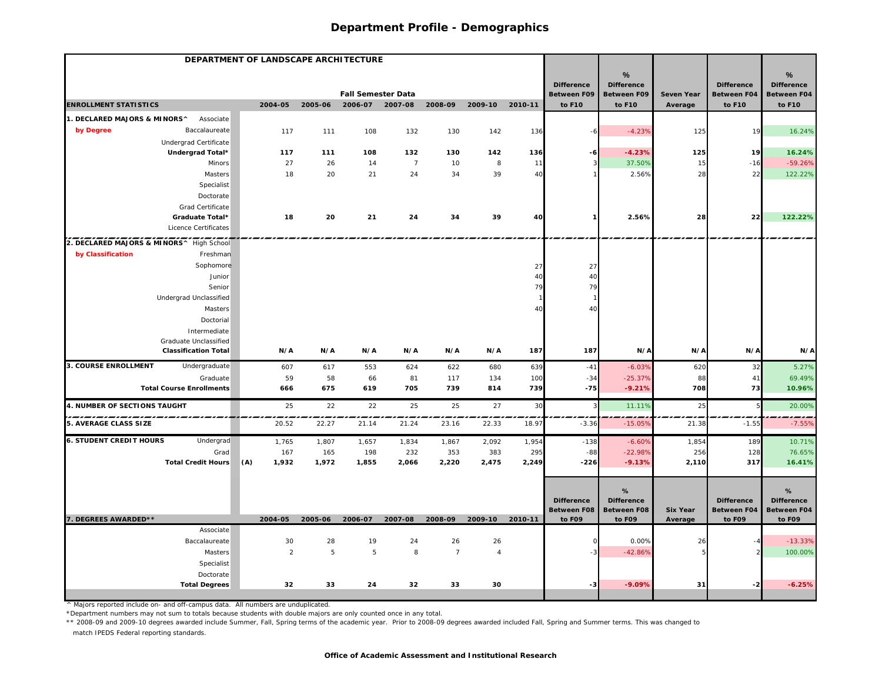|                                             | DEPARTMENT OF LANDSCAPE ARCHITECTURE |         |                           |                 |                |                |         |                                         |                                         |                            |                                         |                                  |
|---------------------------------------------|--------------------------------------|---------|---------------------------|-----------------|----------------|----------------|---------|-----------------------------------------|-----------------------------------------|----------------------------|-----------------------------------------|----------------------------------|
|                                             |                                      |         |                           |                 |                |                |         |                                         | %                                       |                            |                                         | %                                |
|                                             |                                      |         | <b>Fall Semester Data</b> |                 |                |                |         | <b>Difference</b><br><b>Between F09</b> | <b>Difference</b><br><b>Between F09</b> | Seven Year                 | <b>Difference</b><br><b>Between F04</b> | <b>Difference</b><br>Between F04 |
| <b>ENROLLMENT STATISTICS</b>                | 2004-05                              | 2005-06 |                           | 2006-07 2007-08 | 2008-09        | 2009-10        | 2010-11 | to F10                                  | to F10                                  | Average                    | to F10                                  | to F10                           |
| 1. DECLARED MAJORS & MINORS^<br>Associate   |                                      |         |                           |                 |                |                |         |                                         |                                         |                            |                                         |                                  |
| by Degree<br>Baccalaureate                  | 117                                  | 111     | 108                       | 132             | 130            | 142            | 136     |                                         | $-4.23%$                                | 125                        | 19                                      | 16.24%                           |
| Undergrad Certificate                       |                                      |         |                           |                 |                |                |         |                                         |                                         |                            |                                         |                                  |
| Undergrad Total*                            | 117                                  | 111     | 108                       | 132             | 130            | 142            | 136     | -6                                      | $-4.23%$                                | 125                        | 19                                      | 16.24%                           |
| Minors                                      | 27                                   | 26      | 14                        | $\overline{7}$  | 10             | 8              | 11      |                                         | 37.50%                                  | 15                         | $-16$                                   | $-59.26%$                        |
| Masters                                     | 18                                   | 20      | 21                        | 24              | 34             | 39             | 40      |                                         | 2.56%                                   | 28                         | 22                                      | 122.22%                          |
| Specialist                                  |                                      |         |                           |                 |                |                |         |                                         |                                         |                            |                                         |                                  |
| Doctorate                                   |                                      |         |                           |                 |                |                |         |                                         |                                         |                            |                                         |                                  |
| Grad Certificate                            |                                      |         |                           |                 |                |                |         |                                         |                                         |                            |                                         |                                  |
| Graduate Total*                             | 18                                   | 20      | 21                        | 24              | 34             | 39             | 40      |                                         | 2.56%                                   | 28                         | 22                                      | 122.22%                          |
| Licence Certificates                        |                                      |         |                           |                 |                |                |         |                                         |                                         |                            |                                         |                                  |
| 2. DECLARED MAJORS & MINORS^ High School    |                                      |         |                           |                 |                |                |         |                                         |                                         |                            |                                         |                                  |
| by Classification<br>Freshman               |                                      |         |                           |                 |                |                |         |                                         |                                         |                            |                                         |                                  |
| Sophomore                                   |                                      |         |                           |                 |                |                | 27      | 27                                      |                                         |                            |                                         |                                  |
| Junior                                      |                                      |         |                           |                 |                |                | 40      | 40                                      |                                         |                            |                                         |                                  |
| Senior                                      |                                      |         |                           |                 |                |                | 79      | 79                                      |                                         |                            |                                         |                                  |
| Undergrad Unclassified                      |                                      |         |                           |                 |                |                |         |                                         |                                         |                            |                                         |                                  |
| Masters                                     |                                      |         |                           |                 |                |                | 40      | 40                                      |                                         |                            |                                         |                                  |
| Doctorial                                   |                                      |         |                           |                 |                |                |         |                                         |                                         |                            |                                         |                                  |
| Intermediate                                |                                      |         |                           |                 |                |                |         |                                         |                                         |                            |                                         |                                  |
| Graduate Unclassified                       |                                      |         |                           |                 |                |                |         |                                         |                                         |                            |                                         |                                  |
| <b>Classification Total</b>                 | N/A                                  | N/A     | N/A                       | N/A             | N/A            | N/A            | 187     | 187                                     | N/A                                     | N/A                        | N/A                                     | N/A                              |
| 3. COURSE ENROLLMENT<br>Undergraduate       | 607                                  | 617     | 553                       | 624             | 622            | 680            | 639     | $-41$                                   | $-6.03%$                                | 620                        | 32                                      | 5.27%                            |
| Graduate                                    | 59                                   | 58      | 66                        | 81              | 117            | 134            | 100     | $-34$                                   | $-25.37%$                               | 88                         | 41                                      | 69.49%                           |
| <b>Total Course Enrollments</b>             | 666                                  | 675     | 619                       | 705             | 739            | 814            | 739     | $-75$                                   | $-9.21%$                                | 708                        | 73                                      | 10.96%                           |
| 4. NUMBER OF SECTIONS TAUGHT                | 25                                   | 22      | 22                        | 25              | 25             | 27             | 30      |                                         | 11.11%                                  | 25                         |                                         | 20.00%                           |
| 5. AVERAGE CLASS SIZE                       | 20.52                                | 22.27   | 21.14                     | 21.24           | 23.16          | 22.33          | 18.97   | $-3.36$                                 | $-15.05%$                               | 21.38                      | $-1.55$                                 | $-7.55%$                         |
| <b>6. STUDENT CREDIT HOURS</b><br>Undergrad | 1,765                                | 1,807   | 1,657                     | 1,834           | 1,867          | 2,092          | 1,954   | $-138$                                  | $-6.60%$                                | 1,854                      | 189                                     | 10.71%                           |
| Grad                                        | 167                                  | 165     | 198                       | 232             | 353            | 383            | 295     | $-88$                                   | $-22.98%$                               | 256                        | 128                                     | 76.65%                           |
| <b>Total Credit Hours</b>                   | (A)<br>1,932                         | 1,972   | 1,855                     | 2,066           | 2,220          | 2,475          | 2,249   | $-226$                                  | $-9.13%$                                | 2,110                      | 317                                     | 16.41%                           |
|                                             |                                      |         |                           |                 |                |                |         |                                         |                                         |                            |                                         |                                  |
|                                             |                                      |         |                           |                 |                |                |         |                                         | %                                       |                            |                                         | %                                |
|                                             |                                      |         |                           |                 |                |                |         | <b>Difference</b>                       | <b>Difference</b>                       |                            | <b>Difference</b>                       | <b>Difference</b>                |
| 7. DEGREES AWARDED**                        | 2004-05                              | 2005-06 | 2006-07                   | 2007-08         | 2008-09        | 2009-10        | 2010-11 | <b>Between F08</b><br>to F09            | <b>Between F08</b><br>to F09            | <b>Six Year</b><br>Average | Between F04<br>to F09                   | <b>Between F04</b><br>to F09     |
| Associate                                   |                                      |         |                           |                 |                |                |         |                                         |                                         |                            |                                         |                                  |
| Baccalaureate                               | 30                                   | 28      | 19                        | 24              | 26             | 26             |         |                                         | 0.00%                                   | 26                         |                                         | $-13.33%$                        |
| Masters                                     | $\overline{2}$                       | 5       | 5                         | $^{\rm 8}$      | $\overline{7}$ | $\overline{4}$ |         |                                         | $-42.86%$                               |                            |                                         | 100.00%                          |
| Specialist                                  |                                      |         |                           |                 |                |                |         |                                         |                                         |                            |                                         |                                  |
| Doctorate                                   |                                      |         |                           |                 |                |                |         |                                         |                                         |                            |                                         |                                  |
| <b>Total Degrees</b>                        | 32                                   | 33      | 24                        | 32              | 33             | 30             |         | -3                                      | $-9.09%$                                | 31                         | $-2$                                    | $-6.25%$                         |
|                                             |                                      |         |                           |                 |                |                |         |                                         |                                         |                            |                                         |                                  |

^ Majors reported include on- and off-campus data. All numbers are unduplicated.

\*Department numbers may not sum to totals because students with double majors are only counted once in any total.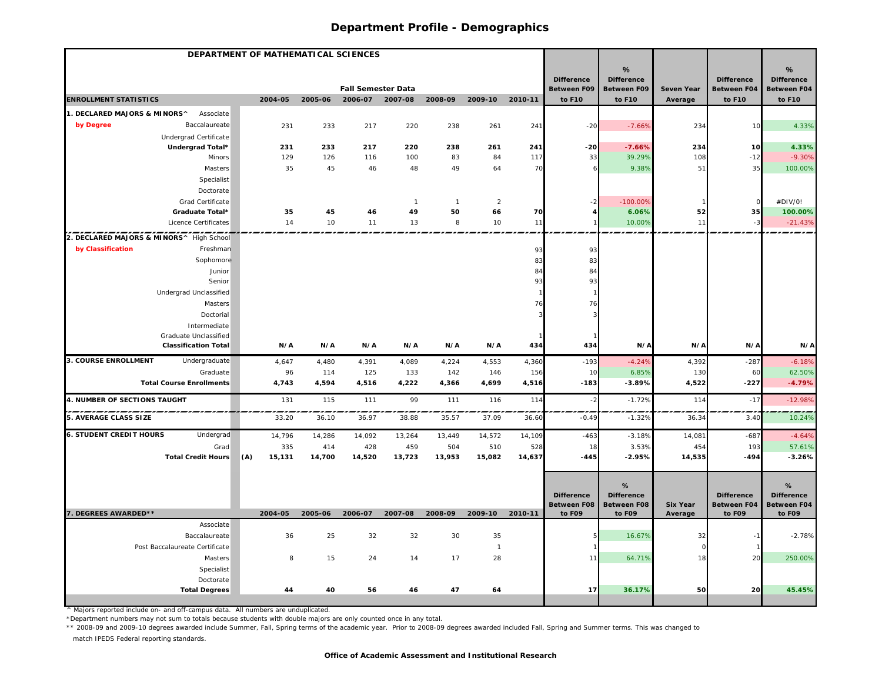|                                          | DEPARTMENT OF MATHEMATICAL SCIENCES   |     |         |         |                           |                |                |                |         |                                  |                                         |                       |                                         |                                         |
|------------------------------------------|---------------------------------------|-----|---------|---------|---------------------------|----------------|----------------|----------------|---------|----------------------------------|-----------------------------------------|-----------------------|-----------------------------------------|-----------------------------------------|
|                                          |                                       |     |         |         |                           |                |                |                |         |                                  | %                                       |                       |                                         | %                                       |
|                                          |                                       |     |         |         | <b>Fall Semester Data</b> |                |                |                |         | <b>Difference</b>                | <b>Difference</b>                       |                       | <b>Difference</b>                       | <b>Difference</b>                       |
| <b>ENROLLMENT STATISTICS</b>             |                                       |     | 2004-05 | 2005-06 | 2006-07                   | 2007-08        | 2008-09        | 2009-10        | 2010-11 | <b>Between F09</b><br>to F10     | <b>Between F09</b><br>to F10            | Seven Year<br>Average | <b>Between F04</b><br>to F10            | <b>Between F04</b><br>to F10            |
| . DECLARED MAJORS & MINORS^              | Associate                             |     |         |         |                           |                |                |                |         |                                  |                                         |                       |                                         |                                         |
| by Degree                                | Baccalaureate                         |     | 231     | 233     | 217                       | 220            | 238            | 261            | 241     | $-20$                            | $-7.66%$                                | 234                   | 10                                      | 4.33%                                   |
|                                          | Undergrad Certificate                 |     |         |         |                           |                |                |                |         |                                  |                                         |                       |                                         |                                         |
|                                          | Undergrad Total*                      |     | 231     | 233     | 217                       | 220            | 238            | 261            | 241     | $-20$                            | $-7.66%$                                | 234                   | 10                                      | 4.33%                                   |
|                                          | <b>Minors</b>                         |     | 129     | 126     | 116                       | 100            | 83             | 84             | 117     | 33                               | 39.29%                                  | 108                   | $-12$                                   | $-9.30%$                                |
|                                          | Masters                               |     | 35      | 45      | 46                        | 48             | 49             | 64             | 70      |                                  | 9.38%                                   | 51                    | 35                                      | 100.00%                                 |
|                                          | Specialist                            |     |         |         |                           |                |                |                |         |                                  |                                         |                       |                                         |                                         |
|                                          | Doctorate                             |     |         |         |                           |                |                |                |         |                                  |                                         |                       |                                         |                                         |
|                                          | Grad Certificate                      |     |         |         |                           | $\overline{1}$ | $\overline{1}$ | $\overline{a}$ |         |                                  | $-100.00%$                              |                       |                                         | #DIV/0!                                 |
|                                          | Graduate Total*                       |     | 35      | 45      | 46                        | 49             | 50             | 66             | 70      |                                  | 6.06%                                   | 52                    | 35                                      | 100.00%                                 |
|                                          | Licence Certificates                  |     | 14      | 10      | 11                        | 13             | 8              | 10             | 11      |                                  | 10.00%                                  | 11                    | $-3$                                    | $-21.43%$                               |
| 2. DECLARED MAJORS & MINORS^ High School |                                       |     |         |         |                           |                |                |                |         |                                  |                                         |                       |                                         |                                         |
| by Classification                        | Freshman                              |     |         |         |                           |                |                |                | 93      | 93                               |                                         |                       |                                         |                                         |
|                                          | Sophomore                             |     |         |         |                           |                |                |                | 83      | 83                               |                                         |                       |                                         |                                         |
|                                          | Junior                                |     |         |         |                           |                |                |                | 84      | 84                               |                                         |                       |                                         |                                         |
|                                          | Senior                                |     |         |         |                           |                |                |                | 93      | 93                               |                                         |                       |                                         |                                         |
|                                          | Undergrad Unclassified                |     |         |         |                           |                |                |                |         |                                  |                                         |                       |                                         |                                         |
|                                          | Masters                               |     |         |         |                           |                |                |                | 76      | 76                               |                                         |                       |                                         |                                         |
|                                          | Doctorial                             |     |         |         |                           |                |                |                |         |                                  |                                         |                       |                                         |                                         |
|                                          | Intermediate<br>Graduate Unclassified |     |         |         |                           |                |                |                |         |                                  |                                         |                       |                                         |                                         |
|                                          | <b>Classification Total</b>           |     | N/A     | N/A     | N/A                       | N/A            | N/A            | N/A            | 434     | 434                              | N/A                                     | N/A                   | N/A                                     | N/A                                     |
| 3. COURSE ENROLLMENT                     | Undergraduate                         |     | 4,647   | 4,480   | 4,391                     | 4,089          | 4,224          | 4,553          | 4,360   | $-193$                           | $-4.24%$                                | 4,392                 | $-287$                                  | $-6.18%$                                |
|                                          | Graduate                              |     | 96      | 114     | 125                       | 133            | 142            | 146            | 156     | 10                               | 6.85%                                   | 130                   | 60                                      | 62.50%                                  |
|                                          | <b>Total Course Enrollments</b>       |     | 4,743   | 4,594   | 4,516                     | 4,222          | 4,366          | 4,699          | 4,516   | $-183$                           | $-3.89%$                                | 4,522                 | $-227$                                  | $-4.79%$                                |
| 4. NUMBER OF SECTIONS TAUGHT             |                                       |     | 131     | 115     | 111                       | 99             | 111            | 116            | 114     | $-2$                             | $-1.72%$                                | 114                   | $-17$                                   | $-12.98%$                               |
| ______________<br>5. AVERAGE CLASS SIZE  |                                       |     | 33.20   | 36.10   | 36.97                     | 38.88          | 35.57          | 37.09          | 36.60   | $-0.49$                          | $-1.32%$                                | 36.34                 | 3.4C                                    | 10.24%                                  |
| <b>6. STUDENT CREDIT HOURS</b>           | Undergrad                             |     | 14,796  | 14,286  | 14,092                    | 13,264         | 13,449         | 14,572         | 14,109  | $-463$                           | $-3.18%$                                | 14,081                | $-687$                                  | $-4.64%$                                |
|                                          | Grad                                  |     | 335     | 414     | 428                       | 459            | 504            | 510            | 528     | 18                               | 3.53%                                   | 454                   | 193                                     | 57.61%                                  |
|                                          | <b>Total Credit Hours</b>             | (A) | 15,131  | 14,700  | 14,520                    | 13,723         | 13,953         | 15,082         | 14,637  | $-445$                           | $-2.95%$                                | 14,535                | $-494$                                  | $-3.26%$                                |
|                                          |                                       |     |         |         |                           |                |                |                |         |                                  |                                         |                       |                                         |                                         |
|                                          |                                       |     |         |         |                           |                |                |                |         |                                  | %                                       |                       |                                         | %                                       |
|                                          |                                       |     |         |         |                           |                |                |                |         | <b>Difference</b><br>Between F08 | <b>Difference</b><br><b>Between F08</b> | <b>Six Year</b>       | <b>Difference</b><br><b>Between F04</b> | <b>Difference</b><br><b>Between F04</b> |
| 7. DEGREES AWARDED**                     |                                       |     | 2004-05 | 2005-06 | 2006-07                   | 2007-08        | 2008-09        | 2009-10        | 2010-11 | to F09                           | to F09                                  | Average               | to F09                                  | to F09                                  |
|                                          | Associate                             |     |         |         |                           |                |                |                |         |                                  |                                         |                       |                                         |                                         |
|                                          | Baccalaureate                         |     | 36      | 25      | 32                        | 32             | 30             | 35             |         |                                  | 16.67%                                  | 32                    |                                         | $-2.78%$                                |
|                                          | Post Baccalaureate Certificate        |     |         |         |                           |                |                | $\overline{1}$ |         |                                  |                                         |                       |                                         |                                         |
|                                          | Masters                               |     | 8       | 15      | 24                        | 14             | 17             | 28             |         | 11                               | 64.71%                                  | 18                    | 20                                      | 250.00%                                 |
|                                          | Specialist                            |     |         |         |                           |                |                |                |         |                                  |                                         |                       |                                         |                                         |
|                                          | Doctorate                             |     |         |         |                           |                |                |                |         |                                  |                                         |                       |                                         |                                         |
|                                          | <b>Total Degrees</b>                  |     | 44      | 40      | 56                        | 46             | 47             | 64             |         | 17                               | 36.17%                                  | 50                    | 20                                      | 45.45%                                  |

^ Majors reported include on- and off-campus data. All numbers are unduplicated.

\*Department numbers may not sum to totals because students with double majors are only counted once in any total.

\*\* 2008-09 and 2009-10 degrees awarded include Summer, Fall, Spring terms of the academic year. Prior to 2008-09 degrees awarded included Fall, Spring and Summer terms. This was changed to

match IPEDS Federal reporting standards.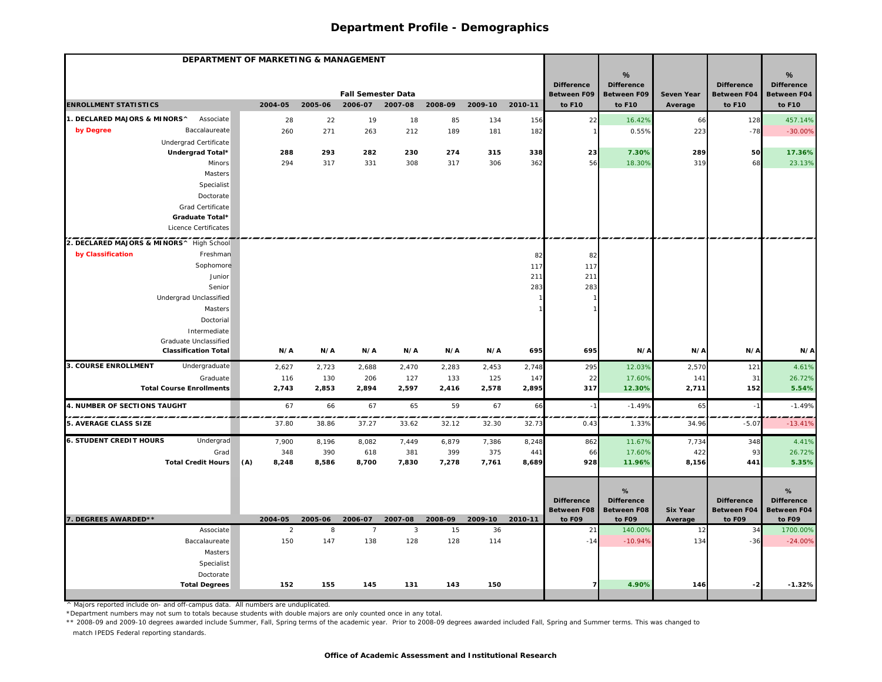|                                              | DEPARTMENT OF MARKETING & MANAGEMENT |         |                           |                |         |         |         |                                         |                                         |                 |                                  |                                  |
|----------------------------------------------|--------------------------------------|---------|---------------------------|----------------|---------|---------|---------|-----------------------------------------|-----------------------------------------|-----------------|----------------------------------|----------------------------------|
|                                              |                                      |         |                           |                |         |         |         |                                         | %                                       |                 |                                  | %                                |
|                                              |                                      |         | <b>Fall Semester Data</b> |                |         |         |         | <b>Difference</b><br><b>Between F09</b> | <b>Difference</b><br><b>Between F09</b> | Seven Year      | <b>Difference</b><br>Between F04 | <b>Difference</b><br>Between F04 |
| <b>ENROLLMENT STATISTICS</b>                 | 2004-05                              | 2005-06 | 2006-07                   | 2007-08        | 2008-09 | 2009-10 | 2010-11 | to F10                                  | to F10                                  | Average         | to F10                           | to F10                           |
| 1. DECLARED MAJORS & MINORS^<br>Associate    | 28                                   | 22      | 19                        | 18             | 85      | 134     | 156     | 22                                      | 16.42%                                  | 66              | 128                              | 457.14%                          |
| by Degree<br>Baccalaureate                   | 260                                  | 271     | 263                       | 212            | 189     | 181     | 182     |                                         | 0.55%                                   | 223             | $-78$                            | $-30.00%$                        |
| Undergrad Certificate                        |                                      |         |                           |                |         |         |         |                                         |                                         |                 |                                  |                                  |
| Undergrad Total*                             | 288                                  | 293     | 282                       | 230            | 274     | 315     | 338     | 23                                      | 7.30%                                   | 289             | 50                               | 17.36%                           |
| Minors                                       | 294                                  | 317     | 331                       | 308            | 317     | 306     | 362     | 56                                      | 18.30%                                  | 319             | 68                               | 23.13%                           |
| Masters                                      |                                      |         |                           |                |         |         |         |                                         |                                         |                 |                                  |                                  |
| Specialist                                   |                                      |         |                           |                |         |         |         |                                         |                                         |                 |                                  |                                  |
| Doctorate                                    |                                      |         |                           |                |         |         |         |                                         |                                         |                 |                                  |                                  |
| Grad Certificate                             |                                      |         |                           |                |         |         |         |                                         |                                         |                 |                                  |                                  |
| Graduate Total*                              |                                      |         |                           |                |         |         |         |                                         |                                         |                 |                                  |                                  |
| Licence Certificates                         |                                      |         |                           |                |         |         |         |                                         |                                         |                 |                                  |                                  |
| 2. DECLARED MAJORS & MINORS^ High School     |                                      |         |                           |                |         |         |         |                                         |                                         |                 |                                  |                                  |
| by Classification<br>Freshman                |                                      |         |                           |                |         |         | 82      | 82                                      |                                         |                 |                                  |                                  |
| Sophomore                                    |                                      |         |                           |                |         |         | 117     | 117                                     |                                         |                 |                                  |                                  |
| Junior                                       |                                      |         |                           |                |         |         | 211     | 211                                     |                                         |                 |                                  |                                  |
| Senior                                       |                                      |         |                           |                |         |         | 283     | 283                                     |                                         |                 |                                  |                                  |
| Undergrad Unclassified                       |                                      |         |                           |                |         |         |         |                                         |                                         |                 |                                  |                                  |
| Masters                                      |                                      |         |                           |                |         |         |         |                                         |                                         |                 |                                  |                                  |
| Doctorial                                    |                                      |         |                           |                |         |         |         |                                         |                                         |                 |                                  |                                  |
| Intermediate                                 |                                      |         |                           |                |         |         |         |                                         |                                         |                 |                                  |                                  |
| Graduate Unclassified                        |                                      |         |                           |                |         |         |         |                                         |                                         |                 |                                  |                                  |
| <b>Classification Total</b>                  | N/A                                  | N/A     | N/A                       | N/A            | N/A     | N/A     | 695     | 695                                     | N/A                                     | N/A             | N/A                              | N/A                              |
| <b>3. COURSE ENROLLMENT</b><br>Undergraduate | 2,627                                | 2,723   | 2,688                     | 2,470          | 2,283   | 2,453   | 2,748   | 295                                     | 12.03%                                  | 2,570           | 121                              | 4.61%                            |
| Graduate                                     | 116                                  | 130     | 206                       | 127            | 133     | 125     | 147     | 22                                      | 17.60%                                  | 141             | 31                               | 26.72%                           |
| <b>Total Course Enrollments</b>              | 2,743                                | 2,853   | 2,894                     | 2,597          | 2,416   | 2,578   | 2,895   | 317                                     | 12.30%                                  | 2,711           | 152                              | 5.54%                            |
| 4. NUMBER OF SECTIONS TAUGHT                 | 67                                   | 66      | 67                        | 65             | 59      | 67      | 66      | $-1$                                    | $-1.49%$                                | 65              | $-1$                             | $-1.49%$                         |
| <b>5. AVERAGE CLASS SIZE</b>                 | 37.80                                | 38.86   | 37.27                     | 33.62          | 32.12   | 32.30   | 32.73   | 0.43                                    | 1.33%                                   | 34.96           | $-5.07$                          | $-13.41%$                        |
| <b>6. STUDENT CREDIT HOURS</b><br>Undergrad  | 7,900                                | 8,196   | 8,082                     | 7,449          | 6,879   | 7,386   | 8,248   | 862                                     | 11.67%                                  | 7,734           | 348                              | 4.41%                            |
| Grad                                         | 348                                  | 390     | 618                       | 381            | 399     | 375     | 441     | 66                                      | 17.60%                                  | 422             | 93                               | 26.72%                           |
| <b>Total Credit Hours</b>                    | (A)<br>8,248                         | 8,586   | 8,700                     | 7,830          | 7,278   | 7,761   | 8,689   | 928                                     | 11.96%                                  | 8,156           | 441                              | 5.35%                            |
|                                              |                                      |         |                           |                |         |         |         |                                         |                                         |                 |                                  |                                  |
|                                              |                                      |         |                           |                |         |         |         |                                         | %                                       |                 |                                  | %                                |
|                                              |                                      |         |                           |                |         |         |         | <b>Difference</b>                       | <b>Difference</b>                       |                 | <b>Difference</b>                | <b>Difference</b>                |
| 7. DEGREES AWARDED**                         | 2004-05                              | 2005-06 | 2006-07                   | 2007-08        | 2008-09 | 2009-10 | 2010-11 | <b>Between F08</b><br>to F09            | <b>Between F08</b><br>to F09            | <b>Six Year</b> | Between F04<br>to F09            | <b>Between F04</b><br>to F09     |
| Associate                                    | $\overline{2}$                       | 8       | $\overline{7}$            | $\overline{3}$ | 15      | 36      |         | 21                                      | 140.00%                                 | Average<br>12   | 34                               | 1700.00%                         |
| Baccalaureate                                | 150                                  | 147     | 138                       | 128            | 128     | 114     |         | $-14$                                   | $-10.94%$                               | 134             | $-36$                            | $-24.00%$                        |
| <b>Masters</b>                               |                                      |         |                           |                |         |         |         |                                         |                                         |                 |                                  |                                  |
| Specialist                                   |                                      |         |                           |                |         |         |         |                                         |                                         |                 |                                  |                                  |
| Doctorate                                    |                                      |         |                           |                |         |         |         |                                         |                                         |                 |                                  |                                  |
| <b>Total Degrees</b>                         | 152                                  | 155     | 145                       | 131            | 143     | 150     |         |                                         | 4.90%                                   | 146             | $-2$                             | $-1.32%$                         |
|                                              |                                      |         |                           |                |         |         |         |                                         |                                         |                 |                                  |                                  |

^ Majors reported include on- and off-campus data. All numbers are unduplicated.

\*Department numbers may not sum to totals because students with double majors are only counted once in any total.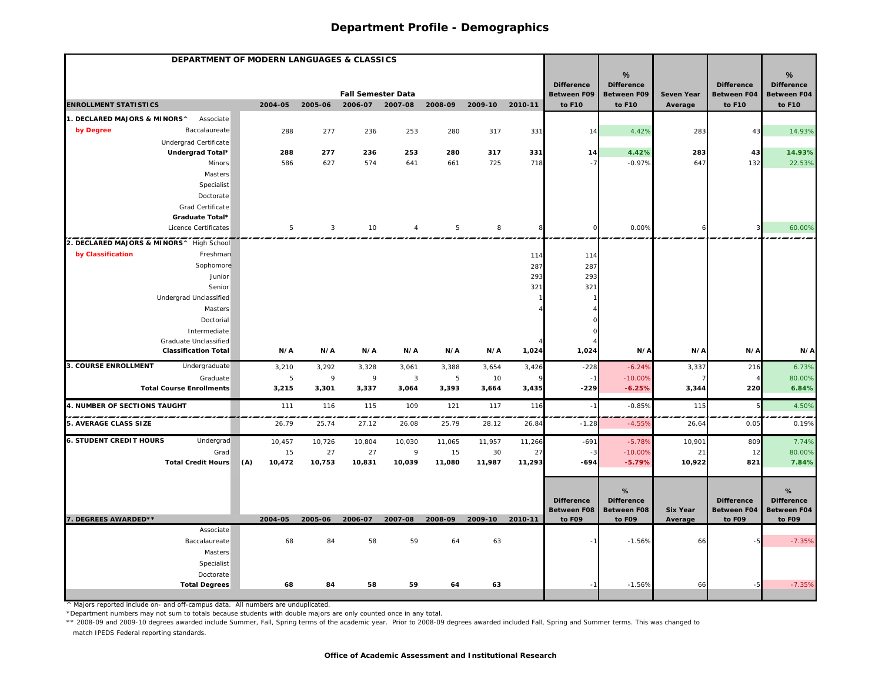| DEPARTMENT OF MODERN LANGUAGES & CLASSICS            |               |         |                           |                 |         |         |         |                    |                        |                   |                    |                        |
|------------------------------------------------------|---------------|---------|---------------------------|-----------------|---------|---------|---------|--------------------|------------------------|-------------------|--------------------|------------------------|
|                                                      |               |         |                           |                 |         |         |         | <b>Difference</b>  | %<br><b>Difference</b> |                   | <b>Difference</b>  | %<br><b>Difference</b> |
|                                                      |               |         | <b>Fall Semester Data</b> |                 |         |         |         | <b>Between F09</b> | <b>Between F09</b>     | <b>Seven Year</b> | <b>Between F04</b> | <b>Between F04</b>     |
| <b>ENROLLMENT STATISTICS</b>                         | 2004-05       | 2005-06 |                           | 2006-07 2007-08 | 2008-09 | 2009-10 | 2010-11 | to F10             | to F10                 | Average           | to F10             | to F10                 |
| 1. DECLARED MAJORS & MINORS^<br>Associate            |               |         |                           |                 |         |         |         |                    |                        |                   |                    |                        |
| by Degree<br>Baccalaureate                           | 288           | 277     | 236                       | 253             | 280     | 317     | 331     | 14                 | 4.42%                  | 283               | 43                 | 14.93%                 |
| Undergrad Certificate                                |               |         |                           |                 |         |         |         |                    |                        |                   |                    |                        |
| Undergrad Total*                                     | 288           | 277     | 236                       | 253             | 280     | 317     | 331     | 14                 | 4.42%                  | 283               | 43                 | 14.93%                 |
| Minors                                               | 586           | 627     | 574                       | 641             | 661     | 725     | 718     | $-7$               | $-0.97%$               | 647               | 132                | 22.53%                 |
| Masters                                              |               |         |                           |                 |         |         |         |                    |                        |                   |                    |                        |
| Specialist                                           |               |         |                           |                 |         |         |         |                    |                        |                   |                    |                        |
| Doctorate                                            |               |         |                           |                 |         |         |         |                    |                        |                   |                    |                        |
| Grad Certificate                                     |               |         |                           |                 |         |         |         |                    |                        |                   |                    |                        |
| Graduate Total*                                      |               |         |                           |                 |         |         |         |                    |                        |                   |                    |                        |
| Licence Certificates                                 | 5             | 3       | 10                        | $\overline{4}$  | 5       | 8       |         |                    | 0.00%                  | 6                 |                    | 60.00%                 |
| 2. DECLARED MAJORS & MINORS^ High School             |               |         |                           |                 |         |         |         |                    |                        |                   |                    |                        |
| by Classification<br>Freshman                        |               |         |                           |                 |         |         | 114     | 114                |                        |                   |                    |                        |
| Sophomore                                            |               |         |                           |                 |         |         | 287     | 287                |                        |                   |                    |                        |
| Junior                                               |               |         |                           |                 |         |         | 293     | 293                |                        |                   |                    |                        |
| Senior                                               |               |         |                           |                 |         |         | 321     | 321                |                        |                   |                    |                        |
| Undergrad Unclassified                               |               |         |                           |                 |         |         |         |                    |                        |                   |                    |                        |
| Masters                                              |               |         |                           |                 |         |         |         |                    |                        |                   |                    |                        |
| Doctorial                                            |               |         |                           |                 |         |         |         |                    |                        |                   |                    |                        |
| Intermediate                                         |               |         |                           |                 |         |         |         |                    |                        |                   |                    |                        |
| Graduate Unclassified<br><b>Classification Total</b> | N/A           | N/A     | N/A                       | N/A             | N/A     | N/A     | 1,024   | 1,024              | N/A                    | N/A               | N/A                | N/A                    |
| <b>3. COURSE ENROLLMENT</b><br>Undergraduate         | 3,210         | 3,292   | 3,328                     | 3,061           | 3,388   | 3,654   | 3,426   | $-228$             | $-6.24%$               | 3,337             | 216                | 6.73%                  |
| Graduate                                             | 5             | 9       | 9                         | $\overline{3}$  | 5       | 10      |         | $-1$               | $-10.00%$              |                   |                    | 80.00%                 |
| <b>Total Course Enrollments</b>                      | 3,215         | 3,301   | 3,337                     | 3,064           | 3,393   | 3,664   | 3,435   | $-229$             | $-6.25%$               | 3,344             | 220                | 6.84%                  |
| 4. NUMBER OF SECTIONS TAUGHT                         | 111           | 116     | 115                       | 109             | 121     | 117     | 116     | $-1$               | $-0.85%$               | 115               |                    | 4.50%                  |
|                                                      |               |         |                           |                 |         |         |         |                    | ---                    |                   |                    |                        |
| 5. AVERAGE CLASS SIZE                                | 26.79         | 25.74   | 27.12                     | 26.08           | 25.79   | 28.12   | 26.84   | $-1.28$            | $-4.55%$               | 26.64             | 0.05               | 0.19%                  |
| <b>6. STUDENT CREDIT HOURS</b><br>Undergrad          | 10,457        | 10,726  | 10,804                    | 10,030          | 11,065  | 11,957  | 11,266  | $-691$             | $-5.78%$               | 10,901            | 809                | 7.74%                  |
| Grad                                                 | 15            | 27      | 27                        | 9               | 15      | 30      | 27      | -3                 | $-10.00%$              | 21                | 12                 | 80.00%                 |
| <b>Total Credit Hours</b>                            | (A)<br>10,472 | 10,753  | 10,831                    | 10,039          | 11,080  | 11,987  | 11,293  | $-694$             | $-5.79%$               | 10,922            | 821                | 7.84%                  |
|                                                      |               |         |                           |                 |         |         |         |                    | %                      |                   |                    | %                      |
|                                                      |               |         |                           |                 |         |         |         | <b>Difference</b>  | <b>Difference</b>      |                   | <b>Difference</b>  | <b>Difference</b>      |
|                                                      |               |         |                           |                 |         |         |         | <b>Between F08</b> | <b>Between F08</b>     | <b>Six Year</b>   | Between F04        | <b>Between F04</b>     |
| 7. DEGREES AWARDED**                                 | 2004-05       | 2005-06 | 2006-07                   | 2007-08         | 2008-09 | 2009-10 | 2010-11 | to F09             | to F09                 | Average           | to F09             | to F09                 |
| Associate                                            |               |         |                           |                 |         |         |         |                    |                        |                   |                    |                        |
| Baccalaureate                                        | 68            | 84      | 58                        | 59              | 64      | 63      |         |                    | $-1.56%$               | 66                |                    | $-7.35%$               |
| Masters                                              |               |         |                           |                 |         |         |         |                    |                        |                   |                    |                        |
| Specialist                                           |               |         |                           |                 |         |         |         |                    |                        |                   |                    |                        |
| Doctorate                                            |               |         |                           |                 |         |         |         |                    |                        |                   |                    |                        |
| <b>Total Degrees</b>                                 | 68            | 84      | 58                        | 59              | 64      | 63      |         |                    | $-1.56%$               | 66                |                    | $-7.35%$               |

^ Majors reported include on- and off-campus data. All numbers are unduplicated.

\*Department numbers may not sum to totals because students with double majors are only counted once in any total.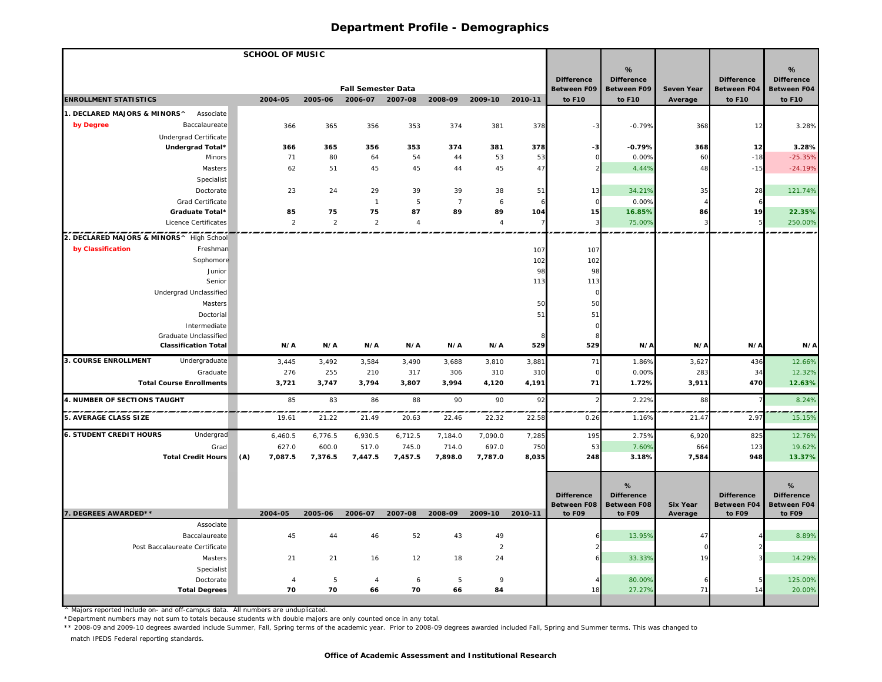|                                                      | <b>SCHOOL OF MUSIC</b> |                      |         |                                      |                |                |                |         |                              |                              |                   |                       |                              |
|------------------------------------------------------|------------------------|----------------------|---------|--------------------------------------|----------------|----------------|----------------|---------|------------------------------|------------------------------|-------------------|-----------------------|------------------------------|
|                                                      |                        |                      |         |                                      |                |                |                |         |                              | %                            |                   |                       | %                            |
|                                                      |                        |                      |         |                                      |                |                |                |         | <b>Difference</b>            | <b>Difference</b>            |                   | <b>Difference</b>     | <b>Difference</b>            |
| <b>ENROLLMENT STATISTICS</b>                         |                        | 2004-05              | 2005-06 | <b>Fall Semester Data</b><br>2006-07 | 2007-08        | 2008-09        | 2009-10        | 2010-11 | <b>Between F09</b><br>to F10 | <b>Between F09</b><br>to F10 | <b>Seven Year</b> | Between F04<br>to F10 | <b>Between F04</b><br>to F10 |
|                                                      |                        |                      |         |                                      |                |                |                |         |                              |                              | Average           |                       |                              |
| . DECLARED MAJORS & MINORS^<br>Associate             |                        |                      |         |                                      |                |                |                |         |                              |                              |                   |                       |                              |
| by Degree<br>Baccalaureate                           |                        | 366                  | 365     | 356                                  | 353            | 374            | 381            | 378     |                              | $-0.79%$                     | 368               | 12                    | 3.28%                        |
| Undergrad Certificate<br>Undergrad Total*            |                        | 366                  | 365     | 356                                  | 353            | 374            | 381            | 378     | $-3$                         | $-0.79%$                     | 368               | 12                    | 3.28%                        |
| Minors                                               |                        | 71                   | 80      | 64                                   | 54             | 44             | 53             | 53      |                              | 0.00%                        | 60                | $-18$                 | $-25.35%$                    |
| Masters                                              |                        | 62                   | 51      | 45                                   | 45             | 44             | 45             | 47      |                              | 4.44%                        | 48                | $-15$                 | $-24.19%$                    |
| Specialist                                           |                        |                      |         |                                      |                |                |                |         |                              |                              |                   |                       |                              |
| Doctorate                                            |                        | 23                   | 24      | 29                                   | 39             | 39             | 38             | 51      | 13                           | 34.21%                       | 35                | 28                    | 121.74%                      |
| <b>Grad Certificate</b>                              |                        |                      |         | $\overline{1}$                       | 5              | $\overline{7}$ | 6              |         | $\Omega$                     | 0.00%                        |                   |                       |                              |
| Graduate Total*                                      |                        | 85                   | 75      | 75                                   | 87             | 89             | 89             | 104     | 15                           | 16.85%                       | 86                | 19                    | 22.35%                       |
| Licence Certificates                                 |                        | $\overline{2}$       | 2       | $\overline{2}$                       | $\overline{4}$ |                | $\overline{4}$ |         |                              | 75.00%                       | 3                 |                       | 250.00%                      |
| 2. DECLARED MAJORS & MINORS^ High School             |                        |                      |         |                                      |                |                |                |         |                              |                              |                   |                       |                              |
| by Classification<br>Freshman                        |                        |                      |         |                                      |                |                |                | 107     | 107                          |                              |                   |                       |                              |
| Sophomore                                            |                        |                      |         |                                      |                |                |                | 102     | 102                          |                              |                   |                       |                              |
| Junior                                               |                        |                      |         |                                      |                |                |                | 98      | 98                           |                              |                   |                       |                              |
| Senior                                               |                        |                      |         |                                      |                |                |                | 113     | 113                          |                              |                   |                       |                              |
| Undergrad Unclassified                               |                        |                      |         |                                      |                |                |                |         |                              |                              |                   |                       |                              |
| Masters                                              |                        |                      |         |                                      |                |                |                | 50      | 50                           |                              |                   |                       |                              |
| Doctorial                                            |                        |                      |         |                                      |                |                |                | 51      | 51                           |                              |                   |                       |                              |
| Intermediate                                         |                        |                      |         |                                      |                |                |                |         | $\Omega$                     |                              |                   |                       |                              |
| Graduate Unclassified<br><b>Classification Total</b> |                        | N/A                  | N/A     | N/A                                  | N/A            | N/A            | N/A            | 529     | 529                          | N/A                          | N/A               | N/A                   | N/A                          |
| 3. COURSE ENROLLMENT<br>Undergraduate                |                        | 3,445                | 3,492   |                                      | 3,490          |                | 3,810          | 3,881   | 71                           | 1.86%                        | 3,627             |                       | 12.66%                       |
| Graduate                                             |                        | 276                  | 255     | 3,584<br>210                         | 317            | 3,688<br>306   | 310            | 310     |                              | 0.00%                        | 283               | 436<br>34             | 12.32%                       |
| <b>Total Course Enrollments</b>                      |                        | 3,721                | 3,747   | 3,794                                | 3,807          | 3,994          | 4,120          | 4,191   | 71                           | 1.72%                        | 3,911             | 470                   | 12.63%                       |
| 4. NUMBER OF SECTIONS TAUGHT                         |                        | 85                   | 83      | 86                                   | 88             | 90             | 90             | 92      |                              | 2.22%                        | 88                | $\overline{7}$        | 8.24%                        |
| 5. AVERAGE CLASS SIZE                                |                        | 19.61                | 21.22   | 21.49                                | 20.63          | 22.46          | 22.32          | 22.58   | 0.26                         | 1.16%                        | 21.47             | 2.97                  | 15.15%                       |
|                                                      |                        |                      |         |                                      |                |                |                |         |                              |                              |                   |                       |                              |
| <b>6. STUDENT CREDIT HOURS</b><br>Undergrad          |                        | 6,460.5              | 6,776.5 | 6,930.5                              | 6,712.5        | 7,184.0        | 7,090.0        | 7,285   | 195                          | 2.75%                        | 6,920             | 825                   | 12.76%                       |
| Grad                                                 |                        | 627.0                | 600.0   | 517.0                                | 745.0          | 714.0          | 697.0          | 750     | 53<br>248                    | 7.60%<br>3.18%               | 664               | 123<br>948            | 19.62%<br>13.37%             |
| <b>Total Credit Hours</b>                            | (A)                    | 7,087.5              | 7,376.5 | 7,447.5                              | 7,457.5        | 7,898.0        | 7,787.0        | 8,035   |                              |                              | 7,584             |                       |                              |
|                                                      |                        |                      |         |                                      |                |                |                |         |                              |                              |                   |                       |                              |
|                                                      |                        |                      |         |                                      |                |                |                |         | <b>Difference</b>            | %<br><b>Difference</b>       |                   | <b>Difference</b>     | %<br><b>Difference</b>       |
|                                                      |                        |                      |         |                                      |                |                |                |         | <b>Between F08</b>           | <b>Between F08</b>           | <b>Six Year</b>   | Between F04           | <b>Between F04</b>           |
| 7. DEGREES AWARDED**                                 |                        | 2004-05              | 2005-06 | 2006-07                              | 2007-08        | 2008-09        | 2009-10        | 2010-11 | to F09                       | to F09                       | Average           | to FO9                | to F09                       |
| Associate                                            |                        |                      |         |                                      |                |                |                |         |                              |                              |                   |                       |                              |
| Baccalaureate                                        |                        | 45                   | 44      | 46                                   | 52             | 43             | 49             |         |                              | 13.95%                       | 47                |                       | 8.89%                        |
| Post Baccalaureate Certificate                       |                        |                      |         |                                      |                |                | $\overline{2}$ |         |                              |                              |                   |                       |                              |
| Masters                                              |                        | 21                   | 21      | 16                                   | 12             | 18             | 24             |         |                              | 33.33%                       | 19                |                       | 14.29%                       |
| Specialist                                           |                        |                      |         |                                      |                |                |                |         |                              |                              |                   |                       |                              |
| Doctorate<br><b>Total Degrees</b>                    |                        | $\overline{4}$<br>70 | 5<br>70 | $\overline{4}$<br>66                 | 6<br>70        | 5<br>66        | 9<br>84        |         | 18                           | 80.00%<br>27.27%             | 71                |                       | 125.00%<br>20.00%            |
|                                                      |                        |                      |         |                                      |                |                |                |         |                              |                              |                   | 14                    |                              |

^ Majors reported include on- and off-campus data. All numbers are unduplicated.

\*Department numbers may not sum to totals because students with double majors are only counted once in any total.

\*\* 2008-09 and 2009-10 degrees awarded include Summer, Fall, Spring terms of the academic year. Prior to 2008-09 degrees awarded included Fall, Spring and Summer terms. This was changed to

match IPEDS Federal reporting standards.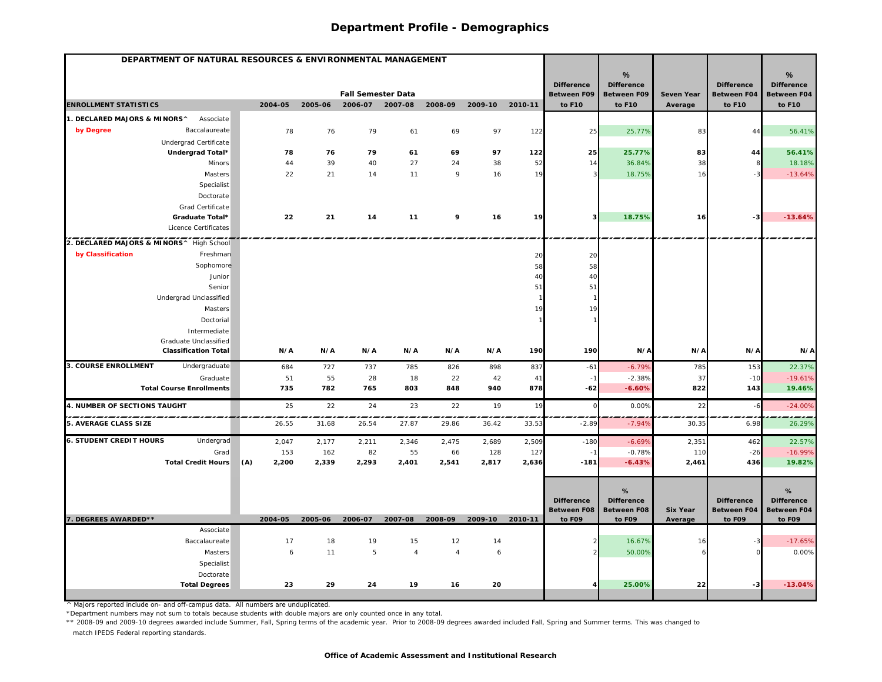| DEPARTMENT OF NATURAL RESOURCES & ENVIRONMENTAL MANAGEMENT |              |         |                           |                 |                |                 |         |                                         |                                         |                            |                                         |                                         |
|------------------------------------------------------------|--------------|---------|---------------------------|-----------------|----------------|-----------------|---------|-----------------------------------------|-----------------------------------------|----------------------------|-----------------------------------------|-----------------------------------------|
|                                                            |              |         |                           |                 |                |                 |         |                                         | %                                       |                            |                                         | %                                       |
|                                                            |              |         | <b>Fall Semester Data</b> |                 |                |                 |         | <b>Difference</b><br><b>Between F09</b> | <b>Difference</b><br><b>Between F09</b> | Seven Year                 | <b>Difference</b><br><b>Between F04</b> | <b>Difference</b><br><b>Between F04</b> |
| <b>ENROLLMENT STATISTICS</b>                               | 2004-05      | 2005-06 |                           | 2006-07 2007-08 | 2008-09        | 2009-10 2010-11 |         | to F10                                  | to F10                                  | Average                    | to F10                                  | to F10                                  |
| 1. DECLARED MAJORS & MINORS^<br>Associate                  |              |         |                           |                 |                |                 |         |                                         |                                         |                            |                                         |                                         |
| by Degree<br>Baccalaureate                                 | 78           | 76      | 79                        | 61              | 69             | 97              | 122     | 25                                      | 25.77%                                  | 83                         | 44                                      | 56.41%                                  |
| Undergrad Certificate                                      |              |         |                           |                 |                |                 |         |                                         |                                         |                            |                                         |                                         |
| Undergrad Total*                                           | 78           | 76      | 79                        | 61              | 69             | 97              | 122     | 25                                      | 25.77%                                  | 83                         | 44                                      | 56.41%                                  |
| Minors                                                     | 44           | 39      | 40                        | 27              | 24             | 38              | 52      | 14                                      | 36.84%                                  | 38                         |                                         | 18.18%                                  |
| Masters                                                    | 22           | 21      | 14                        | 11              | 9              | 16              | 19      |                                         | 18.75%                                  | 16                         |                                         | $-13.64%$                               |
| Specialist                                                 |              |         |                           |                 |                |                 |         |                                         |                                         |                            |                                         |                                         |
| Doctorate                                                  |              |         |                           |                 |                |                 |         |                                         |                                         |                            |                                         |                                         |
| Grad Certificate                                           |              |         |                           |                 |                |                 |         |                                         |                                         |                            |                                         |                                         |
| Graduate Total*                                            | 22           | 21      | 14                        | 11              | 9              | 16              | 19      | 3                                       | 18.75%                                  | 16                         | $-3$                                    | $-13.64%$                               |
| Licence Certificates                                       |              |         |                           |                 |                |                 |         |                                         |                                         |                            |                                         |                                         |
| 2. DECLARED MAJORS & MINORS^ High School                   |              |         |                           |                 |                |                 |         |                                         |                                         |                            |                                         |                                         |
| by Classification<br>Freshman                              |              |         |                           |                 |                |                 | 20      | 20                                      |                                         |                            |                                         |                                         |
| Sophomore                                                  |              |         |                           |                 |                |                 | 58      | 58                                      |                                         |                            |                                         |                                         |
| Junior                                                     |              |         |                           |                 |                |                 | 40      | 40                                      |                                         |                            |                                         |                                         |
| Senior                                                     |              |         |                           |                 |                |                 | 51      | 51                                      |                                         |                            |                                         |                                         |
| Undergrad Unclassified                                     |              |         |                           |                 |                |                 |         |                                         |                                         |                            |                                         |                                         |
| Masters                                                    |              |         |                           |                 |                |                 | 19      | 19                                      |                                         |                            |                                         |                                         |
| Doctorial                                                  |              |         |                           |                 |                |                 |         |                                         |                                         |                            |                                         |                                         |
| Intermediate                                               |              |         |                           |                 |                |                 |         |                                         |                                         |                            |                                         |                                         |
| Graduate Unclassified                                      |              |         |                           |                 |                |                 |         |                                         |                                         |                            |                                         |                                         |
| <b>Classification Total</b>                                | N/A          | N/A     | N/A                       | N/A             | N/A            | N/A             | 190     | 190                                     | N/A                                     | N/A                        | N/A                                     | N/A                                     |
| <b>3. COURSE ENROLLMENT</b><br>Undergraduate               | 684          | 727     | 737                       | 785             | 826            | 898             | 837     | $-61$                                   | $-6.79%$                                | 785                        | 153                                     | 22.37%                                  |
| Graduate                                                   | 51           | 55      | 28                        | 18              | 22             | 42              | 41      | $-1$                                    | $-2.38%$                                | 37                         | $-10$                                   | $-19.61%$                               |
| <b>Total Course Enrollments</b>                            | 735          | 782     | 765                       | 803             | 848            | 940             | 878     | $-62$                                   | $-6.60%$                                | 822                        | 143                                     | 19.46%                                  |
| 4. NUMBER OF SECTIONS TAUGHT                               | 25           | 22      | 24                        | 23              | 22             | 19              | 19      |                                         | 0.00%                                   | 22                         |                                         | $-24.00%$                               |
| <b>5. AVERAGE CLASS SIZE</b>                               | 26.55        | 31.68   | 26.54                     | 27.87           | 29.86          | 36.42           | 33.53   | $-2.89$                                 | $-7.94%$                                | 30.35                      | 6.98                                    | 26.29%                                  |
| <b>6. STUDENT CREDIT HOURS</b><br>Undergrad                | 2,047        | 2,177   | 2,211                     | 2,346           | 2,475          | 2,689           | 2,509   | $-18C$                                  | $-6.69%$                                | 2,351                      | 462                                     | 22.57%                                  |
| Grad                                                       | 153          | 162     | 82                        | 55              | 66             | 128             | 127     | $-1$                                    | $-0.78%$                                | 110                        | $-26$                                   | $-16.99%$                               |
| <b>Total Credit Hours</b>                                  | (A)<br>2,200 | 2,339   | 2,293                     | 2,401           | 2,541          | 2,817           | 2,636   | $-181$                                  | $-6.43%$                                | 2,461                      | 436                                     | 19.82%                                  |
|                                                            |              |         |                           |                 |                |                 |         |                                         |                                         |                            |                                         |                                         |
|                                                            |              |         |                           |                 |                |                 |         |                                         | %                                       |                            |                                         | %                                       |
|                                                            |              |         |                           |                 |                |                 |         | <b>Difference</b>                       | <b>Difference</b>                       |                            | <b>Difference</b>                       | <b>Difference</b>                       |
| 7. DEGREES AWARDED**                                       | 2004-05      | 2005-06 | 2006-07                   | 2007-08         | 2008-09        | 2009-10         | 2010-11 | <b>Between F08</b><br>to F09            | <b>Between F08</b><br>to F09            | <b>Six Year</b><br>Average | Between F04<br>to F09                   | Between F04<br>to F09                   |
| Associate                                                  |              |         |                           |                 |                |                 |         |                                         |                                         |                            |                                         |                                         |
| Baccalaureate                                              | 17           | 18      | 19                        | 15              | 12             | 14              |         |                                         | 16.67%                                  | 16                         |                                         | $-17.65%$                               |
| Masters                                                    | 6            | 11      | 5                         | $\overline{4}$  | $\overline{4}$ | 6               |         |                                         | 50.00%                                  |                            |                                         | 0.00%                                   |
| Specialist                                                 |              |         |                           |                 |                |                 |         |                                         |                                         |                            |                                         |                                         |
| Doctorate                                                  |              |         |                           |                 |                |                 |         |                                         |                                         |                            |                                         |                                         |
| <b>Total Degrees</b>                                       | 23           | 29      | 24                        | 19              | 16             | 20              |         |                                         | 25.00%                                  | 22                         | $-3$                                    | $-13.04%$                               |
|                                                            |              |         |                           |                 |                |                 |         |                                         |                                         |                            |                                         |                                         |

^ Majors reported include on- and off-campus data. All numbers are unduplicated.

\*Department numbers may not sum to totals because students with double majors are only counted once in any total.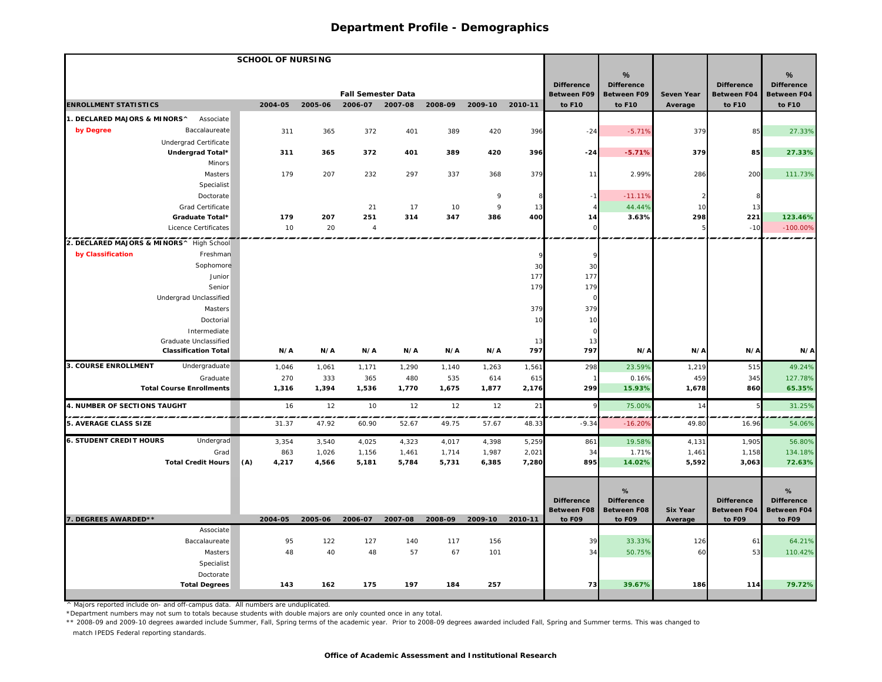|                                             | <b>SCHOOL OF NURSING</b> |         |                                              |         |         |         |           |                              |                              |                            |                              |                              |
|---------------------------------------------|--------------------------|---------|----------------------------------------------|---------|---------|---------|-----------|------------------------------|------------------------------|----------------------------|------------------------------|------------------------------|
|                                             |                          |         |                                              |         |         |         |           |                              | %                            |                            |                              | %                            |
|                                             |                          |         |                                              |         |         |         |           | <b>Difference</b>            | <b>Difference</b>            |                            | <b>Difference</b>            | <b>Difference</b>            |
| <b>ENROLLMENT STATISTICS</b>                | 2004-05                  | 2005-06 | <b>Fall Semester Data</b><br>2006-07 2007-08 |         | 2008-09 | 2009-10 | 2010-11   | <b>Between F09</b><br>to F10 | <b>Between F09</b><br>to F10 | Seven Year<br>Average      | <b>Between F04</b><br>to F10 | <b>Between F04</b><br>to F10 |
| 1. DECLARED MAJORS & MINORS^<br>Associate   |                          |         |                                              |         |         |         |           |                              |                              |                            |                              |                              |
| by Degree<br>Baccalaureate                  | 311                      | 365     | 372                                          | 401     | 389     | 420     | 396       | $-24$                        | $-5.71%$                     | 379                        | 85                           | 27.33%                       |
| Undergrad Certificate                       |                          |         |                                              |         |         |         |           |                              |                              |                            |                              |                              |
| Undergrad Total*                            | 311                      | 365     | 372                                          | 401     | 389     | 420     | 396       | $-24$                        | $-5.71%$                     | 379                        | 85                           | 27.33%                       |
| Minors                                      |                          |         |                                              |         |         |         |           |                              |                              |                            |                              |                              |
| Masters                                     | 179                      | 207     | 232                                          | 297     | 337     | 368     | 379       | 11                           | 2.99%                        | 286                        | 200                          | 111.73%                      |
| Specialist                                  |                          |         |                                              |         |         |         |           |                              |                              |                            |                              |                              |
| Doctorate                                   |                          |         |                                              |         |         | 9       | 8         | $-1$                         | $-11.11%$                    | $\mathcal{P}$              | 8                            |                              |
| Grad Certificate                            |                          |         | 21                                           | 17      | 10      | 9       | 13        |                              | 44.44%                       | 10                         | 13                           |                              |
| Graduate Total*                             | 179                      | 207     | 251                                          | 314     | 347     | 386     | 400       | 14                           | 3.63%                        | 298                        | 221                          | 123.46%                      |
| Licence Certificates                        | 10                       | 20      | 4                                            |         |         |         |           |                              |                              | 5                          | $-10$                        | $-100.00%$                   |
| 2. DECLARED MAJORS & MINORS^ High School    |                          |         |                                              |         |         |         |           |                              |                              |                            |                              |                              |
| by Classification<br>Freshman               |                          |         |                                              |         |         |         |           |                              |                              |                            |                              |                              |
| Sophomore                                   |                          |         |                                              |         |         |         | 30        | 30                           |                              |                            |                              |                              |
| Junior                                      |                          |         |                                              |         |         |         | 177       | 177                          |                              |                            |                              |                              |
| Senior                                      |                          |         |                                              |         |         |         | 179       | 179                          |                              |                            |                              |                              |
| Undergrad Unclassified                      |                          |         |                                              |         |         |         |           | $\Omega$                     |                              |                            |                              |                              |
| Masters                                     |                          |         |                                              |         |         |         | 379       | 379                          |                              |                            |                              |                              |
| Doctorial                                   |                          |         |                                              |         |         |         | 10        | 10                           |                              |                            |                              |                              |
| Intermediate                                |                          |         |                                              |         |         |         |           | $\Omega$                     |                              |                            |                              |                              |
| Graduate Unclassified                       |                          |         |                                              |         |         | N/A     | 13<br>797 | 13<br>797                    | N/A                          |                            |                              |                              |
| <b>Classification Total</b>                 | N/A                      | N/A     | N/A                                          | N/A     | N/A     |         |           |                              |                              | N/A                        | N/A                          | N/A                          |
| 3. COURSE ENROLLMENT<br>Undergraduate       | 1,046                    | 1,061   | 1,171                                        | 1,290   | 1,140   | 1,263   | 1,561     | 298                          | 23.59%                       | 1,219                      | 515                          | 49.24%                       |
| Graduate                                    | 270                      | 333     | 365                                          | 480     | 535     | 614     | 615       |                              | 0.16%                        | 459                        | 345                          | 127.78%                      |
| <b>Total Course Enrollments</b>             | 1,316                    | 1,394   | 1,536                                        | 1,770   | 1,675   | 1,877   | 2,176     | 299                          | 15.93%                       | 1,678                      | 860                          | 65.35%                       |
| 4. NUMBER OF SECTIONS TAUGHT                | 16                       | 12      | 10                                           | 12      | 12      | 12      | 21        |                              | 75.00%                       | 14                         |                              | 31.25%                       |
| <b>5. AVERAGE CLASS SIZE</b>                | 31.37                    | 47.92   | 60.90                                        | 52.67   | 49.75   | 57.67   | 48.33     | $-9.34$                      | $-16.20%$                    | 49.80                      | 16.96                        | 54.06%                       |
| <b>6. STUDENT CREDIT HOURS</b><br>Undergrad | 3,354                    | 3,540   | 4,025                                        | 4,323   | 4,017   | 4,398   | 5,259     | 861                          | 19.58%                       | 4,131                      | 1,905                        | 56.80%                       |
| Grad                                        | 863                      | 1,026   | 1,156                                        | 1,461   | 1,714   | 1,987   | 2,021     | 34                           | 1.71%                        | 1,461                      | 1,158                        | 134.18%                      |
| <b>Total Credit Hours</b>                   | (A)<br>4,217             | 4,566   | 5,181                                        | 5,784   | 5,731   | 6,385   | 7,280     | 895                          | 14.02%                       | 5,592                      | 3,063                        | 72.63%                       |
|                                             |                          |         |                                              |         |         |         |           |                              |                              |                            |                              |                              |
|                                             |                          |         |                                              |         |         |         |           |                              | %                            |                            |                              | %                            |
|                                             |                          |         |                                              |         |         |         |           | <b>Difference</b>            | <b>Difference</b>            |                            | <b>Difference</b>            | <b>Difference</b>            |
| 7. DEGREES AWARDED**                        | 2004-05                  | 2005-06 | 2006-07                                      | 2007-08 | 2008-09 | 2009-10 | 2010-11   | <b>Between F08</b><br>to F09 | <b>Between F08</b><br>to F09 | <b>Six Year</b><br>Average | Between F04<br>to F09        | Between F04<br>to F09        |
| Associate                                   |                          |         |                                              |         |         |         |           |                              |                              |                            |                              |                              |
| Baccalaureate                               | 95                       | 122     | 127                                          | 140     | 117     | 156     |           | 39                           | 33.33%                       | 126                        | 61                           | 64.21%                       |
| Masters                                     | 48                       | 40      | 48                                           | 57      | 67      | 101     |           | 34                           | 50.75%                       | 60                         | 53                           | 110.42%                      |
| Specialist                                  |                          |         |                                              |         |         |         |           |                              |                              |                            |                              |                              |
| Doctorate                                   |                          |         |                                              |         |         |         |           |                              |                              |                            |                              |                              |
| <b>Total Degrees</b>                        | 143                      | 162     | 175                                          | 197     | 184     | 257     |           | 73                           | 39.67%                       | 186                        | 114                          | 79.72%                       |
|                                             |                          |         |                                              |         |         |         |           |                              |                              |                            |                              |                              |

^ Majors reported include on- and off-campus data. All numbers are unduplicated.

\*Department numbers may not sum to totals because students with double majors are only counted once in any total.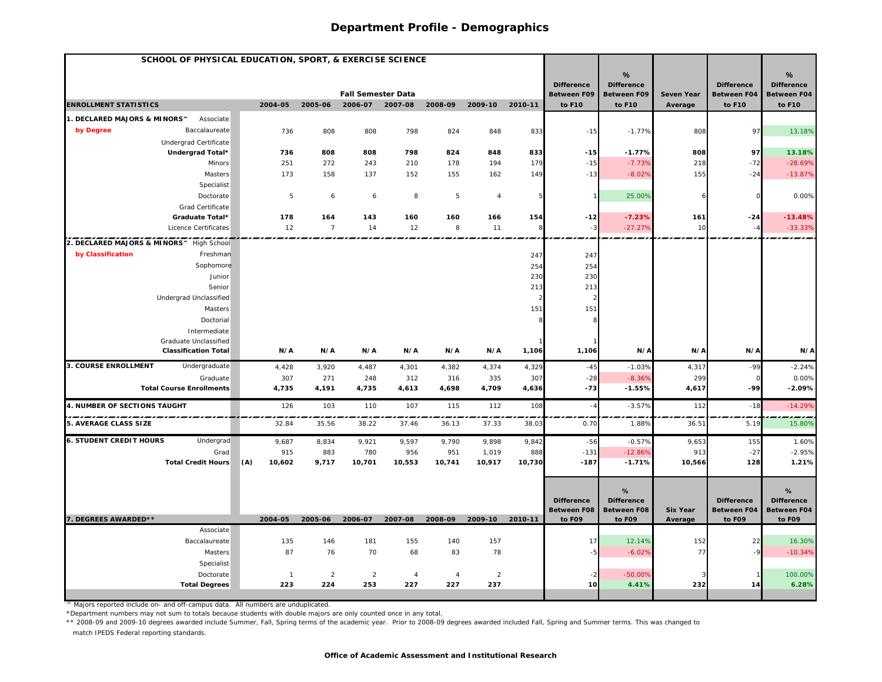| SCHOOL OF PHYSICAL EDUCATION, SPORT, & EXERCISE SCIENCE |                |                |                           |                |                |                |         |                                         |                                         |                   |                                         |                                  |
|---------------------------------------------------------|----------------|----------------|---------------------------|----------------|----------------|----------------|---------|-----------------------------------------|-----------------------------------------|-------------------|-----------------------------------------|----------------------------------|
|                                                         |                |                |                           |                |                |                |         |                                         | %                                       |                   |                                         | %                                |
|                                                         |                |                | <b>Fall Semester Data</b> |                |                |                |         | <b>Difference</b><br><b>Between F09</b> | <b>Difference</b><br><b>Between F09</b> | <b>Seven Year</b> | <b>Difference</b><br><b>Between F04</b> | <b>Difference</b><br>Between F04 |
| <b>ENROLLMENT STATISTICS</b>                            | 2004-05        | 2005-06        | 2006-07 2007-08           |                | 2008-09        | 2009-10        | 2010-11 | to F10                                  | to F10                                  | Average           | to F10                                  | to F10                           |
| 1. DECLARED MAJORS & MINORS^<br>Associate               |                |                |                           |                |                |                |         |                                         |                                         |                   |                                         |                                  |
| by Degree<br>Baccalaureate                              | 736            | 808            | 808                       | 798            | 824            | 848            | 833     | $-15$                                   | $-1.77%$                                | 808               | 97                                      | 13.18%                           |
| Undergrad Certificate                                   |                |                |                           |                |                |                |         |                                         |                                         |                   |                                         |                                  |
| Undergrad Total*                                        | 736            | 808            | 808                       | 798            | 824            | 848            | 833     | $-15$                                   | $-1.77%$                                | 808               | 97                                      | 13.18%                           |
| Minors                                                  | 251            | 272            | 243                       | 210            | 178            | 194            | 179     | $-15$                                   | $-7.73%$                                | 218               | $-72$                                   | $-28.69%$                        |
| Masters                                                 | 173            | 158            | 137                       | 152            | 155            | 162            | 149     | $-13$                                   | $-8.02%$                                | 155               | $-24$                                   | $-13.87%$                        |
| Specialist                                              |                |                |                           |                |                |                |         |                                         |                                         |                   |                                         |                                  |
| Doctorate                                               | 5              | $\epsilon$     | $\epsilon$                | 8              | 5              | $\overline{4}$ | 5       |                                         | 25.00%                                  | 6                 | $\Omega$                                | 0.00%                            |
| Grad Certificate                                        |                |                |                           |                |                |                |         |                                         |                                         |                   |                                         |                                  |
| Graduate Total*                                         | 178            | 164            | 143                       | 160            | 160            | 166            | 154     | $-12$                                   | $-7.23%$                                | 161               | $-24$                                   | $-13.48%$                        |
| Licence Certificates                                    | 12             | $\overline{7}$ | 14                        | 12             | 8              | 11             | 8       | $-3$                                    | $-27.27%$                               | 10                |                                         | $-33.33%$                        |
| 2. DECLARED MAJORS & MINORS^ High School                |                |                |                           |                |                |                |         |                                         |                                         |                   |                                         |                                  |
| by Classification<br>Freshman                           |                |                |                           |                |                |                | 247     | 247                                     |                                         |                   |                                         |                                  |
| Sophomore                                               |                |                |                           |                |                |                | 254     | 254                                     |                                         |                   |                                         |                                  |
| Junior                                                  |                |                |                           |                |                |                | 230     | 230                                     |                                         |                   |                                         |                                  |
| Senior                                                  |                |                |                           |                |                |                | 213     | 213                                     |                                         |                   |                                         |                                  |
| Undergrad Unclassified                                  |                |                |                           |                |                |                |         |                                         |                                         |                   |                                         |                                  |
| Masters                                                 |                |                |                           |                |                |                | 151     | 151                                     |                                         |                   |                                         |                                  |
| Doctorial                                               |                |                |                           |                |                |                |         |                                         |                                         |                   |                                         |                                  |
| Intermediate                                            |                |                |                           |                |                |                |         |                                         |                                         |                   |                                         |                                  |
| Graduate Unclassified                                   |                |                |                           |                |                |                |         |                                         |                                         |                   |                                         |                                  |
| <b>Classification Total</b>                             | N/A            | N/A            | N/A                       | N/A            | N/A            | N/A            | 1,106   | 1,106                                   | N/A                                     | N/A               | N/A                                     | N/A                              |
| <b>3. COURSE ENROLLMENT</b><br>Undergraduate            | 4,428          | 3,920          | 4,487                     | 4,301          | 4,382          | 4,374          | 4,329   | $-45$                                   | $-1.03%$                                | 4,317             | $-99$                                   | $-2.24%$                         |
| Graduate                                                | 307            | 271            | 248                       | 312            | 316            | 335            | 307     | $-28$                                   | $-8.36%$                                | 299               |                                         | 0.00%                            |
| <b>Total Course Enrollments</b>                         | 4,735          | 4,191          | 4,735                     | 4,613          | 4,698          | 4,709          | 4,636   | $-73$                                   | $-1.55%$                                | 4,617             | -99                                     | $-2.09%$                         |
| 4. NUMBER OF SECTIONS TAUGHT                            | 126            | 103            | 110                       | 107            | 115            | 112            | 108     | $-4$                                    | $-3.57%$                                | 112               | $-18$                                   | $-14.29%$                        |
| <b>5. AVERAGE CLASS SIZE</b>                            | 32.84          | 35.56          | 38.22                     | 37.46          | 36.13          | 37.33          | 38.03   | 0.7C                                    | 1.88%                                   | 36.51             | 5.19                                    | 15.80%                           |
| <b>6. STUDENT CREDIT HOURS</b><br>Undergrad             | 9,687          | 8,834          | 9,921                     | 9,597          | 9,790          | 9,898          | 9,842   | $-56$                                   | $-0.57%$                                | 9,653             | 155                                     | 1.60%                            |
| Grad                                                    | 915            | 883            | 780                       | 956            | 951            | 1,019          | 888     | $-131$                                  | $-12.86%$                               | 913               | $-27$                                   | $-2.95%$                         |
| <b>Total Credit Hours</b>                               | (A)<br>10,602  | 9,717          | 10,701                    | 10,553         | 10,741         | 10,917         | 10,730  | $-187$                                  | $-1.71%$                                | 10,566            | 128                                     | 1.21%                            |
|                                                         |                |                |                           |                |                |                |         |                                         |                                         |                   |                                         |                                  |
|                                                         |                |                |                           |                |                |                |         |                                         | %                                       |                   |                                         | %                                |
|                                                         |                |                |                           |                |                |                |         | <b>Difference</b>                       | <b>Difference</b>                       |                   | <b>Difference</b>                       | <b>Difference</b>                |
| 7. DEGREES AWARDED**                                    | 2004-05        | 2005-06        | 2006-07                   | 2007-08        | 2008-09        | 2009-10        | 2010-11 | <b>Between F08</b><br>to F09            | <b>Between F08</b><br>to F09            | <b>Six Year</b>   | Between F04<br>to F09                   | <b>Between F04</b><br>to F09     |
| Associate                                               |                |                |                           |                |                |                |         |                                         |                                         | Average           |                                         |                                  |
| Baccalaureate                                           | 135            | 146            | 181                       | 155            | 140            | 157            |         | 17                                      | 12.14%                                  | 152               | 22                                      | 16.30%                           |
| Masters                                                 | 87             | 76             | 70                        | 68             | 83             | 78             |         |                                         | $-6.02%$                                | 77                |                                         | $-10.34%$                        |
| Specialist                                              |                |                |                           |                |                |                |         |                                         |                                         |                   |                                         |                                  |
| Doctorate                                               | $\overline{1}$ | $\overline{2}$ | $\overline{2}$            | $\overline{4}$ | $\overline{4}$ | $\overline{2}$ |         |                                         | $-50.00%$                               |                   |                                         | 100.00%                          |
| <b>Total Degrees</b>                                    | 223            | 224            | 253                       | 227            | 227            | 237            |         | 10                                      | 4.41%                                   | 232               | 14                                      | 6.28%                            |
|                                                         |                |                |                           |                |                |                |         |                                         |                                         |                   |                                         |                                  |

^ Majors reported include on- and off-campus data. All numbers are unduplicated.

\*Department numbers may not sum to totals because students with double majors are only counted once in any total.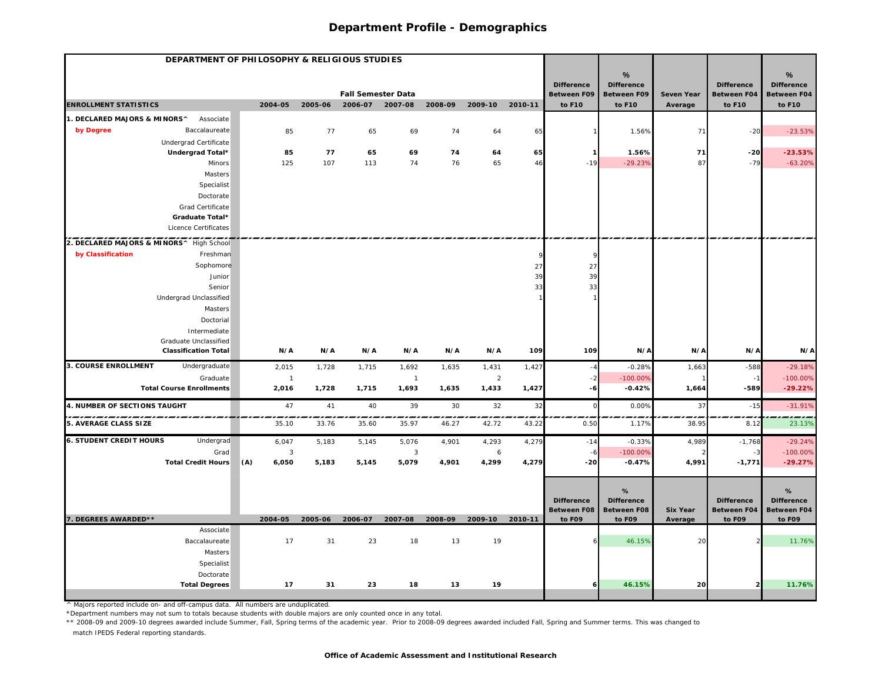| DEPARTMENT OF PHILOSOPHY & RELIGIOUS STUDIES         |                |         |                           |                 |         |                 |         |                                         |                                         |                            |                                         |                                  |
|------------------------------------------------------|----------------|---------|---------------------------|-----------------|---------|-----------------|---------|-----------------------------------------|-----------------------------------------|----------------------------|-----------------------------------------|----------------------------------|
|                                                      |                |         |                           |                 |         |                 |         |                                         | %                                       |                            |                                         | %                                |
|                                                      |                |         | <b>Fall Semester Data</b> |                 |         |                 |         | <b>Difference</b><br><b>Between F09</b> | <b>Difference</b><br><b>Between F09</b> | Seven Year                 | <b>Difference</b><br><b>Between F04</b> | <b>Difference</b><br>Between F04 |
| <b>ENROLLMENT STATISTICS</b>                         | 2004-05        | 2005-06 |                           | 2006-07 2007-08 | 2008-09 | 2009-10 2010-11 |         | to F10                                  | to F10                                  | Average                    | to F10                                  | to F10                           |
| 1. DECLARED MAJORS & MINORS^<br>Associate            |                |         |                           |                 |         |                 |         |                                         |                                         |                            |                                         |                                  |
| by Degree<br>Baccalaureate                           | 85             | 77      | 65                        | 69              | 74      | 64              | 65      |                                         | 1.56%                                   | 71                         | $-20$                                   | $-23.53%$                        |
| Undergrad Certificate                                |                |         |                           |                 |         |                 |         |                                         |                                         |                            |                                         |                                  |
| Undergrad Total*                                     | 85             | 77      | 65                        | 69              | 74      | 64              | 65      |                                         | 1.56%                                   | 71                         | $-20$                                   | $-23.53%$                        |
| Minors                                               | 125            | 107     | 113                       | 74              | 76      | 65              | 46      | $-19$                                   | $-29.23%$                               | 87                         | $-79$                                   | $-63.20%$                        |
| Masters                                              |                |         |                           |                 |         |                 |         |                                         |                                         |                            |                                         |                                  |
| Specialist                                           |                |         |                           |                 |         |                 |         |                                         |                                         |                            |                                         |                                  |
| Doctorate                                            |                |         |                           |                 |         |                 |         |                                         |                                         |                            |                                         |                                  |
| Grad Certificate                                     |                |         |                           |                 |         |                 |         |                                         |                                         |                            |                                         |                                  |
| Graduate Total*                                      |                |         |                           |                 |         |                 |         |                                         |                                         |                            |                                         |                                  |
| Licence Certificates                                 |                |         |                           |                 |         |                 |         |                                         |                                         |                            |                                         |                                  |
| 2. DECLARED MAJORS & MINORS^ High School             |                |         |                           |                 |         |                 |         |                                         |                                         |                            |                                         |                                  |
| by Classification<br>Freshman                        |                |         |                           |                 |         |                 |         |                                         |                                         |                            |                                         |                                  |
| Sophomore                                            |                |         |                           |                 |         |                 | 27      | 27                                      |                                         |                            |                                         |                                  |
| Junior                                               |                |         |                           |                 |         |                 | 39      | 39                                      |                                         |                            |                                         |                                  |
| Senior                                               |                |         |                           |                 |         |                 | 33      | 33                                      |                                         |                            |                                         |                                  |
| Undergrad Unclassified                               |                |         |                           |                 |         |                 |         |                                         |                                         |                            |                                         |                                  |
| Masters                                              |                |         |                           |                 |         |                 |         |                                         |                                         |                            |                                         |                                  |
| Doctorial                                            |                |         |                           |                 |         |                 |         |                                         |                                         |                            |                                         |                                  |
| Intermediate                                         |                |         |                           |                 |         |                 |         |                                         |                                         |                            |                                         |                                  |
| Graduate Unclassified<br><b>Classification Total</b> |                | N/A     | N/A                       |                 |         |                 |         |                                         |                                         |                            |                                         |                                  |
|                                                      | N/A            |         |                           | N/A             | N/A     | N/A             | 109     | 109                                     | N/A                                     | N/A                        | N/A                                     | N/A                              |
| 3. COURSE ENROLLMENT<br>Undergraduate                | 2,015          | 1,728   | 1,715                     | 1,692           | 1,635   | 1,431           | 1,427   |                                         | $-0.28%$                                | 1,663                      | $-588$                                  | $-29.18%$                        |
| Graduate                                             | $\overline{1}$ |         |                           | $\overline{1}$  |         | $\overline{2}$  |         | $-2$                                    | $-100.00%$                              |                            | $-1$                                    | $-100.00\%$                      |
| <b>Total Course Enrollments</b>                      | 2,016          | 1,728   | 1,715                     | 1,693           | 1,635   | 1,433           | 1,427   | -6                                      | $-0.42%$                                | 1,664                      | $-589$                                  | $-29.22%$                        |
| 4. NUMBER OF SECTIONS TAUGHT                         | 47             | 41      | 40                        | 39              | 30      | 32              | 32      |                                         | 0.00%                                   | 37                         | $-15$                                   | $-31.91%$                        |
| 5. AVERAGE CLASS SIZE                                | 35.10          | 33.76   | 35.60                     | 35.97           | 46.27   | 42.72           | 43.22   | 0.50                                    | 1.17%                                   | 38.95                      | 8.12                                    | ----<br>23.13%                   |
| <b>6. STUDENT CREDIT HOURS</b><br>Undergrad          | 6,047          | 5,183   | 5,145                     | 5,076           | 4,901   | 4,293           | 4,279   | $-14$                                   | $-0.33%$                                | 4,989                      | $-1,768$                                | $-29.24%$                        |
| Grad                                                 | $\mathbf{3}$   |         |                           | $\mathbf{3}$    |         | 6               |         | -6                                      | $-100.00%$                              |                            |                                         | $-100.00\%$                      |
| <b>Total Credit Hours</b>                            | (A)<br>6,050   | 5,183   | 5,145                     | 5,079           | 4,901   | 4,299           | 4,279   | $-20$                                   | $-0.47%$                                | 4,991                      | $-1,771$                                | $-29.27%$                        |
|                                                      |                |         |                           |                 |         |                 |         |                                         |                                         |                            |                                         |                                  |
|                                                      |                |         |                           |                 |         |                 |         |                                         | %                                       |                            |                                         | %                                |
|                                                      |                |         |                           |                 |         |                 |         | <b>Difference</b>                       | <b>Difference</b>                       |                            | <b>Difference</b>                       | <b>Difference</b>                |
| 7. DEGREES AWARDED**                                 | 2004-05        | 2005-06 | 2006-07                   | 2007-08         | 2008-09 | 2009-10         | 2010-11 | <b>Between F08</b><br>to F09            | <b>Between F08</b><br>to F09            | <b>Six Year</b><br>Average | Between F04<br>to F09                   | Between F04<br>to F09            |
| Associate                                            |                |         |                           |                 |         |                 |         |                                         |                                         |                            |                                         |                                  |
| Baccalaureate                                        | 17             | 31      | 23                        | 18              | 13      | 19              |         |                                         | 46.15%                                  | 20                         |                                         | 11.76%                           |
| Masters                                              |                |         |                           |                 |         |                 |         |                                         |                                         |                            |                                         |                                  |
| Specialist                                           |                |         |                           |                 |         |                 |         |                                         |                                         |                            |                                         |                                  |
| Doctorate                                            |                |         |                           |                 |         |                 |         |                                         |                                         |                            |                                         |                                  |
| <b>Total Degrees</b>                                 | 17             | 31      | 23                        | 18              | 13      | 19              |         |                                         | 46.15%                                  | 20                         |                                         | 11.76%                           |
|                                                      |                |         |                           |                 |         |                 |         |                                         |                                         |                            |                                         |                                  |

 $^\wedge$  Majors reported include on- and off-campus data. All numbers are unduplicated.

\*Department numbers may not sum to totals because students with double majors are only counted once in any total.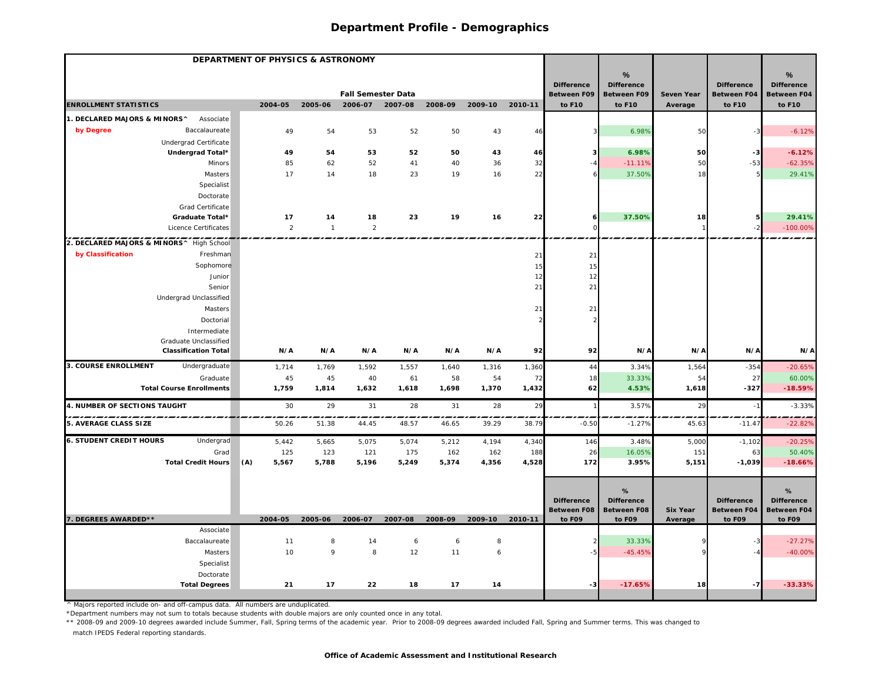|                                             | DEPARTMENT OF PHYSICS & ASTRONOMY |                |                           |         |         |         |         |                                         |                                         |                            |                                         |                                  |
|---------------------------------------------|-----------------------------------|----------------|---------------------------|---------|---------|---------|---------|-----------------------------------------|-----------------------------------------|----------------------------|-----------------------------------------|----------------------------------|
|                                             |                                   |                |                           |         |         |         |         |                                         | %                                       |                            |                                         | %                                |
|                                             |                                   |                | <b>Fall Semester Data</b> |         |         |         |         | <b>Difference</b><br><b>Between F09</b> | <b>Difference</b><br><b>Between F09</b> | Seven Year                 | <b>Difference</b><br><b>Between F04</b> | <b>Difference</b><br>Between F04 |
| <b>ENROLLMENT STATISTICS</b>                | 2004-05                           | 2005-06        | 2006-07 2007-08           |         | 2008-09 | 2009-10 | 2010-11 | to F10                                  | to F10                                  | Average                    | to F10                                  | to F10                           |
| 1. DECLARED MAJORS & MINORS^<br>Associate   |                                   |                |                           |         |         |         |         |                                         |                                         |                            |                                         |                                  |
| by Degree<br>Baccalaureate                  | 49                                | 54             | 53                        | 52      | 50      | 43      | 46      |                                         | 6.98%                                   | 50                         |                                         | $-6.12%$                         |
| Undergrad Certificate                       |                                   |                |                           |         |         |         |         |                                         |                                         |                            |                                         |                                  |
| Undergrad Total*                            | 49                                | 54             | 53                        | 52      | 50      | 43      | 46      |                                         | 6.98%                                   | 50                         | $-3$                                    | $-6.12%$                         |
| Minors                                      | 85                                | 62             | 52                        | 41      | 40      | 36      | 32      |                                         | $-11.11%$                               | 50                         | $-53$                                   | $-62.35%$                        |
| Masters                                     | 17                                | 14             | 18                        | 23      | 19      | 16      | 22      |                                         | 37.50%                                  | 18                         |                                         | 29.41%                           |
| Specialist                                  |                                   |                |                           |         |         |         |         |                                         |                                         |                            |                                         |                                  |
| Doctorate                                   |                                   |                |                           |         |         |         |         |                                         |                                         |                            |                                         |                                  |
| Grad Certificate                            |                                   |                |                           |         |         |         |         |                                         |                                         |                            |                                         |                                  |
| Graduate Total*                             | 17                                | 14             | 18                        | 23      | 19      | 16      | 22      |                                         | 37.50%                                  | 18                         |                                         | 29.41%                           |
| Licence Certificates                        | $\overline{2}$                    | $\overline{1}$ | $\overline{2}$            |         |         |         |         |                                         |                                         | $\mathbf{1}$               | $-2$                                    | $-100.00\%$                      |
| 2. DECLARED MAJORS & MINORS^ High School    |                                   |                |                           |         |         |         |         |                                         |                                         |                            |                                         |                                  |
| by Classification<br>Freshman               |                                   |                |                           |         |         |         | 21      | 21                                      |                                         |                            |                                         |                                  |
| Sophomore                                   |                                   |                |                           |         |         |         | 15      | 15                                      |                                         |                            |                                         |                                  |
| Junior                                      |                                   |                |                           |         |         |         | 12      | 12                                      |                                         |                            |                                         |                                  |
| Senior                                      |                                   |                |                           |         |         |         | 21      | 21                                      |                                         |                            |                                         |                                  |
| Undergrad Unclassified                      |                                   |                |                           |         |         |         |         |                                         |                                         |                            |                                         |                                  |
| Masters                                     |                                   |                |                           |         |         |         | 21      | 21                                      |                                         |                            |                                         |                                  |
| Doctorial                                   |                                   |                |                           |         |         |         |         |                                         |                                         |                            |                                         |                                  |
| Intermediate                                |                                   |                |                           |         |         |         |         |                                         |                                         |                            |                                         |                                  |
| Graduate Unclassified                       |                                   |                |                           |         |         |         |         |                                         |                                         |                            |                                         |                                  |
| <b>Classification Total</b>                 | N/A                               | N/A            | N/A                       | N/A     | N/A     | N/A     | 92      | 92                                      | N/A                                     | N/A                        | N/A                                     | N/A                              |
| 3. COURSE ENROLLMENT<br>Undergraduate       | 1,714                             | 1,769          | 1,592                     | 1,557   | 1,640   | 1,316   | 1,360   | 44                                      | 3.34%                                   | 1,564                      | $-354$                                  | $-20.65%$                        |
| Graduate                                    | 45                                | 45             | 40                        | 61      | 58      | 54      | 72      | 18                                      | 33.33%                                  | 54                         | 27                                      | 60.00%                           |
| <b>Total Course Enrollments</b>             | 1,759                             | 1,814          | 1,632                     | 1,618   | 1,698   | 1,370   | 1,432   | 62                                      | 4.53%                                   | 1,618                      | $-327$                                  | $-18.59%$                        |
| 4. NUMBER OF SECTIONS TAUGHT                | 30                                | 29             | 31                        | 28      | 31      | 28      | 29      |                                         | 3.57%                                   | 29                         | $-1$                                    | $-3.33%$                         |
| 5. AVERAGE CLASS SIZE                       | 50.26                             | 51.38          | 44.45                     | 48.57   | 46.65   | 39.29   | 38.79   | $-0.50$                                 | $-1.27%$                                | 45.63                      | $-11.4$                                 | $-22.82%$                        |
| <b>6. STUDENT CREDIT HOURS</b><br>Undergrad | 5,442                             | 5,665          | 5,075                     | 5,074   | 5,212   | 4,194   | 4,340   | 146                                     | 3.48%                                   | 5,000                      | $-1,102$                                | $-20.25%$                        |
| Grad                                        | 125                               | 123            | 121                       | 175     | 162     | 162     | 188     | 26                                      | 16.05%                                  | 151                        | 63                                      | 50.40%                           |
| <b>Total Credit Hours</b>                   | (A)<br>5,567                      | 5,788          | 5,196                     | 5,249   | 5,374   | 4,356   | 4,528   | 172                                     | 3.95%                                   | 5,151                      | $-1,039$                                | $-18.66%$                        |
|                                             |                                   |                |                           |         |         |         |         |                                         |                                         |                            |                                         |                                  |
|                                             |                                   |                |                           |         |         |         |         |                                         | %                                       |                            |                                         | %                                |
|                                             |                                   |                |                           |         |         |         |         | <b>Difference</b>                       | <b>Difference</b>                       |                            | <b>Difference</b>                       | <b>Difference</b>                |
| 7. DEGREES AWARDED**                        | 2004-05                           | 2005-06        | 2006-07                   | 2007-08 | 2008-09 | 2009-10 | 2010-11 | <b>Between F08</b><br>to F09            | <b>Between F08</b><br>to F09            | <b>Six Year</b><br>Average | Between F04<br>to F09                   | Between F04<br>to F09            |
| Associate                                   |                                   |                |                           |         |         |         |         |                                         |                                         |                            |                                         |                                  |
| Baccalaureate                               | 11                                | 8              | 14                        | 6       | 6       | 8       |         |                                         | 33.33%                                  |                            |                                         | $-27.27%$                        |
| Masters                                     | 10                                | 9              | 8                         | 12      | 11      | 6       |         |                                         | $-45.45%$                               |                            |                                         | $-40.00%$                        |
| Specialist                                  |                                   |                |                           |         |         |         |         |                                         |                                         |                            |                                         |                                  |
| Doctorate                                   |                                   |                |                           |         |         |         |         |                                         |                                         |                            |                                         |                                  |
| <b>Total Degrees</b>                        | 21                                | 17             | 22                        | 18      | 17      | 14      |         | -3                                      | $-17.65%$                               | 18                         | $-7$                                    | $-33.33%$                        |
|                                             |                                   |                |                           |         |         |         |         |                                         |                                         |                            |                                         |                                  |

^ Majors reported include on- and off-campus data. All numbers are unduplicated.

\*Department numbers may not sum to totals because students with double majors are only counted once in any total.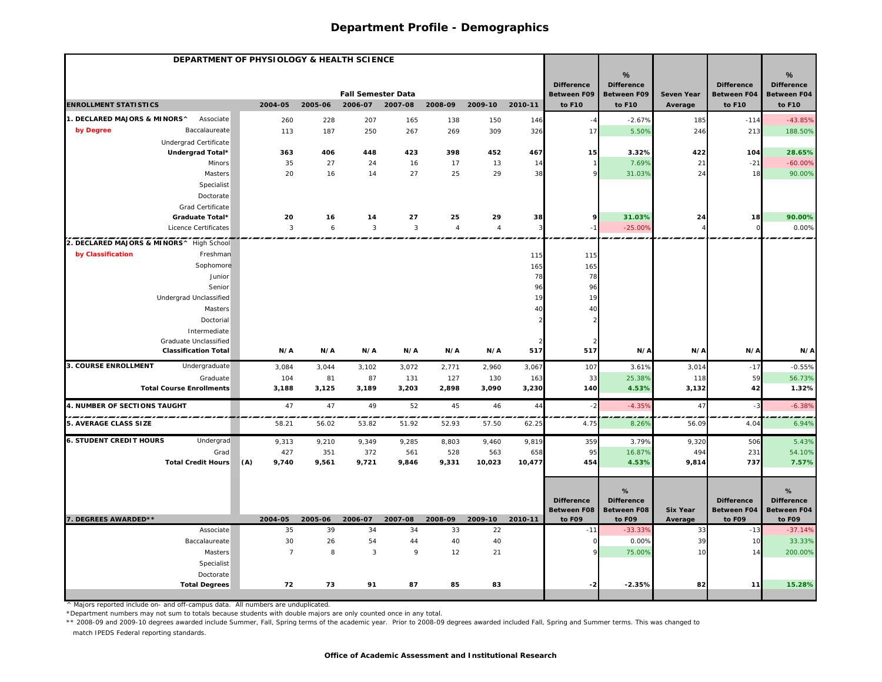| DEPARTMENT OF PHYSIOLOGY & HEALTH SCIENCE   |                |         |                                      |              |                |                |         |                              |                              |                            |                       |                              |
|---------------------------------------------|----------------|---------|--------------------------------------|--------------|----------------|----------------|---------|------------------------------|------------------------------|----------------------------|-----------------------|------------------------------|
|                                             |                |         |                                      |              |                |                |         |                              | %                            |                            |                       | %                            |
|                                             |                |         |                                      |              |                |                |         | <b>Difference</b>            | <b>Difference</b>            |                            | <b>Difference</b>     | <b>Difference</b>            |
| <b>ENROLLMENT STATISTICS</b>                | 2004-05        | 2005-06 | <b>Fall Semester Data</b><br>2006-07 | 2007-08      | 2008-09        | 2009-10        | 2010-11 | <b>Between F09</b><br>to F10 | <b>Between F09</b><br>to F10 | Seven Year<br>Average      | Between F04<br>to F10 | Between F04<br>to F10        |
| 1. DECLARED MAJORS & MINORS^<br>Associate   | 260            | 228     | 207                                  | 165          | 138            | 150            | 146     | $-4$                         | $-2.67%$                     | 185                        | $-114$                | $-43.85%$                    |
| by Degree<br>Baccalaureate                  | 113            | 187     | 250                                  | 267          | 269            | 309            | 326     | 17                           | 5.50%                        | 246                        | 213                   | 188.50%                      |
| Undergrad Certificate                       |                |         |                                      |              |                |                |         |                              |                              |                            |                       |                              |
| Undergrad Total*                            | 363            | 406     | 448                                  | 423          | 398            | 452            | 467     | 15                           | 3.32%                        | 422                        | 104                   | 28.65%                       |
| Minors                                      | 35             | 27      | 24                                   | 16           | 17             | 13             | 14      |                              | 7.69%                        | 21                         | $-21$                 | $-60.00%$                    |
| Masters                                     | 20             | 16      | 14                                   | 27           | 25             | 29             | 38      |                              | 31.03%                       | 24                         | 18                    | 90.00%                       |
| Specialist                                  |                |         |                                      |              |                |                |         |                              |                              |                            |                       |                              |
| Doctorate                                   |                |         |                                      |              |                |                |         |                              |                              |                            |                       |                              |
| Grad Certificate                            |                |         |                                      |              |                |                |         |                              |                              |                            |                       |                              |
| Graduate Total*                             | 20             | 16      | 14                                   | 27           | 25             | 29             | 38      |                              | 31.03%                       | 24                         | 18                    | 90.00%                       |
| Licence Certificates                        | 3              | 6       | 3                                    | $\mathbf{3}$ | $\overline{4}$ | $\overline{4}$ | 3       | -1                           | $-25.00%$                    | $\overline{4}$             | $\cap$                | 0.00%                        |
| 2. DECLARED MAJORS & MINORS^ High School    |                |         |                                      |              |                |                |         |                              |                              |                            |                       |                              |
| by Classification<br>Freshman               |                |         |                                      |              |                |                | 115     | 115                          |                              |                            |                       |                              |
| Sophomore                                   |                |         |                                      |              |                |                | 165     | 165                          |                              |                            |                       |                              |
| Junior                                      |                |         |                                      |              |                |                | 78      | 78                           |                              |                            |                       |                              |
| Senior                                      |                |         |                                      |              |                |                | 96      | 96                           |                              |                            |                       |                              |
| Undergrad Unclassified                      |                |         |                                      |              |                |                | 19      | 19                           |                              |                            |                       |                              |
| Masters                                     |                |         |                                      |              |                |                | 40      | 40                           |                              |                            |                       |                              |
| Doctorial                                   |                |         |                                      |              |                |                |         |                              |                              |                            |                       |                              |
| Intermediate                                |                |         |                                      |              |                |                |         |                              |                              |                            |                       |                              |
| Graduate Unclassified                       |                |         |                                      |              |                |                |         |                              |                              |                            |                       |                              |
| <b>Classification Total</b>                 | N/A            | N/A     | N/A                                  | N/A          | N/A            | N/A            | 517     | 517                          | N/A                          | N/A                        | N/A                   | N/A                          |
| 3. COURSE ENROLLMENT<br>Undergraduate       | 3,084          | 3,044   | 3,102                                | 3,072        | 2,771          | 2,960          | 3,067   | 107                          | 3.61%                        | 3,014                      | $-17$                 | $-0.55%$                     |
| Graduate                                    | 104            | 81      | 87                                   | 131          | 127            | 130            | 163     | 33                           | 25.38%                       | 118                        | 59                    | 56.73%                       |
| <b>Total Course Enrollments</b>             | 3,188          | 3,125   | 3,189                                | 3,203        | 2,898          | 3,090          | 3,230   | 140                          | 4.53%                        | 3,132                      | 42                    | 1.32%                        |
| 4. NUMBER OF SECTIONS TAUGHT                | 47             | 47      | 49                                   | 52           | 45             | 46             | 44      | $-2$                         | $-4.35%$                     | 47                         |                       | $-6.38%$                     |
| 5. AVERAGE CLASS SIZE                       | 58.21          | 56.02   | 53.82                                | 51.92        | 52.93          | 57.50          | 62.25   | 4.75                         | 8.26%                        | 56.09                      | 4.04                  | 6.94%                        |
| <b>6. STUDENT CREDIT HOURS</b><br>Undergrad | 9,313          | 9,210   | 9,349                                | 9,285        | 8,803          | 9,460          | 9,819   | 359                          | 3.79%                        | 9,320                      | 506                   | 5.43%                        |
| Grad                                        | 427            | 351     | 372                                  | 561          | 528            | 563            | 658     | 95                           | 16.87%                       | 494                        | 231                   | 54.10%                       |
| <b>Total Credit Hours</b>                   | (A)<br>9,740   | 9,561   | 9,721                                | 9,846        | 9,331          | 10,023         | 10,477  | 454                          | 4.53%                        | 9,814                      | 737                   | 7.57%                        |
|                                             |                |         |                                      |              |                |                |         |                              |                              |                            |                       |                              |
|                                             |                |         |                                      |              |                |                |         |                              | %                            |                            |                       | %                            |
|                                             |                |         |                                      |              |                |                |         | <b>Difference</b>            | <b>Difference</b>            |                            | <b>Difference</b>     | <b>Difference</b>            |
| 7. DEGREES AWARDED**                        | 2004-05        | 2005-06 | 2006-07                              | 2007-08      | 2008-09        | 2009-10        | 2010-11 | <b>Between F08</b><br>to F09 | <b>Between F08</b><br>to F09 | <b>Six Year</b><br>Average | Between F04<br>to F09 | <b>Between F04</b><br>to F09 |
| Associate                                   | 35             | 39      | 34                                   | 34           | 33             | 22             |         | $-11$                        | $-33.33%$                    | 33                         | $-13$                 | $-37.14%$                    |
| Baccalaureate                               | 30             | 26      | 54                                   | 44           | 40             | 40             |         |                              | 0.00%                        | 39                         | 10                    | 33.33%                       |
| Masters                                     | $\overline{7}$ | 8       | 3                                    | 9            | 12             | 21             |         |                              | 75.00%                       | 10                         | 14                    | 200.00%                      |
| Specialist                                  |                |         |                                      |              |                |                |         |                              |                              |                            |                       |                              |
| Doctorate                                   |                |         |                                      |              |                |                |         |                              |                              |                            |                       |                              |
| <b>Total Degrees</b>                        | 72             | 73      | 91                                   | 87           | 85             | 83             |         |                              | $-2.35%$                     | 82                         | 11                    | 15.28%                       |
|                                             |                |         |                                      |              |                |                |         |                              |                              |                            |                       |                              |

^ Majors reported include on- and off-campus data. All numbers are unduplicated.

\*Department numbers may not sum to totals because students with double majors are only counted once in any total.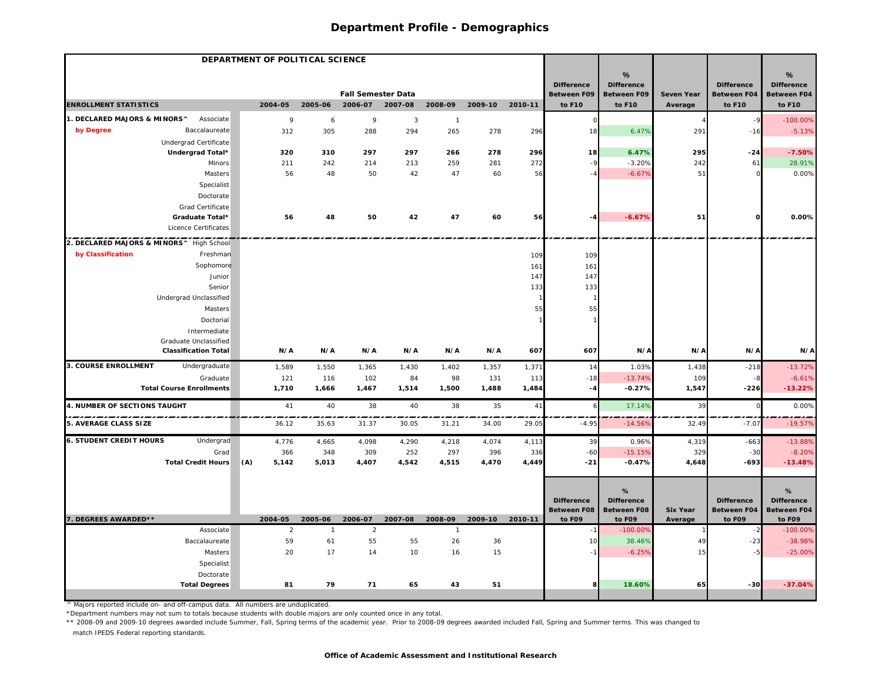|                                                      | DEPARTMENT OF POLITICAL SCIENCE |                     |                           |                 |                |                 |              |                              |                              |                 |                              |                              |
|------------------------------------------------------|---------------------------------|---------------------|---------------------------|-----------------|----------------|-----------------|--------------|------------------------------|------------------------------|-----------------|------------------------------|------------------------------|
|                                                      |                                 |                     |                           |                 |                |                 |              | <b>Difference</b>            | %<br><b>Difference</b>       |                 | <b>Difference</b>            | %<br><b>Difference</b>       |
|                                                      |                                 |                     | <b>Fall Semester Data</b> |                 |                |                 |              | <b>Between F09</b>           | <b>Between F09</b>           | Seven Year      | <b>Between F04</b>           | <b>Between F04</b>           |
| <b>ENROLLMENT STATISTICS</b>                         | 2004-05                         | 2005-06             |                           | 2006-07 2007-08 | 2008-09        | 2009-10 2010-11 |              | to F10                       | to F10                       | Average         | to F10                       | to F10                       |
| 1. DECLARED MAJORS & MINORS^<br>Associate            |                                 | 9<br>6              | 9                         | 3               | $\overline{1}$ |                 |              |                              |                              |                 | $-9$                         | $-100.00%$                   |
| by Degree<br>Baccalaureate                           | 312                             | 305                 | 288                       | 294             | 265            | 278             | 296          | 18                           | 6.47%                        | 291             | $-16$                        | $-5.13%$                     |
| Undergrad Certificate                                |                                 |                     |                           |                 |                |                 |              |                              |                              |                 |                              |                              |
| Undergrad Total*                                     | 320                             | 310                 | 297                       | 297             | 266            | 278             | 296          | 18                           | 6.47%                        | 295             | $-24$                        | $-7.50%$                     |
| Minors                                               | 211                             | 242                 | 214                       | 213             | 259            | 281             | 272          |                              | $-3.20%$                     | 242             | 61                           | 28.91%                       |
| Masters                                              | 56                              | 48                  | 50                        | 42              | 47             | 60              | 56           |                              | $-6.67%$                     | 51              | $\Omega$                     | 0.00%                        |
| Specialist                                           |                                 |                     |                           |                 |                |                 |              |                              |                              |                 |                              |                              |
| Doctorate                                            |                                 |                     |                           |                 |                |                 |              |                              |                              |                 |                              |                              |
| Grad Certificate                                     |                                 |                     |                           |                 |                |                 |              |                              |                              |                 |                              |                              |
| Graduate Total*                                      | 56                              | 48                  | 50                        | 42              | 47             | 60              | 56           | $-4$                         | $-6.67%$                     | 51              | 0                            | 0.00%                        |
| Licence Certificates                                 |                                 |                     |                           |                 |                |                 |              |                              |                              |                 |                              |                              |
| 2. DECLARED MAJORS & MINORS^ High School             |                                 |                     |                           |                 |                |                 |              |                              |                              |                 |                              |                              |
| by Classification<br>Freshman                        |                                 |                     |                           |                 |                |                 | 109          | 109                          |                              |                 |                              |                              |
| Sophomore                                            |                                 |                     |                           |                 |                |                 | 161          | 161                          |                              |                 |                              |                              |
| Junior                                               |                                 |                     |                           |                 |                |                 | 147          | 147                          |                              |                 |                              |                              |
| Senior                                               |                                 |                     |                           |                 |                |                 | 133          | 133                          |                              |                 |                              |                              |
| Undergrad Unclassified                               |                                 |                     |                           |                 |                |                 |              |                              |                              |                 |                              |                              |
| Masters                                              |                                 |                     |                           |                 |                |                 | 55           | 55                           |                              |                 |                              |                              |
| Doctorial                                            |                                 |                     |                           |                 |                |                 |              |                              |                              |                 |                              |                              |
| Intermediate                                         |                                 |                     |                           |                 |                |                 |              |                              |                              |                 |                              |                              |
| Graduate Unclassified<br><b>Classification Total</b> | N/A                             | N/A                 | N/A                       | N/A             | N/A            | N/A             | 607          | 607                          | N/A                          | N/A             | N/A                          | N/A                          |
|                                                      |                                 |                     |                           |                 |                |                 |              |                              |                              |                 |                              |                              |
| 3. COURSE ENROLLMENT<br>Undergraduate                | 1,589                           | 1,550               | 1,365                     | 1,430           | 1,402          | 1,357           | 1,371        | 14                           | 1.03%                        | 1,438           | $-218$                       | $-13.72%$                    |
| Graduate<br><b>Total Course Enrollments</b>          | 121<br>1,710                    | 116<br>1,666        | 102<br>1,467              | 84<br>1,514     | 98<br>1,500    | 131<br>1,488    | 113<br>1,484 | $-18$<br>$-4$                | $-13.74%$<br>$-0.27%$        | 109<br>1,547    | $-8$<br>$-226$               | $-6.61%$<br>$-13.22%$        |
|                                                      |                                 |                     |                           |                 |                |                 |              |                              |                              |                 |                              |                              |
| 4. NUMBER OF SECTIONS TAUGHT                         | 41                              | 40                  | 38                        | 40              | 38             | 35              | 41           |                              | 17.14%                       | 39              |                              | 0.00%                        |
| 5. AVERAGE CLASS SIZE                                | 36.12                           | 35.63               | 31.37                     | 30.05           | 31.21          | 34.00           | 29.05        | $-4.95$                      | $-14.569$                    | 32.49           | $-7.07$                      | $-19.57%$                    |
| <b>6. STUDENT CREDIT HOURS</b><br>Undergrad          | 4,776                           | 4,665               | 4,098                     | 4,290           | 4,218          | 4,074           | 4,113        | 39                           | 0.96%                        | 4,319           | $-663$                       | $-13.88%$                    |
| Grad                                                 | 366                             | 348                 | 309                       | 252             | 297            | 396             | 336          | $-60$                        | $-15.15%$                    | 329             | $-30$                        | $-8.20%$                     |
| <b>Total Credit Hours</b>                            | (A)<br>5,142                    | 5,013               | 4,407                     | 4,542           | 4,515          | 4,470           | 4,449        | $-21$                        | $-0.47%$                     | 4,648           | $-693$                       | $-13.48%$                    |
|                                                      |                                 |                     |                           |                 |                |                 |              |                              |                              |                 |                              |                              |
|                                                      |                                 |                     |                           |                 |                |                 |              |                              | %                            |                 |                              | %                            |
|                                                      |                                 |                     |                           |                 |                |                 |              | <b>Difference</b>            | <b>Difference</b>            |                 | <b>Difference</b>            | <b>Difference</b>            |
| 7. DEGREES AWARDED**                                 | 2004-05                         | 2005-06             | 2006-07                   | 2007-08         | 2008-09        | 2009-10         | 2010-11      | <b>Between F08</b><br>to F09 | <b>Between F08</b><br>to F09 | <b>Six Year</b> | <b>Between F04</b><br>to F09 | <b>Between F04</b><br>to F09 |
| Associate                                            |                                 | 2<br>$\overline{1}$ | $\overline{2}$            |                 | $\overline{1}$ |                 |              | $-1$                         | $-100.00%$                   | Average         | $-2$                         | $-100.00%$                   |
| <b>Baccalaureate</b>                                 | 59                              | 61                  | 55                        | 55              | 26             | 36              |              | 10                           | 38.46%                       | 49              | $-23$                        | $-38.98%$                    |
| Masters                                              | 20                              | 17                  | 14                        | 10              | 16             | 15              |              |                              | $-6.25%$                     | 15              | $-5$                         | $-25.00%$                    |
| Specialist                                           |                                 |                     |                           |                 |                |                 |              |                              |                              |                 |                              |                              |
| Doctorate                                            |                                 |                     |                           |                 |                |                 |              |                              |                              |                 |                              |                              |
| <b>Total Degrees</b>                                 | 81                              | 79                  | 71                        | 65              | 43             | 51              |              |                              | 18.60%                       | 65              | $-30$                        | $-37.04%$                    |
|                                                      |                                 |                     |                           |                 |                |                 |              |                              |                              |                 |                              |                              |

^ Majors reported include on- and off-campus data. All numbers are unduplicated.

\*Department numbers may not sum to totals because students with double majors are only counted once in any total.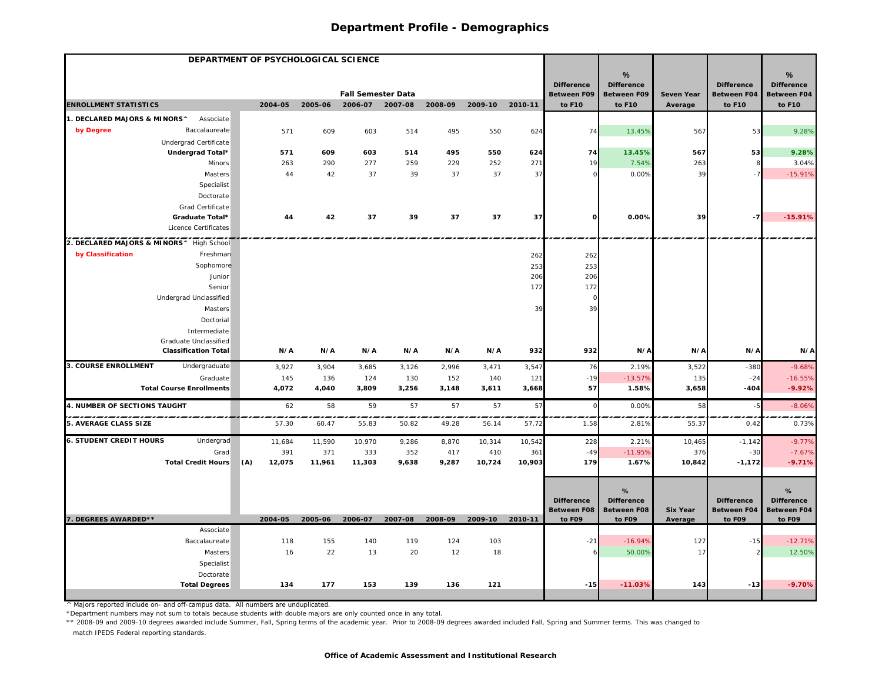| %<br>$\%$<br><b>Difference</b><br><b>Difference</b><br><b>Difference</b><br><b>Difference</b><br><b>Fall Semester Data</b><br><b>Between F09</b><br><b>Between F09</b><br><b>Between F04</b><br><b>Between F04</b><br>Seven Year<br><b>ENROLLMENT STATISTICS</b><br>2004-05<br>2005-06<br>2006-07 2007-08<br>2008-09<br>2009-10 2010-11<br>to F10<br>to F10<br>to F10<br>to F10<br>Average<br>1. DECLARED MAJORS & MINORS^<br>Associate<br>by Degree<br>Baccalaureate<br>571<br>609<br>603<br>495<br>550<br>13.45%<br>53<br>9.28%<br>514<br>624<br>74<br>567<br>Undergrad Certificate<br>Undergrad Total*<br>571<br>609<br>495<br>13.45%<br>567<br>53<br>9.28%<br>603<br>514<br>550<br>624<br>74<br>271<br>290<br>277<br>259<br>229<br>252<br>19<br>7.54%<br>263<br>3.04%<br>Minors<br>263<br>$-15.91%$<br>Masters<br>44<br>42<br>39<br>37<br>37<br>37<br>0.00%<br>39<br>37<br>Specialist<br>Doctorate<br>Grad Certificate<br>$-15.91%$<br>37<br>0.00%<br>39<br>Graduate Total*<br>44<br>42<br>37<br>39<br>37<br>37<br>O<br>- 7<br>Licence Certificates<br>by Classification<br>Freshman<br>262<br>262<br>Sophomore<br>253<br>253<br>206<br>206<br>Junior<br>172<br>Senior<br>172<br>Undergrad Unclassified<br>$\Omega$<br>Masters<br>39<br>39<br>Doctorial<br>Intermediate<br>Graduate Unclassified<br><b>Classification Total</b><br>N/A<br>N/A<br>N/A<br>N/A<br>N/A<br>N/A<br>N/A<br>N/A<br>932<br>932<br>N/A<br>3. COURSE ENROLLMENT<br>Undergraduate<br>3,547<br>76<br>2.19%<br>3,522<br>3,927<br>3,904<br>3,685<br>3,126<br>2,996<br>3,471<br>$-380$<br>$-9.68%$<br>Graduate<br>145<br>136<br>124<br>130<br>121<br>$-19$<br>$-13.57%$<br>135<br>$-16.55%$<br>152<br>140<br>$-24$<br><b>Total Course Enrollments</b><br>4,072<br>3,809<br>1.58%<br>3,658<br>$-9.92%$<br>4,040<br>3,256<br>3,148<br>3,611<br>3,668<br>57<br>$-404$<br>57<br>4. NUMBER OF SECTIONS TAUGHT<br>62<br>58<br>59<br>57<br>57<br>0.00%<br>58<br>57<br>$-8.06%$<br>0.73%<br>5. AVERAGE CLASS SIZE<br>56.14<br>57.72<br>1.58<br>55.37<br>57.30<br>55.83<br>50.82<br>49.28<br>2.81%<br>0.42<br>60.47<br><b>6. STUDENT CREDIT HOURS</b><br>Undergrad<br>10,970<br>10,542<br>228<br>2.21%<br>10,465<br>$-9.77%$<br>11,684<br>11,590<br>9,286<br>8,870<br>10,314<br>$-1,142$<br>391<br>371<br>333<br>$-11.95%$<br>376<br>$-7.67%$<br>Grad<br>352<br>417<br>410<br>361<br>$-49$<br>$-30$<br><b>Total Credit Hours</b><br>(A)<br>12,075<br>10,903<br>179<br>1.67%<br>10,842<br>$-1,172$<br>11,961<br>11,303<br>9,638<br>9,287<br>10,724<br>%<br>%<br><b>Difference</b><br><b>Difference</b><br><b>Difference</b><br><b>Difference</b><br><b>Between F08</b><br><b>Between F08</b><br><b>Six Year</b><br><b>Between F04</b><br><b>Between F04</b><br>7. DEGREES AWARDED**<br>2004-05<br>2005-06<br>2006-07<br>2007-08<br>2008-09<br>2009-10<br>2010-11<br>to F09<br>to F09<br>to F09<br>to F09<br>Average<br>Associate<br>118<br>155<br>Baccalaureate<br>140<br>119<br>124<br>103<br>$-21$<br>$-16.94%$<br>127<br>$-15$<br>$-12.71%$<br>Masters<br>22<br>13<br>12<br>18<br>50.00%<br>12.50%<br>16<br>20<br>17<br>Specialist<br>Doctorate<br>$-9.70%$<br><b>Total Degrees</b><br>134<br>177<br>153<br>139<br>136<br>121<br>$-15$<br>$-11.03%$<br>143<br>$-13$ | DEPARTMENT OF PSYCHOLOGICAL SCIENCE      |  |  |  |  |  |  |  |  |  |  |
|----------------------------------------------------------------------------------------------------------------------------------------------------------------------------------------------------------------------------------------------------------------------------------------------------------------------------------------------------------------------------------------------------------------------------------------------------------------------------------------------------------------------------------------------------------------------------------------------------------------------------------------------------------------------------------------------------------------------------------------------------------------------------------------------------------------------------------------------------------------------------------------------------------------------------------------------------------------------------------------------------------------------------------------------------------------------------------------------------------------------------------------------------------------------------------------------------------------------------------------------------------------------------------------------------------------------------------------------------------------------------------------------------------------------------------------------------------------------------------------------------------------------------------------------------------------------------------------------------------------------------------------------------------------------------------------------------------------------------------------------------------------------------------------------------------------------------------------------------------------------------------------------------------------------------------------------------------------------------------------------------------------------------------------------------------------------------------------------------------------------------------------------------------------------------------------------------------------------------------------------------------------------------------------------------------------------------------------------------------------------------------------------------------------------------------------------------------------------------------------------------------------------------------------------------------------------------------------------------------------------------------------------------------------------------------------------------------------------------------------------------------------------------------------------------------------------------------------------------------------------------------------------------------------------------------------------------------------------------------------------------------------------------------------------------------------------------------------------------------------------------------------------------------------------------------------------------------------------------------|------------------------------------------|--|--|--|--|--|--|--|--|--|--|
|                                                                                                                                                                                                                                                                                                                                                                                                                                                                                                                                                                                                                                                                                                                                                                                                                                                                                                                                                                                                                                                                                                                                                                                                                                                                                                                                                                                                                                                                                                                                                                                                                                                                                                                                                                                                                                                                                                                                                                                                                                                                                                                                                                                                                                                                                                                                                                                                                                                                                                                                                                                                                                                                                                                                                                                                                                                                                                                                                                                                                                                                                                                                                                                                                                  |                                          |  |  |  |  |  |  |  |  |  |  |
|                                                                                                                                                                                                                                                                                                                                                                                                                                                                                                                                                                                                                                                                                                                                                                                                                                                                                                                                                                                                                                                                                                                                                                                                                                                                                                                                                                                                                                                                                                                                                                                                                                                                                                                                                                                                                                                                                                                                                                                                                                                                                                                                                                                                                                                                                                                                                                                                                                                                                                                                                                                                                                                                                                                                                                                                                                                                                                                                                                                                                                                                                                                                                                                                                                  |                                          |  |  |  |  |  |  |  |  |  |  |
|                                                                                                                                                                                                                                                                                                                                                                                                                                                                                                                                                                                                                                                                                                                                                                                                                                                                                                                                                                                                                                                                                                                                                                                                                                                                                                                                                                                                                                                                                                                                                                                                                                                                                                                                                                                                                                                                                                                                                                                                                                                                                                                                                                                                                                                                                                                                                                                                                                                                                                                                                                                                                                                                                                                                                                                                                                                                                                                                                                                                                                                                                                                                                                                                                                  |                                          |  |  |  |  |  |  |  |  |  |  |
|                                                                                                                                                                                                                                                                                                                                                                                                                                                                                                                                                                                                                                                                                                                                                                                                                                                                                                                                                                                                                                                                                                                                                                                                                                                                                                                                                                                                                                                                                                                                                                                                                                                                                                                                                                                                                                                                                                                                                                                                                                                                                                                                                                                                                                                                                                                                                                                                                                                                                                                                                                                                                                                                                                                                                                                                                                                                                                                                                                                                                                                                                                                                                                                                                                  |                                          |  |  |  |  |  |  |  |  |  |  |
|                                                                                                                                                                                                                                                                                                                                                                                                                                                                                                                                                                                                                                                                                                                                                                                                                                                                                                                                                                                                                                                                                                                                                                                                                                                                                                                                                                                                                                                                                                                                                                                                                                                                                                                                                                                                                                                                                                                                                                                                                                                                                                                                                                                                                                                                                                                                                                                                                                                                                                                                                                                                                                                                                                                                                                                                                                                                                                                                                                                                                                                                                                                                                                                                                                  |                                          |  |  |  |  |  |  |  |  |  |  |
| N/A<br>$-9.71%$                                                                                                                                                                                                                                                                                                                                                                                                                                                                                                                                                                                                                                                                                                                                                                                                                                                                                                                                                                                                                                                                                                                                                                                                                                                                                                                                                                                                                                                                                                                                                                                                                                                                                                                                                                                                                                                                                                                                                                                                                                                                                                                                                                                                                                                                                                                                                                                                                                                                                                                                                                                                                                                                                                                                                                                                                                                                                                                                                                                                                                                                                                                                                                                                                  |                                          |  |  |  |  |  |  |  |  |  |  |
|                                                                                                                                                                                                                                                                                                                                                                                                                                                                                                                                                                                                                                                                                                                                                                                                                                                                                                                                                                                                                                                                                                                                                                                                                                                                                                                                                                                                                                                                                                                                                                                                                                                                                                                                                                                                                                                                                                                                                                                                                                                                                                                                                                                                                                                                                                                                                                                                                                                                                                                                                                                                                                                                                                                                                                                                                                                                                                                                                                                                                                                                                                                                                                                                                                  |                                          |  |  |  |  |  |  |  |  |  |  |
|                                                                                                                                                                                                                                                                                                                                                                                                                                                                                                                                                                                                                                                                                                                                                                                                                                                                                                                                                                                                                                                                                                                                                                                                                                                                                                                                                                                                                                                                                                                                                                                                                                                                                                                                                                                                                                                                                                                                                                                                                                                                                                                                                                                                                                                                                                                                                                                                                                                                                                                                                                                                                                                                                                                                                                                                                                                                                                                                                                                                                                                                                                                                                                                                                                  |                                          |  |  |  |  |  |  |  |  |  |  |
|                                                                                                                                                                                                                                                                                                                                                                                                                                                                                                                                                                                                                                                                                                                                                                                                                                                                                                                                                                                                                                                                                                                                                                                                                                                                                                                                                                                                                                                                                                                                                                                                                                                                                                                                                                                                                                                                                                                                                                                                                                                                                                                                                                                                                                                                                                                                                                                                                                                                                                                                                                                                                                                                                                                                                                                                                                                                                                                                                                                                                                                                                                                                                                                                                                  |                                          |  |  |  |  |  |  |  |  |  |  |
|                                                                                                                                                                                                                                                                                                                                                                                                                                                                                                                                                                                                                                                                                                                                                                                                                                                                                                                                                                                                                                                                                                                                                                                                                                                                                                                                                                                                                                                                                                                                                                                                                                                                                                                                                                                                                                                                                                                                                                                                                                                                                                                                                                                                                                                                                                                                                                                                                                                                                                                                                                                                                                                                                                                                                                                                                                                                                                                                                                                                                                                                                                                                                                                                                                  |                                          |  |  |  |  |  |  |  |  |  |  |
|                                                                                                                                                                                                                                                                                                                                                                                                                                                                                                                                                                                                                                                                                                                                                                                                                                                                                                                                                                                                                                                                                                                                                                                                                                                                                                                                                                                                                                                                                                                                                                                                                                                                                                                                                                                                                                                                                                                                                                                                                                                                                                                                                                                                                                                                                                                                                                                                                                                                                                                                                                                                                                                                                                                                                                                                                                                                                                                                                                                                                                                                                                                                                                                                                                  |                                          |  |  |  |  |  |  |  |  |  |  |
|                                                                                                                                                                                                                                                                                                                                                                                                                                                                                                                                                                                                                                                                                                                                                                                                                                                                                                                                                                                                                                                                                                                                                                                                                                                                                                                                                                                                                                                                                                                                                                                                                                                                                                                                                                                                                                                                                                                                                                                                                                                                                                                                                                                                                                                                                                                                                                                                                                                                                                                                                                                                                                                                                                                                                                                                                                                                                                                                                                                                                                                                                                                                                                                                                                  |                                          |  |  |  |  |  |  |  |  |  |  |
|                                                                                                                                                                                                                                                                                                                                                                                                                                                                                                                                                                                                                                                                                                                                                                                                                                                                                                                                                                                                                                                                                                                                                                                                                                                                                                                                                                                                                                                                                                                                                                                                                                                                                                                                                                                                                                                                                                                                                                                                                                                                                                                                                                                                                                                                                                                                                                                                                                                                                                                                                                                                                                                                                                                                                                                                                                                                                                                                                                                                                                                                                                                                                                                                                                  |                                          |  |  |  |  |  |  |  |  |  |  |
|                                                                                                                                                                                                                                                                                                                                                                                                                                                                                                                                                                                                                                                                                                                                                                                                                                                                                                                                                                                                                                                                                                                                                                                                                                                                                                                                                                                                                                                                                                                                                                                                                                                                                                                                                                                                                                                                                                                                                                                                                                                                                                                                                                                                                                                                                                                                                                                                                                                                                                                                                                                                                                                                                                                                                                                                                                                                                                                                                                                                                                                                                                                                                                                                                                  |                                          |  |  |  |  |  |  |  |  |  |  |
|                                                                                                                                                                                                                                                                                                                                                                                                                                                                                                                                                                                                                                                                                                                                                                                                                                                                                                                                                                                                                                                                                                                                                                                                                                                                                                                                                                                                                                                                                                                                                                                                                                                                                                                                                                                                                                                                                                                                                                                                                                                                                                                                                                                                                                                                                                                                                                                                                                                                                                                                                                                                                                                                                                                                                                                                                                                                                                                                                                                                                                                                                                                                                                                                                                  | 2. DECLARED MAJORS & MINORS^ High School |  |  |  |  |  |  |  |  |  |  |
|                                                                                                                                                                                                                                                                                                                                                                                                                                                                                                                                                                                                                                                                                                                                                                                                                                                                                                                                                                                                                                                                                                                                                                                                                                                                                                                                                                                                                                                                                                                                                                                                                                                                                                                                                                                                                                                                                                                                                                                                                                                                                                                                                                                                                                                                                                                                                                                                                                                                                                                                                                                                                                                                                                                                                                                                                                                                                                                                                                                                                                                                                                                                                                                                                                  |                                          |  |  |  |  |  |  |  |  |  |  |
|                                                                                                                                                                                                                                                                                                                                                                                                                                                                                                                                                                                                                                                                                                                                                                                                                                                                                                                                                                                                                                                                                                                                                                                                                                                                                                                                                                                                                                                                                                                                                                                                                                                                                                                                                                                                                                                                                                                                                                                                                                                                                                                                                                                                                                                                                                                                                                                                                                                                                                                                                                                                                                                                                                                                                                                                                                                                                                                                                                                                                                                                                                                                                                                                                                  |                                          |  |  |  |  |  |  |  |  |  |  |
|                                                                                                                                                                                                                                                                                                                                                                                                                                                                                                                                                                                                                                                                                                                                                                                                                                                                                                                                                                                                                                                                                                                                                                                                                                                                                                                                                                                                                                                                                                                                                                                                                                                                                                                                                                                                                                                                                                                                                                                                                                                                                                                                                                                                                                                                                                                                                                                                                                                                                                                                                                                                                                                                                                                                                                                                                                                                                                                                                                                                                                                                                                                                                                                                                                  |                                          |  |  |  |  |  |  |  |  |  |  |
|                                                                                                                                                                                                                                                                                                                                                                                                                                                                                                                                                                                                                                                                                                                                                                                                                                                                                                                                                                                                                                                                                                                                                                                                                                                                                                                                                                                                                                                                                                                                                                                                                                                                                                                                                                                                                                                                                                                                                                                                                                                                                                                                                                                                                                                                                                                                                                                                                                                                                                                                                                                                                                                                                                                                                                                                                                                                                                                                                                                                                                                                                                                                                                                                                                  |                                          |  |  |  |  |  |  |  |  |  |  |
|                                                                                                                                                                                                                                                                                                                                                                                                                                                                                                                                                                                                                                                                                                                                                                                                                                                                                                                                                                                                                                                                                                                                                                                                                                                                                                                                                                                                                                                                                                                                                                                                                                                                                                                                                                                                                                                                                                                                                                                                                                                                                                                                                                                                                                                                                                                                                                                                                                                                                                                                                                                                                                                                                                                                                                                                                                                                                                                                                                                                                                                                                                                                                                                                                                  |                                          |  |  |  |  |  |  |  |  |  |  |
|                                                                                                                                                                                                                                                                                                                                                                                                                                                                                                                                                                                                                                                                                                                                                                                                                                                                                                                                                                                                                                                                                                                                                                                                                                                                                                                                                                                                                                                                                                                                                                                                                                                                                                                                                                                                                                                                                                                                                                                                                                                                                                                                                                                                                                                                                                                                                                                                                                                                                                                                                                                                                                                                                                                                                                                                                                                                                                                                                                                                                                                                                                                                                                                                                                  |                                          |  |  |  |  |  |  |  |  |  |  |
|                                                                                                                                                                                                                                                                                                                                                                                                                                                                                                                                                                                                                                                                                                                                                                                                                                                                                                                                                                                                                                                                                                                                                                                                                                                                                                                                                                                                                                                                                                                                                                                                                                                                                                                                                                                                                                                                                                                                                                                                                                                                                                                                                                                                                                                                                                                                                                                                                                                                                                                                                                                                                                                                                                                                                                                                                                                                                                                                                                                                                                                                                                                                                                                                                                  |                                          |  |  |  |  |  |  |  |  |  |  |
|                                                                                                                                                                                                                                                                                                                                                                                                                                                                                                                                                                                                                                                                                                                                                                                                                                                                                                                                                                                                                                                                                                                                                                                                                                                                                                                                                                                                                                                                                                                                                                                                                                                                                                                                                                                                                                                                                                                                                                                                                                                                                                                                                                                                                                                                                                                                                                                                                                                                                                                                                                                                                                                                                                                                                                                                                                                                                                                                                                                                                                                                                                                                                                                                                                  |                                          |  |  |  |  |  |  |  |  |  |  |
|                                                                                                                                                                                                                                                                                                                                                                                                                                                                                                                                                                                                                                                                                                                                                                                                                                                                                                                                                                                                                                                                                                                                                                                                                                                                                                                                                                                                                                                                                                                                                                                                                                                                                                                                                                                                                                                                                                                                                                                                                                                                                                                                                                                                                                                                                                                                                                                                                                                                                                                                                                                                                                                                                                                                                                                                                                                                                                                                                                                                                                                                                                                                                                                                                                  |                                          |  |  |  |  |  |  |  |  |  |  |
|                                                                                                                                                                                                                                                                                                                                                                                                                                                                                                                                                                                                                                                                                                                                                                                                                                                                                                                                                                                                                                                                                                                                                                                                                                                                                                                                                                                                                                                                                                                                                                                                                                                                                                                                                                                                                                                                                                                                                                                                                                                                                                                                                                                                                                                                                                                                                                                                                                                                                                                                                                                                                                                                                                                                                                                                                                                                                                                                                                                                                                                                                                                                                                                                                                  |                                          |  |  |  |  |  |  |  |  |  |  |
|                                                                                                                                                                                                                                                                                                                                                                                                                                                                                                                                                                                                                                                                                                                                                                                                                                                                                                                                                                                                                                                                                                                                                                                                                                                                                                                                                                                                                                                                                                                                                                                                                                                                                                                                                                                                                                                                                                                                                                                                                                                                                                                                                                                                                                                                                                                                                                                                                                                                                                                                                                                                                                                                                                                                                                                                                                                                                                                                                                                                                                                                                                                                                                                                                                  |                                          |  |  |  |  |  |  |  |  |  |  |
|                                                                                                                                                                                                                                                                                                                                                                                                                                                                                                                                                                                                                                                                                                                                                                                                                                                                                                                                                                                                                                                                                                                                                                                                                                                                                                                                                                                                                                                                                                                                                                                                                                                                                                                                                                                                                                                                                                                                                                                                                                                                                                                                                                                                                                                                                                                                                                                                                                                                                                                                                                                                                                                                                                                                                                                                                                                                                                                                                                                                                                                                                                                                                                                                                                  |                                          |  |  |  |  |  |  |  |  |  |  |
|                                                                                                                                                                                                                                                                                                                                                                                                                                                                                                                                                                                                                                                                                                                                                                                                                                                                                                                                                                                                                                                                                                                                                                                                                                                                                                                                                                                                                                                                                                                                                                                                                                                                                                                                                                                                                                                                                                                                                                                                                                                                                                                                                                                                                                                                                                                                                                                                                                                                                                                                                                                                                                                                                                                                                                                                                                                                                                                                                                                                                                                                                                                                                                                                                                  |                                          |  |  |  |  |  |  |  |  |  |  |
|                                                                                                                                                                                                                                                                                                                                                                                                                                                                                                                                                                                                                                                                                                                                                                                                                                                                                                                                                                                                                                                                                                                                                                                                                                                                                                                                                                                                                                                                                                                                                                                                                                                                                                                                                                                                                                                                                                                                                                                                                                                                                                                                                                                                                                                                                                                                                                                                                                                                                                                                                                                                                                                                                                                                                                                                                                                                                                                                                                                                                                                                                                                                                                                                                                  |                                          |  |  |  |  |  |  |  |  |  |  |
|                                                                                                                                                                                                                                                                                                                                                                                                                                                                                                                                                                                                                                                                                                                                                                                                                                                                                                                                                                                                                                                                                                                                                                                                                                                                                                                                                                                                                                                                                                                                                                                                                                                                                                                                                                                                                                                                                                                                                                                                                                                                                                                                                                                                                                                                                                                                                                                                                                                                                                                                                                                                                                                                                                                                                                                                                                                                                                                                                                                                                                                                                                                                                                                                                                  |                                          |  |  |  |  |  |  |  |  |  |  |
|                                                                                                                                                                                                                                                                                                                                                                                                                                                                                                                                                                                                                                                                                                                                                                                                                                                                                                                                                                                                                                                                                                                                                                                                                                                                                                                                                                                                                                                                                                                                                                                                                                                                                                                                                                                                                                                                                                                                                                                                                                                                                                                                                                                                                                                                                                                                                                                                                                                                                                                                                                                                                                                                                                                                                                                                                                                                                                                                                                                                                                                                                                                                                                                                                                  |                                          |  |  |  |  |  |  |  |  |  |  |
|                                                                                                                                                                                                                                                                                                                                                                                                                                                                                                                                                                                                                                                                                                                                                                                                                                                                                                                                                                                                                                                                                                                                                                                                                                                                                                                                                                                                                                                                                                                                                                                                                                                                                                                                                                                                                                                                                                                                                                                                                                                                                                                                                                                                                                                                                                                                                                                                                                                                                                                                                                                                                                                                                                                                                                                                                                                                                                                                                                                                                                                                                                                                                                                                                                  |                                          |  |  |  |  |  |  |  |  |  |  |
|                                                                                                                                                                                                                                                                                                                                                                                                                                                                                                                                                                                                                                                                                                                                                                                                                                                                                                                                                                                                                                                                                                                                                                                                                                                                                                                                                                                                                                                                                                                                                                                                                                                                                                                                                                                                                                                                                                                                                                                                                                                                                                                                                                                                                                                                                                                                                                                                                                                                                                                                                                                                                                                                                                                                                                                                                                                                                                                                                                                                                                                                                                                                                                                                                                  |                                          |  |  |  |  |  |  |  |  |  |  |
|                                                                                                                                                                                                                                                                                                                                                                                                                                                                                                                                                                                                                                                                                                                                                                                                                                                                                                                                                                                                                                                                                                                                                                                                                                                                                                                                                                                                                                                                                                                                                                                                                                                                                                                                                                                                                                                                                                                                                                                                                                                                                                                                                                                                                                                                                                                                                                                                                                                                                                                                                                                                                                                                                                                                                                                                                                                                                                                                                                                                                                                                                                                                                                                                                                  |                                          |  |  |  |  |  |  |  |  |  |  |
|                                                                                                                                                                                                                                                                                                                                                                                                                                                                                                                                                                                                                                                                                                                                                                                                                                                                                                                                                                                                                                                                                                                                                                                                                                                                                                                                                                                                                                                                                                                                                                                                                                                                                                                                                                                                                                                                                                                                                                                                                                                                                                                                                                                                                                                                                                                                                                                                                                                                                                                                                                                                                                                                                                                                                                                                                                                                                                                                                                                                                                                                                                                                                                                                                                  |                                          |  |  |  |  |  |  |  |  |  |  |
|                                                                                                                                                                                                                                                                                                                                                                                                                                                                                                                                                                                                                                                                                                                                                                                                                                                                                                                                                                                                                                                                                                                                                                                                                                                                                                                                                                                                                                                                                                                                                                                                                                                                                                                                                                                                                                                                                                                                                                                                                                                                                                                                                                                                                                                                                                                                                                                                                                                                                                                                                                                                                                                                                                                                                                                                                                                                                                                                                                                                                                                                                                                                                                                                                                  |                                          |  |  |  |  |  |  |  |  |  |  |
|                                                                                                                                                                                                                                                                                                                                                                                                                                                                                                                                                                                                                                                                                                                                                                                                                                                                                                                                                                                                                                                                                                                                                                                                                                                                                                                                                                                                                                                                                                                                                                                                                                                                                                                                                                                                                                                                                                                                                                                                                                                                                                                                                                                                                                                                                                                                                                                                                                                                                                                                                                                                                                                                                                                                                                                                                                                                                                                                                                                                                                                                                                                                                                                                                                  |                                          |  |  |  |  |  |  |  |  |  |  |
|                                                                                                                                                                                                                                                                                                                                                                                                                                                                                                                                                                                                                                                                                                                                                                                                                                                                                                                                                                                                                                                                                                                                                                                                                                                                                                                                                                                                                                                                                                                                                                                                                                                                                                                                                                                                                                                                                                                                                                                                                                                                                                                                                                                                                                                                                                                                                                                                                                                                                                                                                                                                                                                                                                                                                                                                                                                                                                                                                                                                                                                                                                                                                                                                                                  |                                          |  |  |  |  |  |  |  |  |  |  |
|                                                                                                                                                                                                                                                                                                                                                                                                                                                                                                                                                                                                                                                                                                                                                                                                                                                                                                                                                                                                                                                                                                                                                                                                                                                                                                                                                                                                                                                                                                                                                                                                                                                                                                                                                                                                                                                                                                                                                                                                                                                                                                                                                                                                                                                                                                                                                                                                                                                                                                                                                                                                                                                                                                                                                                                                                                                                                                                                                                                                                                                                                                                                                                                                                                  |                                          |  |  |  |  |  |  |  |  |  |  |
|                                                                                                                                                                                                                                                                                                                                                                                                                                                                                                                                                                                                                                                                                                                                                                                                                                                                                                                                                                                                                                                                                                                                                                                                                                                                                                                                                                                                                                                                                                                                                                                                                                                                                                                                                                                                                                                                                                                                                                                                                                                                                                                                                                                                                                                                                                                                                                                                                                                                                                                                                                                                                                                                                                                                                                                                                                                                                                                                                                                                                                                                                                                                                                                                                                  |                                          |  |  |  |  |  |  |  |  |  |  |
|                                                                                                                                                                                                                                                                                                                                                                                                                                                                                                                                                                                                                                                                                                                                                                                                                                                                                                                                                                                                                                                                                                                                                                                                                                                                                                                                                                                                                                                                                                                                                                                                                                                                                                                                                                                                                                                                                                                                                                                                                                                                                                                                                                                                                                                                                                                                                                                                                                                                                                                                                                                                                                                                                                                                                                                                                                                                                                                                                                                                                                                                                                                                                                                                                                  |                                          |  |  |  |  |  |  |  |  |  |  |
|                                                                                                                                                                                                                                                                                                                                                                                                                                                                                                                                                                                                                                                                                                                                                                                                                                                                                                                                                                                                                                                                                                                                                                                                                                                                                                                                                                                                                                                                                                                                                                                                                                                                                                                                                                                                                                                                                                                                                                                                                                                                                                                                                                                                                                                                                                                                                                                                                                                                                                                                                                                                                                                                                                                                                                                                                                                                                                                                                                                                                                                                                                                                                                                                                                  |                                          |  |  |  |  |  |  |  |  |  |  |
|                                                                                                                                                                                                                                                                                                                                                                                                                                                                                                                                                                                                                                                                                                                                                                                                                                                                                                                                                                                                                                                                                                                                                                                                                                                                                                                                                                                                                                                                                                                                                                                                                                                                                                                                                                                                                                                                                                                                                                                                                                                                                                                                                                                                                                                                                                                                                                                                                                                                                                                                                                                                                                                                                                                                                                                                                                                                                                                                                                                                                                                                                                                                                                                                                                  |                                          |  |  |  |  |  |  |  |  |  |  |

^ Majors reported include on- and off-campus data. All numbers are unduplicated.

\*Department numbers may not sum to totals because students with double majors are only counted once in any total.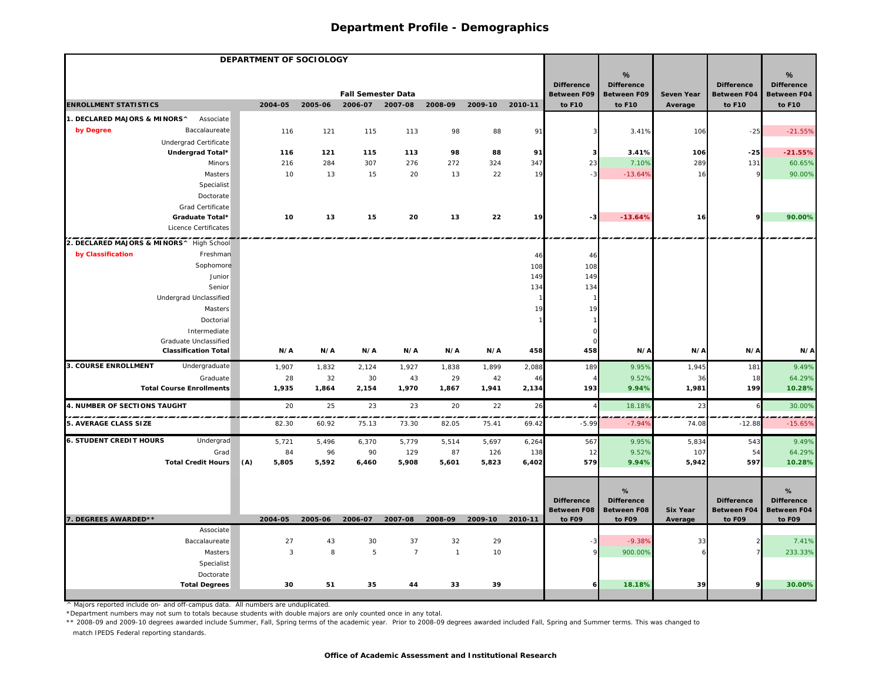| DEPARTMENT OF SOCIOLOGY                     |                |         |                           |                |                |         |         |                    |                        |                 |                    |                        |
|---------------------------------------------|----------------|---------|---------------------------|----------------|----------------|---------|---------|--------------------|------------------------|-----------------|--------------------|------------------------|
|                                             |                |         |                           |                |                |         |         | <b>Difference</b>  | %<br><b>Difference</b> |                 | <b>Difference</b>  | %<br><b>Difference</b> |
|                                             |                |         | <b>Fall Semester Data</b> |                |                |         |         | <b>Between F09</b> | <b>Between F09</b>     | Seven Year      | <b>Between F04</b> | Between F04            |
| <b>ENROLLMENT STATISTICS</b>                | 2004-05        | 2005-06 | 2006-07 2007-08           |                | 2008-09        | 2009-10 | 2010-11 | to F10             | to F10                 | Average         | to F10             | to F10                 |
| 1. DECLARED MAJORS & MINORS^<br>Associate   |                |         |                           |                |                |         |         |                    |                        |                 |                    |                        |
| by Degree<br>Baccalaureate                  | 116            | 121     | 115                       | 113            | 98             | 88      | 91      |                    | 3.41%                  | 106             | $-25$              | $-21.55%$              |
| Undergrad Certificate                       |                |         |                           |                |                |         |         |                    |                        |                 |                    |                        |
| Undergrad Total*                            | 116            | 121     | 115                       | 113            | 98             | 88      | 91      |                    | 3.41%                  | 106             | $-25$              | $-21.55%$              |
| Minors                                      | 216            | 284     | 307                       | 276            | 272            | 324     | 347     | 23                 | 7.10%                  | 289             | 131                | 60.65%                 |
| Masters                                     | 10             | 13      | 15                        | 20             | 13             | 22      | 19      | $-3$               | $-13.64%$              | 16              |                    | 90.00%                 |
| Specialist                                  |                |         |                           |                |                |         |         |                    |                        |                 |                    |                        |
| Doctorate                                   |                |         |                           |                |                |         |         |                    |                        |                 |                    |                        |
| Grad Certificate                            |                |         |                           |                |                |         |         |                    |                        |                 |                    | 90.00%                 |
| Graduate Total*<br>Licence Certificates     | 10             | 13      | 15                        | 20             | 13             | 22      | 19      | $-3$               | $-13.64%$              | 16              | 9                  |                        |
|                                             |                |         |                           |                |                |         |         |                    |                        |                 |                    |                        |
| 2. DECLARED MAJORS & MINORS^ High School    |                |         |                           |                |                |         |         |                    |                        |                 |                    |                        |
| by Classification<br>Freshman               |                |         |                           |                |                |         | 46      | 46                 |                        |                 |                    |                        |
| Sophomore                                   |                |         |                           |                |                |         | 108     | 108                |                        |                 |                    |                        |
| Junior                                      |                |         |                           |                |                |         | 149     | 149                |                        |                 |                    |                        |
| Senior                                      |                |         |                           |                |                |         | 134     | 134                |                        |                 |                    |                        |
| Undergrad Unclassified                      |                |         |                           |                |                |         |         |                    |                        |                 |                    |                        |
| Masters                                     |                |         |                           |                |                |         | 19      | 19                 |                        |                 |                    |                        |
| Doctorial                                   |                |         |                           |                |                |         |         |                    |                        |                 |                    |                        |
| Intermediate<br>Graduate Unclassified       |                |         |                           |                |                |         |         |                    |                        |                 |                    |                        |
| <b>Classification Total</b>                 | N/A            | N/A     | N/A                       | N/A            | N/A            | N/A     | 458     | 458                | N/A                    | N/A             | N/A                | N/A                    |
| 3. COURSE ENROLLMENT<br>Undergraduate       | 1,907          | 1,832   | 2,124                     | 1,927          | 1,838          | 1,899   | 2,088   | 189                | 9.95%                  | 1,945           | 181                | 9.49%                  |
| Graduate                                    | 28             | 32      | 30                        | 43             | 29             | 42      | 46      |                    | 9.52%                  | 36              | 18                 | 64.29%                 |
| <b>Total Course Enrollments</b>             | 1,935          | 1,864   | 2,154                     | 1,970          | 1,867          | 1,941   | 2,134   | 193                | 9.94%                  | 1,981           | 199                | 10.28%                 |
| 4. NUMBER OF SECTIONS TAUGHT                | 20             | 25      | 23                        | 23             | 20             | 22      | 26      |                    | 18.18%                 | 23              |                    | 30.00%                 |
|                                             |                |         |                           |                |                |         |         |                    |                        |                 |                    |                        |
| <b>5. AVERAGE CLASS SIZE</b>                | 82.30          | 60.92   | 75.13                     | 73.30          | 82.05          | 75.41   | 69.42   | $-5.99$            | $-7.94%$               | 74.08           | $-12.88$           | $-15.65%$              |
| <b>6. STUDENT CREDIT HOURS</b><br>Undergrad | 5,721          | 5,496   | 6,370                     | 5,779          | 5,514          | 5,697   | 6,264   | 567                | 9.95%                  | 5,834           | 543                | 9.49%                  |
| Grad                                        | 84             | 96      | 90                        | 129            | 87             | 126     | 138     | 12                 | 9.52%                  | 107             | 54                 | 64.29%                 |
| <b>Total Credit Hours</b>                   | (A)<br>5,805   | 5,592   | 6,460                     | 5,908          | 5,601          | 5,823   | 6,402   | 579                | 9.94%                  | 5,942           | 597                | 10.28%                 |
|                                             |                |         |                           |                |                |         |         |                    |                        |                 |                    |                        |
|                                             |                |         |                           |                |                |         |         | <b>Difference</b>  | %<br><b>Difference</b> |                 | <b>Difference</b>  | %<br><b>Difference</b> |
|                                             |                |         |                           |                |                |         |         | <b>Between F08</b> | <b>Between F08</b>     | <b>Six Year</b> | Between F04        | Between F04            |
| 7. DEGREES AWARDED**                        | 2004-05        | 2005-06 | 2006-07                   | 2007-08        | 2008-09        | 2009-10 | 2010-11 | to F09             | to F09                 | Average         | to F09             | to F09                 |
| Associate                                   |                |         |                           |                |                |         |         |                    |                        |                 |                    |                        |
| Baccalaureate                               | 27             | 43      | 30                        | 37             | 32             | 29      |         |                    | $-9.38%$               | 33              |                    | 7.41%                  |
| Masters                                     | $\overline{3}$ | 8       | 5                         | $\overline{7}$ | $\overline{1}$ | 10      |         |                    | 900.00%                |                 |                    | 233.33%                |
| Specialist                                  |                |         |                           |                |                |         |         |                    |                        |                 |                    |                        |
| Doctorate                                   |                |         |                           |                |                |         |         |                    |                        |                 |                    |                        |
| <b>Total Degrees</b>                        | 30             | 51      | 35                        | 44             | 33             | 39      |         |                    | 18.18%                 | 39              |                    | 30.00%                 |

^ Majors reported include on- and off-campus data. All numbers are unduplicated.

\*Department numbers may not sum to totals because students with double majors are only counted once in any total.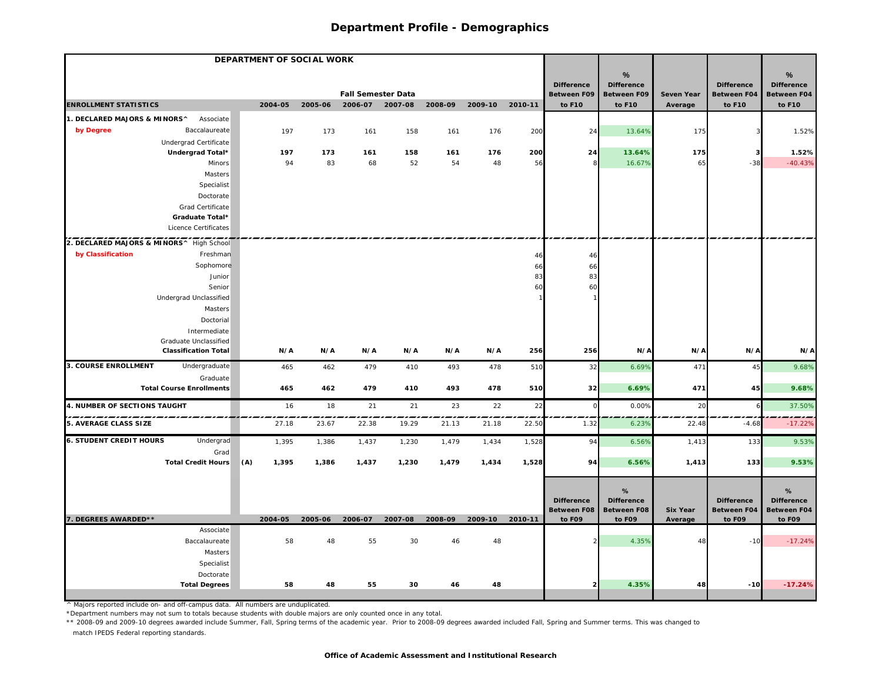| DEPARTMENT OF SOCIAL WORK                    |              |         |                           |         |         |                 |         |                              |                                         |                            |                       |                              |
|----------------------------------------------|--------------|---------|---------------------------|---------|---------|-----------------|---------|------------------------------|-----------------------------------------|----------------------------|-----------------------|------------------------------|
|                                              |              |         |                           |         |         |                 |         | <b>Difference</b>            | %                                       |                            | <b>Difference</b>     | %<br><b>Difference</b>       |
|                                              |              |         | <b>Fall Semester Data</b> |         |         |                 |         | <b>Between F09</b>           | <b>Difference</b><br><b>Between F09</b> | <b>Seven Year</b>          | <b>Between F04</b>    | <b>Between F04</b>           |
| <b>ENROLLMENT STATISTICS</b>                 | 2004-05      | 2005-06 | 2006-07 2007-08           |         | 2008-09 | 2009-10 2010-11 |         | to F10                       | to F10                                  | Average                    | to F10                | to F10                       |
| 1. DECLARED MAJORS & MINORS^<br>Associate    |              |         |                           |         |         |                 |         |                              |                                         |                            |                       |                              |
| by Degree<br>Baccalaureate                   | 197          | 173     | 161                       | 158     | 161     | 176             | 200     | 24                           | 13.64%                                  | 175                        |                       | 1.52%                        |
| Undergrad Certificate                        |              |         |                           |         |         |                 |         |                              |                                         |                            |                       |                              |
| Undergrad Total*                             | 197          | 173     | 161                       | 158     | 161     | 176             | 200     | 24                           | 13.64%                                  | 175                        | 3                     | 1.52%                        |
| <b>Minors</b>                                | 94           | 83      | 68                        | 52      | 54      | 48              | 56      |                              | 16.67%                                  | 65                         | $-38$                 | $-40.43%$                    |
| <b>Masters</b>                               |              |         |                           |         |         |                 |         |                              |                                         |                            |                       |                              |
| Specialist<br>Doctorate                      |              |         |                           |         |         |                 |         |                              |                                         |                            |                       |                              |
| Grad Certificate                             |              |         |                           |         |         |                 |         |                              |                                         |                            |                       |                              |
| Graduate Total*                              |              |         |                           |         |         |                 |         |                              |                                         |                            |                       |                              |
| Licence Certificates                         |              |         |                           |         |         |                 |         |                              |                                         |                            |                       |                              |
| 2. DECLARED MAJORS & MINORS^ High School     |              |         |                           |         |         |                 |         |                              |                                         |                            |                       |                              |
| by Classification<br>Freshman                |              |         |                           |         |         |                 | 46      | 46                           |                                         |                            |                       |                              |
| Sophomore                                    |              |         |                           |         |         |                 | 66      | 66                           |                                         |                            |                       |                              |
| Junior                                       |              |         |                           |         |         |                 | 83      | 83                           |                                         |                            |                       |                              |
| Senior                                       |              |         |                           |         |         |                 | 60      | 60                           |                                         |                            |                       |                              |
| Undergrad Unclassified                       |              |         |                           |         |         |                 |         |                              |                                         |                            |                       |                              |
| Masters                                      |              |         |                           |         |         |                 |         |                              |                                         |                            |                       |                              |
| Doctorial                                    |              |         |                           |         |         |                 |         |                              |                                         |                            |                       |                              |
| Intermediate<br>Graduate Unclassified        |              |         |                           |         |         |                 |         |                              |                                         |                            |                       |                              |
| <b>Classification Total</b>                  | N/A          | N/A     | N/A                       | N/A     | N/A     | N/A             | 256     | 256                          | N/A                                     | N/A                        | N/A                   | N/A                          |
| <b>3. COURSE ENROLLMENT</b><br>Undergraduate | 465          | 462     | 479                       | 410     | 493     | 478             | 510     | 32                           | 6.69%                                   | 471                        | 45                    | 9.68%                        |
| Graduate                                     |              |         |                           |         |         |                 |         |                              |                                         |                            |                       |                              |
| <b>Total Course Enrollments</b>              | 465          | 462     | 479                       | 410     | 493     | 478             | 510     | 32                           | 6.69%                                   | 471                        | 45                    | 9.68%                        |
| 4. NUMBER OF SECTIONS TAUGHT                 | 16           | 18      | 21                        | 21      | 23      | 22              | 22      | $\mathcal{C}$                | 0.00%                                   | 20                         |                       | 37.50%                       |
| 5. AVERAGE CLASS SIZE                        | 27.18        | 23.67   | 22.38                     | 19.29   | 21.13   | 21.18           | 22.50   | 1.32                         | 6.23%                                   | 22.48                      | $-4.68$               | $-17.22%$                    |
| <b>6. STUDENT CREDIT HOURS</b><br>Undergrad  | 1,395        | 1,386   | 1,437                     | 1,230   | 1,479   | 1,434           | 1,528   | 94                           | 6.56%                                   | 1,413                      | 133                   | 9.53%                        |
| Grad<br><b>Total Credit Hours</b>            | (A)<br>1,395 | 1,386   | 1,437                     | 1,230   | 1,479   | 1,434           | 1,528   | 94                           | 6.56%                                   | 1,413                      | 133                   | 9.53%                        |
|                                              |              |         |                           |         |         |                 |         |                              |                                         |                            |                       |                              |
|                                              |              |         |                           |         |         |                 |         |                              | %                                       |                            |                       | %                            |
|                                              |              |         |                           |         |         |                 |         | <b>Difference</b>            | <b>Difference</b>                       |                            | <b>Difference</b>     | <b>Difference</b>            |
| 7. DEGREES AWARDED**                         | 2004-05      | 2005-06 | 2006-07                   | 2007-08 | 2008-09 | 2009-10         | 2010-11 | <b>Between F08</b><br>to F09 | <b>Between F08</b><br>to F09            | <b>Six Year</b><br>Average | Between F04<br>to F09 | <b>Between F04</b><br>to F09 |
| Associate                                    |              |         |                           |         |         |                 |         |                              |                                         |                            |                       |                              |
| Baccalaureate                                | 58           | 48      | 55                        | 30      | 46      | 48              |         |                              | 4.35%                                   | 48                         | $-10$                 | $-17.24%$                    |
| <b>Masters</b>                               |              |         |                           |         |         |                 |         |                              |                                         |                            |                       |                              |
| Specialist                                   |              |         |                           |         |         |                 |         |                              |                                         |                            |                       |                              |
| Doctorate                                    |              |         |                           |         |         |                 |         |                              |                                         |                            |                       |                              |
| <b>Total Degrees</b>                         | 58           | 48      | 55                        | 30      | 46      | 48              |         |                              | 4.35%                                   | 48                         | $-10$                 | $-17.24%$                    |

^ Majors reported include on- and off-campus data. All numbers are unduplicated.

\*Department numbers may not sum to totals because students with double majors are only counted once in any total.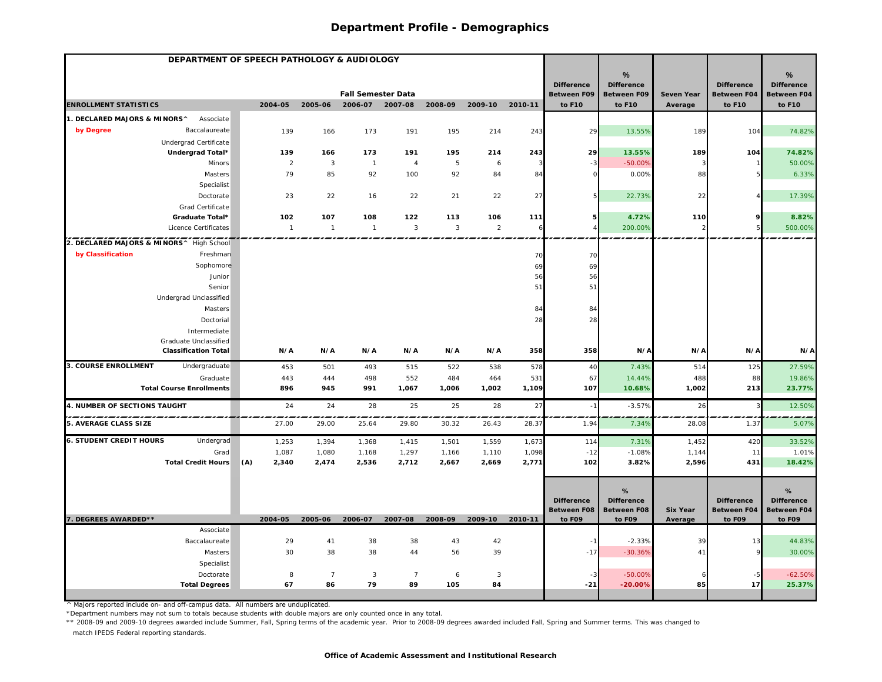| DEPARTMENT OF SPEECH PATHOLOGY & AUDIOLOGY           |                |                |                           |                |                 |                |         |                              |                              |                            |                       |                        |
|------------------------------------------------------|----------------|----------------|---------------------------|----------------|-----------------|----------------|---------|------------------------------|------------------------------|----------------------------|-----------------------|------------------------|
|                                                      |                |                |                           |                |                 |                |         | <b>Difference</b>            | %<br><b>Difference</b>       |                            | <b>Difference</b>     | %<br><b>Difference</b> |
|                                                      |                |                | <b>Fall Semester Data</b> |                |                 |                |         | <b>Between F09</b>           | <b>Between F09</b>           | Seven Year                 | <b>Between F04</b>    | Between F04            |
| <b>ENROLLMENT STATISTICS</b>                         | 2004-05        | 2005-06        | 2006-07 2007-08           |                | 2008-09         | 2009-10        | 2010-11 | to F10                       | to F10                       | Average                    | to F10                | to F10                 |
| 1. DECLARED MAJORS & MINORS^<br>Associate            |                |                |                           |                |                 |                |         |                              |                              |                            |                       |                        |
| by Degree<br>Baccalaureate                           | 139            | 166            | 173                       | 191            | 195             | 214            | 243     | 29                           | 13.55%                       | 189                        | 104                   | 74.82%                 |
| Undergrad Certificate                                |                |                |                           |                |                 |                |         |                              |                              |                            |                       |                        |
| Undergrad Total*                                     | 139            | 166            | 173                       | 191            | 195             | 214            | 243     | 29                           | 13.55%                       | 189                        | 104                   | 74.82%                 |
| Minors                                               | $\overline{2}$ | $\sqrt{3}$     | $\overline{1}$            | $\overline{4}$ | $5\phantom{.0}$ | 6              | 3       | $-3$                         | $-50.00%$                    | 3                          |                       | 50.00%                 |
| Masters                                              | 79             | 85             | 92                        | 100            | 92              | 84             | 84      |                              | 0.00%                        | 88                         |                       | 6.33%                  |
| Specialist                                           |                |                |                           |                |                 |                |         |                              |                              |                            |                       |                        |
| Doctorate                                            | 23             | 22             | 16                        | 22             | 21              | 22             | 27      |                              | 22.73%                       | 22                         |                       | 17.39%                 |
| Grad Certificate                                     |                |                |                           |                |                 |                |         |                              |                              |                            |                       |                        |
| Graduate Total*                                      | 102            | 107            | 108                       | 122            | 113             | 106            | 111     |                              | 4.72%                        | 110                        |                       | 8.82%                  |
| Licence Certificates                                 | $\overline{1}$ | $\overline{1}$ | $\overline{1}$            | $\mathbf{3}$   | $\overline{3}$  | $\overline{2}$ | 6       |                              | 200.00%                      | $\overline{a}$             |                       | 500.00%                |
| 2. DECLARED MAJORS & MINORS^ High School             |                |                |                           |                |                 |                |         |                              |                              |                            |                       |                        |
| by Classification<br>Freshman                        |                |                |                           |                |                 |                | 70      | 70                           |                              |                            |                       |                        |
| Sophomore                                            |                |                |                           |                |                 |                | 69      | 69                           |                              |                            |                       |                        |
| Junior                                               |                |                |                           |                |                 |                | 56      | 56                           |                              |                            |                       |                        |
| Senior                                               |                |                |                           |                |                 |                | 51      | 51                           |                              |                            |                       |                        |
| Undergrad Unclassified                               |                |                |                           |                |                 |                |         |                              |                              |                            |                       |                        |
| Masters                                              |                |                |                           |                |                 |                | 84      | 84                           |                              |                            |                       |                        |
| Doctorial                                            |                |                |                           |                |                 |                | 28      | 28                           |                              |                            |                       |                        |
| Intermediate                                         |                |                |                           |                |                 |                |         |                              |                              |                            |                       |                        |
| Graduate Unclassified<br><b>Classification Total</b> | N/A            | N/A            | N/A                       | N/A            | N/A             | N/A            | 358     | 358                          | N/A                          | N/A                        | N/A                   | N/A                    |
|                                                      |                |                |                           |                |                 |                |         |                              |                              |                            |                       |                        |
| 3. COURSE ENROLLMENT<br>Undergraduate                | 453            | 501            | 493                       | 515            | 522             | 538            | 578     | 40                           | 7.43%                        | 514                        | 125                   | 27.59%                 |
| Graduate                                             | 443            | 444            | 498                       | 552            | 484             | 464            | 531     | 67                           | 14.44%                       | 488                        | 88                    | 19.86%                 |
| <b>Total Course Enrollments</b>                      | 896            | 945            | 991                       | 1,067          | 1,006           | 1,002          | 1,109   | 107                          | 10.68%                       | 1,002                      | 213                   | 23.77%                 |
| 4. NUMBER OF SECTIONS TAUGHT                         | 24             | 24             | 28                        | 25             | 25              | 28             | 27      | $-1$                         | $-3.57%$                     | 26                         |                       | 12.50%                 |
| <b>5. AVERAGE CLASS SIZE</b>                         | 27.00          | 29.00          | 25.64                     | 29.80          | 30.32           | 26.43          | 28.37   | 1.94                         | 7.34%                        | 28.08                      | 1.37                  | 5.07%                  |
| <b>6. STUDENT CREDIT HOURS</b><br>Undergrad          | 1,253          | 1,394          | 1,368                     | 1,415          | 1,501           | 1,559          | 1,673   | 114                          | 7.31%                        | 1,452                      | 420                   | 33.52%                 |
| Grad                                                 | 1,087          | 1,080          | 1,168                     | 1,297          | 1,166           | 1,110          | 1,098   | $-12$                        | $-1.08%$                     | 1,144                      | 11                    | 1.01%                  |
| <b>Total Credit Hours</b>                            | (A)<br>2,340   | 2,474          | 2,536                     | 2,712          | 2,667           | 2,669          | 2,771   | 102                          | 3.82%                        | 2,596                      | 431                   | 18.42%                 |
|                                                      |                |                |                           |                |                 |                |         |                              |                              |                            |                       |                        |
|                                                      |                |                |                           |                |                 |                |         |                              | %                            |                            |                       | %                      |
|                                                      |                |                |                           |                |                 |                |         | <b>Difference</b>            | <b>Difference</b>            |                            | <b>Difference</b>     | <b>Difference</b>      |
| 7. DEGREES AWARDED**                                 | 2004-05        | 2005-06        | 2006-07                   | 2007-08        | 2008-09         | 2009-10        | 2010-11 | <b>Between F08</b><br>to F09 | <b>Between F08</b><br>to F09 | <b>Six Year</b><br>Average | Between F04<br>to F09 | Between F04<br>to F09  |
| Associate                                            |                |                |                           |                |                 |                |         |                              |                              |                            |                       |                        |
| Baccalaureate                                        | 29             | 41             | 38                        | 38             | 43              | 42             |         | $-1$                         | $-2.33%$                     | 39                         | 13                    | 44.83%                 |
| Masters                                              | 30             | 38             | 38                        | 44             | 56              | 39             |         | $-17$                        | $-30.36%$                    | 41                         |                       | 30.00%                 |
| Specialist                                           |                |                |                           |                |                 |                |         |                              |                              |                            |                       |                        |
| Doctorate                                            | 8              | $\overline{7}$ | $\mathbf{3}$              | $\overline{7}$ | 6               | $\mathbf{3}$   |         | $-3$                         | $-50.00%$                    |                            |                       | $-62.50%$              |
| <b>Total Degrees</b>                                 | 67             | 86             | 79                        | 89             | 105             | 84             |         | $-21$                        | $-20.00%$                    | 85                         | 17                    | 25.37%                 |
|                                                      |                |                |                           |                |                 |                |         |                              |                              |                            |                       |                        |

^ Majors reported include on- and off-campus data. All numbers are unduplicated.

\*Department numbers may not sum to totals because students with double majors are only counted once in any total.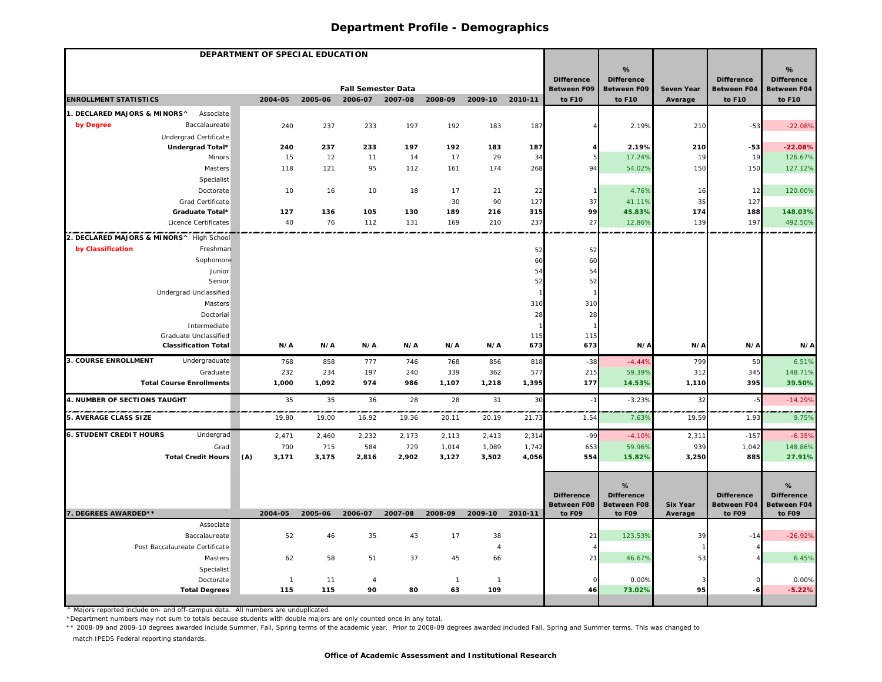|                                                      | DEPARTMENT OF SPECIAL EDUCATION |              |                           |            |                |                      |              |                                         |                                         |                   |                                         |                                         |
|------------------------------------------------------|---------------------------------|--------------|---------------------------|------------|----------------|----------------------|--------------|-----------------------------------------|-----------------------------------------|-------------------|-----------------------------------------|-----------------------------------------|
|                                                      |                                 |              |                           |            |                |                      |              |                                         | %                                       |                   |                                         | %                                       |
|                                                      |                                 |              | <b>Fall Semester Data</b> |            |                |                      |              | <b>Difference</b><br><b>Between F09</b> | <b>Difference</b><br><b>Between F09</b> | <b>Seven Year</b> | <b>Difference</b><br><b>Between F04</b> | <b>Difference</b><br><b>Between F04</b> |
| <b>ENROLLMENT STATISTICS</b>                         | 2004-05                         | 2005-06      | 2006-07                   | 2007-08    | 2008-09        | 2009-10              | 2010-11      | to F10                                  | to F10                                  | Average           | to F10                                  | to F10                                  |
| <b>1. DECLARED MAJORS &amp; MINORS^</b><br>Associate |                                 |              |                           |            |                |                      |              |                                         |                                         |                   |                                         |                                         |
| by Degree<br>Baccalaureate                           | 240                             | 237          | 233                       | 197        | 192            | 183                  | 187          |                                         | 2.19%                                   | 210               | $-53$                                   | $-22.08%$                               |
| Undergrad Certificate                                |                                 |              |                           |            |                |                      |              |                                         |                                         |                   |                                         |                                         |
| Undergrad Total*                                     | 240                             | 237          | 233                       | 197        | 192            | 183                  | 187          |                                         | 2.19%                                   | 210               | $-53$                                   | $-22.08%$                               |
| <b>Minors</b>                                        | 15                              | 12           | 11                        | 14         | 17             | 29                   | 34           |                                         | 17.24%                                  | 19                | 19                                      | 126.67%                                 |
| Masters                                              | 118                             | 121          | 95                        | 112        | 161            | 174                  | 268          | 94                                      | 54.02%                                  | 150               | 150                                     | 127.12%                                 |
| Specialist                                           |                                 |              |                           |            |                |                      |              |                                         |                                         |                   |                                         |                                         |
| Doctorate                                            | 10                              | 16           | 10                        | 18         | 17             | 21                   | 22           |                                         | 4.76%                                   | 16                | 12                                      | 120.00%                                 |
| Grad Certificate                                     |                                 |              |                           |            | 30             | 90                   | 127          | 37                                      | 41.11%                                  | 35                | 127                                     |                                         |
| Graduate Total*                                      | 127                             | 136          | 105                       | 130        | 189            | 216                  | 315          | 99                                      | 45.83%                                  | 174               | 188                                     | 148.03%                                 |
| Licence Certificates                                 | 40                              | 76           | 112                       | 131        | 169            | 210                  | 237          | 27                                      | 12.86%                                  | 139               | 197                                     | 492.50%                                 |
| 2. DECLARED MAJORS & MINORS^ High School             |                                 |              |                           |            |                |                      |              |                                         |                                         |                   |                                         |                                         |
| by Classification<br>Freshman                        |                                 |              |                           |            |                |                      | 52           | 52                                      |                                         |                   |                                         |                                         |
| Sophomore                                            |                                 |              |                           |            |                |                      | 60           | 60                                      |                                         |                   |                                         |                                         |
| Junior                                               |                                 |              |                           |            |                |                      | 54           | 54                                      |                                         |                   |                                         |                                         |
| Senior                                               |                                 |              |                           |            |                |                      | 52           | 52                                      |                                         |                   |                                         |                                         |
| Undergrad Unclassified                               |                                 |              |                           |            |                |                      |              |                                         |                                         |                   |                                         |                                         |
| Masters                                              |                                 |              |                           |            |                |                      | 310          | 310                                     |                                         |                   |                                         |                                         |
| Doctorial                                            |                                 |              |                           |            |                |                      | 28           | 28                                      |                                         |                   |                                         |                                         |
| Intermediate                                         |                                 |              |                           |            |                |                      |              |                                         |                                         |                   |                                         |                                         |
| Graduate Unclassified<br><b>Classification Total</b> | N/A                             | N/A          | N/A                       | N/A        | N/A            | N/A                  | 115<br>673   | 115<br>673                              | N/A                                     | N/A               | N/A                                     | N/A                                     |
|                                                      |                                 |              |                           |            |                |                      |              |                                         |                                         |                   |                                         |                                         |
| 3. COURSE ENROLLMENT<br>Undergraduate                | 768                             | 858          | 777                       | 746        | 768            | 856                  | 818          | $-38$                                   | $-4.44%$                                | 799               | 50                                      | 6.51%                                   |
| Graduate<br><b>Total Course Enrollments</b>          | 232<br>1,000                    | 234<br>1,092 | 197<br>974                | 240<br>986 | 339<br>1,107   | 362<br>1,218         | 577<br>1,395 | 215<br>177                              | 59.39%<br>14.53%                        | 312<br>1,110      | 345<br>395                              | 148.71%<br>39.50%                       |
|                                                      |                                 |              |                           |            |                |                      |              |                                         |                                         |                   |                                         |                                         |
| 4. NUMBER OF SECTIONS TAUGHT<br>.                    | 35                              | 35           | 36                        | 28         | 28             | 31                   | 30           | $-1$                                    | $-3.23%$                                | 32                | -5                                      | $-14.29%$                               |
| <b>5. AVERAGE CLASS SIZE</b>                         | 19.80                           | 19.00        | 16.92                     | 19.36      | 20.11          | 20.19                | 21.73        | 1.54                                    | 7.63%                                   | 19.59             | 1.93                                    | 9.75%                                   |
| <b>6. STUDENT CREDIT HOURS</b><br>Undergrad          | 2,471                           | 2,460        | 2,232                     | 2,173      | 2,113          | 2,413                | 2,314        | $-99$                                   | $-4.10%$                                | 2,311             | $-157$                                  | $-6.35%$                                |
| Grad                                                 | 700                             | 715          | 584                       | 729        | 1,014          | 1,089                | 1,742        | 653                                     | 59.96%                                  | 939               | 1,042                                   | 148.86%                                 |
| <b>Total Credit Hours</b>                            | (A)<br>3,171                    | 3,175        | 2,816                     | 2,902      | 3,127          | 3,502                | 4,056        | 554                                     | 15.82%                                  | 3,250             | 885                                     | 27.91%                                  |
|                                                      |                                 |              |                           |            |                |                      |              |                                         |                                         |                   |                                         |                                         |
|                                                      |                                 |              |                           |            |                |                      |              |                                         | %                                       |                   |                                         | %                                       |
|                                                      |                                 |              |                           |            |                |                      |              | <b>Difference</b>                       | <b>Difference</b>                       |                   | <b>Difference</b>                       | <b>Difference</b>                       |
|                                                      |                                 |              |                           |            |                |                      |              | <b>Between F08</b>                      | <b>Between F08</b>                      | <b>Six Year</b>   | Between F04                             | <b>Between F04</b>                      |
| 7. DEGREES AWARDED**                                 | 2004-05                         | 2005-06      | 2006-07                   | 2007-08    | 2008-09        | 2009-10              | 2010-11      | to F09                                  | to F09                                  | Average           | to F09                                  | to F09                                  |
| Associate                                            | 52                              |              |                           | 43         | 17             | 38                   |              | 21                                      | 123.53%                                 | 39                |                                         | $-26.92%$                               |
| Baccalaureate<br>Post Baccalaureate Certificate      |                                 | 46           | 35                        |            |                |                      |              |                                         |                                         |                   | $-14$                                   |                                         |
| Masters                                              | 62                              | 58           | 51                        | 37         | 45             | $\overline{4}$<br>66 |              | 21                                      | 46.67%                                  | 53                |                                         | 6.45%                                   |
| Specialist                                           |                                 |              |                           |            |                |                      |              |                                         |                                         |                   |                                         |                                         |
| Doctorate                                            | $\overline{1}$                  | 11           | $\overline{4}$            |            | $\overline{1}$ | $\overline{1}$       |              |                                         | 0.00%                                   | 3                 |                                         | 0.00%                                   |
| <b>Total Degrees</b>                                 | 115                             | 115          | 90                        | 80         | 63             | 109                  |              | 46                                      | 73.02%                                  | 95                |                                         | $-5.22%$                                |
|                                                      |                                 |              |                           |            |                |                      |              |                                         |                                         |                   |                                         |                                         |

^ Majors reported include on- and off-campus data. All numbers are unduplicated.

\*Department numbers may not sum to totals because students with double majors are only counted once in any total.

\*\* 2008-09 and 2009-10 degrees awarded include Summer, Fall, Spring terms of the academic year. Prior to 2008-09 degrees awarded included Fall, Spring and Summer terms. This was changed to

match IPEDS Federal reporting standards.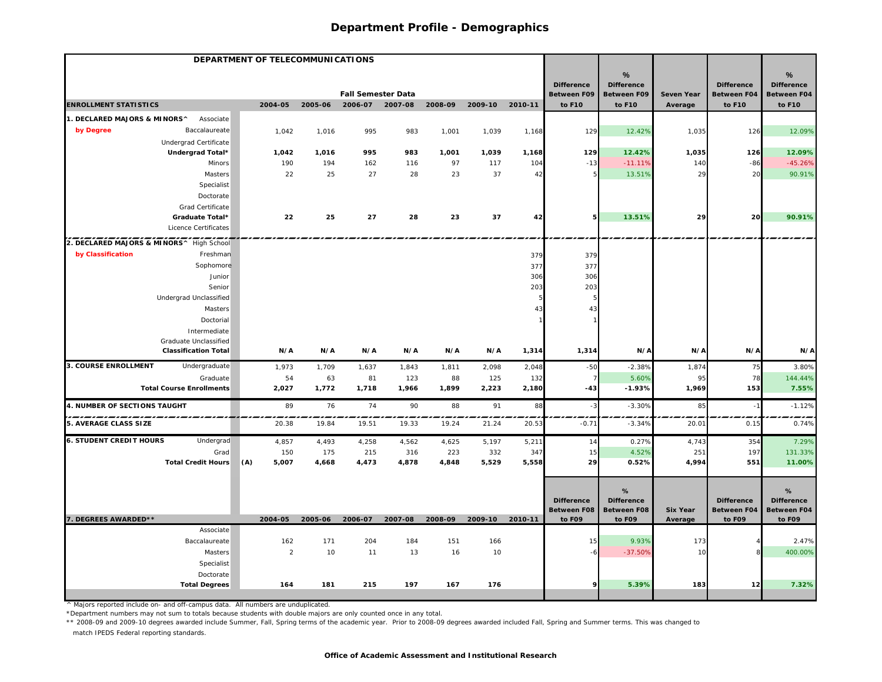| DEPARTMENT OF TELECOMMUNICATIONS                     |                |             |                           |              |             |              |              |                                         |                                         |                 |                                         |                                         |
|------------------------------------------------------|----------------|-------------|---------------------------|--------------|-------------|--------------|--------------|-----------------------------------------|-----------------------------------------|-----------------|-----------------------------------------|-----------------------------------------|
|                                                      |                |             |                           |              |             |              |              | <b>Difference</b>                       | %<br><b>Difference</b>                  |                 | <b>Difference</b>                       | %<br><b>Difference</b>                  |
|                                                      |                |             | <b>Fall Semester Data</b> |              |             |              |              | <b>Between F09</b>                      | <b>Between F09</b>                      | Seven Year      | <b>Between F04</b>                      | <b>Between F04</b>                      |
| <b>ENROLLMENT STATISTICS</b>                         | 2004-05        | 2005-06     | 2006-07 2007-08           |              | 2008-09     | 2009-10      | 2010-11      | to F10                                  | to F10                                  | Average         | to F10                                  | to F10                                  |
| 1. DECLARED MAJORS & MINORS^<br>Associate            |                |             |                           |              |             |              |              |                                         |                                         |                 |                                         |                                         |
| by Degree<br>Baccalaureate                           | 1,042          | 1,016       | 995                       | 983          | 1,001       | 1,039        | 1,168        | 129                                     | 12.42%                                  | 1,035           | 126                                     | 12.09%                                  |
| Undergrad Certificate                                |                |             |                           |              |             |              |              |                                         |                                         |                 |                                         |                                         |
| Undergrad Total*                                     | 1,042          | 1,016       | 995                       | 983          | 1,001       | 1,039        | 1,168        | 129                                     | 12.42%                                  | 1,035           | 126                                     | 12.09%                                  |
| Minors                                               | 190            | 194         | 162                       | 116          | 97          | 117          | 104          | $-13$                                   | $-11.119$                               | 140             | $-86$                                   | $-45.26%$                               |
| Masters                                              | 22             | 25          | 27                        | 28           | 23          | 37           | 42           |                                         | 13.51%                                  | 29              | 20                                      | 90.91%                                  |
| Specialist                                           |                |             |                           |              |             |              |              |                                         |                                         |                 |                                         |                                         |
| Doctorate                                            |                |             |                           |              |             |              |              |                                         |                                         |                 |                                         |                                         |
| Grad Certificate                                     |                |             |                           |              |             |              |              |                                         |                                         |                 |                                         |                                         |
| Graduate Total*                                      | 22             | 25          | 27                        | 28           | 23          | 37           | 42           | 5                                       | 13.51%                                  | 29              | 20                                      | 90.91%                                  |
| Licence Certificates                                 |                |             |                           |              |             |              |              |                                         |                                         |                 |                                         |                                         |
| 2. DECLARED MAJORS & MINORSA High School             |                |             |                           |              |             |              |              |                                         |                                         |                 |                                         |                                         |
| by Classification<br>Freshman                        |                |             |                           |              |             |              | 379          | 379                                     |                                         |                 |                                         |                                         |
| Sophomore                                            |                |             |                           |              |             |              | 377          | 377                                     |                                         |                 |                                         |                                         |
| Junior                                               |                |             |                           |              |             |              | 306          | 306                                     |                                         |                 |                                         |                                         |
| Senior                                               |                |             |                           |              |             |              | 203          | 203                                     |                                         |                 |                                         |                                         |
| Undergrad Unclassified                               |                |             |                           |              |             |              |              |                                         |                                         |                 |                                         |                                         |
| Masters                                              |                |             |                           |              |             |              | 43           | 43                                      |                                         |                 |                                         |                                         |
| Doctorial                                            |                |             |                           |              |             |              |              |                                         |                                         |                 |                                         |                                         |
| Intermediate                                         |                |             |                           |              |             |              |              |                                         |                                         |                 |                                         |                                         |
| Graduate Unclassified<br><b>Classification Total</b> | N/A            | N/A         | N/A                       | N/A          | N/A         | N/A          | 1,314        | 1,314                                   | N/A                                     | N/A             | N/A                                     | N/A                                     |
| <b>3. COURSE ENROLLMENT</b>                          |                |             |                           |              |             |              |              |                                         |                                         |                 |                                         |                                         |
| Undergraduate                                        | 1,973          | 1,709       | 1,637                     | 1,843        | 1,811       | 2,098        | 2,048        | $-50$                                   | $-2.38%$                                | 1,874           | 75                                      | 3.80%                                   |
| Graduate<br><b>Total Course Enrollments</b>          | 54<br>2,027    | 63<br>1,772 | 81<br>1,718               | 123<br>1,966 | 88<br>1,899 | 125<br>2,223 | 132<br>2,180 | $-43$                                   | 5.60%<br>$-1.93%$                       | 95<br>1,969     | 78<br>153                               | 144.44%<br>7.55%                        |
|                                                      |                |             |                           |              |             |              |              |                                         |                                         |                 |                                         |                                         |
| 4. NUMBER OF SECTIONS TAUGHT                         | 89             | 76          | 74                        | 90           | 88          | 91           | 88           | $-3$                                    | $-3.30%$                                | 85              | ÷.                                      | $-1.12%$                                |
| 5. AVERAGE CLASS SIZE                                | 20.38          | 19.84       | 19.51                     | 19.33        | 19.24       | 21.24        | 20.53        | $-0.71$                                 | $-3.34%$                                | 20.01           | 0.15                                    | 0.74%                                   |
| <b>6. STUDENT CREDIT HOURS</b><br>Undergrad          | 4,857          | 4,493       | 4,258                     | 4,562        | 4,625       | 5,197        | 5,211        | 14                                      | 0.27%                                   | 4,743           | 354                                     | 7.29%                                   |
| Grad                                                 | 150            | 175         | 215                       | 316          | 223         | 332          | 347          | 15                                      | 4.52%                                   | 251             | 197                                     | 131.33%                                 |
| <b>Total Credit Hours</b>                            | (A)<br>5,007   | 4,668       | 4,473                     | 4,878        | 4,848       | 5,529        | 5,558        | 29                                      | 0.52%                                   | 4,994           | 551                                     | 11.00%                                  |
|                                                      |                |             |                           |              |             |              |              |                                         |                                         |                 |                                         |                                         |
|                                                      |                |             |                           |              |             |              |              |                                         | %                                       |                 |                                         | %                                       |
|                                                      |                |             |                           |              |             |              |              | <b>Difference</b><br><b>Between F08</b> | <b>Difference</b><br><b>Between F08</b> | <b>Six Year</b> | <b>Difference</b><br><b>Between F04</b> | <b>Difference</b><br><b>Between F04</b> |
| 7. DEGREES AWARDED**                                 | 2004-05        | 2005-06     | 2006-07                   | 2007-08      | 2008-09     | 2009-10      | 2010-11      | to F09                                  | to F09                                  | Average         | to F09                                  | to F09                                  |
| Associate                                            |                |             |                           |              |             |              |              |                                         |                                         |                 |                                         |                                         |
| Baccalaureate                                        | 162            | 171         | 204                       | 184          | 151         | 166          |              | 15                                      | 9.93%                                   | 173             |                                         | 2.47%                                   |
| Masters                                              | $\overline{2}$ | 10          | 11                        | 13           | 16          | 10           |              |                                         | $-37.50%$                               | 10              |                                         | 400.00%                                 |
| Specialist                                           |                |             |                           |              |             |              |              |                                         |                                         |                 |                                         |                                         |
| Doctorate                                            |                |             |                           |              |             |              |              |                                         |                                         |                 |                                         |                                         |
| <b>Total Degrees</b>                                 | 164            | 181         | 215                       | 197          | 167         | 176          |              |                                         | 5.39%                                   | 183             | 12                                      | 7.32%                                   |
|                                                      |                |             |                           |              |             |              |              |                                         |                                         |                 |                                         |                                         |

^ Majors reported include on- and off-campus data. All numbers are unduplicated.

\*Department numbers may not sum to totals because students with double majors are only counted once in any total.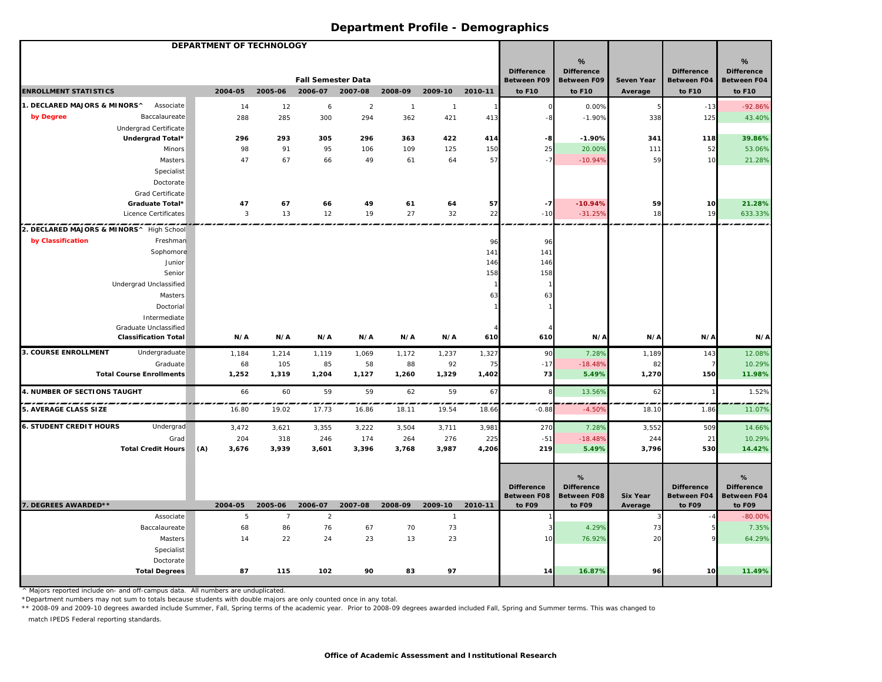|                                              |     | DEPARTMENT OF TECHNOLOGY |                |                           |                |                |                |         |                              |                              |                            |                              |                              |
|----------------------------------------------|-----|--------------------------|----------------|---------------------------|----------------|----------------|----------------|---------|------------------------------|------------------------------|----------------------------|------------------------------|------------------------------|
|                                              |     |                          |                |                           |                |                |                |         |                              | %                            |                            |                              | %                            |
|                                              |     |                          |                |                           |                |                |                |         | <b>Difference</b>            | <b>Difference</b>            |                            | <b>Difference</b>            | <b>Difference</b>            |
|                                              |     |                          |                | <b>Fall Semester Data</b> |                |                |                |         | Between F09                  | <b>Between F09</b>           | <b>Seven Year</b>          | Between F04                  | <b>Between F04</b>           |
| <b>ENROLLMENT STATISTICS</b>                 |     | 2004-05                  | 2005-06        | 2006-07                   | 2007-08        | 2008-09        | 2009-10        | 2010-11 | to F10                       | to F10                       | Average                    | to F10                       | to F10                       |
| 1. DECLARED MAJORS & MINORS^<br>Associate    |     | 14                       | 12             | 6                         | $\overline{2}$ | $\overline{1}$ | $\overline{1}$ |         |                              | 0.00%                        |                            | $-13$                        | $-92.86%$                    |
| by Degree<br><b>Baccalaureate</b>            |     | 288                      | 285            | 300                       | 294            | 362            | 421            | 413     |                              | $-1.90%$                     | 338                        | 125                          | 43.40%                       |
| Undergrad Certificate                        |     |                          |                |                           |                |                |                |         |                              |                              |                            |                              |                              |
| Undergrad Total*                             |     | 296                      | 293            | 305                       | 296            | 363            | 422            | 414     | -8                           | $-1.90%$                     | 341                        | 118                          | 39.86%                       |
| Minors                                       |     | 98                       | 91             | 95                        | 106            | 109            | 125            | 150     | 25                           | 20.00%                       | 111                        | 52                           | 53.06%                       |
| Masters                                      |     | 47                       | 67             | 66                        | 49             | 61             | 64             | 57      | $-7$                         | $-10.94%$                    | 59                         | 10                           | 21.28%                       |
| Specialist                                   |     |                          |                |                           |                |                |                |         |                              |                              |                            |                              |                              |
| Doctorate                                    |     |                          |                |                           |                |                |                |         |                              |                              |                            |                              |                              |
| Grad Certificate                             |     |                          |                |                           |                |                |                |         |                              |                              |                            |                              |                              |
| Graduate Total*                              |     | 47                       | 67             | 66                        | 49             | 61             | 64             | 57      | $-7$                         | $-10.94%$                    | 59                         | 10                           | 21.28%                       |
| Licence Certificates                         |     | 3                        | 13             | 12                        | 19             | 27             | 32             | 22      | $-10$                        | $-31.25%$                    | 18                         | 19                           | 633.33%                      |
| 2. DECLARED MAJORS & MINORS^ High School     |     |                          |                |                           |                |                |                |         |                              |                              |                            |                              |                              |
| by Classification<br>Freshman                |     |                          |                |                           |                |                |                | 96      | 96                           |                              |                            |                              |                              |
| Sophomore                                    |     |                          |                |                           |                |                |                | 141     | 141                          |                              |                            |                              |                              |
| Junior                                       |     |                          |                |                           |                |                |                | 146     | 146                          |                              |                            |                              |                              |
| Senior                                       |     |                          |                |                           |                |                |                | 158     | 158                          |                              |                            |                              |                              |
| Undergrad Unclassified                       |     |                          |                |                           |                |                |                |         |                              |                              |                            |                              |                              |
| <b>Masters</b>                               |     |                          |                |                           |                |                |                | 63      | 63                           |                              |                            |                              |                              |
| Doctorial                                    |     |                          |                |                           |                |                |                |         |                              |                              |                            |                              |                              |
| Intermediate                                 |     |                          |                |                           |                |                |                |         |                              |                              |                            |                              |                              |
| Graduate Unclassified                        |     | N/A                      | N/A            | N/A                       | N/A            | N/A            | N/A            | 610     |                              | N/A                          |                            |                              |                              |
| <b>Classification Total</b>                  |     |                          |                |                           |                |                |                |         | 610                          |                              | N/A                        | N/A                          | N/A                          |
| <b>3. COURSE ENROLLMENT</b><br>Undergraduate |     | 1,184                    | 1,214          | 1,119                     | 1,069          | 1,172          | 1,237          | 1,327   | 90                           | 7.28%                        | 1,189                      | 143                          | 12.08%                       |
| Graduate                                     |     | 68                       | 105            | 85                        | 58             | 88             | 92             | 75      | $-17$                        | $-18.48%$                    | 82                         |                              | 10.29%                       |
| <b>Total Course Enrollments</b>              |     | 1,252                    | 1,319          | 1,204                     | 1,127          | 1,260          | 1,329          | 1,402   | 73                           | 5.49%                        | 1,270                      | 150                          | 11.98%                       |
| 4. NUMBER OF SECTIONS TAUGHT                 |     | 66                       | 60             | 59                        | 59             | 62             | 59             | 67      |                              | 13.56%                       | 62                         |                              | 1.52%                        |
| 5. AVERAGE CLASS SIZE                        |     | 16.80                    | 19.02          | 17.73                     | 16.86          | 18.11          | 19.54          | 18.66   | $-0.88$                      | $-4.50%$                     | 18.10                      | 1.86                         | 11.07%                       |
| <b>6. STUDENT CREDIT HOURS</b><br>Undergrad  |     | 3,472                    | 3,621          | 3,355                     | 3,222          | 3,504          | 3,711          | 3,981   | 270                          | 7.28%                        | 3,552                      | 509                          | 14.66%                       |
| Grad                                         |     | 204                      | 318            | 246                       | 174            | 264            | 276            | 225     | $-51$                        | $-18.48%$                    | 244                        | 21                           | 10.29%                       |
| <b>Total Credit Hours</b>                    | (A) | 3,676                    | 3,939          | 3,601                     | 3,396          | 3,768          | 3,987          | 4,206   | 219                          | 5.49%                        | 3,796                      | 530                          | 14.42%                       |
|                                              |     |                          |                |                           |                |                |                |         |                              |                              |                            |                              |                              |
|                                              |     |                          |                |                           |                |                |                |         |                              | %                            |                            |                              | %                            |
|                                              |     |                          |                |                           |                |                |                |         | <b>Difference</b>            | <b>Difference</b>            |                            | <b>Difference</b>            | <b>Difference</b>            |
| 7. DEGREES AWARDED**                         |     | 2004-05                  | 2005-06        | 2006-07                   | 2007-08        | 2008-09        | 2009-10        | 2010-11 | <b>Between F08</b><br>to F09 | <b>Between F08</b><br>to F09 | <b>Six Year</b><br>Average | <b>Between F04</b><br>to F09 | <b>Between F04</b><br>to F09 |
| Associate                                    |     | 5                        | $\overline{7}$ | $\overline{2}$            |                |                | $\overline{1}$ |         |                              |                              |                            |                              | $-80.00%$                    |
| Baccalaureate                                |     | 68                       | 86             | 76                        | 67             | 70             | 73             |         |                              | 4.29%                        | 73                         |                              | 7.35%                        |
| Masters                                      |     | 14                       | 22             | 24                        | 23             | 13             | 23             |         | 10                           | 76.92%                       | 20                         |                              | 64.29%                       |
| Specialist                                   |     |                          |                |                           |                |                |                |         |                              |                              |                            |                              |                              |
| Doctorate                                    |     |                          |                |                           |                |                |                |         |                              |                              |                            |                              |                              |
| <b>Total Degrees</b>                         |     | 87                       | 115            | 102                       | 90             | 83             | 97             |         | 14                           | 16.87%                       | 96                         | 10                           | 11.49%                       |
|                                              |     |                          |                |                           |                |                |                |         |                              |                              |                            |                              |                              |

^ Majors reported include on- and off-campus data. All numbers are unduplicated.

\*Department numbers may not sum to totals because students with double majors are only counted once in any total.

\*\* 2008-09 and 2009-10 degrees awarded include Summer, Fall, Spring terms of the academic year. Prior to 2008-09 degrees awarded included Fall, Spring and Summer terms. This was changed to

match IPEDS Federal reporting standards.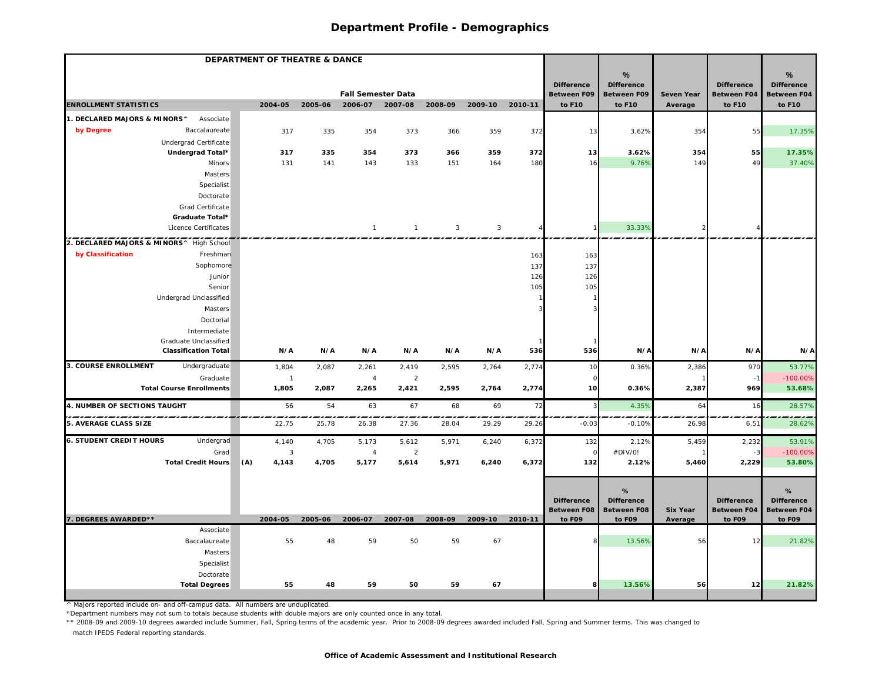| DEPARTMENT OF THEATRE & DANCE                |              |         |                           |                 |              |         |         |                    |                        |                 |                    |                        |
|----------------------------------------------|--------------|---------|---------------------------|-----------------|--------------|---------|---------|--------------------|------------------------|-----------------|--------------------|------------------------|
|                                              |              |         |                           |                 |              |         |         | <b>Difference</b>  | %<br><b>Difference</b> |                 | <b>Difference</b>  | %<br><b>Difference</b> |
|                                              |              |         | <b>Fall Semester Data</b> |                 |              |         |         | <b>Between F09</b> | <b>Between F09</b>     | Seven Year      | <b>Between F04</b> | <b>Between F04</b>     |
| <b>ENROLLMENT STATISTICS</b>                 | 2004-05      | 2005-06 |                           | 2006-07 2007-08 | 2008-09      | 2009-10 | 2010-11 | to F10             | to F10                 | Average         | to F10             | to F10                 |
| 1. DECLARED MAJORS & MINORS^<br>Associate    |              |         |                           |                 |              |         |         |                    |                        |                 |                    |                        |
| by Degree<br>Baccalaureate                   | 317          | 335     | 354                       | 373             | 366          | 359     | 372     | 13                 | 3.62%                  | 354             | 55                 | 17.35%                 |
| Undergrad Certificate                        |              |         |                           |                 |              |         |         |                    |                        |                 |                    |                        |
| Undergrad Total*                             | 317          | 335     | 354                       | 373             | 366          | 359     | 372     | 13                 | 3.62%                  | 354             | 55                 | 17.35%                 |
| Minors                                       | 131          | 141     | 143                       | 133             | 151          | 164     | 180     | 16                 | 9.76%                  | 149             | 49                 | 37.40%                 |
| Masters                                      |              |         |                           |                 |              |         |         |                    |                        |                 |                    |                        |
| Specialist                                   |              |         |                           |                 |              |         |         |                    |                        |                 |                    |                        |
| Doctorate                                    |              |         |                           |                 |              |         |         |                    |                        |                 |                    |                        |
| Grad Certificate                             |              |         |                           |                 |              |         |         |                    |                        |                 |                    |                        |
| Graduate Total*                              |              |         |                           |                 |              |         |         |                    |                        |                 |                    |                        |
| Licence Certificates                         |              |         | $\mathbf{1}$              | $\overline{1}$  | $\mathbf{3}$ | 3       |         |                    | 33.33%                 | $\overline{2}$  |                    |                        |
| 2. DECLARED MAJORS & MINORS^ High School     |              |         |                           |                 |              |         |         |                    |                        |                 |                    |                        |
| by Classification<br>Freshman                |              |         |                           |                 |              |         | 163     | 163                |                        |                 |                    |                        |
| Sophomore                                    |              |         |                           |                 |              |         | 137     | 137                |                        |                 |                    |                        |
| Junior                                       |              |         |                           |                 |              |         | 126     | 126                |                        |                 |                    |                        |
| Senior                                       |              |         |                           |                 |              |         | 105     | 105                |                        |                 |                    |                        |
| Undergrad Unclassified                       |              |         |                           |                 |              |         |         |                    |                        |                 |                    |                        |
| Masters                                      |              |         |                           |                 |              |         |         |                    |                        |                 |                    |                        |
| Doctorial                                    |              |         |                           |                 |              |         |         |                    |                        |                 |                    |                        |
| Intermediate<br>Graduate Unclassified        |              |         |                           |                 |              |         |         |                    |                        |                 |                    |                        |
| <b>Classification Total</b>                  | N/A          | N/A     | N/A                       | N/A             | N/A          | N/A     | 536     | 536                | N/A                    | N/A             | N/A                | N/A                    |
| <b>3. COURSE ENROLLMENT</b><br>Undergraduate | 1,804        | 2,087   | 2,261                     | 2,419           | 2,595        | 2,764   | 2,774   | 10                 | 0.36%                  | 2,386           | 970                | 53.77%                 |
| Graduate                                     | $\mathbf{1}$ |         | $\overline{4}$            | $\overline{2}$  |              |         |         |                    |                        |                 | $-1$               | $-100.00%$             |
| <b>Total Course Enrollments</b>              | 1,805        | 2,087   | 2,265                     | 2,421           | 2,595        | 2,764   | 2,774   | 10                 | 0.36%                  | 2,387           | 969                | 53.68%                 |
| 4. NUMBER OF SECTIONS TAUGHT                 | 56           | 54      | 63                        | 67              | 68           | 69      | 72      |                    | 4.35%                  | 64              | 16                 | 28.57%                 |
|                                              |              |         |                           |                 |              |         |         |                    |                        |                 |                    |                        |
| 5. AVERAGE CLASS SIZE                        | 22.75        | 25.78   | 26.38                     | 27.36           | 28.04        | 29.29   | 29.26   | $-0.03$            | $-0.10%$               | 26.98           | $6.5^{\circ}$      | 28.62%                 |
| <b>6. STUDENT CREDIT HOURS</b><br>Undergrad  | 4,140        | 4,705   | 5,173                     | 5,612           | 5,971        | 6,240   | 6,372   | 132                | 2.12%                  | 5,459           | 2,232              | 53.91%                 |
| Grad                                         | $\mathbf{3}$ |         | $\overline{4}$            | $\overline{2}$  |              |         |         |                    | #DIV/0!                |                 |                    | $-100.00\%$            |
| <b>Total Credit Hours</b>                    | (A)<br>4,143 | 4,705   | 5,177                     | 5,614           | 5,971        | 6,240   | 6,372   | 132                | 2.12%                  | 5,460           | 2,229              | 53.80%                 |
|                                              |              |         |                           |                 |              |         |         |                    |                        |                 |                    |                        |
|                                              |              |         |                           |                 |              |         |         | <b>Difference</b>  | %<br><b>Difference</b> |                 | <b>Difference</b>  | %<br><b>Difference</b> |
|                                              |              |         |                           |                 |              |         |         | <b>Between F08</b> | <b>Between F08</b>     | <b>Six Year</b> | Between F04        | <b>Between F04</b>     |
| 7. DEGREES AWARDED**                         | 2004-05      | 2005-06 | 2006-07                   | 2007-08         | 2008-09      | 2009-10 | 2010-11 | to F09             | to F09                 | Average         | to F09             | to F09                 |
| Associate                                    |              |         |                           |                 |              |         |         |                    |                        |                 |                    |                        |
| Baccalaureate                                | 55           | 48      | 59                        | 50              | 59           | 67      |         |                    | 13.56%                 | 56              | 12                 | 21.82%                 |
| Masters                                      |              |         |                           |                 |              |         |         |                    |                        |                 |                    |                        |
| Specialist                                   |              |         |                           |                 |              |         |         |                    |                        |                 |                    |                        |
| Doctorate                                    |              |         |                           |                 |              |         |         |                    |                        |                 |                    |                        |
| <b>Total Degrees</b>                         | 55           | 48      | 59                        | 50              | 59           | 67      |         |                    | 13.56%                 | 56              | 12                 | 21.82%                 |

^ Majors reported include on- and off-campus data. All numbers are unduplicated.

\*Department numbers may not sum to totals because students with double majors are only counted once in any total.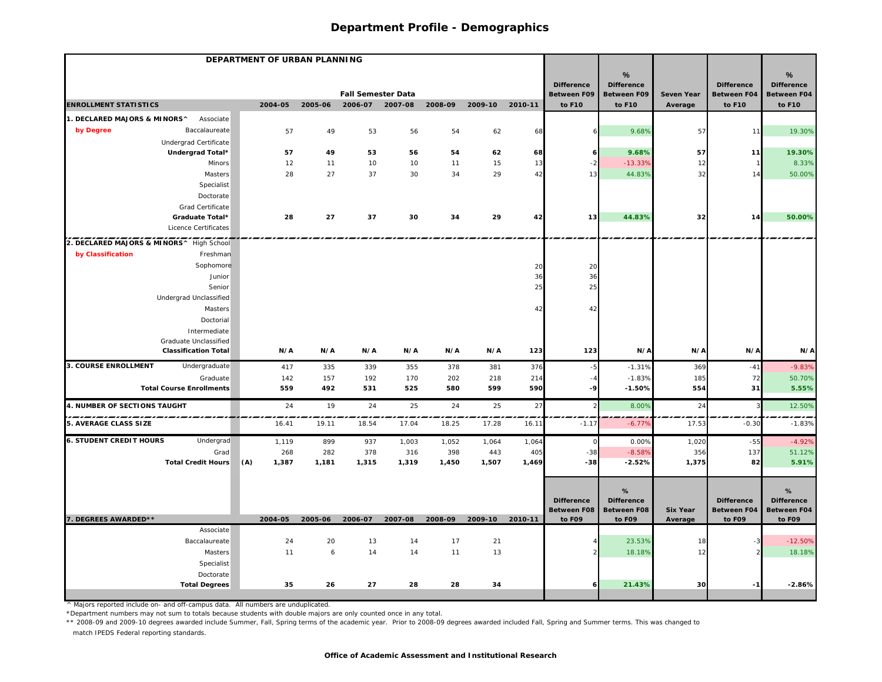| DEPARTMENT OF URBAN PLANNING                         |              |         |                           |         |         |                 |         |                                         |                                         |                            |                                         |                                         |
|------------------------------------------------------|--------------|---------|---------------------------|---------|---------|-----------------|---------|-----------------------------------------|-----------------------------------------|----------------------------|-----------------------------------------|-----------------------------------------|
|                                                      |              |         |                           |         |         |                 |         |                                         | %                                       |                            |                                         | %                                       |
|                                                      |              |         | <b>Fall Semester Data</b> |         |         |                 |         | <b>Difference</b><br><b>Between F09</b> | <b>Difference</b><br><b>Between F09</b> | Seven Year                 | <b>Difference</b><br><b>Between F04</b> | <b>Difference</b><br><b>Between F04</b> |
| <b>ENROLLMENT STATISTICS</b>                         | 2004-05      | 2005-06 | 2006-07 2007-08           |         | 2008-09 | 2009-10 2010-11 |         | to F10                                  | to F10                                  | Average                    | to F10                                  | to F10                                  |
| 1. DECLARED MAJORS & MINORS^<br>Associate            |              |         |                           |         |         |                 |         |                                         |                                         |                            |                                         |                                         |
| by Degree<br>Baccalaureate                           | 57           | 49      | 53                        | 56      | 54      | 62              | 68      |                                         | 9.68%                                   | 57                         | 11                                      | 19.30%                                  |
| Undergrad Certificate                                |              |         |                           |         |         |                 |         |                                         |                                         |                            |                                         |                                         |
| Undergrad Total*                                     | 57           | 49      | 53                        | 56      | 54      | 62              | 68      |                                         | 9.68%                                   | 57                         | $11$                                    | 19.30%                                  |
| Minors                                               | 12           | 11      | 10                        | 10      | 11      | 15              | 13      |                                         | $-13.33%$                               | 12                         |                                         | 8.33%                                   |
| Masters                                              | 28           | 27      | 37                        | 30      | 34      | 29              | 42      | 13                                      | 44.83%                                  | 32                         | 14                                      | 50.00%                                  |
| Specialist                                           |              |         |                           |         |         |                 |         |                                         |                                         |                            |                                         |                                         |
| Doctorate                                            |              |         |                           |         |         |                 |         |                                         |                                         |                            |                                         |                                         |
| Grad Certificate                                     |              |         |                           |         |         |                 |         |                                         |                                         |                            |                                         |                                         |
| Graduate Total*                                      | 28           | 27      | 37                        | 30      | 34      | 29              | 42      | 13                                      | 44.83%                                  | 32                         | 14                                      | 50.00%                                  |
| Licence Certificates                                 |              |         |                           |         |         |                 |         |                                         |                                         |                            |                                         |                                         |
| 2. DECLARED MAJORS & MINORS^ High School             |              |         |                           |         |         |                 |         |                                         |                                         |                            |                                         |                                         |
| by Classification<br>Freshman                        |              |         |                           |         |         |                 |         |                                         |                                         |                            |                                         |                                         |
| Sophomore                                            |              |         |                           |         |         |                 | 20      | 20                                      |                                         |                            |                                         |                                         |
| Junior                                               |              |         |                           |         |         |                 | 36      | 36                                      |                                         |                            |                                         |                                         |
| Senior                                               |              |         |                           |         |         |                 | 25      | 25                                      |                                         |                            |                                         |                                         |
| Undergrad Unclassified                               |              |         |                           |         |         |                 |         |                                         |                                         |                            |                                         |                                         |
| Masters                                              |              |         |                           |         |         |                 | 42      | 42                                      |                                         |                            |                                         |                                         |
| Doctorial                                            |              |         |                           |         |         |                 |         |                                         |                                         |                            |                                         |                                         |
| Intermediate                                         |              |         |                           |         |         |                 |         |                                         |                                         |                            |                                         |                                         |
| Graduate Unclassified<br><b>Classification Total</b> | N/A          | N/A     | N/A                       | N/A     | N/A     | N/A             | 123     | 123                                     | N/A                                     | N/A                        | N/A                                     | N/A                                     |
|                                                      |              |         |                           |         |         |                 |         |                                         |                                         |                            |                                         |                                         |
| 3. COURSE ENROLLMENT<br>Undergraduate                | 417          | 335     | 339                       | 355     | 378     | 381             | 376     | $-5$                                    | $-1.31%$                                | 369                        | $-41$                                   | $-9.83%$                                |
| Graduate<br><b>Total Course Enrollments</b>          | 142          | 157     | 192                       | 170     | 202     | 218<br>599      | 214     |                                         | $-1.83%$                                | 185                        | 72                                      | 50.70%                                  |
|                                                      | 559          | 492     | 531                       | 525     | 580     |                 | 590     | -9                                      | $-1.50%$                                | 554                        | 31                                      | 5.55%                                   |
| 4. NUMBER OF SECTIONS TAUGHT                         | 24           | 19      | 24                        | 25      | 24      | 25              | 27      |                                         | 8.00%                                   | 24                         |                                         | 12.50%                                  |
| 5. AVERAGE CLASS SIZE                                | 16.41        | 19.11   | 18.54                     | 17.04   | 18.25   | 17.28           | 16.1    | $-1.17$                                 | $-6.779$                                | 17.53                      | $-0.30$                                 | $-1.83%$                                |
| <b>6. STUDENT CREDIT HOURS</b><br>Undergrad          | 1,119        | 899     | 937                       | 1,003   | 1,052   | 1,064           | 1,064   |                                         | 0.00%                                   | 1,020                      | $-55$                                   | $-4.92%$                                |
| Grad                                                 | 268          | 282     | 378                       | 316     | 398     | 443             | 405     | $-38$                                   | $-8.58%$                                | 356                        | 137                                     | 51.12%                                  |
| <b>Total Credit Hours</b>                            | (A)<br>1,387 | 1,181   | 1,315                     | 1,319   | 1,450   | 1,507           | 1,469   | $-38$                                   | $-2.52%$                                | 1,375                      | 82                                      | 5.91%                                   |
|                                                      |              |         |                           |         |         |                 |         |                                         |                                         |                            |                                         |                                         |
|                                                      |              |         |                           |         |         |                 |         |                                         | %                                       |                            |                                         | %                                       |
|                                                      |              |         |                           |         |         |                 |         | <b>Difference</b>                       | <b>Difference</b>                       |                            | <b>Difference</b>                       | <b>Difference</b>                       |
| 7. DEGREES AWARDED**                                 | 2004-05      | 2005-06 | 2006-07                   | 2007-08 | 2008-09 | 2009-10         | 2010-11 | <b>Between F08</b><br>to F09            | <b>Between F08</b><br>to F09            | <b>Six Year</b><br>Average | Between F04<br>to F09                   | Between F04<br>to F09                   |
| Associate                                            |              |         |                           |         |         |                 |         |                                         |                                         |                            |                                         |                                         |
| Baccalaureate                                        | 24           | 20      | 13                        | 14      | 17      | 21              |         |                                         | 23.53%                                  | 18                         |                                         | $-12.50%$                               |
| Masters                                              | 11           | 6       | 14                        | 14      | 11      | 13              |         |                                         | 18.18%                                  | 12                         |                                         | 18.18%                                  |
| Specialist                                           |              |         |                           |         |         |                 |         |                                         |                                         |                            |                                         |                                         |
| Doctorate                                            |              |         |                           |         |         |                 |         |                                         |                                         |                            |                                         |                                         |
| <b>Total Degrees</b>                                 | 35           | 26      | 27                        | 28      | 28      | 34              |         |                                         | 21.43%                                  | 30                         | - 1                                     | $-2.86%$                                |
|                                                      |              |         |                           |         |         |                 |         |                                         |                                         |                            |                                         |                                         |

^ Majors reported include on- and off-campus data. All numbers are unduplicated.

\*Department numbers may not sum to totals because students with double majors are only counted once in any total.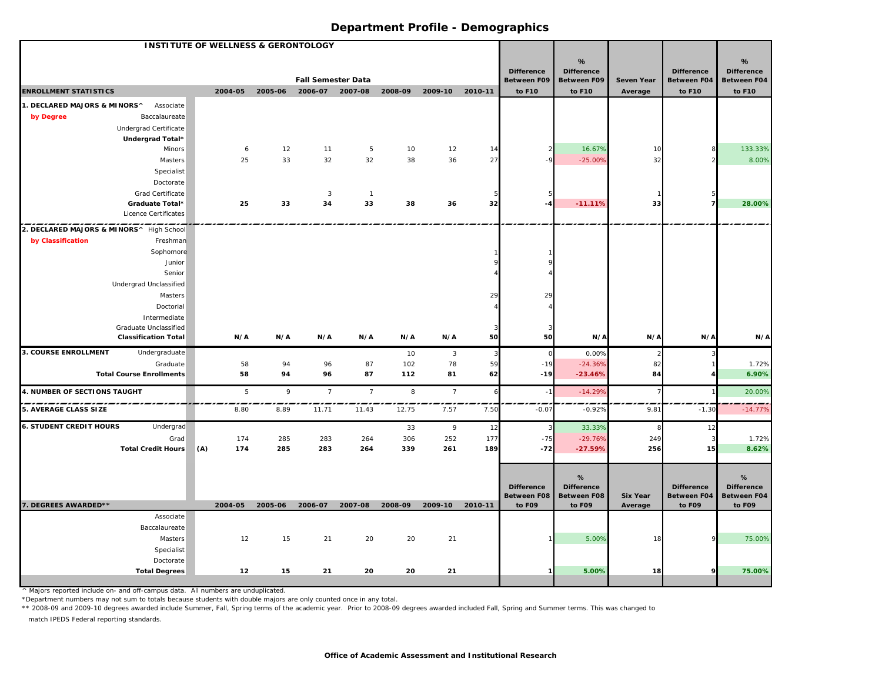|                                                            | <b>INSTITUTE OF WELLNESS &amp; GERONTOLOGY</b> |         |                                      |                |         |                |                |                              |                              |                       |                       |                              |
|------------------------------------------------------------|------------------------------------------------|---------|--------------------------------------|----------------|---------|----------------|----------------|------------------------------|------------------------------|-----------------------|-----------------------|------------------------------|
|                                                            |                                                |         |                                      |                |         |                |                |                              | %                            |                       |                       | %                            |
|                                                            |                                                |         |                                      |                |         |                |                | <b>Difference</b>            | <b>Difference</b>            |                       | <b>Difference</b>     | <b>Difference</b>            |
| <b>ENROLLMENT STATISTICS</b>                               | 2004-05                                        | 2005-06 | <b>Fall Semester Data</b><br>2006-07 | 2007-08        | 2008-09 | 2009-10        | 2010-11        | <b>Between F09</b><br>to F10 | <b>Between F09</b><br>to F10 | Seven Year<br>Average | Between F04<br>to F10 | <b>Between F04</b><br>to F10 |
|                                                            |                                                |         |                                      |                |         |                |                |                              |                              |                       |                       |                              |
| 1. DECLARED MAJORS & MINORS^<br>Associate<br>Baccalaureate |                                                |         |                                      |                |         |                |                |                              |                              |                       |                       |                              |
| by Degree                                                  |                                                |         |                                      |                |         |                |                |                              |                              |                       |                       |                              |
| Undergrad Certificate<br>Undergrad Total*                  |                                                |         |                                      |                |         |                |                |                              |                              |                       |                       |                              |
| Minors                                                     | 6                                              | 12      | 11                                   | 5              | 10      | 12             | 14             |                              | 16.67%                       | 10                    |                       | 133.33%                      |
| Masters                                                    | 25                                             | 33      | 32                                   | 32             | 38      | 36             | 27             | $-9$                         | $-25.00%$                    | 32                    |                       | 8.00%                        |
| Specialist                                                 |                                                |         |                                      |                |         |                |                |                              |                              |                       |                       |                              |
| Doctorate                                                  |                                                |         |                                      |                |         |                |                |                              |                              |                       |                       |                              |
| Grad Certificate                                           |                                                |         | 3                                    | $\mathbf{1}$   |         |                |                |                              |                              |                       |                       |                              |
| Graduate Total*                                            | 25                                             | 33      | 34                                   | 33             | 38      | 36             | 32             | $-4$                         | $-11.11%$                    | 33                    |                       | 28.00%                       |
| Licence Certificates                                       |                                                |         |                                      |                |         |                |                |                              |                              |                       |                       |                              |
| 2. DECLARED MAJORS & MINORS^ High School                   |                                                |         |                                      |                |         |                |                |                              |                              |                       |                       |                              |
| by Classification<br>Freshman                              |                                                |         |                                      |                |         |                |                |                              |                              |                       |                       |                              |
| Sophomore                                                  |                                                |         |                                      |                |         |                |                |                              |                              |                       |                       |                              |
| Junior                                                     |                                                |         |                                      |                |         |                |                |                              |                              |                       |                       |                              |
| Senior                                                     |                                                |         |                                      |                |         |                |                |                              |                              |                       |                       |                              |
| Undergrad Unclassified                                     |                                                |         |                                      |                |         |                |                |                              |                              |                       |                       |                              |
| Masters                                                    |                                                |         |                                      |                |         |                | 29             | 29                           |                              |                       |                       |                              |
| Doctorial                                                  |                                                |         |                                      |                |         |                |                |                              |                              |                       |                       |                              |
| Intermediate                                               |                                                |         |                                      |                |         |                |                |                              |                              |                       |                       |                              |
| Graduate Unclassified                                      |                                                |         |                                      |                |         |                |                |                              |                              |                       |                       |                              |
| <b>Classification Total</b>                                | N/A                                            | N/A     | N/A                                  | N/A            | N/A     | N/A            | 50             | 50                           | N/A                          | N/A                   | N/A                   | N/A                          |
| 3. COURSE ENROLLMENT<br>Undergraduate                      |                                                |         |                                      |                | 10      | $\overline{3}$ | $\overline{3}$ | $\circ$                      | 0.00%                        |                       |                       |                              |
| Graduate                                                   | 58                                             | 94      | 96                                   | 87             | 102     | 78             | 59             | $-19$                        | $-24.36%$                    | 82                    |                       | 1.72%                        |
| <b>Total Course Enrollments</b>                            | 58                                             | 94      | 96                                   | 87             | 112     | 81             | 62             | $-19$                        | $-23.46%$                    | 84                    |                       | 6.90%                        |
| 4. NUMBER OF SECTIONS TAUGHT                               | 5                                              | 9       | $\overline{7}$                       | $\overline{7}$ | 8       | $\overline{7}$ |                | $-1$                         | $-14.29%$                    |                       |                       | 20.00%                       |
| 5. AVERAGE CLASS SIZE                                      | 8.80                                           | 8.89    | 11.71                                | 11.43          | 12.75   | 7.57           | 7.50           | $-0.07$                      | <br>$-0.92%$                 | 9.8                   | $-1.30$               | $-14.77%$                    |
| <b>6. STUDENT CREDIT HOURS</b><br>Undergrad                |                                                |         |                                      |                | 33      | 9              | 12             | 3                            | 33.33%                       | 8                     | 12                    |                              |
| Grad                                                       | 174                                            | 285     | 283                                  | 264            | 306     | 252            | 177            | $-75$                        | $-29.76%$                    | 249                   |                       | 1.72%                        |
| <b>Total Credit Hours</b>                                  | (A)<br>174                                     | 285     | 283                                  | 264            | 339     | 261            | 189            | $-72$                        | $-27.59%$                    | 256                   | 15                    | 8.62%                        |
|                                                            |                                                |         |                                      |                |         |                |                |                              |                              |                       |                       |                              |
|                                                            |                                                |         |                                      |                |         |                |                |                              | %                            |                       |                       | %                            |
|                                                            |                                                |         |                                      |                |         |                |                | <b>Difference</b>            | <b>Difference</b>            |                       | <b>Difference</b>     | <b>Difference</b>            |
|                                                            |                                                |         |                                      |                |         |                |                | Between F08                  | <b>Between F08</b>           | <b>Six Year</b>       | <b>Between F04</b>    | <b>Between F04</b>           |
| 7. DEGREES AWARDED**<br>Associate                          | 2004-05                                        | 2005-06 | 2006-07                              | 2007-08        | 2008-09 | 2009-10        | 2010-11        | to F09                       | to F09                       | Average               | to F09                | to F09                       |
| Baccalaureate                                              |                                                |         |                                      |                |         |                |                |                              |                              |                       |                       |                              |
| <b>Masters</b>                                             | 12                                             | 15      | 21                                   | 20             | 20      | 21             |                |                              | 5.00%                        | 18                    |                       | 75.00%                       |
| Specialist                                                 |                                                |         |                                      |                |         |                |                |                              |                              |                       |                       |                              |
| Doctorate                                                  |                                                |         |                                      |                |         |                |                |                              |                              |                       |                       |                              |
| <b>Total Degrees</b>                                       | 12                                             | 15      | 21                                   | 20             | 20      | 21             |                |                              | 5.00%                        | 18                    |                       | 75.00%                       |
|                                                            |                                                |         |                                      |                |         |                |                |                              |                              |                       |                       |                              |

^ Majors reported include on- and off-campus data. All numbers are unduplicated.

\*Department numbers may not sum to totals because students with double majors are only counted once in any total.

\*\* 2008-09 and 2009-10 degrees awarded include Summer, Fall, Spring terms of the academic year. Prior to 2008-09 degrees awarded included Fall, Spring and Summer terms. This was changed to

match IPEDS Federal reporting standards.